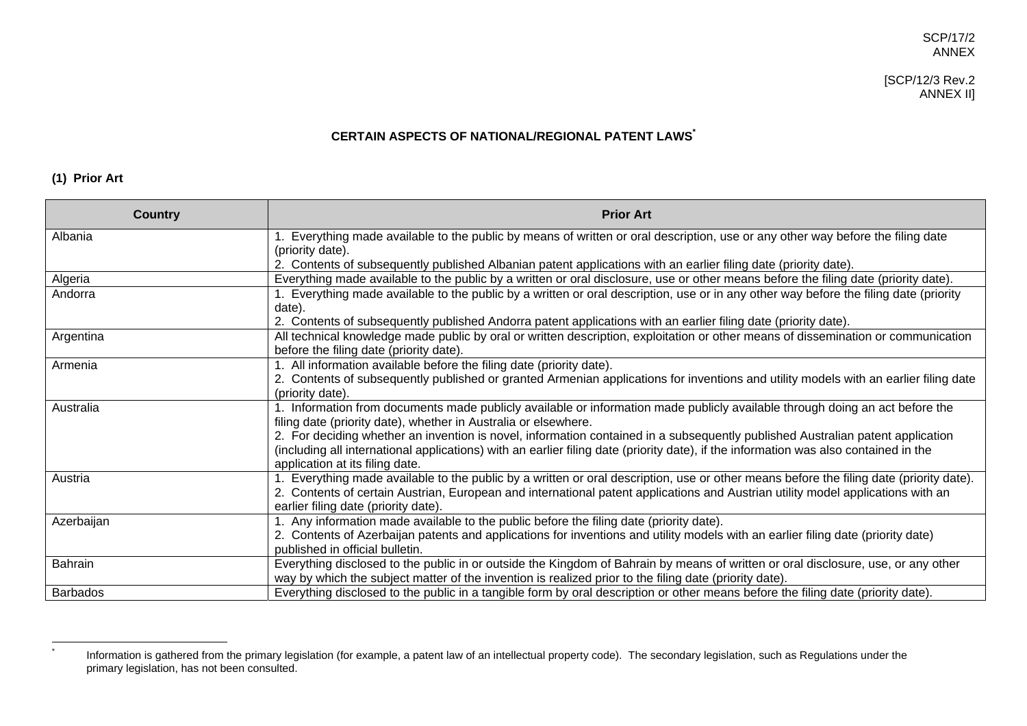# [SCP/12/3 Rev.2 ANNEX II]

#### **CERTAIN ASPECTS OF NATIONAL/REGIONAL PATENT LAWS \***

# **(1) Prior Art**

 $^\star$ 

| <b>Country</b> | <b>Prior Art</b>                                                                                                                                                                                                                                                                                                   |
|----------------|--------------------------------------------------------------------------------------------------------------------------------------------------------------------------------------------------------------------------------------------------------------------------------------------------------------------|
| Albania        | Everything made available to the public by means of written or oral description, use or any other way before the filing date<br>(priority date).                                                                                                                                                                   |
|                | 2. Contents of subsequently published Albanian patent applications with an earlier filing date (priority date).                                                                                                                                                                                                    |
| Algeria        | Everything made available to the public by a written or oral disclosure, use or other means before the filing date (priority date).                                                                                                                                                                                |
| Andorra        | 1. Everything made available to the public by a written or oral description, use or in any other way before the filing date (priority<br>date).                                                                                                                                                                    |
|                | 2. Contents of subsequently published Andorra patent applications with an earlier filing date (priority date).                                                                                                                                                                                                     |
| Argentina      | All technical knowledge made public by oral or written description, exploitation or other means of dissemination or communication<br>before the filing date (priority date).                                                                                                                                       |
| Armenia        | 1. All information available before the filing date (priority date).                                                                                                                                                                                                                                               |
|                | 2. Contents of subsequently published or granted Armenian applications for inventions and utility models with an earlier filing date<br>(priority date).                                                                                                                                                           |
| Australia      | 1. Information from documents made publicly available or information made publicly available through doing an act before the<br>filing date (priority date), whether in Australia or elsewhere.                                                                                                                    |
|                | 2. For deciding whether an invention is novel, information contained in a subsequently published Australian patent application<br>(including all international applications) with an earlier filing date (priority date), if the information was also contained in the<br>application at its filing date.          |
| Austria        | 1. Everything made available to the public by a written or oral description, use or other means before the filing date (priority date).<br>2. Contents of certain Austrian, European and international patent applications and Austrian utility model applications with an<br>earlier filing date (priority date). |
| Azerbaijan     | 1. Any information made available to the public before the filing date (priority date).                                                                                                                                                                                                                            |
|                | 2. Contents of Azerbaijan patents and applications for inventions and utility models with an earlier filing date (priority date)<br>published in official bulletin.                                                                                                                                                |
| <b>Bahrain</b> | Everything disclosed to the public in or outside the Kingdom of Bahrain by means of written or oral disclosure, use, or any other                                                                                                                                                                                  |
|                | way by which the subject matter of the invention is realized prior to the filing date (priority date).                                                                                                                                                                                                             |
| Barbados       | Everything disclosed to the public in a tangible form by oral description or other means before the filing date (priority date).                                                                                                                                                                                   |

Information is gathered from the primary legislation (for example, a patent law of an intellectual property code). The secondary legislation, such as Regulations under the primary legislation, has not been consulted.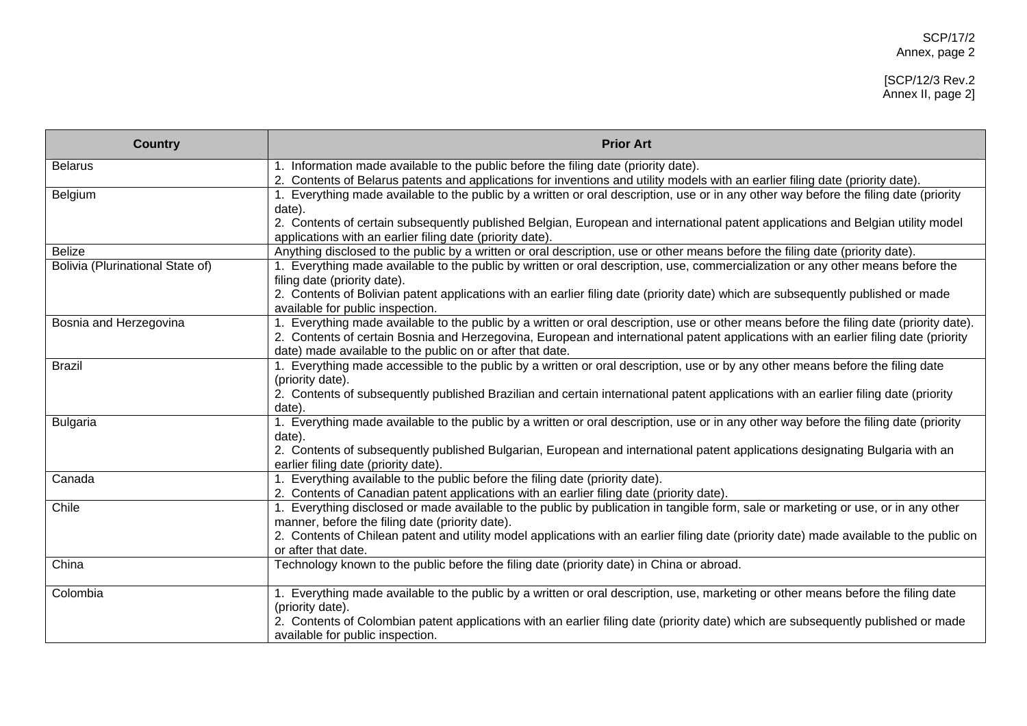# [SCP/12/3 Rev.2 Annex II, page 2]

| <b>Country</b>                   | <b>Prior Art</b>                                                                                                                                                                                                                                                                                                                                         |
|----------------------------------|----------------------------------------------------------------------------------------------------------------------------------------------------------------------------------------------------------------------------------------------------------------------------------------------------------------------------------------------------------|
| <b>Belarus</b>                   | 1. Information made available to the public before the filing date (priority date).<br>2. Contents of Belarus patents and applications for inventions and utility models with an earlier filing date (priority date).                                                                                                                                    |
| Belgium                          | 1. Everything made available to the public by a written or oral description, use or in any other way before the filing date (priority<br>date).<br>2. Contents of certain subsequently published Belgian, European and international patent applications and Belgian utility model<br>applications with an earlier filing date (priority date).          |
| <b>Belize</b>                    | Anything disclosed to the public by a written or oral description, use or other means before the filing date (priority date).                                                                                                                                                                                                                            |
| Bolivia (Plurinational State of) | 1. Everything made available to the public by written or oral description, use, commercialization or any other means before the<br>filing date (priority date).<br>2. Contents of Bolivian patent applications with an earlier filing date (priority date) which are subsequently published or made<br>available for public inspection.                  |
| Bosnia and Herzegovina           | 1. Everything made available to the public by a written or oral description, use or other means before the filing date (priority date).<br>2. Contents of certain Bosnia and Herzegovina, European and international patent applications with an earlier filing date (priority<br>date) made available to the public on or after that date.              |
| <b>Brazil</b>                    | 1. Everything made accessible to the public by a written or oral description, use or by any other means before the filing date<br>(priority date).<br>2. Contents of subsequently published Brazilian and certain international patent applications with an earlier filing date (priority<br>date).                                                      |
| <b>Bulgaria</b>                  | 1. Everything made available to the public by a written or oral description, use or in any other way before the filing date (priority<br>date).<br>2. Contents of subsequently published Bulgarian, European and international patent applications designating Bulgaria with an<br>earlier filing date (priority date).                                  |
| Canada                           | 1. Everything available to the public before the filing date (priority date).<br>2. Contents of Canadian patent applications with an earlier filing date (priority date).                                                                                                                                                                                |
| Chile                            | 1. Everything disclosed or made available to the public by publication in tangible form, sale or marketing or use, or in any other<br>manner, before the filing date (priority date).<br>2. Contents of Chilean patent and utility model applications with an earlier filing date (priority date) made available to the public on<br>or after that date. |
| China                            | Technology known to the public before the filing date (priority date) in China or abroad.                                                                                                                                                                                                                                                                |
| Colombia                         | 1. Everything made available to the public by a written or oral description, use, marketing or other means before the filing date<br>(priority date).<br>2. Contents of Colombian patent applications with an earlier filing date (priority date) which are subsequently published or made<br>available for public inspection.                           |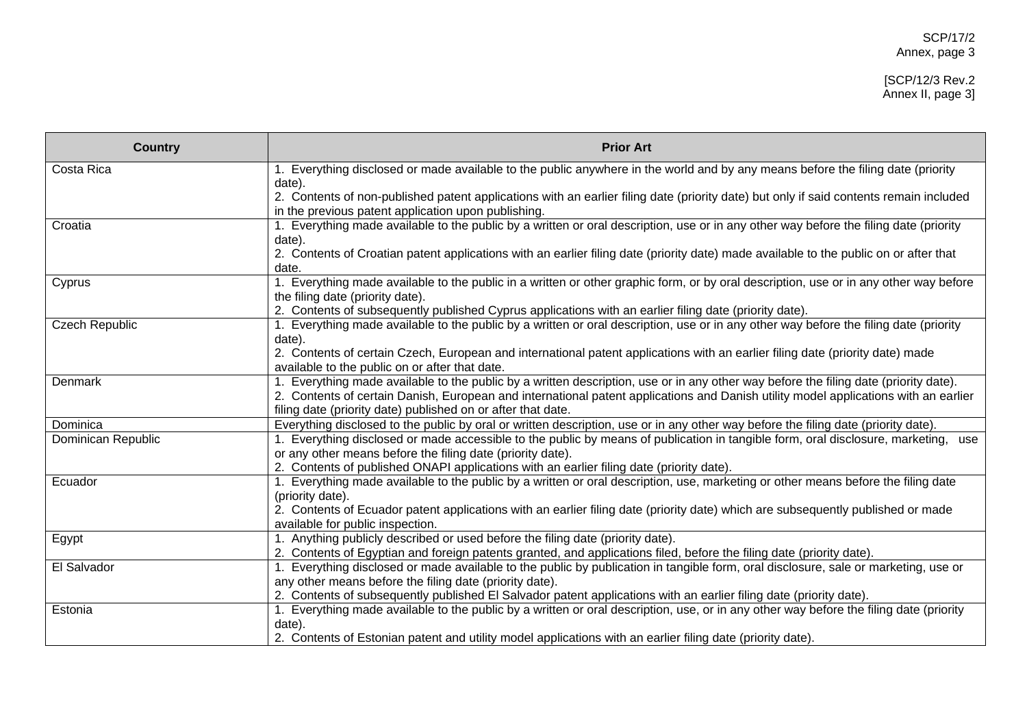# [SCP/12/3 Rev.2 Annex II, page 3]

| <b>Country</b>        | <b>Prior Art</b>                                                                                                                                                                                                                                             |
|-----------------------|--------------------------------------------------------------------------------------------------------------------------------------------------------------------------------------------------------------------------------------------------------------|
| Costa Rica            | 1. Everything disclosed or made available to the public anywhere in the world and by any means before the filing date (priority                                                                                                                              |
|                       | date).                                                                                                                                                                                                                                                       |
|                       | 2. Contents of non-published patent applications with an earlier filing date (priority date) but only if said contents remain included                                                                                                                       |
|                       | in the previous patent application upon publishing.                                                                                                                                                                                                          |
| Croatia               | 1. Everything made available to the public by a written or oral description, use or in any other way before the filing date (priority                                                                                                                        |
|                       | date).                                                                                                                                                                                                                                                       |
|                       | 2. Contents of Croatian patent applications with an earlier filing date (priority date) made available to the public on or after that                                                                                                                        |
|                       | date.<br>1. Everything made available to the public in a written or other graphic form, or by oral description, use or in any other way before                                                                                                               |
| Cyprus                | the filing date (priority date).                                                                                                                                                                                                                             |
|                       | 2. Contents of subsequently published Cyprus applications with an earlier filing date (priority date).                                                                                                                                                       |
| <b>Czech Republic</b> | 1. Everything made available to the public by a written or oral description, use or in any other way before the filing date (priority                                                                                                                        |
|                       | date).                                                                                                                                                                                                                                                       |
|                       | 2. Contents of certain Czech, European and international patent applications with an earlier filing date (priority date) made                                                                                                                                |
|                       | available to the public on or after that date.                                                                                                                                                                                                               |
| Denmark               | 1. Everything made available to the public by a written description, use or in any other way before the filing date (priority date).                                                                                                                         |
|                       | 2. Contents of certain Danish, European and international patent applications and Danish utility model applications with an earlier                                                                                                                          |
|                       | filing date (priority date) published on or after that date.                                                                                                                                                                                                 |
| Dominica              | Everything disclosed to the public by oral or written description, use or in any other way before the filing date (priority date).                                                                                                                           |
| Dominican Republic    | 1. Everything disclosed or made accessible to the public by means of publication in tangible form, oral disclosure, marketing, use                                                                                                                           |
|                       | or any other means before the filing date (priority date).                                                                                                                                                                                                   |
|                       | 2. Contents of published ONAPI applications with an earlier filing date (priority date).                                                                                                                                                                     |
| Ecuador               | 1. Everything made available to the public by a written or oral description, use, marketing or other means before the filing date                                                                                                                            |
|                       | (priority date).                                                                                                                                                                                                                                             |
|                       | 2. Contents of Ecuador patent applications with an earlier filing date (priority date) which are subsequently published or made                                                                                                                              |
|                       | available for public inspection.                                                                                                                                                                                                                             |
| Egypt                 | 1. Anything publicly described or used before the filing date (priority date).                                                                                                                                                                               |
|                       | 2. Contents of Egyptian and foreign patents granted, and applications filed, before the filing date (priority date).                                                                                                                                         |
| El Salvador           | 1. Everything disclosed or made available to the public by publication in tangible form, oral disclosure, sale or marketing, use or                                                                                                                          |
|                       | any other means before the filing date (priority date).                                                                                                                                                                                                      |
|                       | 2. Contents of subsequently published El Salvador patent applications with an earlier filing date (priority date).<br>1. Everything made available to the public by a written or oral description, use, or in any other way before the filing date (priority |
| Estonia               |                                                                                                                                                                                                                                                              |
|                       | date).<br>2. Contents of Estonian patent and utility model applications with an earlier filing date (priority date).                                                                                                                                         |
|                       |                                                                                                                                                                                                                                                              |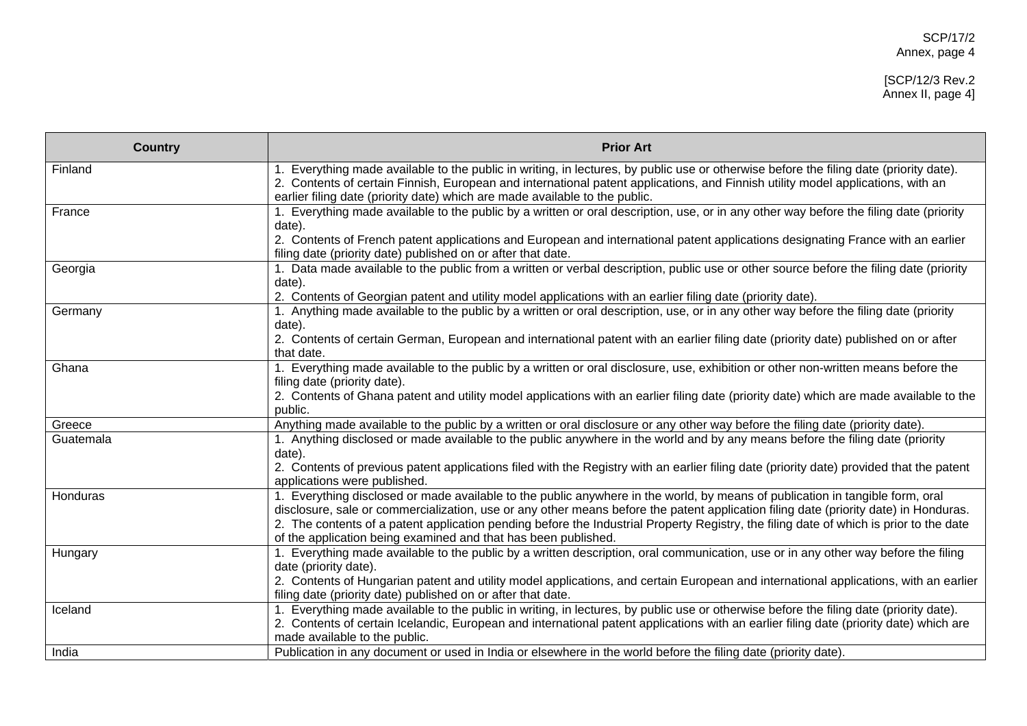# [SCP/12/3 Rev.2 Annex II, page 4]

| <b>Country</b> | <b>Prior Art</b>                                                                                                                                                                                                                                                                                                                                         |
|----------------|----------------------------------------------------------------------------------------------------------------------------------------------------------------------------------------------------------------------------------------------------------------------------------------------------------------------------------------------------------|
| Finland        | 1. Everything made available to the public in writing, in lectures, by public use or otherwise before the filing date (priority date).<br>2. Contents of certain Finnish, European and international patent applications, and Finnish utility model applications, with an<br>earlier filing date (priority date) which are made available to the public. |
| France         | 1. Everything made available to the public by a written or oral description, use, or in any other way before the filing date (priority<br>date).                                                                                                                                                                                                         |
|                | 2. Contents of French patent applications and European and international patent applications designating France with an earlier<br>filing date (priority date) published on or after that date.                                                                                                                                                          |
| Georgia        | 1. Data made available to the public from a written or verbal description, public use or other source before the filing date (priority<br>date).                                                                                                                                                                                                         |
|                | 2. Contents of Georgian patent and utility model applications with an earlier filing date (priority date).                                                                                                                                                                                                                                               |
| Germany        | 1. Anything made available to the public by a written or oral description, use, or in any other way before the filing date (priority<br>date).                                                                                                                                                                                                           |
|                | 2. Contents of certain German, European and international patent with an earlier filing date (priority date) published on or after<br>that date.                                                                                                                                                                                                         |
| Ghana          | 1. Everything made available to the public by a written or oral disclosure, use, exhibition or other non-written means before the<br>filing date (priority date).                                                                                                                                                                                        |
|                | 2. Contents of Ghana patent and utility model applications with an earlier filing date (priority date) which are made available to the<br>public.                                                                                                                                                                                                        |
| Greece         | Anything made available to the public by a written or oral disclosure or any other way before the filing date (priority date).                                                                                                                                                                                                                           |
| Guatemala      | 1. Anything disclosed or made available to the public anywhere in the world and by any means before the filing date (priority<br>date).                                                                                                                                                                                                                  |
|                | 2. Contents of previous patent applications filed with the Registry with an earlier filing date (priority date) provided that the patent<br>applications were published.                                                                                                                                                                                 |
| Honduras       | 1. Everything disclosed or made available to the public anywhere in the world, by means of publication in tangible form, oral<br>disclosure, sale or commercialization, use or any other means before the patent application filing date (priority date) in Honduras.                                                                                    |
|                | 2. The contents of a patent application pending before the Industrial Property Registry, the filing date of which is prior to the date                                                                                                                                                                                                                   |
|                | of the application being examined and that has been published.                                                                                                                                                                                                                                                                                           |
| Hungary        | 1. Everything made available to the public by a written description, oral communication, use or in any other way before the filing<br>date (priority date).                                                                                                                                                                                              |
|                | 2. Contents of Hungarian patent and utility model applications, and certain European and international applications, with an earlier<br>filing date (priority date) published on or after that date.                                                                                                                                                     |
| Iceland        | 1. Everything made available to the public in writing, in lectures, by public use or otherwise before the filing date (priority date).                                                                                                                                                                                                                   |
|                | 2. Contents of certain Icelandic, European and international patent applications with an earlier filing date (priority date) which are<br>made available to the public.                                                                                                                                                                                  |
| India          | Publication in any document or used in India or elsewhere in the world before the filing date (priority date).                                                                                                                                                                                                                                           |
|                |                                                                                                                                                                                                                                                                                                                                                          |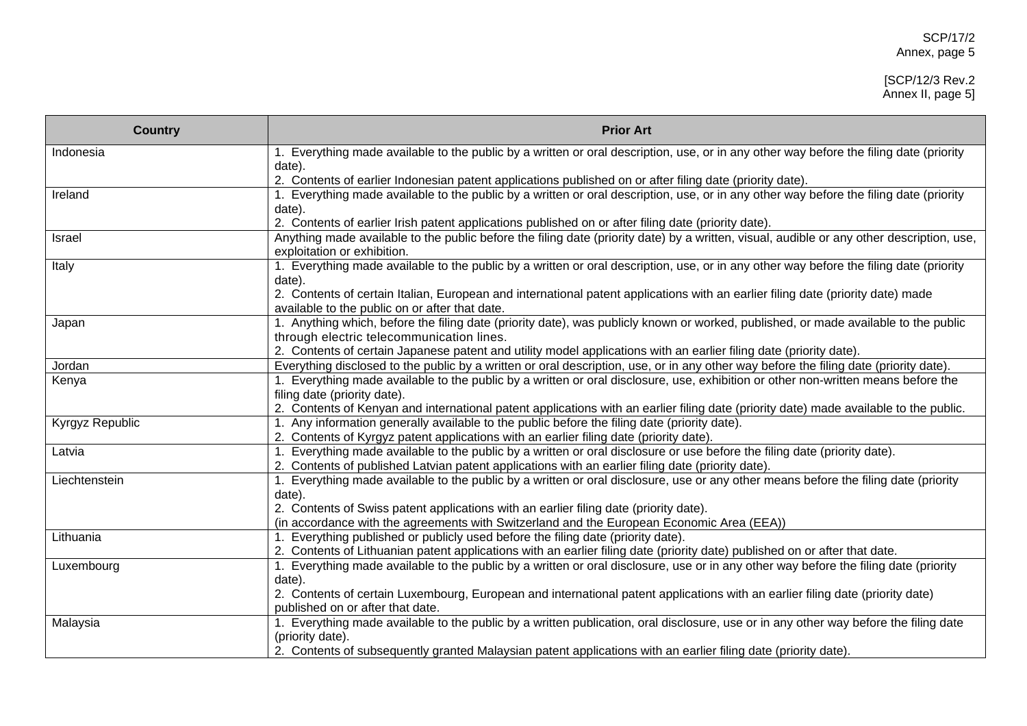# [SCP/12/3 Rev.2 Annex II, page 5]

| <b>Country</b>  | <b>Prior Art</b>                                                                                                                                                                                                               |
|-----------------|--------------------------------------------------------------------------------------------------------------------------------------------------------------------------------------------------------------------------------|
| Indonesia       | 1. Everything made available to the public by a written or oral description, use, or in any other way before the filing date (priority<br>date).                                                                               |
|                 | 2. Contents of earlier Indonesian patent applications published on or after filing date (priority date).                                                                                                                       |
| Ireland         | 1. Everything made available to the public by a written or oral description, use, or in any other way before the filing date (priority<br>date).                                                                               |
|                 | 2. Contents of earlier Irish patent applications published on or after filing date (priority date).                                                                                                                            |
| Israel          | Anything made available to the public before the filing date (priority date) by a written, visual, audible or any other description, use,<br>exploitation or exhibition.                                                       |
| Italy           | 1. Everything made available to the public by a written or oral description, use, or in any other way before the filing date (priority<br>date).                                                                               |
|                 | 2. Contents of certain Italian, European and international patent applications with an earlier filing date (priority date) made<br>available to the public on or after that date.                                              |
| Japan           | 1. Anything which, before the filing date (priority date), was publicly known or worked, published, or made available to the public<br>through electric telecommunication lines.                                               |
|                 | 2. Contents of certain Japanese patent and utility model applications with an earlier filing date (priority date).                                                                                                             |
| Jordan          | Everything disclosed to the public by a written or oral description, use, or in any other way before the filing date (priority date).                                                                                          |
| Kenya           | 1. Everything made available to the public by a written or oral disclosure, use, exhibition or other non-written means before the<br>filing date (priority date).                                                              |
|                 | 2. Contents of Kenyan and international patent applications with an earlier filing date (priority date) made available to the public.                                                                                          |
| Kyrgyz Republic | 1. Any information generally available to the public before the filing date (priority date).                                                                                                                                   |
|                 | 2. Contents of Kyrgyz patent applications with an earlier filing date (priority date).                                                                                                                                         |
| Latvia          | 1. Everything made available to the public by a written or oral disclosure or use before the filing date (priority date).<br>2. Contents of published Latvian patent applications with an earlier filing date (priority date). |
| Liechtenstein   | 1. Everything made available to the public by a written or oral disclosure, use or any other means before the filing date (priority<br>date).                                                                                  |
|                 | 2. Contents of Swiss patent applications with an earlier filing date (priority date).                                                                                                                                          |
|                 | (in accordance with the agreements with Switzerland and the European Economic Area (EEA))                                                                                                                                      |
| Lithuania       | 1. Everything published or publicly used before the filing date (priority date).                                                                                                                                               |
|                 | 2. Contents of Lithuanian patent applications with an earlier filing date (priority date) published on or after that date.                                                                                                     |
| Luxembourg      | 1. Everything made available to the public by a written or oral disclosure, use or in any other way before the filing date (priority                                                                                           |
|                 | date).                                                                                                                                                                                                                         |
|                 | 2. Contents of certain Luxembourg, European and international patent applications with an earlier filing date (priority date)                                                                                                  |
|                 | published on or after that date.                                                                                                                                                                                               |
| Malaysia        | 1. Everything made available to the public by a written publication, oral disclosure, use or in any other way before the filing date<br>(priority date).                                                                       |
|                 | 2. Contents of subsequently granted Malaysian patent applications with an earlier filing date (priority date).                                                                                                                 |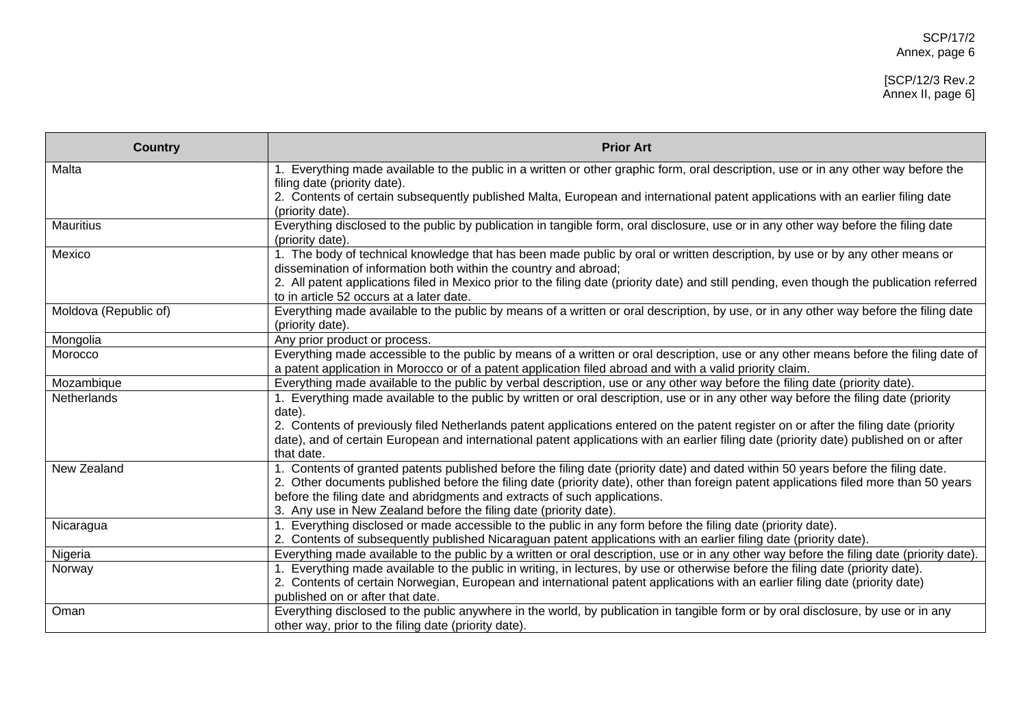# [SCP/12/3 Rev.2 Annex II, page 6]

| <b>Country</b>        | <b>Prior Art</b>                                                                                                                                          |
|-----------------------|-----------------------------------------------------------------------------------------------------------------------------------------------------------|
| Malta                 | 1. Everything made available to the public in a written or other graphic form, oral description, use or in any other way before the                       |
|                       | filing date (priority date).                                                                                                                              |
|                       | 2. Contents of certain subsequently published Malta, European and international patent applications with an earlier filing date                           |
| Mauritius             | (priority date).<br>Everything disclosed to the public by publication in tangible form, oral disclosure, use or in any other way before the filing date   |
|                       | (priority date).                                                                                                                                          |
| Mexico                | 1. The body of technical knowledge that has been made public by oral or written description, by use or by any other means or                              |
|                       | dissemination of information both within the country and abroad;                                                                                          |
|                       | 2. All patent applications filed in Mexico prior to the filing date (priority date) and still pending, even though the publication referred               |
|                       | to in article 52 occurs at a later date.                                                                                                                  |
| Moldova (Republic of) | Everything made available to the public by means of a written or oral description, by use, or in any other way before the filing date<br>(priority date). |
| Mongolia              | Any prior product or process.                                                                                                                             |
| Morocco               | Everything made accessible to the public by means of a written or oral description, use or any other means before the filing date of                      |
|                       | a patent application in Morocco or of a patent application filed abroad and with a valid priority claim.                                                  |
| Mozambique            | Everything made available to the public by verbal description, use or any other way before the filing date (priority date).                               |
| <b>Netherlands</b>    | 1. Everything made available to the public by written or oral description, use or in any other way before the filing date (priority<br>date).             |
|                       | 2. Contents of previously filed Netherlands patent applications entered on the patent register on or after the filing date (priority                      |
|                       | date), and of certain European and international patent applications with an earlier filing date (priority date) published on or after                    |
|                       | that date.                                                                                                                                                |
| New Zealand           | 1. Contents of granted patents published before the filing date (priority date) and dated within 50 years before the filing date.                         |
|                       | 2. Other documents published before the filing date (priority date), other than foreign patent applications filed more than 50 years                      |
|                       | before the filing date and abridgments and extracts of such applications.<br>3. Any use in New Zealand before the filing date (priority date).            |
| Nicaragua             | Everything disclosed or made accessible to the public in any form before the filing date (priority date).                                                 |
|                       | 2. Contents of subsequently published Nicaraguan patent applications with an earlier filing date (priority date).                                         |
| Nigeria               | Everything made available to the public by a written or oral description, use or in any other way before the filing date (priority date).                 |
| Norway                | 1. Everything made available to the public in writing, in lectures, by use or otherwise before the filing date (priority date).                           |
|                       | 2. Contents of certain Norwegian, European and international patent applications with an earlier filing date (priority date)                              |
|                       | published on or after that date.                                                                                                                          |
| Oman                  | Everything disclosed to the public anywhere in the world, by publication in tangible form or by oral disclosure, by use or in any                         |
|                       | other way, prior to the filing date (priority date).                                                                                                      |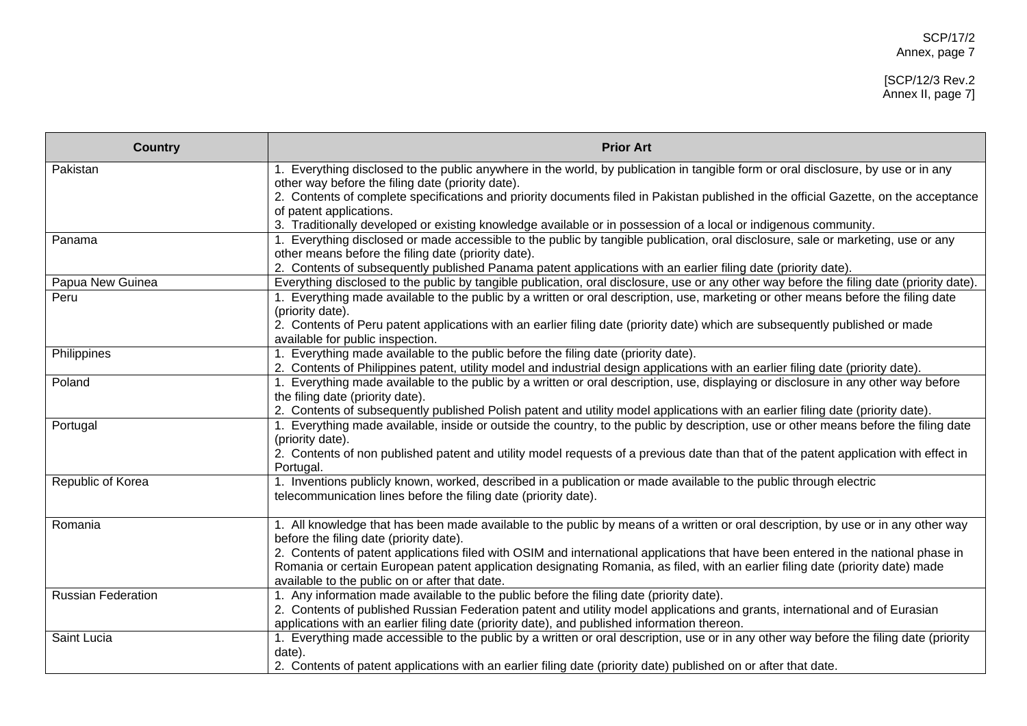# [SCP/12/3 Rev.2 Annex II, page 7]

| <b>Country</b>            | <b>Prior Art</b>                                                                                                                                                |
|---------------------------|-----------------------------------------------------------------------------------------------------------------------------------------------------------------|
| Pakistan                  | 1. Everything disclosed to the public anywhere in the world, by publication in tangible form or oral disclosure, by use or in any                               |
|                           | other way before the filing date (priority date).                                                                                                               |
|                           | 2. Contents of complete specifications and priority documents filed in Pakistan published in the official Gazette, on the acceptance<br>of patent applications. |
|                           | 3. Traditionally developed or existing knowledge available or in possession of a local or indigenous community.                                                 |
| Panama                    | 1. Everything disclosed or made accessible to the public by tangible publication, oral disclosure, sale or marketing, use or any                                |
|                           | other means before the filing date (priority date).                                                                                                             |
|                           | 2. Contents of subsequently published Panama patent applications with an earlier filing date (priority date).                                                   |
| Papua New Guinea          | Everything disclosed to the public by tangible publication, oral disclosure, use or any other way before the filing date (priority date).                       |
| Peru                      | 1. Everything made available to the public by a written or oral description, use, marketing or other means before the filing date                               |
|                           | (priority date).                                                                                                                                                |
|                           | 2. Contents of Peru patent applications with an earlier filing date (priority date) which are subsequently published or made                                    |
|                           | available for public inspection.                                                                                                                                |
| Philippines               | 1. Everything made available to the public before the filing date (priority date).                                                                              |
|                           | 2. Contents of Philippines patent, utility model and industrial design applications with an earlier filing date (priority date).                                |
| Poland                    | 1. Everything made available to the public by a written or oral description, use, displaying or disclosure in any other way before                              |
|                           | the filing date (priority date).                                                                                                                                |
|                           | 2. Contents of subsequently published Polish patent and utility model applications with an earlier filing date (priority date).                                 |
| Portugal                  | 1. Everything made available, inside or outside the country, to the public by description, use or other means before the filing date                            |
|                           | (priority date).<br>2. Contents of non published patent and utility model requests of a previous date than that of the patent application with effect in        |
|                           | Portugal.                                                                                                                                                       |
| Republic of Korea         | 1. Inventions publicly known, worked, described in a publication or made available to the public through electric                                               |
|                           | telecommunication lines before the filing date (priority date).                                                                                                 |
|                           |                                                                                                                                                                 |
| Romania                   | 1. All knowledge that has been made available to the public by means of a written or oral description, by use or in any other way                               |
|                           | before the filing date (priority date).                                                                                                                         |
|                           | 2. Contents of patent applications filed with OSIM and international applications that have been entered in the national phase in                               |
|                           | Romania or certain European patent application designating Romania, as filed, with an earlier filing date (priority date) made                                  |
|                           | available to the public on or after that date.                                                                                                                  |
| <b>Russian Federation</b> | 1. Any information made available to the public before the filing date (priority date).                                                                         |
|                           | 2. Contents of published Russian Federation patent and utility model applications and grants, international and of Eurasian                                     |
|                           | applications with an earlier filing date (priority date), and published information thereon.                                                                    |
| Saint Lucia               | 1. Everything made accessible to the public by a written or oral description, use or in any other way before the filing date (priority                          |
|                           | date).                                                                                                                                                          |
|                           | 2. Contents of patent applications with an earlier filing date (priority date) published on or after that date.                                                 |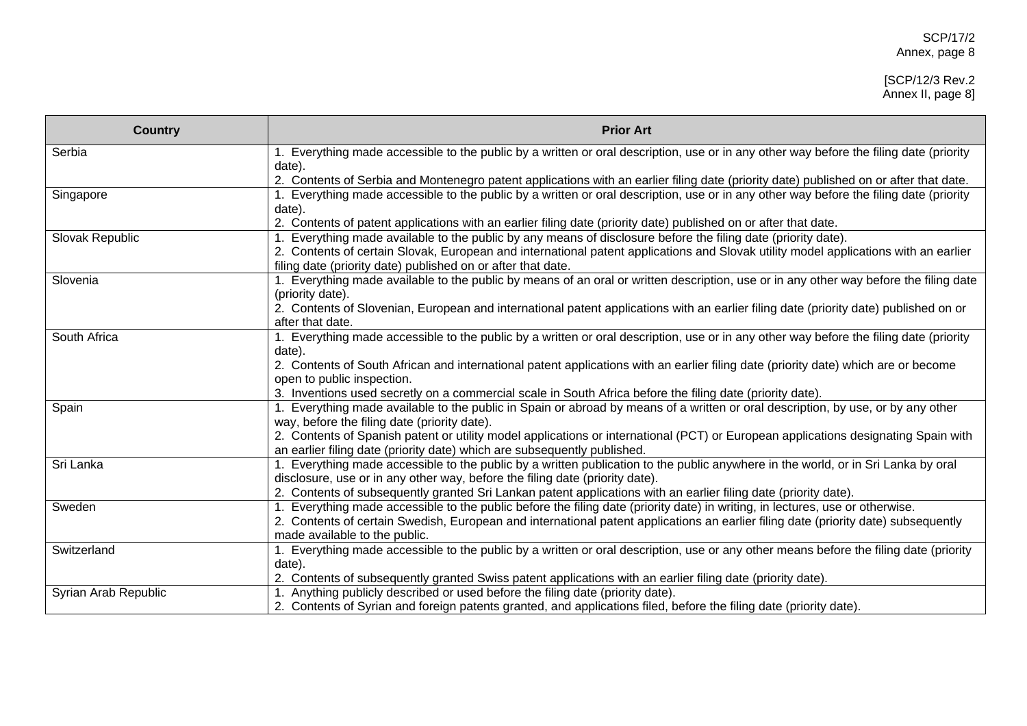# [SCP/12/3 Rev.2 Annex II, page 8]

| <b>Country</b>       | <b>Prior Art</b>                                                                                                                                                                 |
|----------------------|----------------------------------------------------------------------------------------------------------------------------------------------------------------------------------|
| Serbia               | 1. Everything made accessible to the public by a written or oral description, use or in any other way before the filing date (priority                                           |
|                      | date).                                                                                                                                                                           |
|                      | 2. Contents of Serbia and Montenegro patent applications with an earlier filing date (priority date) published on or after that date.                                            |
| Singapore            | 1. Everything made accessible to the public by a written or oral description, use or in any other way before the filing date (priority                                           |
|                      | date).                                                                                                                                                                           |
|                      | 2. Contents of patent applications with an earlier filing date (priority date) published on or after that date.                                                                  |
| Slovak Republic      | 1. Everything made available to the public by any means of disclosure before the filing date (priority date).                                                                    |
|                      | 2. Contents of certain Slovak, European and international patent applications and Slovak utility model applications with an earlier                                              |
|                      | filing date (priority date) published on or after that date.                                                                                                                     |
| Slovenia             | 1. Everything made available to the public by means of an oral or written description, use or in any other way before the filing date                                            |
|                      | (priority date).                                                                                                                                                                 |
|                      | 2. Contents of Slovenian, European and international patent applications with an earlier filing date (priority date) published on or                                             |
|                      | after that date.                                                                                                                                                                 |
| South Africa         | 1. Everything made accessible to the public by a written or oral description, use or in any other way before the filing date (priority                                           |
|                      | date).                                                                                                                                                                           |
|                      | 2. Contents of South African and international patent applications with an earlier filing date (priority date) which are or become                                               |
|                      | open to public inspection.                                                                                                                                                       |
|                      | 3. Inventions used secretly on a commercial scale in South Africa before the filing date (priority date).                                                                        |
| Spain                | 1. Everything made available to the public in Spain or abroad by means of a written or oral description, by use, or by any other<br>way, before the filing date (priority date). |
|                      | 2. Contents of Spanish patent or utility model applications or international (PCT) or European applications designating Spain with                                               |
|                      | an earlier filing date (priority date) which are subsequently published.                                                                                                         |
| Sri Lanka            | 1. Everything made accessible to the public by a written publication to the public anywhere in the world, or in Sri Lanka by oral                                                |
|                      | disclosure, use or in any other way, before the filing date (priority date).                                                                                                     |
|                      | 2. Contents of subsequently granted Sri Lankan patent applications with an earlier filing date (priority date).                                                                  |
| Sweden               | 1. Everything made accessible to the public before the filing date (priority date) in writing, in lectures, use or otherwise.                                                    |
|                      | 2. Contents of certain Swedish, European and international patent applications an earlier filing date (priority date) subsequently                                               |
|                      | made available to the public.                                                                                                                                                    |
| Switzerland          | 1. Everything made accessible to the public by a written or oral description, use or any other means before the filing date (priority                                            |
|                      | date).                                                                                                                                                                           |
|                      | 2. Contents of subsequently granted Swiss patent applications with an earlier filing date (priority date).                                                                       |
| Syrian Arab Republic | 1. Anything publicly described or used before the filing date (priority date).                                                                                                   |
|                      | 2. Contents of Syrian and foreign patents granted, and applications filed, before the filing date (priority date).                                                               |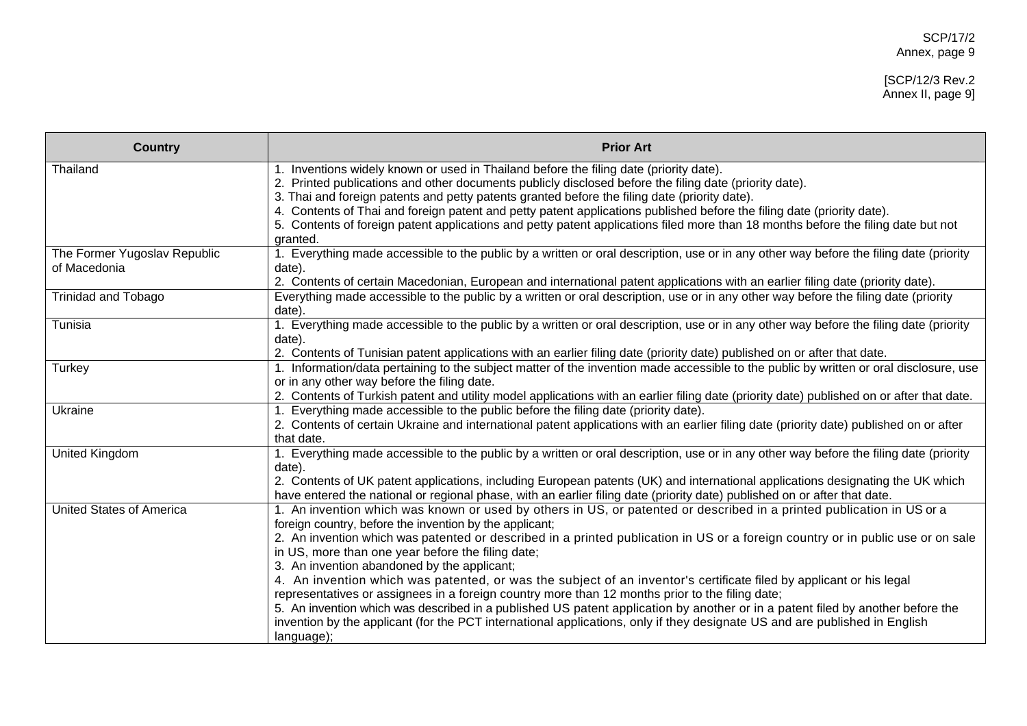# [SCP/12/3 Rev.2 Annex II, page 9]

| <b>Country</b>                               | <b>Prior Art</b>                                                                                                                                                                                                                                                                                                                                                                                                                                                                                                                                                                                                                                                                                                                                                                                                                                                                                                                |
|----------------------------------------------|---------------------------------------------------------------------------------------------------------------------------------------------------------------------------------------------------------------------------------------------------------------------------------------------------------------------------------------------------------------------------------------------------------------------------------------------------------------------------------------------------------------------------------------------------------------------------------------------------------------------------------------------------------------------------------------------------------------------------------------------------------------------------------------------------------------------------------------------------------------------------------------------------------------------------------|
| Thailand                                     | 1. Inventions widely known or used in Thailand before the filing date (priority date).<br>2. Printed publications and other documents publicly disclosed before the filing date (priority date).<br>3. Thai and foreign patents and petty patents granted before the filing date (priority date).<br>4. Contents of Thai and foreign patent and petty patent applications published before the filing date (priority date).<br>5. Contents of foreign patent applications and petty patent applications filed more than 18 months before the filing date but not<br>granted.                                                                                                                                                                                                                                                                                                                                                    |
| The Former Yugoslav Republic<br>of Macedonia | 1. Everything made accessible to the public by a written or oral description, use or in any other way before the filing date (priority<br>date).<br>2. Contents of certain Macedonian, European and international patent applications with an earlier filing date (priority date).                                                                                                                                                                                                                                                                                                                                                                                                                                                                                                                                                                                                                                              |
| <b>Trinidad and Tobago</b>                   | Everything made accessible to the public by a written or oral description, use or in any other way before the filing date (priority<br>date).                                                                                                                                                                                                                                                                                                                                                                                                                                                                                                                                                                                                                                                                                                                                                                                   |
| Tunisia                                      | 1. Everything made accessible to the public by a written or oral description, use or in any other way before the filing date (priority<br>date).<br>2. Contents of Tunisian patent applications with an earlier filing date (priority date) published on or after that date.                                                                                                                                                                                                                                                                                                                                                                                                                                                                                                                                                                                                                                                    |
| Turkey                                       | 1. Information/data pertaining to the subject matter of the invention made accessible to the public by written or oral disclosure, use<br>or in any other way before the filing date.<br>2. Contents of Turkish patent and utility model applications with an earlier filing date (priority date) published on or after that date.                                                                                                                                                                                                                                                                                                                                                                                                                                                                                                                                                                                              |
| Ukraine                                      | Everything made accessible to the public before the filing date (priority date).<br>2. Contents of certain Ukraine and international patent applications with an earlier filing date (priority date) published on or after<br>that date.                                                                                                                                                                                                                                                                                                                                                                                                                                                                                                                                                                                                                                                                                        |
| <b>United Kingdom</b>                        | 1. Everything made accessible to the public by a written or oral description, use or in any other way before the filing date (priority<br>date).<br>2. Contents of UK patent applications, including European patents (UK) and international applications designating the UK which<br>have entered the national or regional phase, with an earlier filing date (priority date) published on or after that date.                                                                                                                                                                                                                                                                                                                                                                                                                                                                                                                 |
| <b>United States of America</b>              | 1. An invention which was known or used by others in US, or patented or described in a printed publication in US or a<br>foreign country, before the invention by the applicant;<br>2. An invention which was patented or described in a printed publication in US or a foreign country or in public use or on sale<br>in US, more than one year before the filing date;<br>3. An invention abandoned by the applicant;<br>4. An invention which was patented, or was the subject of an inventor's certificate filed by applicant or his legal<br>representatives or assignees in a foreign country more than 12 months prior to the filing date;<br>5. An invention which was described in a published US patent application by another or in a patent filed by another before the<br>invention by the applicant (for the PCT international applications, only if they designate US and are published in English<br>language); |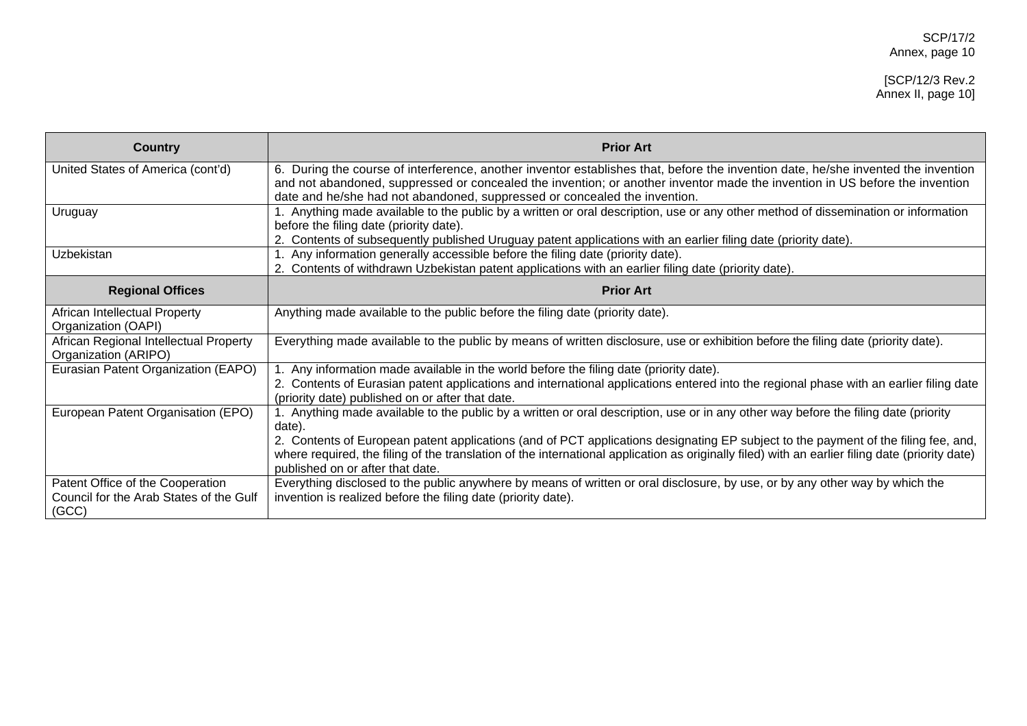# [SCP/12/3 Rev.2 Annex II, page 10]

| <b>Country</b>                                                                       | <b>Prior Art</b>                                                                                                                                                                                                                                                                                                                              |
|--------------------------------------------------------------------------------------|-----------------------------------------------------------------------------------------------------------------------------------------------------------------------------------------------------------------------------------------------------------------------------------------------------------------------------------------------|
| United States of America (cont'd)                                                    | 6. During the course of interference, another inventor establishes that, before the invention date, he/she invented the invention<br>and not abandoned, suppressed or concealed the invention; or another inventor made the invention in US before the invention<br>date and he/she had not abandoned, suppressed or concealed the invention. |
| Uruguay                                                                              | . Anything made available to the public by a written or oral description, use or any other method of dissemination or information<br>before the filing date (priority date).<br>2. Contents of subsequently published Uruguay patent applications with an earlier filing date (priority date).                                                |
| Uzbekistan                                                                           | 1. Any information generally accessible before the filing date (priority date).<br>2. Contents of withdrawn Uzbekistan patent applications with an earlier filing date (priority date).                                                                                                                                                       |
| <b>Regional Offices</b>                                                              | <b>Prior Art</b>                                                                                                                                                                                                                                                                                                                              |
| African Intellectual Property<br>Organization (OAPI)                                 | Anything made available to the public before the filing date (priority date).                                                                                                                                                                                                                                                                 |
| African Regional Intellectual Property<br>Organization (ARIPO)                       | Everything made available to the public by means of written disclosure, use or exhibition before the filing date (priority date).                                                                                                                                                                                                             |
| Eurasian Patent Organization (EAPO)                                                  | . Any information made available in the world before the filing date (priority date).<br>2. Contents of Eurasian patent applications and international applications entered into the regional phase with an earlier filing date<br>(priority date) published on or after that date.                                                           |
| European Patent Organisation (EPO)                                                   | . Anything made available to the public by a written or oral description, use or in any other way before the filing date (priority<br>date)                                                                                                                                                                                                   |
|                                                                                      | 2. Contents of European patent applications (and of PCT applications designating EP subject to the payment of the filing fee, and,<br>where required, the filing of the translation of the international application as originally filed) with an earlier filing date (priority date)<br>published on or after that date.                     |
| Patent Office of the Cooperation<br>Council for the Arab States of the Gulf<br>(GCC) | Everything disclosed to the public anywhere by means of written or oral disclosure, by use, or by any other way by which the<br>invention is realized before the filing date (priority date).                                                                                                                                                 |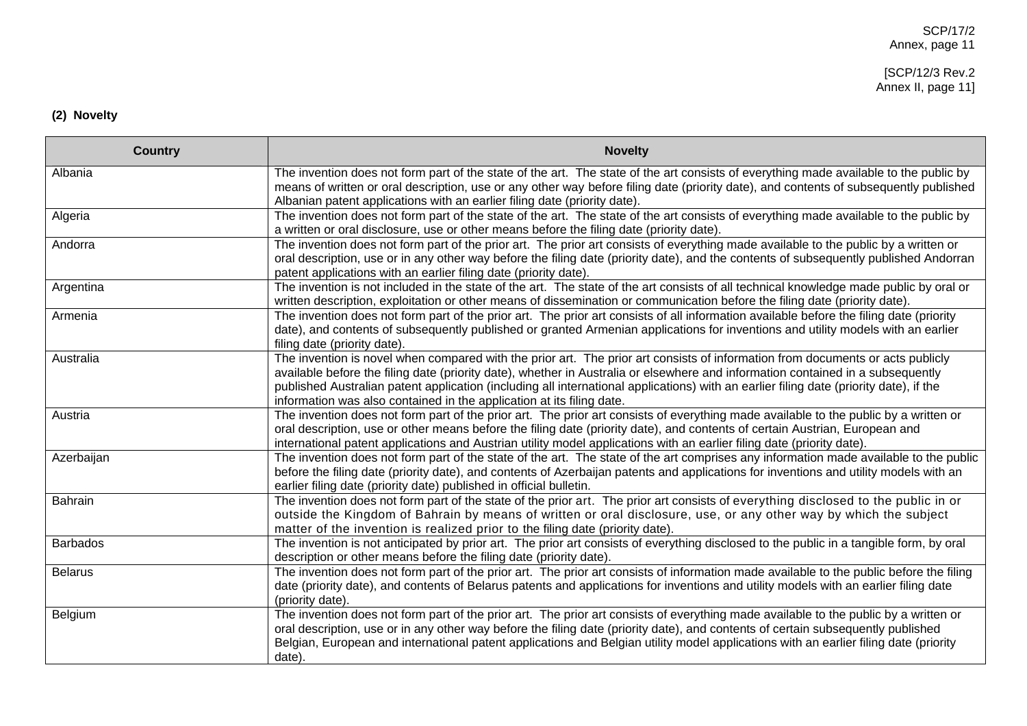#### [SCP/12/3 Rev.2 Annex II, page 11]

# **(2) Novelty**

| <b>Country</b>  | <b>Novelty</b>                                                                                                                                                                                                                                                                                                                                                                                                                                                                       |
|-----------------|--------------------------------------------------------------------------------------------------------------------------------------------------------------------------------------------------------------------------------------------------------------------------------------------------------------------------------------------------------------------------------------------------------------------------------------------------------------------------------------|
| Albania         | The invention does not form part of the state of the art. The state of the art consists of everything made available to the public by<br>means of written or oral description, use or any other way before filing date (priority date), and contents of subsequently published<br>Albanian patent applications with an earlier filing date (priority date).                                                                                                                          |
| Algeria         | The invention does not form part of the state of the art. The state of the art consists of everything made available to the public by<br>a written or oral disclosure, use or other means before the filing date (priority date).                                                                                                                                                                                                                                                    |
| Andorra         | The invention does not form part of the prior art. The prior art consists of everything made available to the public by a written or<br>oral description, use or in any other way before the filing date (priority date), and the contents of subsequently published Andorran<br>patent applications with an earlier filing date (priority date).                                                                                                                                    |
| Argentina       | The invention is not included in the state of the art. The state of the art consists of all technical knowledge made public by oral or<br>written description, exploitation or other means of dissemination or communication before the filing date (priority date).                                                                                                                                                                                                                 |
| Armenia         | The invention does not form part of the prior art. The prior art consists of all information available before the filing date (priority<br>date), and contents of subsequently published or granted Armenian applications for inventions and utility models with an earlier<br>filing date (priority date).                                                                                                                                                                          |
| Australia       | The invention is novel when compared with the prior art. The prior art consists of information from documents or acts publicly<br>available before the filing date (priority date), whether in Australia or elsewhere and information contained in a subsequently<br>published Australian patent application (including all international applications) with an earlier filing date (priority date), if the<br>information was also contained in the application at its filing date. |
| Austria         | The invention does not form part of the prior art. The prior art consists of everything made available to the public by a written or<br>oral description, use or other means before the filing date (priority date), and contents of certain Austrian, European and<br>international patent applications and Austrian utility model applications with an earlier filing date (priority date).                                                                                        |
| Azerbaijan      | The invention does not form part of the state of the art. The state of the art comprises any information made available to the public<br>before the filing date (priority date), and contents of Azerbaijan patents and applications for inventions and utility models with an<br>earlier filing date (priority date) published in official bulletin.                                                                                                                                |
| <b>Bahrain</b>  | The invention does not form part of the state of the prior art. The prior art consists of everything disclosed to the public in or<br>outside the Kingdom of Bahrain by means of written or oral disclosure, use, or any other way by which the subject<br>matter of the invention is realized prior to the filing date (priority date).                                                                                                                                             |
| <b>Barbados</b> | The invention is not anticipated by prior art. The prior art consists of everything disclosed to the public in a tangible form, by oral<br>description or other means before the filing date (priority date).                                                                                                                                                                                                                                                                        |
| <b>Belarus</b>  | The invention does not form part of the prior art. The prior art consists of information made available to the public before the filing<br>date (priority date), and contents of Belarus patents and applications for inventions and utility models with an earlier filing date<br>(priority date).                                                                                                                                                                                  |
| Belgium         | The invention does not form part of the prior art. The prior art consists of everything made available to the public by a written or<br>oral description, use or in any other way before the filing date (priority date), and contents of certain subsequently published<br>Belgian, European and international patent applications and Belgian utility model applications with an earlier filing date (priority<br>date).                                                           |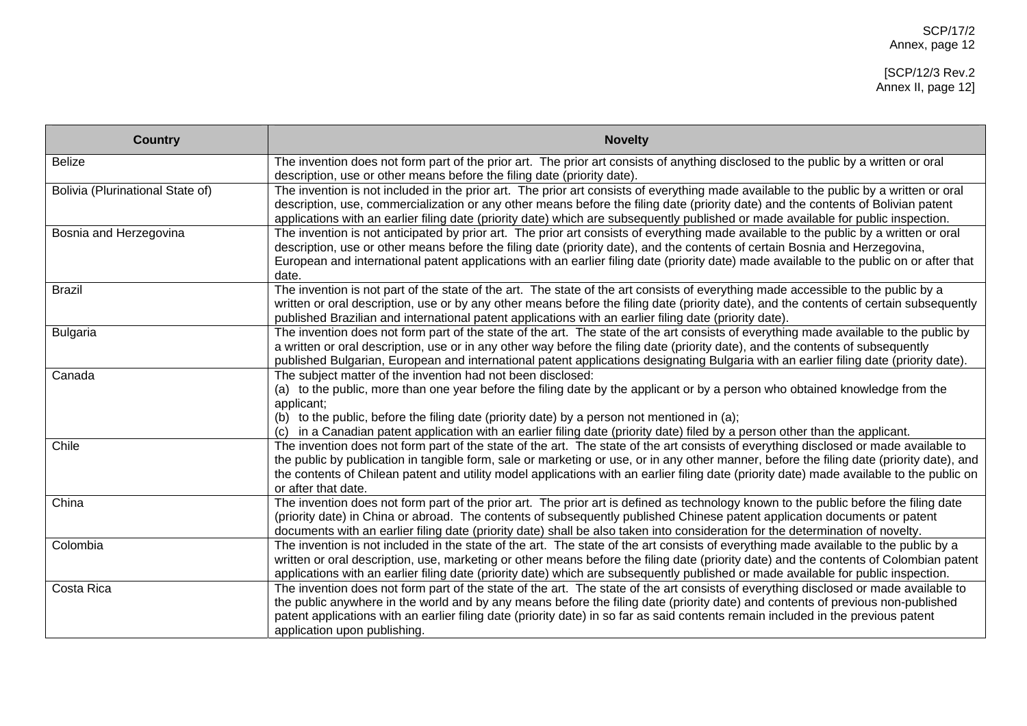| <b>Country</b>                   | <b>Novelty</b>                                                                                                                                                                                                                                                                                                                                                                                                                                        |
|----------------------------------|-------------------------------------------------------------------------------------------------------------------------------------------------------------------------------------------------------------------------------------------------------------------------------------------------------------------------------------------------------------------------------------------------------------------------------------------------------|
| <b>Belize</b>                    | The invention does not form part of the prior art. The prior art consists of anything disclosed to the public by a written or oral<br>description, use or other means before the filing date (priority date).                                                                                                                                                                                                                                         |
| Bolivia (Plurinational State of) | The invention is not included in the prior art. The prior art consists of everything made available to the public by a written or oral<br>description, use, commercialization or any other means before the filing date (priority date) and the contents of Bolivian patent<br>applications with an earlier filing date (priority date) which are subsequently published or made available for public inspection.                                     |
| Bosnia and Herzegovina           | The invention is not anticipated by prior art. The prior art consists of everything made available to the public by a written or oral<br>description, use or other means before the filing date (priority date), and the contents of certain Bosnia and Herzegovina,<br>European and international patent applications with an earlier filing date (priority date) made available to the public on or after that<br>date.                             |
| <b>Brazil</b>                    | The invention is not part of the state of the art. The state of the art consists of everything made accessible to the public by a<br>written or oral description, use or by any other means before the filing date (priority date), and the contents of certain subsequently<br>published Brazilian and international patent applications with an earlier filing date (priority date).                                                                |
| <b>Bulgaria</b>                  | The invention does not form part of the state of the art. The state of the art consists of everything made available to the public by<br>a written or oral description, use or in any other way before the filing date (priority date), and the contents of subsequently<br>published Bulgarian, European and international patent applications designating Bulgaria with an earlier filing date (priority date).                                     |
| Canada                           | The subject matter of the invention had not been disclosed:<br>(a) to the public, more than one year before the filing date by the applicant or by a person who obtained knowledge from the<br>applicant;<br>(b) to the public, before the filing date (priority date) by a person not mentioned in (a);<br>in a Canadian patent application with an earlier filing date (priority date) filed by a person other than the applicant.                  |
| Chile                            | The invention does not form part of the state of the art. The state of the art consists of everything disclosed or made available to<br>the public by publication in tangible form, sale or marketing or use, or in any other manner, before the filing date (priority date), and<br>the contents of Chilean patent and utility model applications with an earlier filing date (priority date) made available to the public on<br>or after that date. |
| China                            | The invention does not form part of the prior art. The prior art is defined as technology known to the public before the filing date<br>(priority date) in China or abroad. The contents of subsequently published Chinese patent application documents or patent<br>documents with an earlier filing date (priority date) shall be also taken into consideration for the determination of novelty.                                                   |
| Colombia                         | The invention is not included in the state of the art. The state of the art consists of everything made available to the public by a<br>written or oral description, use, marketing or other means before the filing date (priority date) and the contents of Colombian patent<br>applications with an earlier filing date (priority date) which are subsequently published or made available for public inspection.                                  |
| Costa Rica                       | The invention does not form part of the state of the art. The state of the art consists of everything disclosed or made available to<br>the public anywhere in the world and by any means before the filing date (priority date) and contents of previous non-published<br>patent applications with an earlier filing date (priority date) in so far as said contents remain included in the previous patent<br>application upon publishing.          |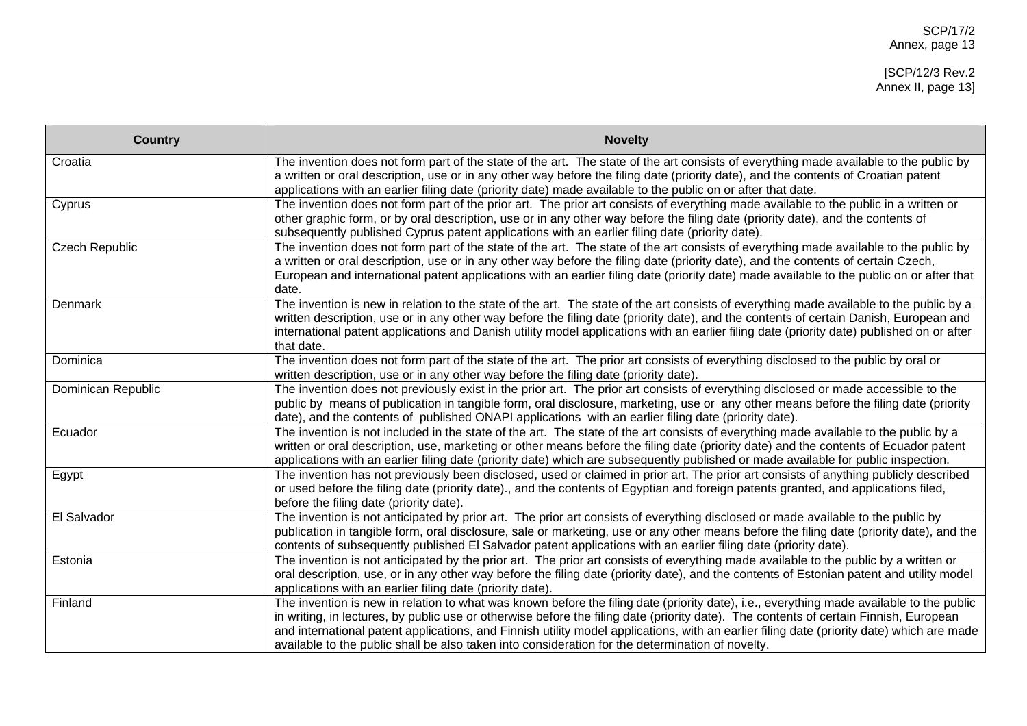| <b>Country</b>        | <b>Novelty</b>                                                                                                                                                                                                                                                                                                                                                                                                                                                                                                                     |
|-----------------------|------------------------------------------------------------------------------------------------------------------------------------------------------------------------------------------------------------------------------------------------------------------------------------------------------------------------------------------------------------------------------------------------------------------------------------------------------------------------------------------------------------------------------------|
| Croatia               | The invention does not form part of the state of the art. The state of the art consists of everything made available to the public by<br>a written or oral description, use or in any other way before the filing date (priority date), and the contents of Croatian patent<br>applications with an earlier filing date (priority date) made available to the public on or after that date.                                                                                                                                        |
| Cyprus                | The invention does not form part of the prior art. The prior art consists of everything made available to the public in a written or<br>other graphic form, or by oral description, use or in any other way before the filing date (priority date), and the contents of<br>subsequently published Cyprus patent applications with an earlier filing date (priority date).                                                                                                                                                          |
| <b>Czech Republic</b> | The invention does not form part of the state of the art. The state of the art consists of everything made available to the public by<br>a written or oral description, use or in any other way before the filing date (priority date), and the contents of certain Czech,<br>European and international patent applications with an earlier filing date (priority date) made available to the public on or after that<br>date.                                                                                                    |
| Denmark               | The invention is new in relation to the state of the art. The state of the art consists of everything made available to the public by a<br>written description, use or in any other way before the filing date (priority date), and the contents of certain Danish, European and<br>international patent applications and Danish utility model applications with an earlier filing date (priority date) published on or after<br>that date.                                                                                        |
| Dominica              | The invention does not form part of the state of the art. The prior art consists of everything disclosed to the public by oral or<br>written description, use or in any other way before the filing date (priority date).                                                                                                                                                                                                                                                                                                          |
| Dominican Republic    | The invention does not previously exist in the prior art. The prior art consists of everything disclosed or made accessible to the<br>public by means of publication in tangible form, oral disclosure, marketing, use or any other means before the filing date (priority<br>date), and the contents of published ONAPI applications with an earlier filing date (priority date).                                                                                                                                                 |
| Ecuador               | The invention is not included in the state of the art. The state of the art consists of everything made available to the public by a<br>written or oral description, use, marketing or other means before the filing date (priority date) and the contents of Ecuador patent<br>applications with an earlier filing date (priority date) which are subsequently published or made available for public inspection.                                                                                                                 |
| Egypt                 | The invention has not previously been disclosed, used or claimed in prior art. The prior art consists of anything publicly described<br>or used before the filing date (priority date)., and the contents of Egyptian and foreign patents granted, and applications filed,<br>before the filing date (priority date).                                                                                                                                                                                                              |
| El Salvador           | The invention is not anticipated by prior art. The prior art consists of everything disclosed or made available to the public by<br>publication in tangible form, oral disclosure, sale or marketing, use or any other means before the filing date (priority date), and the<br>contents of subsequently published El Salvador patent applications with an earlier filing date (priority date).                                                                                                                                    |
| Estonia               | The invention is not anticipated by the prior art. The prior art consists of everything made available to the public by a written or<br>oral description, use, or in any other way before the filing date (priority date), and the contents of Estonian patent and utility model<br>applications with an earlier filing date (priority date).                                                                                                                                                                                      |
| Finland               | The invention is new in relation to what was known before the filing date (priority date), i.e., everything made available to the public<br>in writing, in lectures, by public use or otherwise before the filing date (priority date). The contents of certain Finnish, European<br>and international patent applications, and Finnish utility model applications, with an earlier filing date (priority date) which are made<br>available to the public shall be also taken into consideration for the determination of novelty. |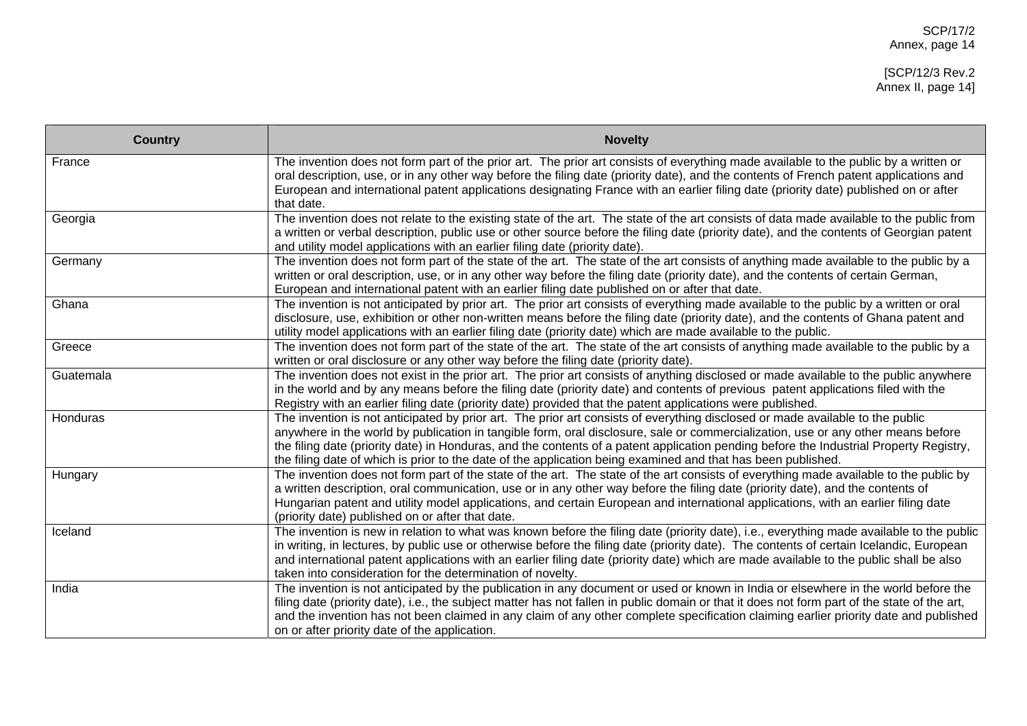| <b>Country</b> | <b>Novelty</b>                                                                                                                                                                                                                                                                                                                                                                                                                                                                                                              |
|----------------|-----------------------------------------------------------------------------------------------------------------------------------------------------------------------------------------------------------------------------------------------------------------------------------------------------------------------------------------------------------------------------------------------------------------------------------------------------------------------------------------------------------------------------|
| France         | The invention does not form part of the prior art. The prior art consists of everything made available to the public by a written or<br>oral description, use, or in any other way before the filing date (priority date), and the contents of French patent applications and<br>European and international patent applications designating France with an earlier filing date (priority date) published on or after<br>that date.                                                                                          |
| Georgia        | The invention does not relate to the existing state of the art. The state of the art consists of data made available to the public from<br>a written or verbal description, public use or other source before the filing date (priority date), and the contents of Georgian patent<br>and utility model applications with an earlier filing date (priority date).                                                                                                                                                           |
| Germany        | The invention does not form part of the state of the art. The state of the art consists of anything made available to the public by a<br>written or oral description, use, or in any other way before the filing date (priority date), and the contents of certain German,<br>European and international patent with an earlier filing date published on or after that date.                                                                                                                                                |
| Ghana          | The invention is not anticipated by prior art. The prior art consists of everything made available to the public by a written or oral<br>disclosure, use, exhibition or other non-written means before the filing date (priority date), and the contents of Ghana patent and<br>utility model applications with an earlier filing date (priority date) which are made available to the public.                                                                                                                              |
| Greece         | The invention does not form part of the state of the art. The state of the art consists of anything made available to the public by a<br>written or oral disclosure or any other way before the filing date (priority date).                                                                                                                                                                                                                                                                                                |
| Guatemala      | The invention does not exist in the prior art. The prior art consists of anything disclosed or made available to the public anywhere<br>in the world and by any means before the filing date (priority date) and contents of previous patent applications filed with the<br>Registry with an earlier filing date (priority date) provided that the patent applications were published.                                                                                                                                      |
| Honduras       | The invention is not anticipated by prior art. The prior art consists of everything disclosed or made available to the public<br>anywhere in the world by publication in tangible form, oral disclosure, sale or commercialization, use or any other means before<br>the filing date (priority date) in Honduras, and the contents of a patent application pending before the Industrial Property Registry,<br>the filing date of which is prior to the date of the application being examined and that has been published. |
| Hungary        | The invention does not form part of the state of the art. The state of the art consists of everything made available to the public by<br>a written description, oral communication, use or in any other way before the filing date (priority date), and the contents of<br>Hungarian patent and utility model applications, and certain European and international applications, with an earlier filing date<br>(priority date) published on or after that date.                                                            |
| Iceland        | The invention is new in relation to what was known before the filing date (priority date), i.e., everything made available to the public<br>in writing, in lectures, by public use or otherwise before the filing date (priority date). The contents of certain Icelandic, European<br>and international patent applications with an earlier filing date (priority date) which are made available to the public shall be also<br>taken into consideration for the determination of novelty.                                 |
| India          | The invention is not anticipated by the publication in any document or used or known in India or elsewhere in the world before the<br>filing date (priority date), i.e., the subject matter has not fallen in public domain or that it does not form part of the state of the art,<br>and the invention has not been claimed in any claim of any other complete specification claiming earlier priority date and published<br>on or after priority date of the application.                                                 |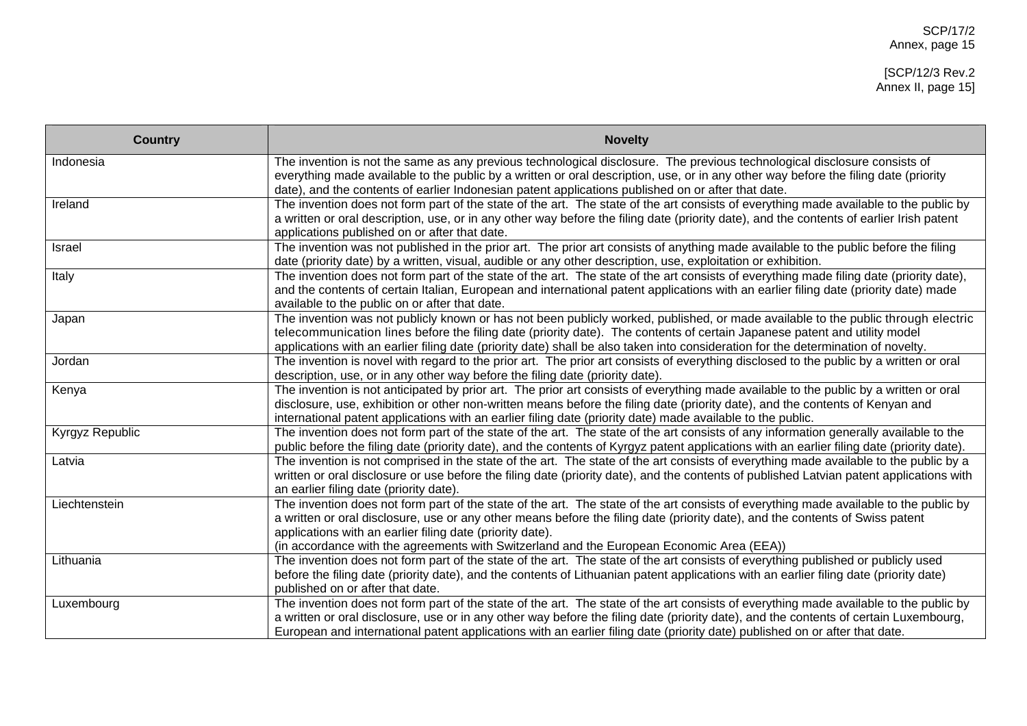| <b>Country</b>  | <b>Novelty</b>                                                                                                                                                                                                                                                                                                                                                                                                                   |
|-----------------|----------------------------------------------------------------------------------------------------------------------------------------------------------------------------------------------------------------------------------------------------------------------------------------------------------------------------------------------------------------------------------------------------------------------------------|
| Indonesia       | The invention is not the same as any previous technological disclosure. The previous technological disclosure consists of<br>everything made available to the public by a written or oral description, use, or in any other way before the filing date (priority<br>date), and the contents of earlier Indonesian patent applications published on or after that date.                                                           |
| Ireland         | The invention does not form part of the state of the art. The state of the art consists of everything made available to the public by<br>a written or oral description, use, or in any other way before the filing date (priority date), and the contents of earlier Irish patent<br>applications published on or after that date.                                                                                               |
| Israel          | The invention was not published in the prior art. The prior art consists of anything made available to the public before the filing<br>date (priority date) by a written, visual, audible or any other description, use, exploitation or exhibition.                                                                                                                                                                             |
| Italy           | The invention does not form part of the state of the art. The state of the art consists of everything made filing date (priority date),<br>and the contents of certain Italian, European and international patent applications with an earlier filing date (priority date) made<br>available to the public on or after that date.                                                                                                |
| Japan           | The invention was not publicly known or has not been publicly worked, published, or made available to the public through electric<br>telecommunication lines before the filing date (priority date). The contents of certain Japanese patent and utility model<br>applications with an earlier filing date (priority date) shall be also taken into consideration for the determination of novelty.                              |
| Jordan          | The invention is novel with regard to the prior art. The prior art consists of everything disclosed to the public by a written or oral<br>description, use, or in any other way before the filing date (priority date).                                                                                                                                                                                                          |
| Kenya           | The invention is not anticipated by prior art. The prior art consists of everything made available to the public by a written or oral<br>disclosure, use, exhibition or other non-written means before the filing date (priority date), and the contents of Kenyan and<br>international patent applications with an earlier filing date (priority date) made available to the public.                                            |
| Kyrgyz Republic | The invention does not form part of the state of the art. The state of the art consists of any information generally available to the<br>public before the filing date (priority date), and the contents of Kyrgyz patent applications with an earlier filing date (priority date).                                                                                                                                              |
| Latvia          | The invention is not comprised in the state of the art. The state of the art consists of everything made available to the public by a<br>written or oral disclosure or use before the filing date (priority date), and the contents of published Latvian patent applications with<br>an earlier filing date (priority date).                                                                                                     |
| Liechtenstein   | The invention does not form part of the state of the art. The state of the art consists of everything made available to the public by<br>a written or oral disclosure, use or any other means before the filing date (priority date), and the contents of Swiss patent<br>applications with an earlier filing date (priority date).<br>(in accordance with the agreements with Switzerland and the European Economic Area (EEA)) |
| Lithuania       | The invention does not form part of the state of the art. The state of the art consists of everything published or publicly used<br>before the filing date (priority date), and the contents of Lithuanian patent applications with an earlier filing date (priority date)<br>published on or after that date.                                                                                                                   |
| Luxembourg      | The invention does not form part of the state of the art. The state of the art consists of everything made available to the public by<br>a written or oral disclosure, use or in any other way before the filing date (priority date), and the contents of certain Luxembourg,<br>European and international patent applications with an earlier filing date (priority date) published on or after that date.                    |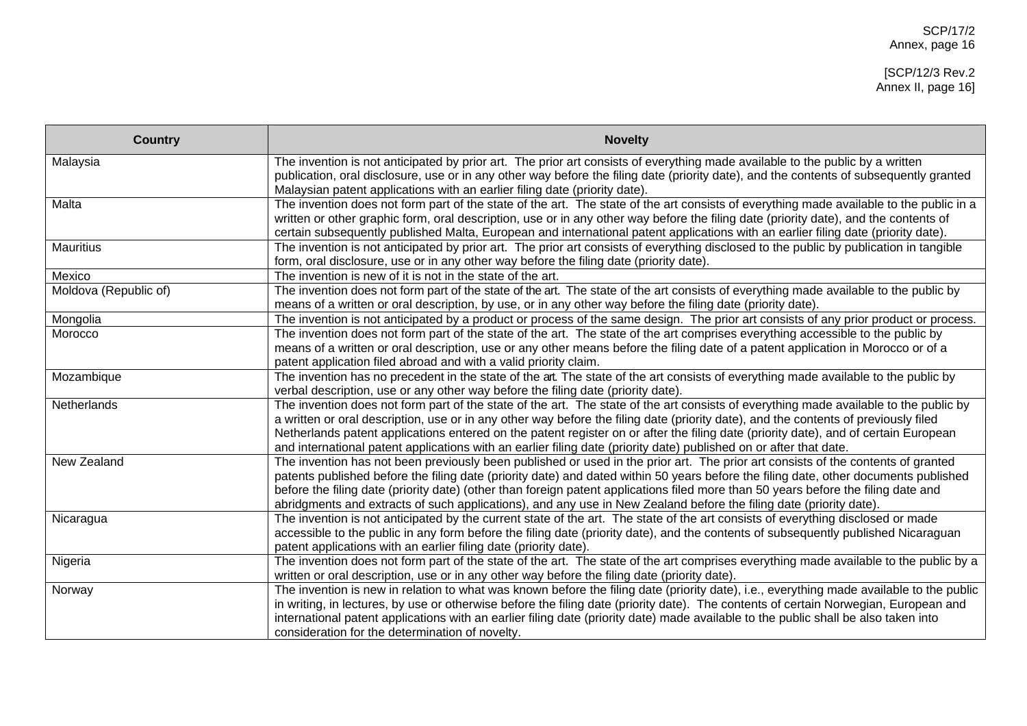| <b>Country</b>        | <b>Novelty</b>                                                                                                                                                                                                                                            |
|-----------------------|-----------------------------------------------------------------------------------------------------------------------------------------------------------------------------------------------------------------------------------------------------------|
| Malaysia              | The invention is not anticipated by prior art. The prior art consists of everything made available to the public by a written                                                                                                                             |
|                       | publication, oral disclosure, use or in any other way before the filing date (priority date), and the contents of subsequently granted<br>Malaysian patent applications with an earlier filing date (priority date).                                      |
| Malta                 | The invention does not form part of the state of the art. The state of the art consists of everything made available to the public in a                                                                                                                   |
|                       | written or other graphic form, oral description, use or in any other way before the filing date (priority date), and the contents of                                                                                                                      |
|                       | certain subsequently published Malta, European and international patent applications with an earlier filing date (priority date).                                                                                                                         |
| <b>Mauritius</b>      | The invention is not anticipated by prior art. The prior art consists of everything disclosed to the public by publication in tangible                                                                                                                    |
|                       | form, oral disclosure, use or in any other way before the filing date (priority date).                                                                                                                                                                    |
| Mexico                | The invention is new of it is not in the state of the art.                                                                                                                                                                                                |
| Moldova (Republic of) | The invention does not form part of the state of the art. The state of the art consists of everything made available to the public by                                                                                                                     |
|                       | means of a written or oral description, by use, or in any other way before the filing date (priority date).                                                                                                                                               |
| Mongolia              | The invention is not anticipated by a product or process of the same design. The prior art consists of any prior product or process.                                                                                                                      |
| Morocco               | The invention does not form part of the state of the art. The state of the art comprises everything accessible to the public by                                                                                                                           |
|                       | means of a written or oral description, use or any other means before the filing date of a patent application in Morocco or of a                                                                                                                          |
|                       | patent application filed abroad and with a valid priority claim.                                                                                                                                                                                          |
| Mozambique            | The invention has no precedent in the state of the art. The state of the art consists of everything made available to the public by                                                                                                                       |
|                       | verbal description, use or any other way before the filing date (priority date).                                                                                                                                                                          |
| Netherlands           | The invention does not form part of the state of the art. The state of the art consists of everything made available to the public by                                                                                                                     |
|                       | a written or oral description, use or in any other way before the filing date (priority date), and the contents of previously filed                                                                                                                       |
|                       | Netherlands patent applications entered on the patent register on or after the filing date (priority date), and of certain European<br>and international patent applications with an earlier filing date (priority date) published on or after that date. |
| New Zealand           | The invention has not been previously been published or used in the prior art. The prior art consists of the contents of granted                                                                                                                          |
|                       | patents published before the filing date (priority date) and dated within 50 years before the filing date, other documents published                                                                                                                      |
|                       | before the filing date (priority date) (other than foreign patent applications filed more than 50 years before the filing date and                                                                                                                        |
|                       | abridgments and extracts of such applications), and any use in New Zealand before the filing date (priority date).                                                                                                                                        |
| Nicaragua             | The invention is not anticipated by the current state of the art. The state of the art consists of everything disclosed or made                                                                                                                           |
|                       | accessible to the public in any form before the filing date (priority date), and the contents of subsequently published Nicaraguan                                                                                                                        |
|                       | patent applications with an earlier filing date (priority date).                                                                                                                                                                                          |
| Nigeria               | The invention does not form part of the state of the art. The state of the art comprises everything made available to the public by a                                                                                                                     |
|                       | written or oral description, use or in any other way before the filing date (priority date).                                                                                                                                                              |
| Norway                | The invention is new in relation to what was known before the filing date (priority date), i.e., everything made available to the public                                                                                                                  |
|                       | in writing, in lectures, by use or otherwise before the filing date (priority date). The contents of certain Norwegian, European and                                                                                                                      |
|                       | international patent applications with an earlier filing date (priority date) made available to the public shall be also taken into                                                                                                                       |
|                       | consideration for the determination of novelty.                                                                                                                                                                                                           |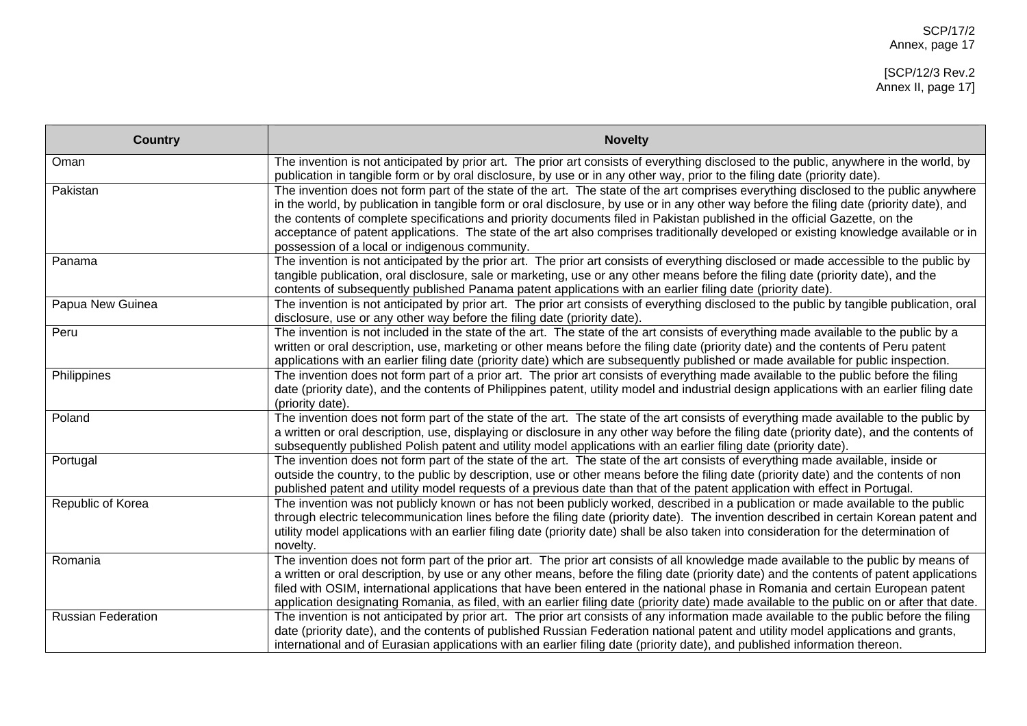[SCP/12/3 Rev.2 Annex II, page 17]

| <b>Country</b>            | <b>Novelty</b>                                                                                                                                                                                                                                                                                                                                                                                                                                                                                                                                                                                           |
|---------------------------|----------------------------------------------------------------------------------------------------------------------------------------------------------------------------------------------------------------------------------------------------------------------------------------------------------------------------------------------------------------------------------------------------------------------------------------------------------------------------------------------------------------------------------------------------------------------------------------------------------|
| Oman                      | The invention is not anticipated by prior art. The prior art consists of everything disclosed to the public, anywhere in the world, by<br>publication in tangible form or by oral disclosure, by use or in any other way, prior to the filing date (priority date).                                                                                                                                                                                                                                                                                                                                      |
| Pakistan                  | The invention does not form part of the state of the art. The state of the art comprises everything disclosed to the public anywhere<br>in the world, by publication in tangible form or oral disclosure, by use or in any other way before the filing date (priority date), and<br>the contents of complete specifications and priority documents filed in Pakistan published in the official Gazette, on the<br>acceptance of patent applications. The state of the art also comprises traditionally developed or existing knowledge available or in<br>possession of a local or indigenous community. |
| Panama                    | The invention is not anticipated by the prior art. The prior art consists of everything disclosed or made accessible to the public by<br>tangible publication, oral disclosure, sale or marketing, use or any other means before the filing date (priority date), and the<br>contents of subsequently published Panama patent applications with an earlier filing date (priority date).                                                                                                                                                                                                                  |
| Papua New Guinea          | The invention is not anticipated by prior art. The prior art consists of everything disclosed to the public by tangible publication, oral<br>disclosure, use or any other way before the filing date (priority date).                                                                                                                                                                                                                                                                                                                                                                                    |
| Peru                      | The invention is not included in the state of the art. The state of the art consists of everything made available to the public by a<br>written or oral description, use, marketing or other means before the filing date (priority date) and the contents of Peru patent<br>applications with an earlier filing date (priority date) which are subsequently published or made available for public inspection.                                                                                                                                                                                          |
| Philippines               | The invention does not form part of a prior art. The prior art consists of everything made available to the public before the filing<br>date (priority date), and the contents of Philippines patent, utility model and industrial design applications with an earlier filing date<br>(priority date).                                                                                                                                                                                                                                                                                                   |
| Poland                    | The invention does not form part of the state of the art. The state of the art consists of everything made available to the public by<br>a written or oral description, use, displaying or disclosure in any other way before the filing date (priority date), and the contents of<br>subsequently published Polish patent and utility model applications with an earlier filing date (priority date).                                                                                                                                                                                                   |
| Portugal                  | The invention does not form part of the state of the art. The state of the art consists of everything made available, inside or<br>outside the country, to the public by description, use or other means before the filing date (priority date) and the contents of non<br>published patent and utility model requests of a previous date than that of the patent application with effect in Portugal.                                                                                                                                                                                                   |
| Republic of Korea         | The invention was not publicly known or has not been publicly worked, described in a publication or made available to the public<br>through electric telecommunication lines before the filing date (priority date). The invention described in certain Korean patent and<br>utility model applications with an earlier filing date (priority date) shall be also taken into consideration for the determination of<br>novelty.                                                                                                                                                                          |
| Romania                   | The invention does not form part of the prior art. The prior art consists of all knowledge made available to the public by means of<br>a written or oral description, by use or any other means, before the filing date (priority date) and the contents of patent applications<br>filed with OSIM, international applications that have been entered in the national phase in Romania and certain European patent<br>application designating Romania, as filed, with an earlier filing date (priority date) made available to the public on or after that date.                                         |
| <b>Russian Federation</b> | The invention is not anticipated by prior art. The prior art consists of any information made available to the public before the filing<br>date (priority date), and the contents of published Russian Federation national patent and utility model applications and grants,<br>international and of Eurasian applications with an earlier filing date (priority date), and published information thereon.                                                                                                                                                                                               |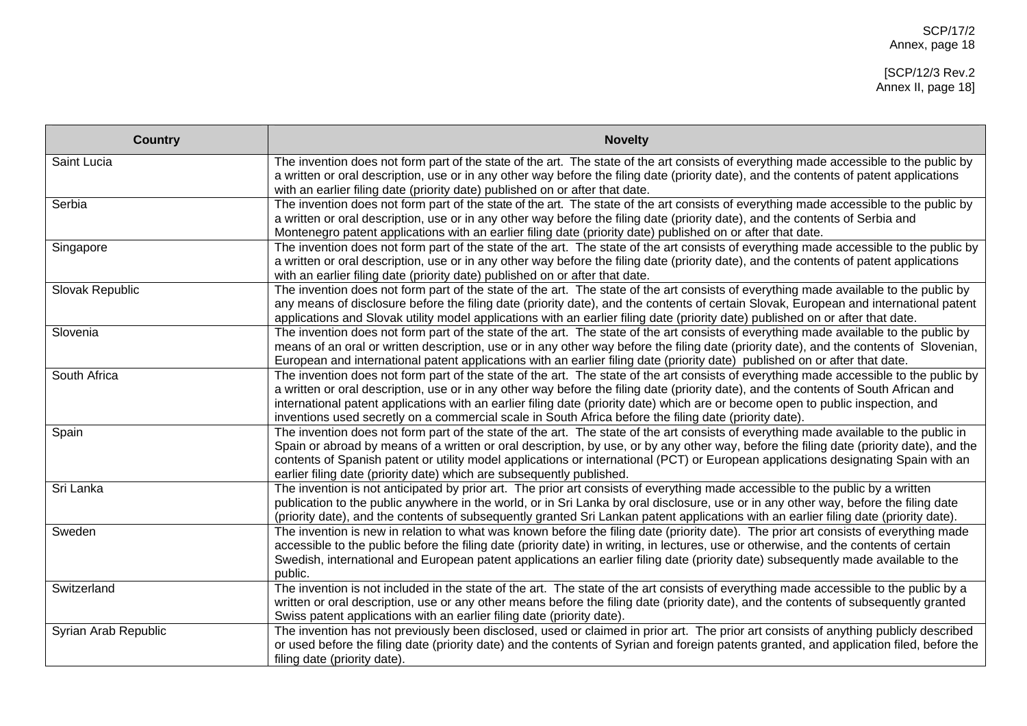| <b>Country</b>       | <b>Novelty</b>                                                                                                                                                                                                                                                                                                                                                                                                                                                                                                               |
|----------------------|------------------------------------------------------------------------------------------------------------------------------------------------------------------------------------------------------------------------------------------------------------------------------------------------------------------------------------------------------------------------------------------------------------------------------------------------------------------------------------------------------------------------------|
| Saint Lucia          | The invention does not form part of the state of the art. The state of the art consists of everything made accessible to the public by<br>a written or oral description, use or in any other way before the filing date (priority date), and the contents of patent applications<br>with an earlier filing date (priority date) published on or after that date.                                                                                                                                                             |
| Serbia               | The invention does not form part of the state of the art. The state of the art consists of everything made accessible to the public by<br>a written or oral description, use or in any other way before the filing date (priority date), and the contents of Serbia and<br>Montenegro patent applications with an earlier filing date (priority date) published on or after that date.                                                                                                                                       |
| Singapore            | The invention does not form part of the state of the art. The state of the art consists of everything made accessible to the public by<br>a written or oral description, use or in any other way before the filing date (priority date), and the contents of patent applications<br>with an earlier filing date (priority date) published on or after that date.                                                                                                                                                             |
| Slovak Republic      | The invention does not form part of the state of the art. The state of the art consists of everything made available to the public by<br>any means of disclosure before the filing date (priority date), and the contents of certain Slovak, European and international patent<br>applications and Slovak utility model applications with an earlier filing date (priority date) published on or after that date.                                                                                                            |
| Slovenia             | The invention does not form part of the state of the art. The state of the art consists of everything made available to the public by<br>means of an oral or written description, use or in any other way before the filing date (priority date), and the contents of Slovenian,<br>European and international patent applications with an earlier filing date (priority date) published on or after that date.                                                                                                              |
| South Africa         | The invention does not form part of the state of the art. The state of the art consists of everything made accessible to the public by<br>a written or oral description, use or in any other way before the filing date (priority date), and the contents of South African and<br>international patent applications with an earlier filing date (priority date) which are or become open to public inspection, and<br>inventions used secretly on a commercial scale in South Africa before the filing date (priority date). |
| Spain                | The invention does not form part of the state of the art. The state of the art consists of everything made available to the public in<br>Spain or abroad by means of a written or oral description, by use, or by any other way, before the filing date (priority date), and the<br>contents of Spanish patent or utility model applications or international (PCT) or European applications designating Spain with an<br>earlier filing date (priority date) which are subsequently published.                              |
| Sri Lanka            | The invention is not anticipated by prior art. The prior art consists of everything made accessible to the public by a written<br>publication to the public anywhere in the world, or in Sri Lanka by oral disclosure, use or in any other way, before the filing date<br>(priority date), and the contents of subsequently granted Sri Lankan patent applications with an earlier filing date (priority date).                                                                                                              |
| Sweden               | The invention is new in relation to what was known before the filing date (priority date). The prior art consists of everything made<br>accessible to the public before the filing date (priority date) in writing, in lectures, use or otherwise, and the contents of certain<br>Swedish, international and European patent applications an earlier filing date (priority date) subsequently made available to the<br>public.                                                                                               |
| Switzerland          | The invention is not included in the state of the art. The state of the art consists of everything made accessible to the public by a<br>written or oral description, use or any other means before the filing date (priority date), and the contents of subsequently granted<br>Swiss patent applications with an earlier filing date (priority date).                                                                                                                                                                      |
| Syrian Arab Republic | The invention has not previously been disclosed, used or claimed in prior art. The prior art consists of anything publicly described<br>or used before the filing date (priority date) and the contents of Syrian and foreign patents granted, and application filed, before the<br>filing date (priority date).                                                                                                                                                                                                             |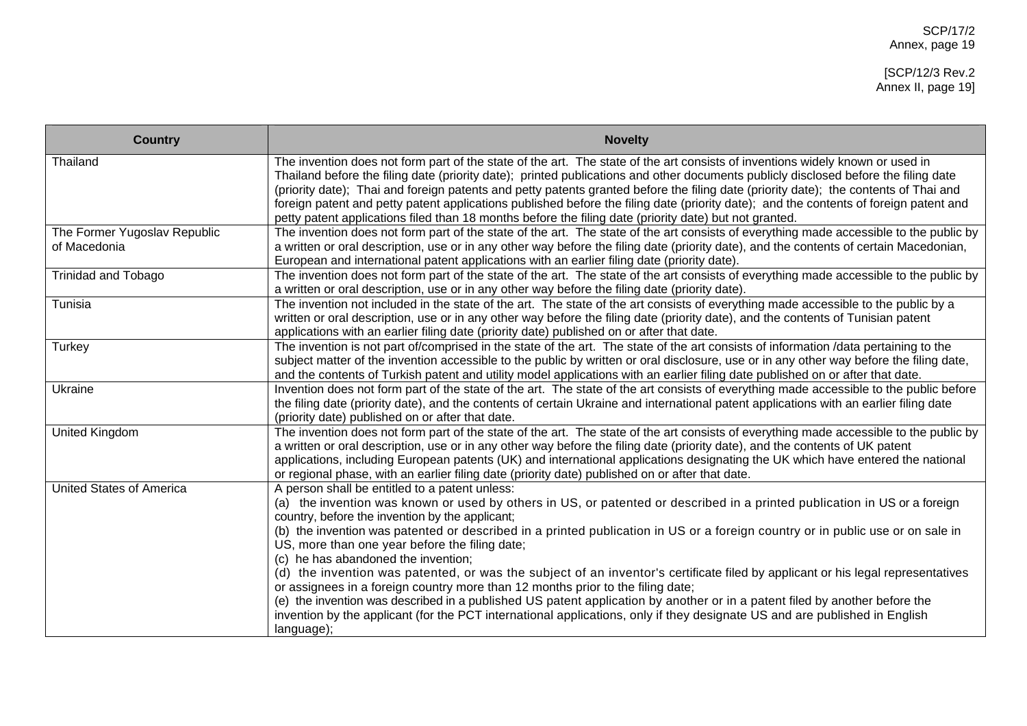| <b>Country</b>                               | <b>Novelty</b>                                                                                                                                                                                                                                                                                                                                                                                                                                                                                                                                                                                                                                                  |
|----------------------------------------------|-----------------------------------------------------------------------------------------------------------------------------------------------------------------------------------------------------------------------------------------------------------------------------------------------------------------------------------------------------------------------------------------------------------------------------------------------------------------------------------------------------------------------------------------------------------------------------------------------------------------------------------------------------------------|
| Thailand                                     | The invention does not form part of the state of the art. The state of the art consists of inventions widely known or used in<br>Thailand before the filing date (priority date); printed publications and other documents publicly disclosed before the filing date<br>(priority date); Thai and foreign patents and petty patents granted before the filing date (priority date); the contents of Thai and<br>foreign patent and petty patent applications published before the filing date (priority date); and the contents of foreign patent and<br>petty patent applications filed than 18 months before the filing date (priority date) but not granted. |
| The Former Yugoslav Republic<br>of Macedonia | The invention does not form part of the state of the art. The state of the art consists of everything made accessible to the public by<br>a written or oral description, use or in any other way before the filing date (priority date), and the contents of certain Macedonian,<br>European and international patent applications with an earlier filing date (priority date).                                                                                                                                                                                                                                                                                 |
| <b>Trinidad and Tobago</b>                   | The invention does not form part of the state of the art. The state of the art consists of everything made accessible to the public by<br>a written or oral description, use or in any other way before the filing date (priority date).                                                                                                                                                                                                                                                                                                                                                                                                                        |
| Tunisia                                      | The invention not included in the state of the art. The state of the art consists of everything made accessible to the public by a<br>written or oral description, use or in any other way before the filing date (priority date), and the contents of Tunisian patent<br>applications with an earlier filing date (priority date) published on or after that date.                                                                                                                                                                                                                                                                                             |
| Turkey                                       | The invention is not part of/comprised in the state of the art. The state of the art consists of information /data pertaining to the<br>subject matter of the invention accessible to the public by written or oral disclosure, use or in any other way before the filing date,<br>and the contents of Turkish patent and utility model applications with an earlier filing date published on or after that date.                                                                                                                                                                                                                                               |
| Ukraine                                      | Invention does not form part of the state of the art. The state of the art consists of everything made accessible to the public before<br>the filing date (priority date), and the contents of certain Ukraine and international patent applications with an earlier filing date<br>(priority date) published on or after that date.                                                                                                                                                                                                                                                                                                                            |
| <b>United Kingdom</b>                        | The invention does not form part of the state of the art. The state of the art consists of everything made accessible to the public by<br>a written or oral description, use or in any other way before the filing date (priority date), and the contents of UK patent<br>applications, including European patents (UK) and international applications designating the UK which have entered the national<br>or regional phase, with an earlier filing date (priority date) published on or after that date.                                                                                                                                                    |
| <b>United States of America</b>              | A person shall be entitled to a patent unless:<br>(a) the invention was known or used by others in US, or patented or described in a printed publication in US or a foreign<br>country, before the invention by the applicant;                                                                                                                                                                                                                                                                                                                                                                                                                                  |
|                                              | (b) the invention was patented or described in a printed publication in US or a foreign country or in public use or on sale in<br>US, more than one year before the filing date;<br>(c) he has abandoned the invention;                                                                                                                                                                                                                                                                                                                                                                                                                                         |
|                                              | (d) the invention was patented, or was the subject of an inventor's certificate filed by applicant or his legal representatives<br>or assignees in a foreign country more than 12 months prior to the filing date;                                                                                                                                                                                                                                                                                                                                                                                                                                              |
|                                              | (e) the invention was described in a published US patent application by another or in a patent filed by another before the<br>invention by the applicant (for the PCT international applications, only if they designate US and are published in English<br>language);                                                                                                                                                                                                                                                                                                                                                                                          |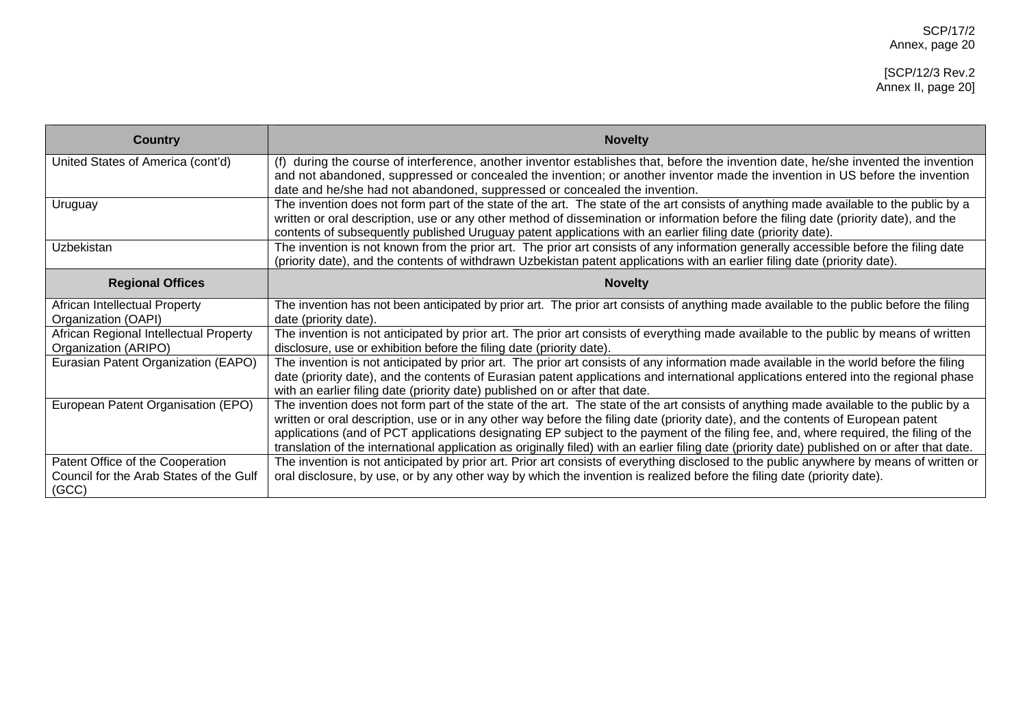| <b>Country</b>                                                                       | <b>Novelty</b>                                                                                                                                                                                                                                                                                                                                                                                                                                                                                                                                                       |
|--------------------------------------------------------------------------------------|----------------------------------------------------------------------------------------------------------------------------------------------------------------------------------------------------------------------------------------------------------------------------------------------------------------------------------------------------------------------------------------------------------------------------------------------------------------------------------------------------------------------------------------------------------------------|
| United States of America (cont'd)                                                    | (f) during the course of interference, another inventor establishes that, before the invention date, he/she invented the invention<br>and not abandoned, suppressed or concealed the invention; or another inventor made the invention in US before the invention<br>date and he/she had not abandoned, suppressed or concealed the invention.                                                                                                                                                                                                                       |
| Uruguay                                                                              | The invention does not form part of the state of the art. The state of the art consists of anything made available to the public by a<br>written or oral description, use or any other method of dissemination or information before the filing date (priority date), and the<br>contents of subsequently published Uruguay patent applications with an earlier filing date (priority date).                                                                                                                                                                         |
| <b>Uzbekistan</b>                                                                    | The invention is not known from the prior art. The prior art consists of any information generally accessible before the filing date<br>(priority date), and the contents of withdrawn Uzbekistan patent applications with an earlier filing date (priority date).                                                                                                                                                                                                                                                                                                   |
| <b>Regional Offices</b>                                                              | <b>Novelty</b>                                                                                                                                                                                                                                                                                                                                                                                                                                                                                                                                                       |
| African Intellectual Property<br>Organization (OAPI)                                 | The invention has not been anticipated by prior art. The prior art consists of anything made available to the public before the filing<br>date (priority date).                                                                                                                                                                                                                                                                                                                                                                                                      |
| African Regional Intellectual Property<br>Organization (ARIPO)                       | The invention is not anticipated by prior art. The prior art consists of everything made available to the public by means of written<br>disclosure, use or exhibition before the filing date (priority date).                                                                                                                                                                                                                                                                                                                                                        |
| Eurasian Patent Organization (EAPO)                                                  | The invention is not anticipated by prior art. The prior art consists of any information made available in the world before the filing<br>date (priority date), and the contents of Eurasian patent applications and international applications entered into the regional phase<br>with an earlier filing date (priority date) published on or after that date.                                                                                                                                                                                                      |
| European Patent Organisation (EPO)                                                   | The invention does not form part of the state of the art. The state of the art consists of anything made available to the public by a<br>written or oral description, use or in any other way before the filing date (priority date), and the contents of European patent<br>applications (and of PCT applications designating EP subject to the payment of the filing fee, and, where required, the filing of the<br>translation of the international application as originally filed) with an earlier filing date (priority date) published on or after that date. |
| Patent Office of the Cooperation<br>Council for the Arab States of the Gulf<br>(GCC) | The invention is not anticipated by prior art. Prior art consists of everything disclosed to the public anywhere by means of written or<br>oral disclosure, by use, or by any other way by which the invention is realized before the filing date (priority date).                                                                                                                                                                                                                                                                                                   |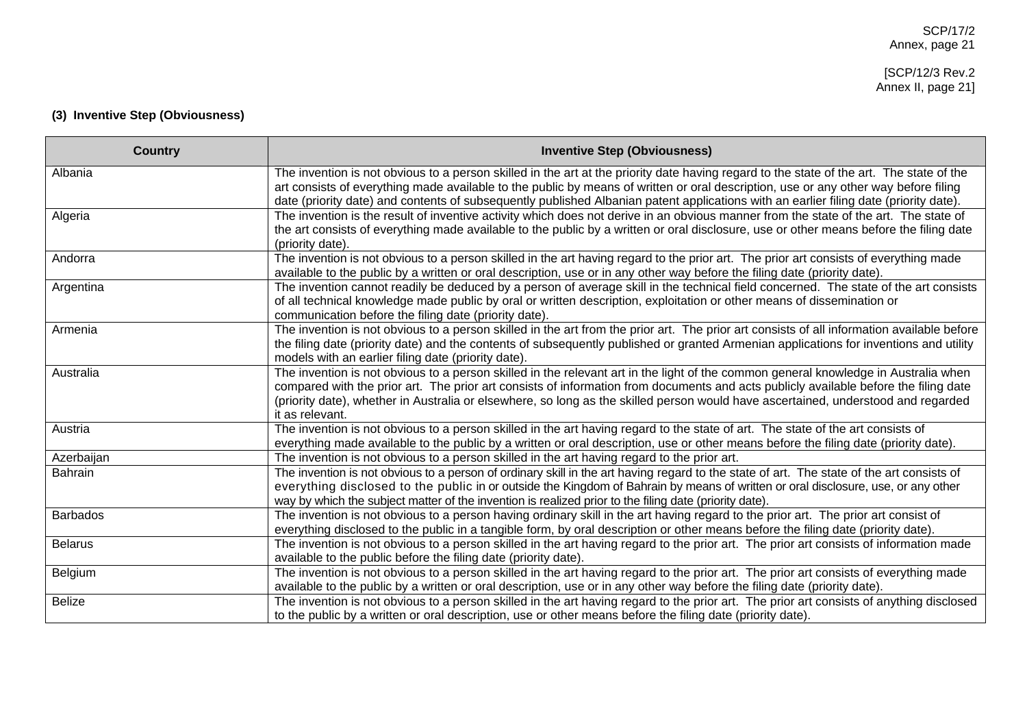# **(3) Inventive Step (Obviousness)**

| <b>Country</b>  | <b>Inventive Step (Obviousness)</b>                                                                                                                                                                                                                                                                                                                                                                                                 |
|-----------------|-------------------------------------------------------------------------------------------------------------------------------------------------------------------------------------------------------------------------------------------------------------------------------------------------------------------------------------------------------------------------------------------------------------------------------------|
| Albania         | The invention is not obvious to a person skilled in the art at the priority date having regard to the state of the art. The state of the<br>art consists of everything made available to the public by means of written or oral description, use or any other way before filing<br>date (priority date) and contents of subsequently published Albanian patent applications with an earlier filing date (priority date).            |
| Algeria         | The invention is the result of inventive activity which does not derive in an obvious manner from the state of the art. The state of<br>the art consists of everything made available to the public by a written or oral disclosure, use or other means before the filing date<br>(priority date).                                                                                                                                  |
| Andorra         | The invention is not obvious to a person skilled in the art having regard to the prior art. The prior art consists of everything made<br>available to the public by a written or oral description, use or in any other way before the filing date (priority date).                                                                                                                                                                  |
| Argentina       | The invention cannot readily be deduced by a person of average skill in the technical field concerned. The state of the art consists<br>of all technical knowledge made public by oral or written description, exploitation or other means of dissemination or<br>communication before the filing date (priority date).                                                                                                             |
| Armenia         | The invention is not obvious to a person skilled in the art from the prior art. The prior art consists of all information available before<br>the filing date (priority date) and the contents of subsequently published or granted Armenian applications for inventions and utility<br>models with an earlier filing date (priority date).                                                                                         |
| Australia       | The invention is not obvious to a person skilled in the relevant art in the light of the common general knowledge in Australia when<br>compared with the prior art. The prior art consists of information from documents and acts publicly available before the filing date<br>(priority date), whether in Australia or elsewhere, so long as the skilled person would have ascertained, understood and regarded<br>it as relevant. |
| Austria         | The invention is not obvious to a person skilled in the art having regard to the state of art. The state of the art consists of<br>everything made available to the public by a written or oral description, use or other means before the filing date (priority date).                                                                                                                                                             |
| Azerbaijan      | The invention is not obvious to a person skilled in the art having regard to the prior art.                                                                                                                                                                                                                                                                                                                                         |
| <b>Bahrain</b>  | The invention is not obvious to a person of ordinary skill in the art having regard to the state of art. The state of the art consists of<br>everything disclosed to the public in or outside the Kingdom of Bahrain by means of written or oral disclosure, use, or any other<br>way by which the subject matter of the invention is realized prior to the filing date (priority date).                                            |
| <b>Barbados</b> | The invention is not obvious to a person having ordinary skill in the art having regard to the prior art. The prior art consist of<br>everything disclosed to the public in a tangible form, by oral description or other means before the filing date (priority date).                                                                                                                                                             |
| <b>Belarus</b>  | The invention is not obvious to a person skilled in the art having regard to the prior art. The prior art consists of information made<br>available to the public before the filing date (priority date).                                                                                                                                                                                                                           |
| Belgium         | The invention is not obvious to a person skilled in the art having regard to the prior art. The prior art consists of everything made<br>available to the public by a written or oral description, use or in any other way before the filing date (priority date).                                                                                                                                                                  |
| <b>Belize</b>   | The invention is not obvious to a person skilled in the art having regard to the prior art. The prior art consists of anything disclosed<br>to the public by a written or oral description, use or other means before the filing date (priority date).                                                                                                                                                                              |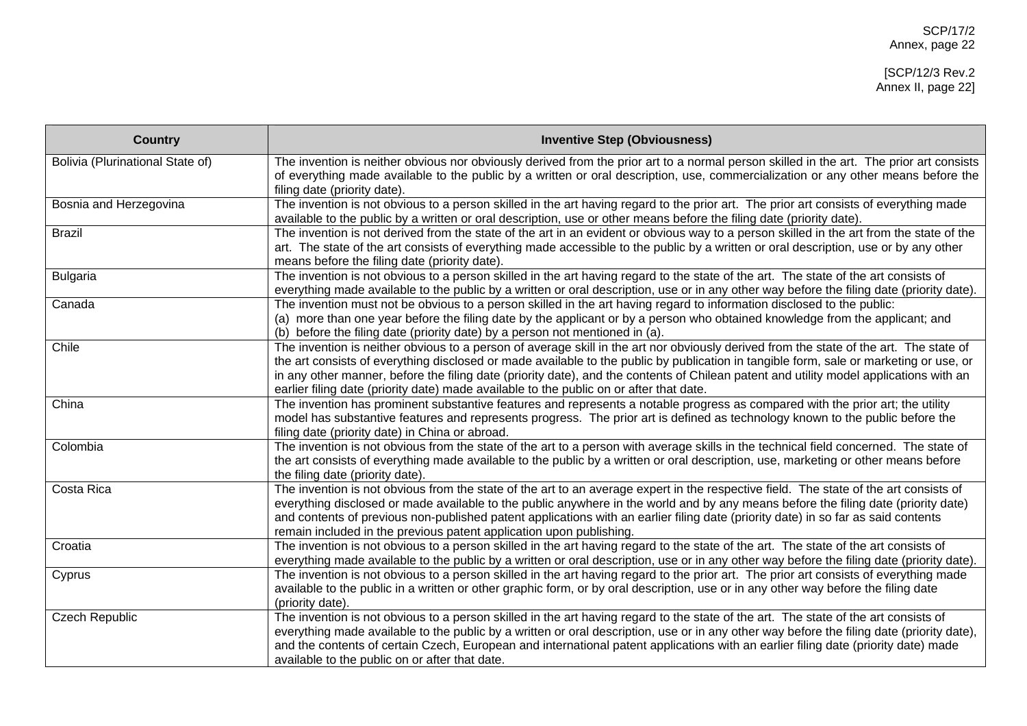| <b>Country</b>                   | <b>Inventive Step (Obviousness)</b>                                                                                                                                                                                                                                                                                                                                                                                                                                                                                   |
|----------------------------------|-----------------------------------------------------------------------------------------------------------------------------------------------------------------------------------------------------------------------------------------------------------------------------------------------------------------------------------------------------------------------------------------------------------------------------------------------------------------------------------------------------------------------|
| Bolivia (Plurinational State of) | The invention is neither obvious nor obviously derived from the prior art to a normal person skilled in the art. The prior art consists<br>of everything made available to the public by a written or oral description, use, commercialization or any other means before the<br>filing date (priority date).                                                                                                                                                                                                          |
| Bosnia and Herzegovina           | The invention is not obvious to a person skilled in the art having regard to the prior art. The prior art consists of everything made<br>available to the public by a written or oral description, use or other means before the filing date (priority date).                                                                                                                                                                                                                                                         |
| <b>Brazil</b>                    | The invention is not derived from the state of the art in an evident or obvious way to a person skilled in the art from the state of the<br>art. The state of the art consists of everything made accessible to the public by a written or oral description, use or by any other<br>means before the filing date (priority date).                                                                                                                                                                                     |
| <b>Bulgaria</b>                  | The invention is not obvious to a person skilled in the art having regard to the state of the art. The state of the art consists of<br>everything made available to the public by a written or oral description, use or in any other way before the filing date (priority date).                                                                                                                                                                                                                                      |
| Canada                           | The invention must not be obvious to a person skilled in the art having regard to information disclosed to the public:<br>(a) more than one year before the filing date by the applicant or by a person who obtained knowledge from the applicant; and<br>(b) before the filing date (priority date) by a person not mentioned in (a).                                                                                                                                                                                |
| Chile                            | The invention is neither obvious to a person of average skill in the art nor obviously derived from the state of the art. The state of<br>the art consists of everything disclosed or made available to the public by publication in tangible form, sale or marketing or use, or<br>in any other manner, before the filing date (priority date), and the contents of Chilean patent and utility model applications with an<br>earlier filing date (priority date) made available to the public on or after that date. |
| China                            | The invention has prominent substantive features and represents a notable progress as compared with the prior art; the utility<br>model has substantive features and represents progress. The prior art is defined as technology known to the public before the<br>filing date (priority date) in China or abroad.                                                                                                                                                                                                    |
| Colombia                         | The invention is not obvious from the state of the art to a person with average skills in the technical field concerned. The state of<br>the art consists of everything made available to the public by a written or oral description, use, marketing or other means before<br>the filing date (priority date).                                                                                                                                                                                                       |
| Costa Rica                       | The invention is not obvious from the state of the art to an average expert in the respective field. The state of the art consists of<br>everything disclosed or made available to the public anywhere in the world and by any means before the filing date (priority date)<br>and contents of previous non-published patent applications with an earlier filing date (priority date) in so far as said contents<br>remain included in the previous patent application upon publishing.                               |
| Croatia                          | The invention is not obvious to a person skilled in the art having regard to the state of the art. The state of the art consists of<br>everything made available to the public by a written or oral description, use or in any other way before the filing date (priority date).                                                                                                                                                                                                                                      |
| Cyprus                           | The invention is not obvious to a person skilled in the art having regard to the prior art. The prior art consists of everything made<br>available to the public in a written or other graphic form, or by oral description, use or in any other way before the filing date<br>(priority date).                                                                                                                                                                                                                       |
| <b>Czech Republic</b>            | The invention is not obvious to a person skilled in the art having regard to the state of the art. The state of the art consists of<br>everything made available to the public by a written or oral description, use or in any other way before the filing date (priority date),<br>and the contents of certain Czech, European and international patent applications with an earlier filing date (priority date) made<br>available to the public on or after that date.                                              |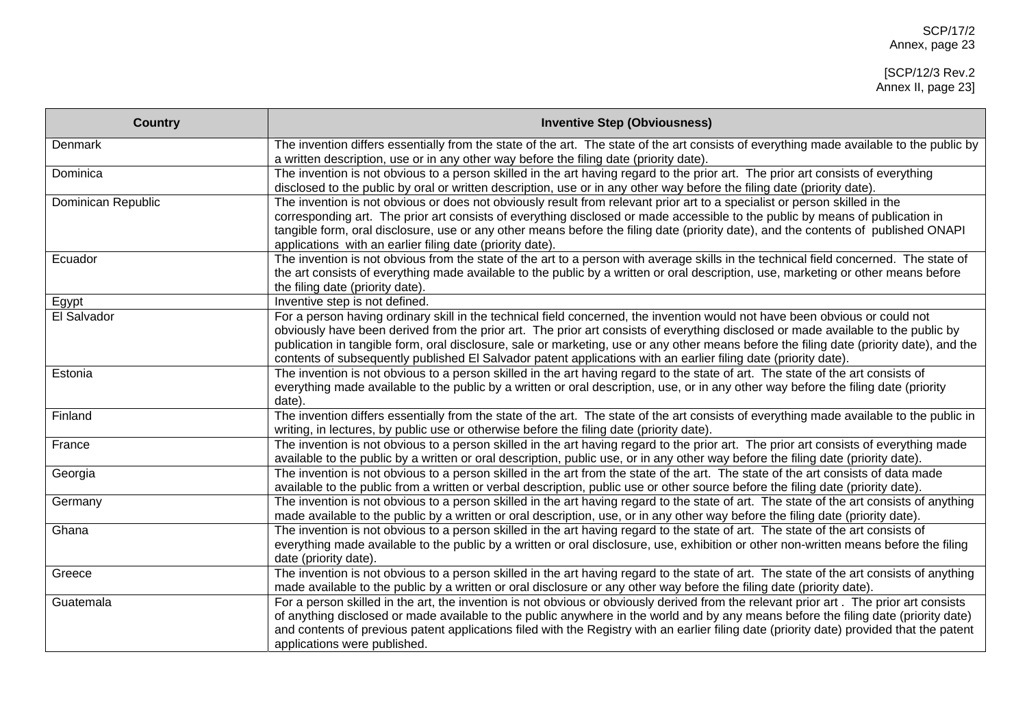| <b>Country</b>     | <b>Inventive Step (Obviousness)</b>                                                                                                                                                                                                                                                                                                                                                                                                                                                                                             |
|--------------------|---------------------------------------------------------------------------------------------------------------------------------------------------------------------------------------------------------------------------------------------------------------------------------------------------------------------------------------------------------------------------------------------------------------------------------------------------------------------------------------------------------------------------------|
| Denmark            | The invention differs essentially from the state of the art. The state of the art consists of everything made available to the public by<br>a written description, use or in any other way before the filing date (priority date).                                                                                                                                                                                                                                                                                              |
| Dominica           | The invention is not obvious to a person skilled in the art having regard to the prior art. The prior art consists of everything<br>disclosed to the public by oral or written description, use or in any other way before the filing date (priority date).                                                                                                                                                                                                                                                                     |
| Dominican Republic | The invention is not obvious or does not obviously result from relevant prior art to a specialist or person skilled in the<br>corresponding art. The prior art consists of everything disclosed or made accessible to the public by means of publication in<br>tangible form, oral disclosure, use or any other means before the filing date (priority date), and the contents of published ONAPI<br>applications with an earlier filing date (priority date).                                                                  |
| Ecuador            | The invention is not obvious from the state of the art to a person with average skills in the technical field concerned. The state of<br>the art consists of everything made available to the public by a written or oral description, use, marketing or other means before<br>the filing date (priority date).                                                                                                                                                                                                                 |
| Egypt              | Inventive step is not defined.                                                                                                                                                                                                                                                                                                                                                                                                                                                                                                  |
| El Salvador        | For a person having ordinary skill in the technical field concerned, the invention would not have been obvious or could not<br>obviously have been derived from the prior art. The prior art consists of everything disclosed or made available to the public by<br>publication in tangible form, oral disclosure, sale or marketing, use or any other means before the filing date (priority date), and the<br>contents of subsequently published El Salvador patent applications with an earlier filing date (priority date). |
| Estonia            | The invention is not obvious to a person skilled in the art having regard to the state of art. The state of the art consists of<br>everything made available to the public by a written or oral description, use, or in any other way before the filing date (priority<br>date).                                                                                                                                                                                                                                                |
| Finland            | The invention differs essentially from the state of the art. The state of the art consists of everything made available to the public in<br>writing, in lectures, by public use or otherwise before the filing date (priority date).                                                                                                                                                                                                                                                                                            |
| France             | The invention is not obvious to a person skilled in the art having regard to the prior art. The prior art consists of everything made<br>available to the public by a written or oral description, public use, or in any other way before the filing date (priority date).                                                                                                                                                                                                                                                      |
| Georgia            | The invention is not obvious to a person skilled in the art from the state of the art. The state of the art consists of data made<br>available to the public from a written or verbal description, public use or other source before the filing date (priority date).                                                                                                                                                                                                                                                           |
| Germany            | The invention is not obvious to a person skilled in the art having regard to the state of art. The state of the art consists of anything<br>made available to the public by a written or oral description, use, or in any other way before the filing date (priority date).                                                                                                                                                                                                                                                     |
| Ghana              | The invention is not obvious to a person skilled in the art having regard to the state of art. The state of the art consists of<br>everything made available to the public by a written or oral disclosure, use, exhibition or other non-written means before the filing<br>date (priority date).                                                                                                                                                                                                                               |
| Greece             | The invention is not obvious to a person skilled in the art having regard to the state of art. The state of the art consists of anything<br>made available to the public by a written or oral disclosure or any other way before the filing date (priority date).                                                                                                                                                                                                                                                               |
| Guatemala          | For a person skilled in the art, the invention is not obvious or obviously derived from the relevant prior art. The prior art consists<br>of anything disclosed or made available to the public anywhere in the world and by any means before the filing date (priority date)<br>and contents of previous patent applications filed with the Registry with an earlier filing date (priority date) provided that the patent<br>applications were published.                                                                      |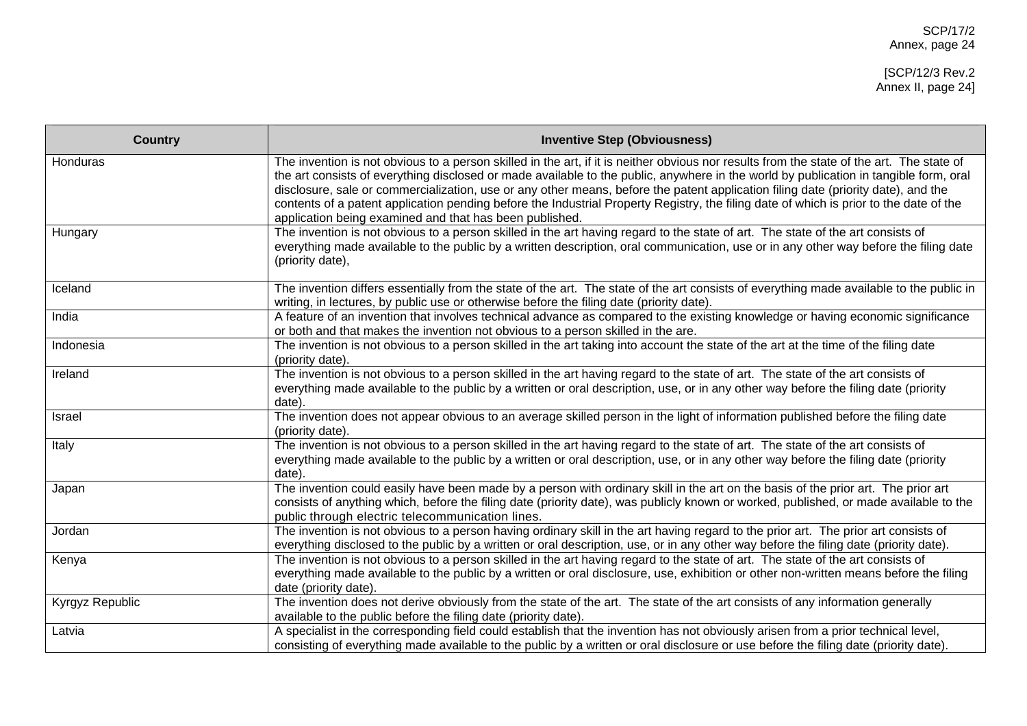[SCP/12/3 Rev.2 Annex II, page 24]

| <b>Country</b>  | <b>Inventive Step (Obviousness)</b>                                                                                                                                                                                                                                                                                                                                                                                                                                                                                                                                                                                          |
|-----------------|------------------------------------------------------------------------------------------------------------------------------------------------------------------------------------------------------------------------------------------------------------------------------------------------------------------------------------------------------------------------------------------------------------------------------------------------------------------------------------------------------------------------------------------------------------------------------------------------------------------------------|
| Honduras        | The invention is not obvious to a person skilled in the art, if it is neither obvious nor results from the state of the art. The state of<br>the art consists of everything disclosed or made available to the public, anywhere in the world by publication in tangible form, oral<br>disclosure, sale or commercialization, use or any other means, before the patent application filing date (priority date), and the<br>contents of a patent application pending before the Industrial Property Registry, the filing date of which is prior to the date of the<br>application being examined and that has been published. |
| Hungary         | The invention is not obvious to a person skilled in the art having regard to the state of art. The state of the art consists of<br>everything made available to the public by a written description, oral communication, use or in any other way before the filing date<br>(priority date),                                                                                                                                                                                                                                                                                                                                  |
| Iceland         | The invention differs essentially from the state of the art. The state of the art consists of everything made available to the public in<br>writing, in lectures, by public use or otherwise before the filing date (priority date).                                                                                                                                                                                                                                                                                                                                                                                         |
| India           | A feature of an invention that involves technical advance as compared to the existing knowledge or having economic significance<br>or both and that makes the invention not obvious to a person skilled in the are.                                                                                                                                                                                                                                                                                                                                                                                                          |
| Indonesia       | The invention is not obvious to a person skilled in the art taking into account the state of the art at the time of the filing date<br>(priority date).                                                                                                                                                                                                                                                                                                                                                                                                                                                                      |
| Ireland         | The invention is not obvious to a person skilled in the art having regard to the state of art. The state of the art consists of<br>everything made available to the public by a written or oral description, use, or in any other way before the filing date (priority<br>date).                                                                                                                                                                                                                                                                                                                                             |
| Israel          | The invention does not appear obvious to an average skilled person in the light of information published before the filing date<br>(priority date).                                                                                                                                                                                                                                                                                                                                                                                                                                                                          |
| Italy           | The invention is not obvious to a person skilled in the art having regard to the state of art. The state of the art consists of<br>everything made available to the public by a written or oral description, use, or in any other way before the filing date (priority<br>date).                                                                                                                                                                                                                                                                                                                                             |
| Japan           | The invention could easily have been made by a person with ordinary skill in the art on the basis of the prior art. The prior art<br>consists of anything which, before the filing date (priority date), was publicly known or worked, published, or made available to the<br>public through electric telecommunication lines.                                                                                                                                                                                                                                                                                               |
| Jordan          | The invention is not obvious to a person having ordinary skill in the art having regard to the prior art. The prior art consists of<br>everything disclosed to the public by a written or oral description, use, or in any other way before the filing date (priority date).                                                                                                                                                                                                                                                                                                                                                 |
| Kenya           | The invention is not obvious to a person skilled in the art having regard to the state of art. The state of the art consists of<br>everything made available to the public by a written or oral disclosure, use, exhibition or other non-written means before the filing<br>date (priority date).                                                                                                                                                                                                                                                                                                                            |
| Kyrgyz Republic | The invention does not derive obviously from the state of the art. The state of the art consists of any information generally<br>available to the public before the filing date (priority date).                                                                                                                                                                                                                                                                                                                                                                                                                             |
| Latvia          | A specialist in the corresponding field could establish that the invention has not obviously arisen from a prior technical level,<br>consisting of everything made available to the public by a written or oral disclosure or use before the filing date (priority date).                                                                                                                                                                                                                                                                                                                                                    |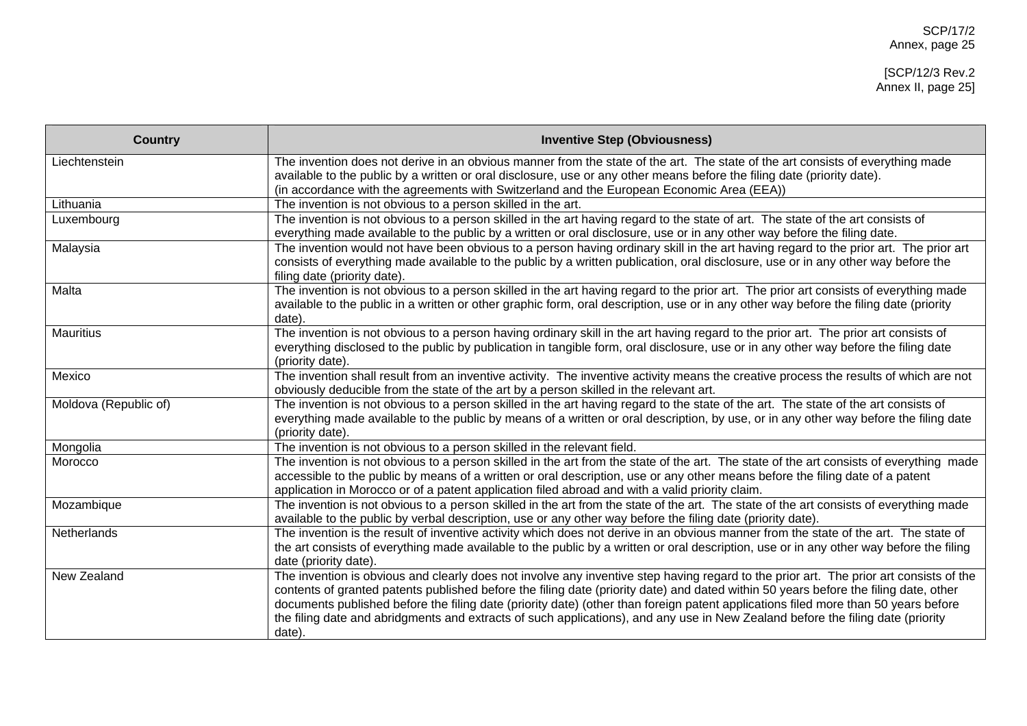| <b>Country</b>        | <b>Inventive Step (Obviousness)</b>                                                                                                                                                                                                                                                                                                                                                                                                                                                                                                                               |
|-----------------------|-------------------------------------------------------------------------------------------------------------------------------------------------------------------------------------------------------------------------------------------------------------------------------------------------------------------------------------------------------------------------------------------------------------------------------------------------------------------------------------------------------------------------------------------------------------------|
| Liechtenstein         | The invention does not derive in an obvious manner from the state of the art. The state of the art consists of everything made<br>available to the public by a written or oral disclosure, use or any other means before the filing date (priority date).<br>(in accordance with the agreements with Switzerland and the European Economic Area (EEA))                                                                                                                                                                                                            |
| Lithuania             | The invention is not obvious to a person skilled in the art.                                                                                                                                                                                                                                                                                                                                                                                                                                                                                                      |
| Luxembourg            | The invention is not obvious to a person skilled in the art having regard to the state of art. The state of the art consists of<br>everything made available to the public by a written or oral disclosure, use or in any other way before the filing date.                                                                                                                                                                                                                                                                                                       |
| Malaysia              | The invention would not have been obvious to a person having ordinary skill in the art having regard to the prior art. The prior art<br>consists of everything made available to the public by a written publication, oral disclosure, use or in any other way before the<br>filing date (priority date).                                                                                                                                                                                                                                                         |
| Malta                 | The invention is not obvious to a person skilled in the art having regard to the prior art. The prior art consists of everything made<br>available to the public in a written or other graphic form, oral description, use or in any other way before the filing date (priority<br>date).                                                                                                                                                                                                                                                                         |
| <b>Mauritius</b>      | The invention is not obvious to a person having ordinary skill in the art having regard to the prior art. The prior art consists of<br>everything disclosed to the public by publication in tangible form, oral disclosure, use or in any other way before the filing date<br>(priority date).                                                                                                                                                                                                                                                                    |
| Mexico                | The invention shall result from an inventive activity. The inventive activity means the creative process the results of which are not<br>obviously deducible from the state of the art by a person skilled in the relevant art.                                                                                                                                                                                                                                                                                                                                   |
| Moldova (Republic of) | The invention is not obvious to a person skilled in the art having regard to the state of the art. The state of the art consists of<br>everything made available to the public by means of a written or oral description, by use, or in any other way before the filing date<br>(priority date).                                                                                                                                                                                                                                                                  |
| Mongolia              | The invention is not obvious to a person skilled in the relevant field.                                                                                                                                                                                                                                                                                                                                                                                                                                                                                           |
| Morocco               | The invention is not obvious to a person skilled in the art from the state of the art. The state of the art consists of everything made<br>accessible to the public by means of a written or oral description, use or any other means before the filing date of a patent<br>application in Morocco or of a patent application filed abroad and with a valid priority claim.                                                                                                                                                                                       |
| Mozambique            | The invention is not obvious to a person skilled in the art from the state of the art. The state of the art consists of everything made<br>available to the public by verbal description, use or any other way before the filing date (priority date).                                                                                                                                                                                                                                                                                                            |
| Netherlands           | The invention is the result of inventive activity which does not derive in an obvious manner from the state of the art. The state of<br>the art consists of everything made available to the public by a written or oral description, use or in any other way before the filing<br>date (priority date).                                                                                                                                                                                                                                                          |
| New Zealand           | The invention is obvious and clearly does not involve any inventive step having regard to the prior art. The prior art consists of the<br>contents of granted patents published before the filing date (priority date) and dated within 50 years before the filing date, other<br>documents published before the filing date (priority date) (other than foreign patent applications filed more than 50 years before<br>the filing date and abridgments and extracts of such applications), and any use in New Zealand before the filing date (priority<br>date). |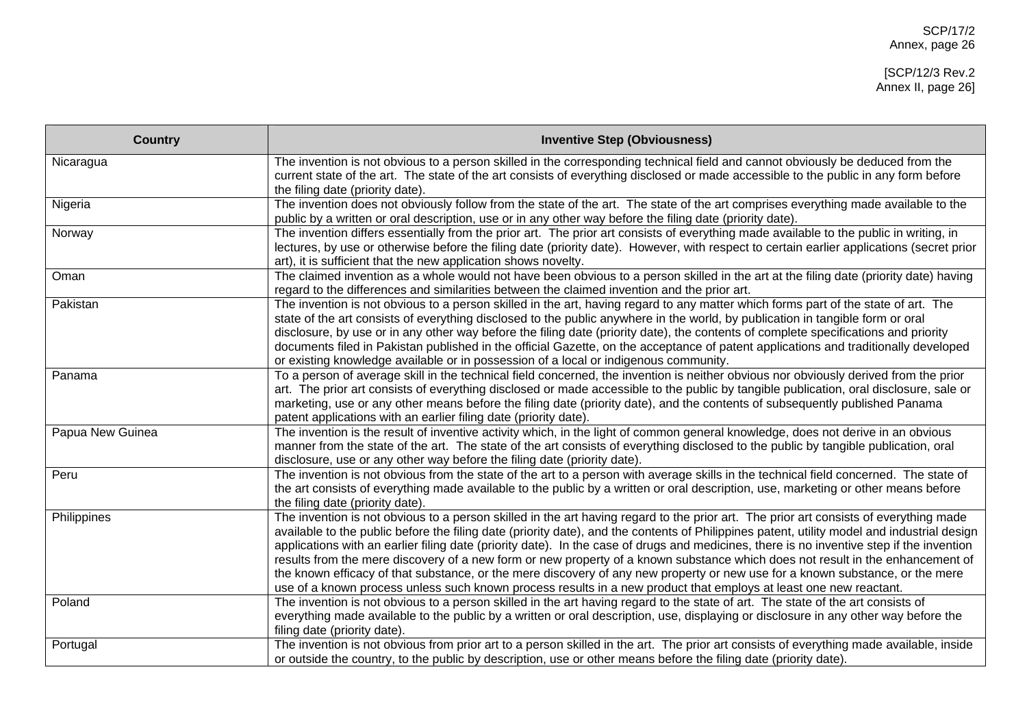| <b>Country</b>   | <b>Inventive Step (Obviousness)</b>                                                                                                                                                                                                                                                                                                                                                                                                                                                                                                                                                                                                                                                                                                                                                                                       |
|------------------|---------------------------------------------------------------------------------------------------------------------------------------------------------------------------------------------------------------------------------------------------------------------------------------------------------------------------------------------------------------------------------------------------------------------------------------------------------------------------------------------------------------------------------------------------------------------------------------------------------------------------------------------------------------------------------------------------------------------------------------------------------------------------------------------------------------------------|
| Nicaragua        | The invention is not obvious to a person skilled in the corresponding technical field and cannot obviously be deduced from the<br>current state of the art. The state of the art consists of everything disclosed or made accessible to the public in any form before<br>the filing date (priority date).                                                                                                                                                                                                                                                                                                                                                                                                                                                                                                                 |
| Nigeria          | The invention does not obviously follow from the state of the art. The state of the art comprises everything made available to the<br>public by a written or oral description, use or in any other way before the filing date (priority date).                                                                                                                                                                                                                                                                                                                                                                                                                                                                                                                                                                            |
| Norway           | The invention differs essentially from the prior art. The prior art consists of everything made available to the public in writing, in<br>lectures, by use or otherwise before the filing date (priority date). However, with respect to certain earlier applications (secret prior<br>art), it is sufficient that the new application shows novelty.                                                                                                                                                                                                                                                                                                                                                                                                                                                                     |
| Oman             | The claimed invention as a whole would not have been obvious to a person skilled in the art at the filing date (priority date) having<br>regard to the differences and similarities between the claimed invention and the prior art.                                                                                                                                                                                                                                                                                                                                                                                                                                                                                                                                                                                      |
| Pakistan         | The invention is not obvious to a person skilled in the art, having regard to any matter which forms part of the state of art. The<br>state of the art consists of everything disclosed to the public anywhere in the world, by publication in tangible form or oral<br>disclosure, by use or in any other way before the filing date (priority date), the contents of complete specifications and priority<br>documents filed in Pakistan published in the official Gazette, on the acceptance of patent applications and traditionally developed<br>or existing knowledge available or in possession of a local or indigenous community.                                                                                                                                                                                |
| Panama           | To a person of average skill in the technical field concerned, the invention is neither obvious nor obviously derived from the prior<br>art. The prior art consists of everything disclosed or made accessible to the public by tangible publication, oral disclosure, sale or<br>marketing, use or any other means before the filing date (priority date), and the contents of subsequently published Panama<br>patent applications with an earlier filing date (priority date).                                                                                                                                                                                                                                                                                                                                         |
| Papua New Guinea | The invention is the result of inventive activity which, in the light of common general knowledge, does not derive in an obvious<br>manner from the state of the art. The state of the art consists of everything disclosed to the public by tangible publication, oral<br>disclosure, use or any other way before the filing date (priority date).                                                                                                                                                                                                                                                                                                                                                                                                                                                                       |
| Peru             | The invention is not obvious from the state of the art to a person with average skills in the technical field concerned. The state of<br>the art consists of everything made available to the public by a written or oral description, use, marketing or other means before<br>the filing date (priority date).                                                                                                                                                                                                                                                                                                                                                                                                                                                                                                           |
| Philippines      | The invention is not obvious to a person skilled in the art having regard to the prior art. The prior art consists of everything made<br>available to the public before the filing date (priority date), and the contents of Philippines patent, utility model and industrial design<br>applications with an earlier filing date (priority date). In the case of drugs and medicines, there is no inventive step if the invention<br>results from the mere discovery of a new form or new property of a known substance which does not result in the enhancement of<br>the known efficacy of that substance, or the mere discovery of any new property or new use for a known substance, or the mere<br>use of a known process unless such known process results in a new product that employs at least one new reactant. |
| Poland           | The invention is not obvious to a person skilled in the art having regard to the state of art. The state of the art consists of<br>everything made available to the public by a written or oral description, use, displaying or disclosure in any other way before the<br>filing date (priority date).                                                                                                                                                                                                                                                                                                                                                                                                                                                                                                                    |
| Portugal         | The invention is not obvious from prior art to a person skilled in the art. The prior art consists of everything made available, inside<br>or outside the country, to the public by description, use or other means before the filing date (priority date).                                                                                                                                                                                                                                                                                                                                                                                                                                                                                                                                                               |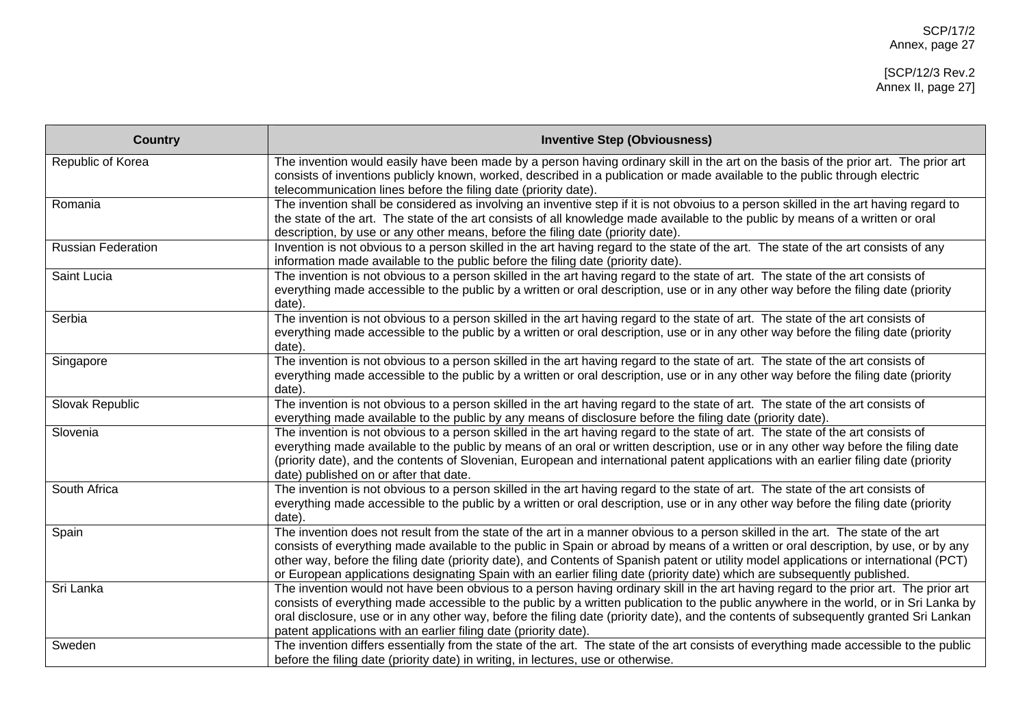| <b>Country</b>            | <b>Inventive Step (Obviousness)</b>                                                                                                                                                                                                                                                                                                                                                                                                                                                                                                           |
|---------------------------|-----------------------------------------------------------------------------------------------------------------------------------------------------------------------------------------------------------------------------------------------------------------------------------------------------------------------------------------------------------------------------------------------------------------------------------------------------------------------------------------------------------------------------------------------|
| Republic of Korea         | The invention would easily have been made by a person having ordinary skill in the art on the basis of the prior art. The prior art<br>consists of inventions publicly known, worked, described in a publication or made available to the public through electric<br>telecommunication lines before the filing date (priority date).                                                                                                                                                                                                          |
| Romania                   | The invention shall be considered as involving an inventive step if it is not obvoius to a person skilled in the art having regard to<br>the state of the art. The state of the art consists of all knowledge made available to the public by means of a written or oral<br>description, by use or any other means, before the filing date (priority date).                                                                                                                                                                                   |
| <b>Russian Federation</b> | Invention is not obvious to a person skilled in the art having regard to the state of the art. The state of the art consists of any<br>information made available to the public before the filing date (priority date).                                                                                                                                                                                                                                                                                                                       |
| Saint Lucia               | The invention is not obvious to a person skilled in the art having regard to the state of art. The state of the art consists of<br>everything made accessible to the public by a written or oral description, use or in any other way before the filing date (priority<br>date).                                                                                                                                                                                                                                                              |
| Serbia                    | The invention is not obvious to a person skilled in the art having regard to the state of art. The state of the art consists of<br>everything made accessible to the public by a written or oral description, use or in any other way before the filing date (priority<br>date).                                                                                                                                                                                                                                                              |
| Singapore                 | The invention is not obvious to a person skilled in the art having regard to the state of art. The state of the art consists of<br>everything made accessible to the public by a written or oral description, use or in any other way before the filing date (priority<br>date).                                                                                                                                                                                                                                                              |
| Slovak Republic           | The invention is not obvious to a person skilled in the art having regard to the state of art. The state of the art consists of<br>everything made available to the public by any means of disclosure before the filing date (priority date).                                                                                                                                                                                                                                                                                                 |
| Slovenia                  | The invention is not obvious to a person skilled in the art having regard to the state of art. The state of the art consists of<br>everything made available to the public by means of an oral or written description, use or in any other way before the filing date<br>(priority date), and the contents of Slovenian, European and international patent applications with an earlier filing date (priority<br>date) published on or after that date.                                                                                       |
| South Africa              | The invention is not obvious to a person skilled in the art having regard to the state of art. The state of the art consists of<br>everything made accessible to the public by a written or oral description, use or in any other way before the filing date (priority<br>date).                                                                                                                                                                                                                                                              |
| Spain                     | The invention does not result from the state of the art in a manner obvious to a person skilled in the art. The state of the art<br>consists of everything made available to the public in Spain or abroad by means of a written or oral description, by use, or by any<br>other way, before the filing date (priority date), and Contents of Spanish patent or utility model applications or international (PCT)<br>or European applications designating Spain with an earlier filing date (priority date) which are subsequently published. |
| Sri Lanka                 | The invention would not have been obvious to a person having ordinary skill in the art having regard to the prior art. The prior art<br>consists of everything made accessible to the public by a written publication to the public anywhere in the world, or in Sri Lanka by<br>oral disclosure, use or in any other way, before the filing date (priority date), and the contents of subsequently granted Sri Lankan<br>patent applications with an earlier filing date (priority date).                                                    |
| Sweden                    | The invention differs essentially from the state of the art. The state of the art consists of everything made accessible to the public<br>before the filing date (priority date) in writing, in lectures, use or otherwise.                                                                                                                                                                                                                                                                                                                   |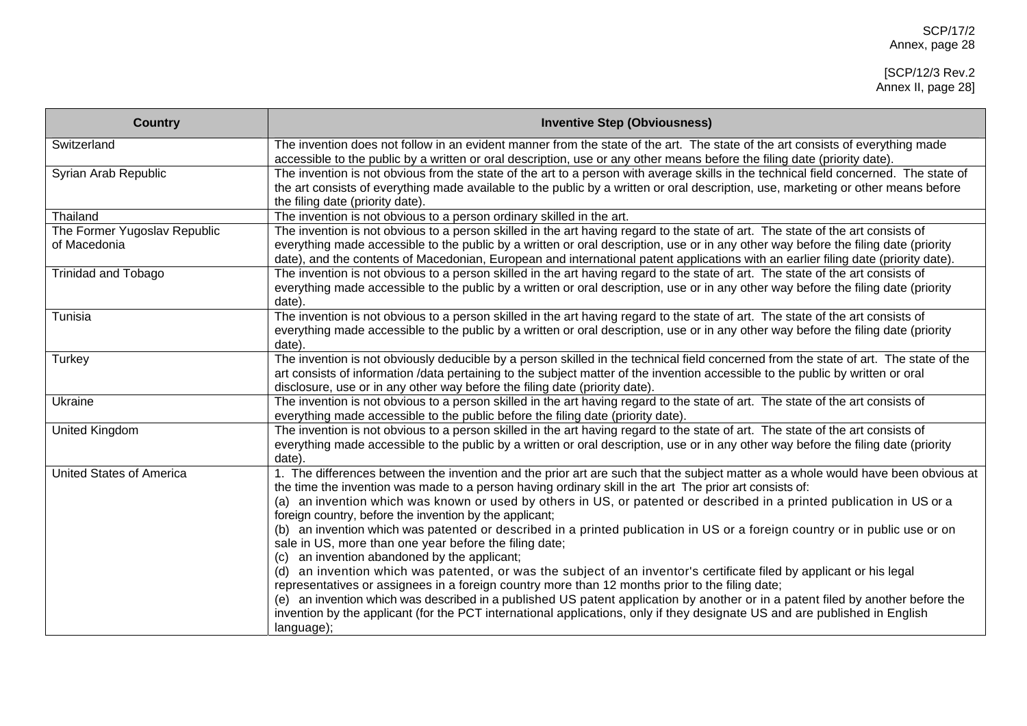| <b>Country</b>                               | <b>Inventive Step (Obviousness)</b>                                                                                                                                                                                                                                                                                                                                                                          |
|----------------------------------------------|--------------------------------------------------------------------------------------------------------------------------------------------------------------------------------------------------------------------------------------------------------------------------------------------------------------------------------------------------------------------------------------------------------------|
| Switzerland                                  | The invention does not follow in an evident manner from the state of the art. The state of the art consists of everything made<br>accessible to the public by a written or oral description, use or any other means before the filing date (priority date).                                                                                                                                                  |
| Syrian Arab Republic                         | The invention is not obvious from the state of the art to a person with average skills in the technical field concerned. The state of<br>the art consists of everything made available to the public by a written or oral description, use, marketing or other means before<br>the filing date (priority date).                                                                                              |
| Thailand                                     | The invention is not obvious to a person ordinary skilled in the art.                                                                                                                                                                                                                                                                                                                                        |
| The Former Yugoslav Republic<br>of Macedonia | The invention is not obvious to a person skilled in the art having regard to the state of art. The state of the art consists of<br>everything made accessible to the public by a written or oral description, use or in any other way before the filing date (priority<br>date), and the contents of Macedonian, European and international patent applications with an earlier filing date (priority date). |
| <b>Trinidad and Tobago</b>                   | The invention is not obvious to a person skilled in the art having regard to the state of art. The state of the art consists of<br>everything made accessible to the public by a written or oral description, use or in any other way before the filing date (priority<br>date).                                                                                                                             |
| Tunisia                                      | The invention is not obvious to a person skilled in the art having regard to the state of art. The state of the art consists of<br>everything made accessible to the public by a written or oral description, use or in any other way before the filing date (priority<br>date).                                                                                                                             |
| Turkey                                       | The invention is not obviously deducible by a person skilled in the technical field concerned from the state of art. The state of the<br>art consists of information /data pertaining to the subject matter of the invention accessible to the public by written or oral<br>disclosure, use or in any other way before the filing date (priority date).                                                      |
| Ukraine                                      | The invention is not obvious to a person skilled in the art having regard to the state of art. The state of the art consists of<br>everything made accessible to the public before the filing date (priority date).                                                                                                                                                                                          |
| <b>United Kingdom</b>                        | The invention is not obvious to a person skilled in the art having regard to the state of art. The state of the art consists of<br>everything made accessible to the public by a written or oral description, use or in any other way before the filing date (priority<br>date).                                                                                                                             |
| <b>United States of America</b>              | 1. The differences between the invention and the prior art are such that the subject matter as a whole would have been obvious at<br>the time the invention was made to a person having ordinary skill in the art The prior art consists of:                                                                                                                                                                 |
|                                              | (a) an invention which was known or used by others in US, or patented or described in a printed publication in US or a<br>foreign country, before the invention by the applicant;                                                                                                                                                                                                                            |
|                                              | (b) an invention which was patented or described in a printed publication in US or a foreign country or in public use or on<br>sale in US, more than one year before the filing date;                                                                                                                                                                                                                        |
|                                              | (c) an invention abandoned by the applicant;<br>(d) an invention which was patented, or was the subject of an inventor's certificate filed by applicant or his legal<br>representatives or assignees in a foreign country more than 12 months prior to the filing date;                                                                                                                                      |
|                                              | (e) an invention which was described in a published US patent application by another or in a patent filed by another before the<br>invention by the applicant (for the PCT international applications, only if they designate US and are published in English<br>language);                                                                                                                                  |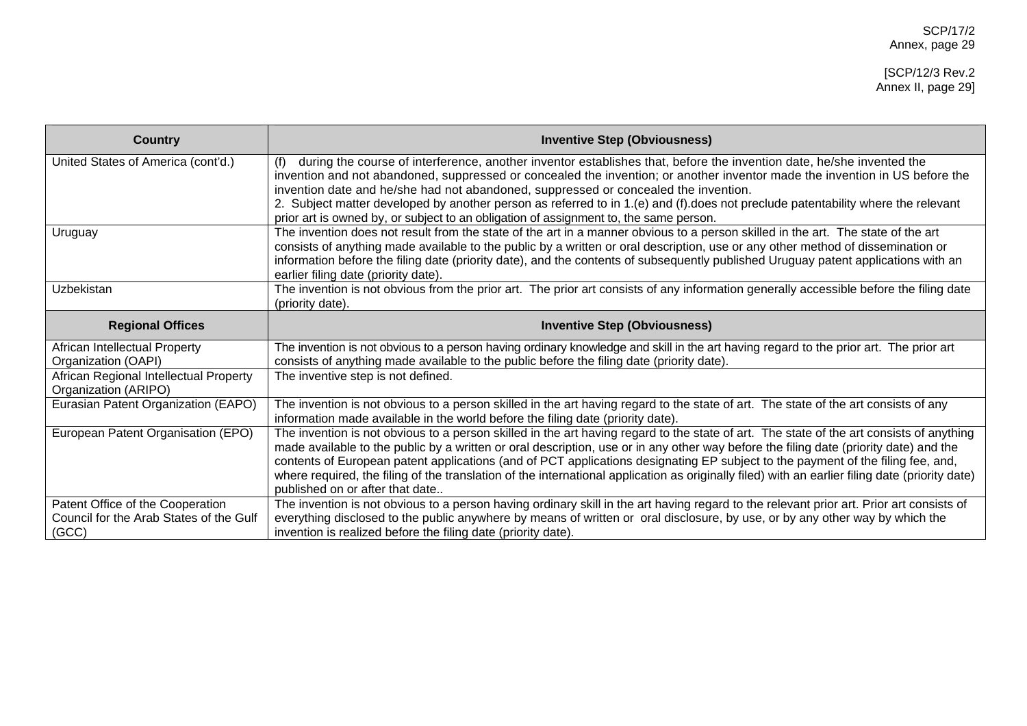| <b>Country</b>                                                                       | <b>Inventive Step (Obviousness)</b>                                                                                                                                                                                                                                                                                                                                                                                                                                                                                                                                                                        |
|--------------------------------------------------------------------------------------|------------------------------------------------------------------------------------------------------------------------------------------------------------------------------------------------------------------------------------------------------------------------------------------------------------------------------------------------------------------------------------------------------------------------------------------------------------------------------------------------------------------------------------------------------------------------------------------------------------|
| United States of America (cont'd.)                                                   | during the course of interference, another inventor establishes that, before the invention date, he/she invented the<br>(f)<br>invention and not abandoned, suppressed or concealed the invention; or another inventor made the invention in US before the<br>invention date and he/she had not abandoned, suppressed or concealed the invention.<br>2. Subject matter developed by another person as referred to in 1.(e) and (f) does not preclude patentability where the relevant<br>prior art is owned by, or subject to an obligation of assignment to, the same person.                             |
| Uruguay                                                                              | The invention does not result from the state of the art in a manner obvious to a person skilled in the art. The state of the art<br>consists of anything made available to the public by a written or oral description, use or any other method of dissemination or<br>information before the filing date (priority date), and the contents of subsequently published Uruguay patent applications with an<br>earlier filing date (priority date).                                                                                                                                                          |
| <b>Uzbekistan</b>                                                                    | The invention is not obvious from the prior art. The prior art consists of any information generally accessible before the filing date<br>(priority date).                                                                                                                                                                                                                                                                                                                                                                                                                                                 |
| <b>Regional Offices</b>                                                              | <b>Inventive Step (Obviousness)</b>                                                                                                                                                                                                                                                                                                                                                                                                                                                                                                                                                                        |
| African Intellectual Property<br>Organization (OAPI)                                 | The invention is not obvious to a person having ordinary knowledge and skill in the art having regard to the prior art. The prior art<br>consists of anything made available to the public before the filing date (priority date).                                                                                                                                                                                                                                                                                                                                                                         |
| African Regional Intellectual Property<br>Organization (ARIPO)                       | The inventive step is not defined.                                                                                                                                                                                                                                                                                                                                                                                                                                                                                                                                                                         |
| Eurasian Patent Organization (EAPO)                                                  | The invention is not obvious to a person skilled in the art having regard to the state of art. The state of the art consists of any<br>information made available in the world before the filing date (priority date).                                                                                                                                                                                                                                                                                                                                                                                     |
| European Patent Organisation (EPO)                                                   | The invention is not obvious to a person skilled in the art having regard to the state of art. The state of the art consists of anything<br>made available to the public by a written or oral description, use or in any other way before the filing date (priority date) and the<br>contents of European patent applications (and of PCT applications designating EP subject to the payment of the filing fee, and,<br>where required, the filing of the translation of the international application as originally filed) with an earlier filing date (priority date)<br>published on or after that date |
| Patent Office of the Cooperation<br>Council for the Arab States of the Gulf<br>(GCC) | The invention is not obvious to a person having ordinary skill in the art having regard to the relevant prior art. Prior art consists of<br>everything disclosed to the public anywhere by means of written or oral disclosure, by use, or by any other way by which the<br>invention is realized before the filing date (priority date).                                                                                                                                                                                                                                                                  |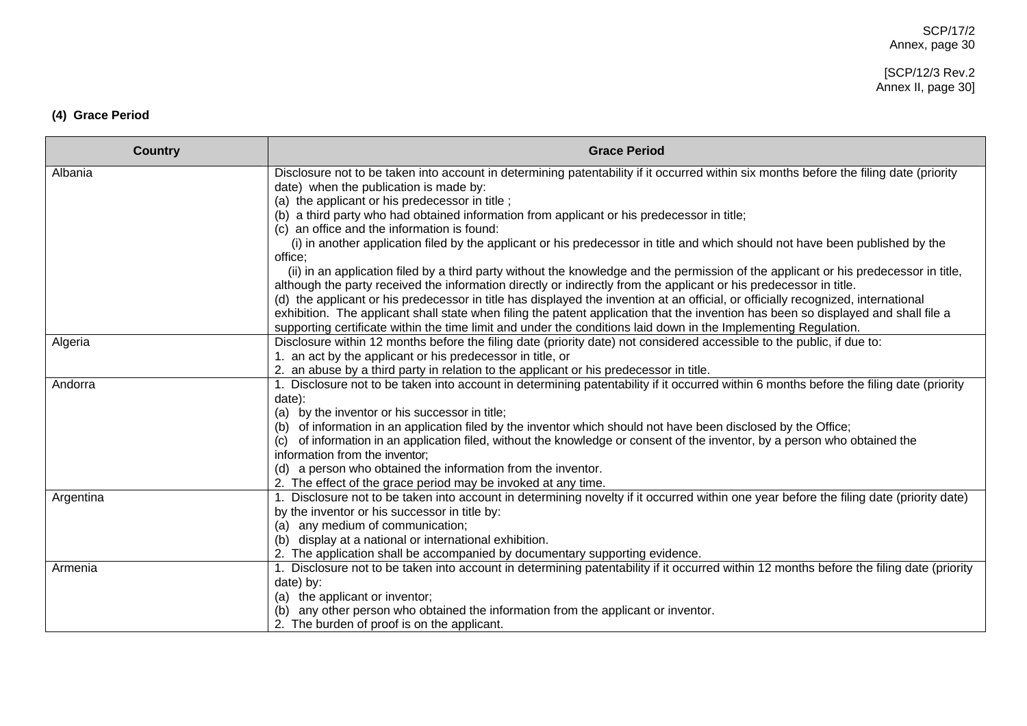#### [SCP/12/3 Rev.2 Annex II, page 30]

# **(4) Grace Period**

| <b>Country</b> | <b>Grace Period</b>                                                                                                                                                                                                                      |
|----------------|------------------------------------------------------------------------------------------------------------------------------------------------------------------------------------------------------------------------------------------|
| Albania        | Disclosure not to be taken into account in determining patentability if it occurred within six months before the filing date (priority                                                                                                   |
|                | date) when the publication is made by:<br>(a) the applicant or his predecessor in title;                                                                                                                                                 |
|                | (b) a third party who had obtained information from applicant or his predecessor in title;                                                                                                                                               |
|                | (c) an office and the information is found:                                                                                                                                                                                              |
|                | (i) in another application filed by the applicant or his predecessor in title and which should not have been published by the                                                                                                            |
|                | office;                                                                                                                                                                                                                                  |
|                | (ii) in an application filed by a third party without the knowledge and the permission of the applicant or his predecessor in title,                                                                                                     |
|                | although the party received the information directly or indirectly from the applicant or his predecessor in title.                                                                                                                       |
|                | (d) the applicant or his predecessor in title has displayed the invention at an official, or officially recognized, international                                                                                                        |
|                | exhibition. The applicant shall state when filing the patent application that the invention has been so displayed and shall file a                                                                                                       |
|                | supporting certificate within the time limit and under the conditions laid down in the Implementing Regulation.                                                                                                                          |
| Algeria        | Disclosure within 12 months before the filing date (priority date) not considered accessible to the public, if due to:                                                                                                                   |
|                | 1. an act by the applicant or his predecessor in title, or                                                                                                                                                                               |
|                | 2. an abuse by a third party in relation to the applicant or his predecessor in title.                                                                                                                                                   |
| Andorra        | 1. Disclosure not to be taken into account in determining patentability if it occurred within 6 months before the filing date (priority                                                                                                  |
|                | date):                                                                                                                                                                                                                                   |
|                | (a) by the inventor or his successor in title;                                                                                                                                                                                           |
|                | (b) of information in an application filed by the inventor which should not have been disclosed by the Office;<br>of information in an application filed, without the knowledge or consent of the inventor, by a person who obtained the |
|                | information from the inventor;                                                                                                                                                                                                           |
|                | (d) a person who obtained the information from the inventor.                                                                                                                                                                             |
|                | 2. The effect of the grace period may be invoked at any time.                                                                                                                                                                            |
| Argentina      | 1. Disclosure not to be taken into account in determining novelty if it occurred within one year before the filing date (priority date)                                                                                                  |
|                | by the inventor or his successor in title by:                                                                                                                                                                                            |
|                | (a) any medium of communication;                                                                                                                                                                                                         |
|                | (b) display at a national or international exhibition.                                                                                                                                                                                   |
|                | 2. The application shall be accompanied by documentary supporting evidence.                                                                                                                                                              |
| Armenia        | 1. Disclosure not to be taken into account in determining patentability if it occurred within 12 months before the filing date (priority                                                                                                 |
|                | date) by:                                                                                                                                                                                                                                |
|                | (a) the applicant or inventor;                                                                                                                                                                                                           |
|                | any other person who obtained the information from the applicant or inventor.                                                                                                                                                            |
|                | 2. The burden of proof is on the applicant.                                                                                                                                                                                              |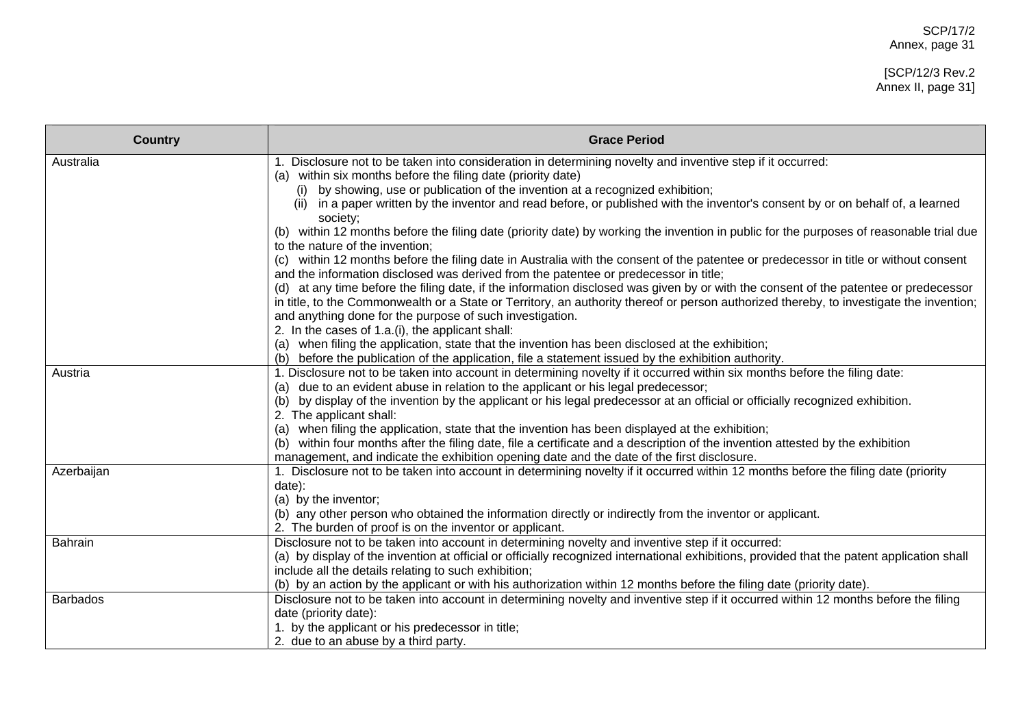#### [SCP/12/3 Rev.2 Annex II, page 31]

| <b>Country</b>  | <b>Grace Period</b>                                                                                                                                                                                                             |
|-----------------|---------------------------------------------------------------------------------------------------------------------------------------------------------------------------------------------------------------------------------|
| Australia       | 1. Disclosure not to be taken into consideration in determining novelty and inventive step if it occurred:                                                                                                                      |
|                 | (a) within six months before the filing date (priority date)                                                                                                                                                                    |
|                 | by showing, use or publication of the invention at a recognized exhibition;<br>(i)<br>in a paper written by the inventor and read before, or published with the inventor's consent by or on behalf of, a learned                |
|                 | (ii)<br>society;                                                                                                                                                                                                                |
|                 | (b) within 12 months before the filing date (priority date) by working the invention in public for the purposes of reasonable trial due                                                                                         |
|                 | to the nature of the invention;                                                                                                                                                                                                 |
|                 | (c) within 12 months before the filing date in Australia with the consent of the patentee or predecessor in title or without consent<br>and the information disclosed was derived from the patentee or predecessor in title;    |
|                 | (d) at any time before the filing date, if the information disclosed was given by or with the consent of the patentee or predecessor                                                                                            |
|                 | in title, to the Commonwealth or a State or Territory, an authority thereof or person authorized thereby, to investigate the invention;                                                                                         |
|                 | and anything done for the purpose of such investigation.                                                                                                                                                                        |
|                 | 2. In the cases of 1.a.(i), the applicant shall:                                                                                                                                                                                |
|                 | (a) when filing the application, state that the invention has been disclosed at the exhibition;                                                                                                                                 |
|                 | before the publication of the application, file a statement issued by the exhibition authority.<br>(b)                                                                                                                          |
| Austria         | 1. Disclosure not to be taken into account in determining novelty if it occurred within six months before the filing date:                                                                                                      |
|                 | (a) due to an evident abuse in relation to the applicant or his legal predecessor;                                                                                                                                              |
|                 | by display of the invention by the applicant or his legal predecessor at an official or officially recognized exhibition.<br>(b)                                                                                                |
|                 | 2. The applicant shall:                                                                                                                                                                                                         |
|                 | when filing the application, state that the invention has been displayed at the exhibition;<br>(a)                                                                                                                              |
|                 | within four months after the filing date, file a certificate and a description of the invention attested by the exhibition<br>(b)<br>management, and indicate the exhibition opening date and the date of the first disclosure. |
| Azerbaijan      | 1. Disclosure not to be taken into account in determining novelty if it occurred within 12 months before the filing date (priority                                                                                              |
|                 | date):                                                                                                                                                                                                                          |
|                 | (a) by the inventor;                                                                                                                                                                                                            |
|                 | (b) any other person who obtained the information directly or indirectly from the inventor or applicant.                                                                                                                        |
|                 | 2. The burden of proof is on the inventor or applicant.                                                                                                                                                                         |
| <b>Bahrain</b>  | Disclosure not to be taken into account in determining novelty and inventive step if it occurred:                                                                                                                               |
|                 | (a) by display of the invention at official or officially recognized international exhibitions, provided that the patent application shall                                                                                      |
|                 | include all the details relating to such exhibition;                                                                                                                                                                            |
|                 | (b) by an action by the applicant or with his authorization within 12 months before the filing date (priority date).                                                                                                            |
| <b>Barbados</b> | Disclosure not to be taken into account in determining novelty and inventive step if it occurred within 12 months before the filing                                                                                             |
|                 | date (priority date):                                                                                                                                                                                                           |
|                 | 1. by the applicant or his predecessor in title;                                                                                                                                                                                |
|                 | 2. due to an abuse by a third party.                                                                                                                                                                                            |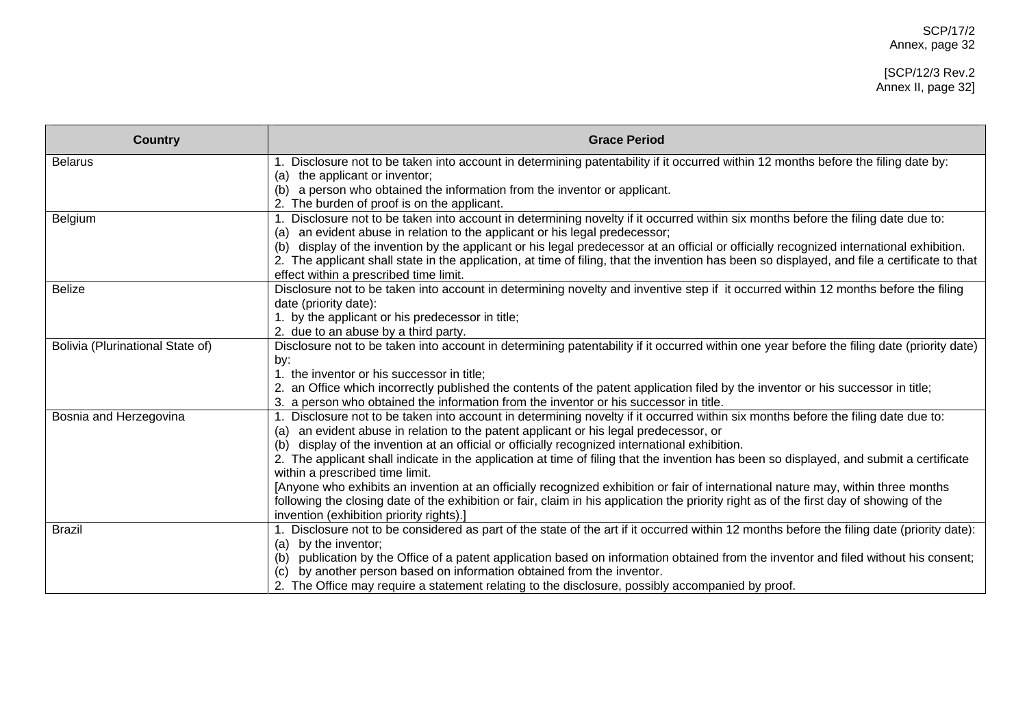#### [SCP/12/3 Rev.2 Annex II, page 32]

| <b>Country</b>                   | <b>Grace Period</b>                                                                                                                                                                                                        |
|----------------------------------|----------------------------------------------------------------------------------------------------------------------------------------------------------------------------------------------------------------------------|
| <b>Belarus</b>                   | Disclosure not to be taken into account in determining patentability if it occurred within 12 months before the filing date by:                                                                                            |
|                                  | the applicant or inventor;<br>(a)                                                                                                                                                                                          |
|                                  | a person who obtained the information from the inventor or applicant.<br>(b)                                                                                                                                               |
|                                  | 2. The burden of proof is on the applicant.                                                                                                                                                                                |
| Belgium                          | 1. Disclosure not to be taken into account in determining novelty if it occurred within six months before the filing date due to:<br>an evident abuse in relation to the applicant or his legal predecessor;<br>(a)        |
|                                  | display of the invention by the applicant or his legal predecessor at an official or officially recognized international exhibition.<br>(b)                                                                                |
|                                  | The applicant shall state in the application, at time of filing, that the invention has been so displayed, and file a certificate to that                                                                                  |
|                                  | effect within a prescribed time limit.                                                                                                                                                                                     |
| <b>Belize</b>                    | Disclosure not to be taken into account in determining novelty and inventive step if it occurred within 12 months before the filing                                                                                        |
|                                  | date (priority date):                                                                                                                                                                                                      |
|                                  | 1. by the applicant or his predecessor in title;                                                                                                                                                                           |
|                                  | 2. due to an abuse by a third party.                                                                                                                                                                                       |
| Bolivia (Plurinational State of) | Disclosure not to be taken into account in determining patentability if it occurred within one year before the filing date (priority date)                                                                                 |
|                                  | by:                                                                                                                                                                                                                        |
|                                  | 1. the inventor or his successor in title;                                                                                                                                                                                 |
|                                  | an Office which incorrectly published the contents of the patent application filed by the inventor or his successor in title;                                                                                              |
|                                  | 3. a person who obtained the information from the inventor or his successor in title.                                                                                                                                      |
| Bosnia and Herzegovina           | Disclosure not to be taken into account in determining novelty if it occurred within six months before the filing date due to:<br>an evident abuse in relation to the patent applicant or his legal predecessor, or<br>(a) |
|                                  | display of the invention at an official or officially recognized international exhibition.<br>(b)                                                                                                                          |
|                                  | 2. The applicant shall indicate in the application at time of filing that the invention has been so displayed, and submit a certificate                                                                                    |
|                                  | within a prescribed time limit.                                                                                                                                                                                            |
|                                  | [Anyone who exhibits an invention at an officially recognized exhibition or fair of international nature may, within three months                                                                                          |
|                                  | following the closing date of the exhibition or fair, claim in his application the priority right as of the first day of showing of the                                                                                    |
|                                  | invention (exhibition priority rights).]                                                                                                                                                                                   |
| <b>Brazil</b>                    | 1. Disclosure not to be considered as part of the state of the art if it occurred within 12 months before the filing date (priority date):                                                                                 |
|                                  | by the inventor;<br>(a)                                                                                                                                                                                                    |
|                                  | publication by the Office of a patent application based on information obtained from the inventor and filed without his consent;<br>(b)                                                                                    |
|                                  | by another person based on information obtained from the inventor.<br>(c)                                                                                                                                                  |
|                                  | 2. The Office may require a statement relating to the disclosure, possibly accompanied by proof.                                                                                                                           |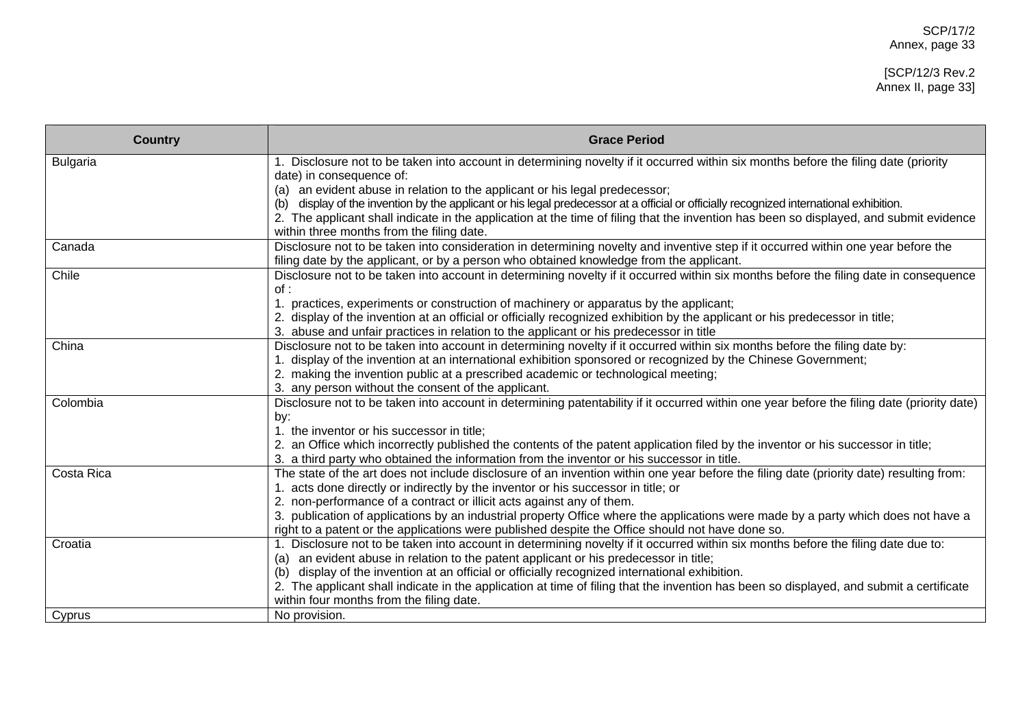| 1. Disclosure not to be taken into account in determining novelty if it occurred within six months before the filing date (priority<br><b>Bulgaria</b><br>date) in consequence of:<br>(a) an evident abuse in relation to the applicant or his legal predecessor;<br>display of the invention by the applicant or his legal predecessor at a official or officially recognized international exhibition.<br>(b)<br>2. The applicant shall indicate in the application at the time of filing that the invention has been so displayed, and submit evidence<br>within three months from the filing date.<br>Disclosure not to be taken into consideration in determining novelty and inventive step if it occurred within one year before the<br>Canada<br>filing date by the applicant, or by a person who obtained knowledge from the applicant.<br>Chile<br>Disclosure not to be taken into account in determining novelty if it occurred within six months before the filing date in consequence<br>of:<br>1. practices, experiments or construction of machinery or apparatus by the applicant; | <b>Country</b> | <b>Grace Period</b>                                                                                                          |
|----------------------------------------------------------------------------------------------------------------------------------------------------------------------------------------------------------------------------------------------------------------------------------------------------------------------------------------------------------------------------------------------------------------------------------------------------------------------------------------------------------------------------------------------------------------------------------------------------------------------------------------------------------------------------------------------------------------------------------------------------------------------------------------------------------------------------------------------------------------------------------------------------------------------------------------------------------------------------------------------------------------------------------------------------------------------------------------------------|----------------|------------------------------------------------------------------------------------------------------------------------------|
|                                                                                                                                                                                                                                                                                                                                                                                                                                                                                                                                                                                                                                                                                                                                                                                                                                                                                                                                                                                                                                                                                                    |                |                                                                                                                              |
|                                                                                                                                                                                                                                                                                                                                                                                                                                                                                                                                                                                                                                                                                                                                                                                                                                                                                                                                                                                                                                                                                                    |                |                                                                                                                              |
|                                                                                                                                                                                                                                                                                                                                                                                                                                                                                                                                                                                                                                                                                                                                                                                                                                                                                                                                                                                                                                                                                                    |                |                                                                                                                              |
|                                                                                                                                                                                                                                                                                                                                                                                                                                                                                                                                                                                                                                                                                                                                                                                                                                                                                                                                                                                                                                                                                                    |                |                                                                                                                              |
|                                                                                                                                                                                                                                                                                                                                                                                                                                                                                                                                                                                                                                                                                                                                                                                                                                                                                                                                                                                                                                                                                                    |                |                                                                                                                              |
|                                                                                                                                                                                                                                                                                                                                                                                                                                                                                                                                                                                                                                                                                                                                                                                                                                                                                                                                                                                                                                                                                                    |                |                                                                                                                              |
|                                                                                                                                                                                                                                                                                                                                                                                                                                                                                                                                                                                                                                                                                                                                                                                                                                                                                                                                                                                                                                                                                                    |                |                                                                                                                              |
|                                                                                                                                                                                                                                                                                                                                                                                                                                                                                                                                                                                                                                                                                                                                                                                                                                                                                                                                                                                                                                                                                                    |                |                                                                                                                              |
|                                                                                                                                                                                                                                                                                                                                                                                                                                                                                                                                                                                                                                                                                                                                                                                                                                                                                                                                                                                                                                                                                                    |                |                                                                                                                              |
|                                                                                                                                                                                                                                                                                                                                                                                                                                                                                                                                                                                                                                                                                                                                                                                                                                                                                                                                                                                                                                                                                                    |                |                                                                                                                              |
|                                                                                                                                                                                                                                                                                                                                                                                                                                                                                                                                                                                                                                                                                                                                                                                                                                                                                                                                                                                                                                                                                                    |                | 2. display of the invention at an official or officially recognized exhibition by the applicant or his predecessor in title; |
| 3. abuse and unfair practices in relation to the applicant or his predecessor in title                                                                                                                                                                                                                                                                                                                                                                                                                                                                                                                                                                                                                                                                                                                                                                                                                                                                                                                                                                                                             |                |                                                                                                                              |
| China<br>Disclosure not to be taken into account in determining novelty if it occurred within six months before the filing date by:                                                                                                                                                                                                                                                                                                                                                                                                                                                                                                                                                                                                                                                                                                                                                                                                                                                                                                                                                                |                |                                                                                                                              |
| display of the invention at an international exhibition sponsored or recognized by the Chinese Government;                                                                                                                                                                                                                                                                                                                                                                                                                                                                                                                                                                                                                                                                                                                                                                                                                                                                                                                                                                                         |                |                                                                                                                              |
| 2. making the invention public at a prescribed academic or technological meeting;                                                                                                                                                                                                                                                                                                                                                                                                                                                                                                                                                                                                                                                                                                                                                                                                                                                                                                                                                                                                                  |                |                                                                                                                              |
| 3. any person without the consent of the applicant.                                                                                                                                                                                                                                                                                                                                                                                                                                                                                                                                                                                                                                                                                                                                                                                                                                                                                                                                                                                                                                                |                |                                                                                                                              |
| Disclosure not to be taken into account in determining patentability if it occurred within one year before the filing date (priority date)<br>Colombia                                                                                                                                                                                                                                                                                                                                                                                                                                                                                                                                                                                                                                                                                                                                                                                                                                                                                                                                             |                |                                                                                                                              |
| by:                                                                                                                                                                                                                                                                                                                                                                                                                                                                                                                                                                                                                                                                                                                                                                                                                                                                                                                                                                                                                                                                                                |                |                                                                                                                              |
| 1. the inventor or his successor in title;                                                                                                                                                                                                                                                                                                                                                                                                                                                                                                                                                                                                                                                                                                                                                                                                                                                                                                                                                                                                                                                         |                |                                                                                                                              |
| 2. an Office which incorrectly published the contents of the patent application filed by the inventor or his successor in title;                                                                                                                                                                                                                                                                                                                                                                                                                                                                                                                                                                                                                                                                                                                                                                                                                                                                                                                                                                   |                |                                                                                                                              |
| 3. a third party who obtained the information from the inventor or his successor in title.                                                                                                                                                                                                                                                                                                                                                                                                                                                                                                                                                                                                                                                                                                                                                                                                                                                                                                                                                                                                         |                |                                                                                                                              |
| Costa Rica<br>The state of the art does not include disclosure of an invention within one year before the filing date (priority date) resulting from:                                                                                                                                                                                                                                                                                                                                                                                                                                                                                                                                                                                                                                                                                                                                                                                                                                                                                                                                              |                |                                                                                                                              |
| acts done directly or indirectly by the inventor or his successor in title; or                                                                                                                                                                                                                                                                                                                                                                                                                                                                                                                                                                                                                                                                                                                                                                                                                                                                                                                                                                                                                     |                |                                                                                                                              |
| 2. non-performance of a contract or illicit acts against any of them.                                                                                                                                                                                                                                                                                                                                                                                                                                                                                                                                                                                                                                                                                                                                                                                                                                                                                                                                                                                                                              |                |                                                                                                                              |
| 3. publication of applications by an industrial property Office where the applications were made by a party which does not have a                                                                                                                                                                                                                                                                                                                                                                                                                                                                                                                                                                                                                                                                                                                                                                                                                                                                                                                                                                  |                |                                                                                                                              |
| right to a patent or the applications were published despite the Office should not have done so.                                                                                                                                                                                                                                                                                                                                                                                                                                                                                                                                                                                                                                                                                                                                                                                                                                                                                                                                                                                                   |                |                                                                                                                              |
| 1. Disclosure not to be taken into account in determining novelty if it occurred within six months before the filing date due to:<br>Croatia                                                                                                                                                                                                                                                                                                                                                                                                                                                                                                                                                                                                                                                                                                                                                                                                                                                                                                                                                       |                |                                                                                                                              |
| (a) an evident abuse in relation to the patent applicant or his predecessor in title;<br>(b) display of the invention at an official or officially recognized international exhibition.                                                                                                                                                                                                                                                                                                                                                                                                                                                                                                                                                                                                                                                                                                                                                                                                                                                                                                            |                |                                                                                                                              |
| 2. The applicant shall indicate in the application at time of filing that the invention has been so displayed, and submit a certificate                                                                                                                                                                                                                                                                                                                                                                                                                                                                                                                                                                                                                                                                                                                                                                                                                                                                                                                                                            |                |                                                                                                                              |
| within four months from the filing date.                                                                                                                                                                                                                                                                                                                                                                                                                                                                                                                                                                                                                                                                                                                                                                                                                                                                                                                                                                                                                                                           |                |                                                                                                                              |
| Cyprus<br>No provision.                                                                                                                                                                                                                                                                                                                                                                                                                                                                                                                                                                                                                                                                                                                                                                                                                                                                                                                                                                                                                                                                            |                |                                                                                                                              |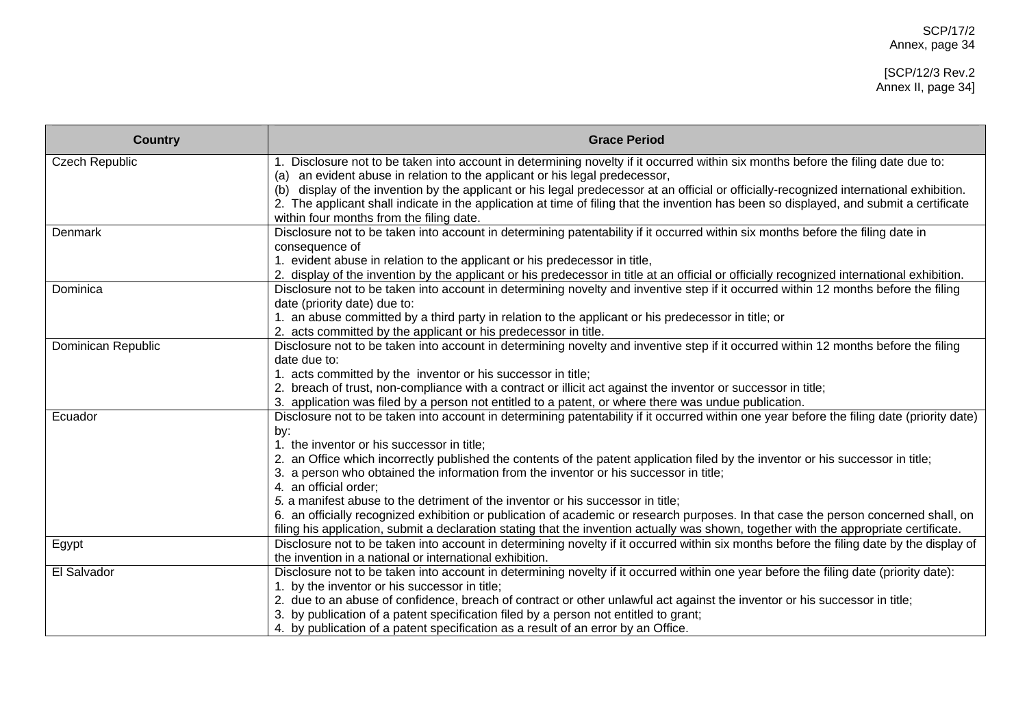| <b>Country</b>        | <b>Grace Period</b>                                                                                                                                                                                                 |
|-----------------------|---------------------------------------------------------------------------------------------------------------------------------------------------------------------------------------------------------------------|
| <b>Czech Republic</b> | 1. Disclosure not to be taken into account in determining novelty if it occurred within six months before the filing date due to:                                                                                   |
|                       | (a) an evident abuse in relation to the applicant or his legal predecessor,<br>display of the invention by the applicant or his legal predecessor at an official or officially-recognized international exhibition. |
|                       | (b)<br>2. The applicant shall indicate in the application at time of filing that the invention has been so displayed, and submit a certificate                                                                      |
|                       | within four months from the filing date.                                                                                                                                                                            |
| Denmark               | Disclosure not to be taken into account in determining patentability if it occurred within six months before the filing date in                                                                                     |
|                       | consequence of                                                                                                                                                                                                      |
|                       | 1. evident abuse in relation to the applicant or his predecessor in title,                                                                                                                                          |
|                       | 2. display of the invention by the applicant or his predecessor in title at an official or officially recognized international exhibition.                                                                          |
| Dominica              | Disclosure not to be taken into account in determining novelty and inventive step if it occurred within 12 months before the filing                                                                                 |
|                       | date (priority date) due to:<br>1. an abuse committed by a third party in relation to the applicant or his predecessor in title; or                                                                                 |
|                       | 2. acts committed by the applicant or his predecessor in title.                                                                                                                                                     |
| Dominican Republic    | Disclosure not to be taken into account in determining novelty and inventive step if it occurred within 12 months before the filing                                                                                 |
|                       | date due to:                                                                                                                                                                                                        |
|                       | 1. acts committed by the inventor or his successor in title;                                                                                                                                                        |
|                       | 2. breach of trust, non-compliance with a contract or illicit act against the inventor or successor in title;                                                                                                       |
|                       | 3. application was filed by a person not entitled to a patent, or where there was undue publication.                                                                                                                |
| Ecuador               | Disclosure not to be taken into account in determining patentability if it occurred within one year before the filing date (priority date)                                                                          |
|                       | by:                                                                                                                                                                                                                 |
|                       | 1. the inventor or his successor in title;                                                                                                                                                                          |
|                       | 2. an Office which incorrectly published the contents of the patent application filed by the inventor or his successor in title;                                                                                    |
|                       | 3. a person who obtained the information from the inventor or his successor in title;<br>4. an official order:                                                                                                      |
|                       | 5. a manifest abuse to the detriment of the inventor or his successor in title;                                                                                                                                     |
|                       | 6. an officially recognized exhibition or publication of academic or research purposes. In that case the person concerned shall, on                                                                                 |
|                       | filing his application, submit a declaration stating that the invention actually was shown, together with the appropriate certificate.                                                                              |
| Egypt                 | Disclosure not to be taken into account in determining novelty if it occurred within six months before the filing date by the display of                                                                            |
|                       | the invention in a national or international exhibition.                                                                                                                                                            |
| El Salvador           | Disclosure not to be taken into account in determining novelty if it occurred within one year before the filing date (priority date):                                                                               |
|                       | 1. by the inventor or his successor in title;                                                                                                                                                                       |
|                       | 2. due to an abuse of confidence, breach of contract or other unlawful act against the inventor or his successor in title;                                                                                          |
|                       | 3. by publication of a patent specification filed by a person not entitled to grant;                                                                                                                                |
|                       | 4. by publication of a patent specification as a result of an error by an Office.                                                                                                                                   |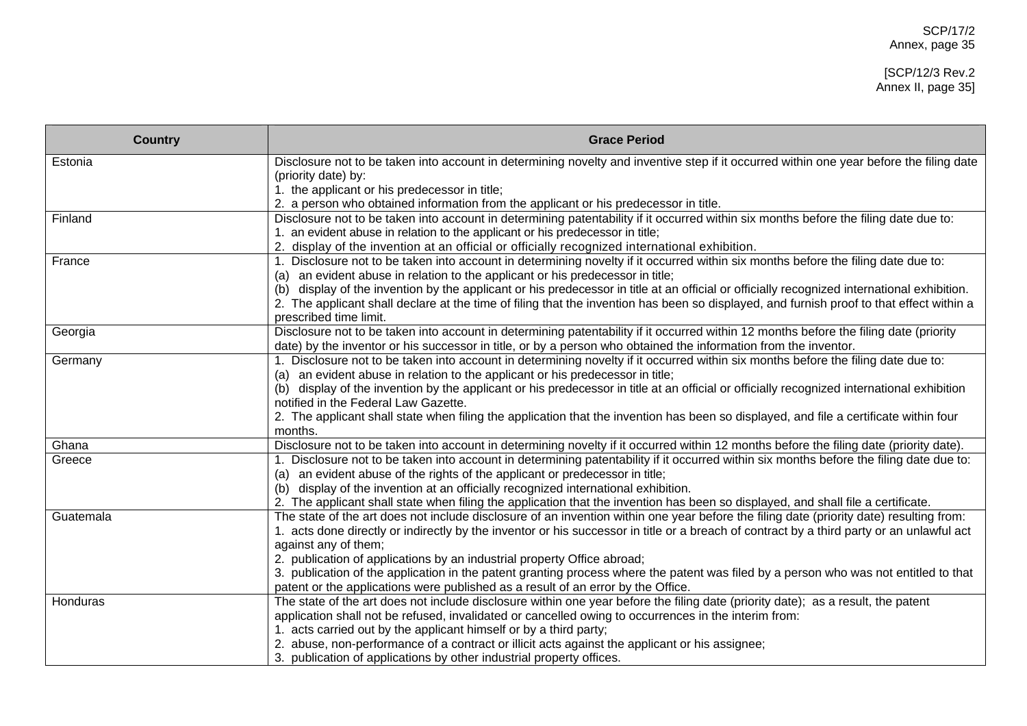#### [SCP/12/3 Rev.2 Annex II, page 35]

| <b>Country</b> | <b>Grace Period</b>                                                                                                                                                                                                       |
|----------------|---------------------------------------------------------------------------------------------------------------------------------------------------------------------------------------------------------------------------|
| Estonia        | Disclosure not to be taken into account in determining novelty and inventive step if it occurred within one year before the filing date                                                                                   |
|                | (priority date) by:                                                                                                                                                                                                       |
|                | 1. the applicant or his predecessor in title;                                                                                                                                                                             |
|                | 2. a person who obtained information from the applicant or his predecessor in title.                                                                                                                                      |
| Finland        | Disclosure not to be taken into account in determining patentability if it occurred within six months before the filing date due to:                                                                                      |
|                | 1. an evident abuse in relation to the applicant or his predecessor in title;                                                                                                                                             |
|                | 2. display of the invention at an official or officially recognized international exhibition.                                                                                                                             |
| France         | 1. Disclosure not to be taken into account in determining novelty if it occurred within six months before the filing date due to:                                                                                         |
|                | (a) an evident abuse in relation to the applicant or his predecessor in title;<br>display of the invention by the applicant or his predecessor in title at an official or officially recognized international exhibition. |
|                | (b)<br>2. The applicant shall declare at the time of filing that the invention has been so displayed, and furnish proof to that effect within a                                                                           |
|                | prescribed time limit.                                                                                                                                                                                                    |
| Georgia        | Disclosure not to be taken into account in determining patentability if it occurred within 12 months before the filing date (priority                                                                                     |
|                | date) by the inventor or his successor in title, or by a person who obtained the information from the inventor.                                                                                                           |
| Germany        | 1. Disclosure not to be taken into account in determining novelty if it occurred within six months before the filing date due to:                                                                                         |
|                | (a) an evident abuse in relation to the applicant or his predecessor in title;                                                                                                                                            |
|                | (b) display of the invention by the applicant or his predecessor in title at an official or officially recognized international exhibition                                                                                |
|                | notified in the Federal Law Gazette.                                                                                                                                                                                      |
|                | 2. The applicant shall state when filing the application that the invention has been so displayed, and file a certificate within four                                                                                     |
|                | months.                                                                                                                                                                                                                   |
| Ghana          | Disclosure not to be taken into account in determining novelty if it occurred within 12 months before the filing date (priority date).                                                                                    |
| Greece         | 1. Disclosure not to be taken into account in determining patentability if it occurred within six months before the filing date due to:                                                                                   |
|                | (a) an evident abuse of the rights of the applicant or predecessor in title;                                                                                                                                              |
|                | (b) display of the invention at an officially recognized international exhibition.                                                                                                                                        |
|                | 2. The applicant shall state when filing the application that the invention has been so displayed, and shall file a certificate.                                                                                          |
| Guatemala      | The state of the art does not include disclosure of an invention within one year before the filing date (priority date) resulting from:                                                                                   |
|                | 1. acts done directly or indirectly by the inventor or his successor in title or a breach of contract by a third party or an unlawful act                                                                                 |
|                | against any of them;                                                                                                                                                                                                      |
|                | 2. publication of applications by an industrial property Office abroad;                                                                                                                                                   |
|                | 3. publication of the application in the patent granting process where the patent was filed by a person who was not entitled to that                                                                                      |
|                | patent or the applications were published as a result of an error by the Office.                                                                                                                                          |
| Honduras       | The state of the art does not include disclosure within one year before the filing date (priority date); as a result, the patent                                                                                          |
|                | application shall not be refused, invalidated or cancelled owing to occurrences in the interim from:                                                                                                                      |
|                | 1. acts carried out by the applicant himself or by a third party;                                                                                                                                                         |
|                | 2. abuse, non-performance of a contract or illicit acts against the applicant or his assignee;                                                                                                                            |
|                | 3. publication of applications by other industrial property offices.                                                                                                                                                      |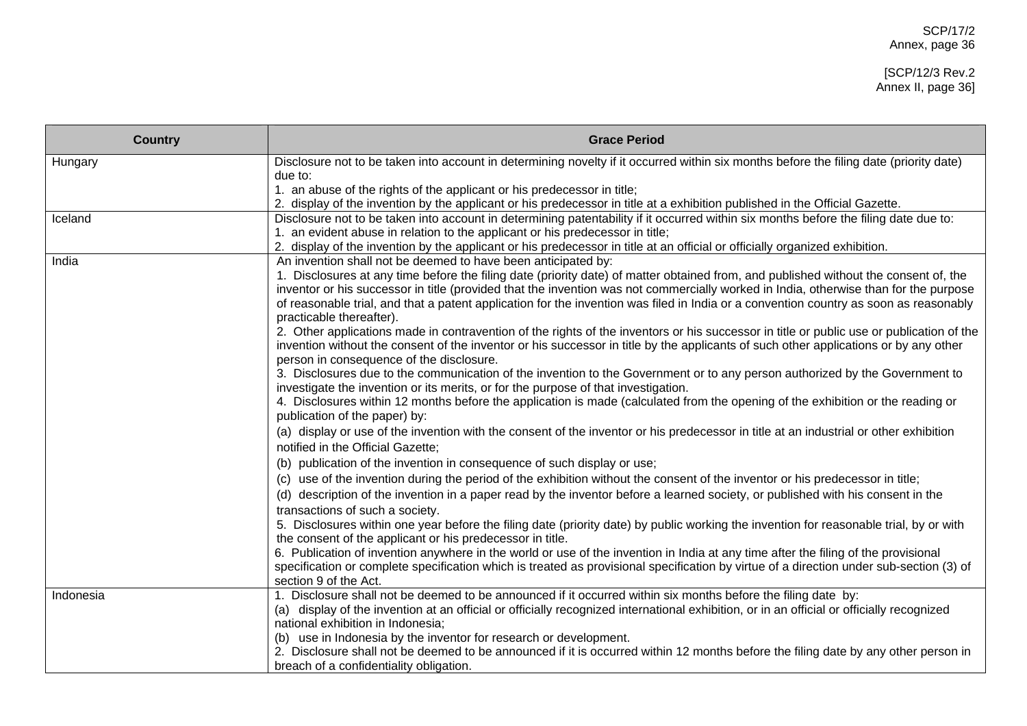| <b>Country</b> | <b>Grace Period</b>                                                                                                                                                                                                                                                              |
|----------------|----------------------------------------------------------------------------------------------------------------------------------------------------------------------------------------------------------------------------------------------------------------------------------|
| Hungary        | Disclosure not to be taken into account in determining novelty if it occurred within six months before the filing date (priority date)                                                                                                                                           |
|                | due to:                                                                                                                                                                                                                                                                          |
|                | 1. an abuse of the rights of the applicant or his predecessor in title;                                                                                                                                                                                                          |
| Iceland        | 2. display of the invention by the applicant or his predecessor in title at a exhibition published in the Official Gazette.<br>Disclosure not to be taken into account in determining patentability if it occurred within six months before the filing date due to:              |
|                | 1. an evident abuse in relation to the applicant or his predecessor in title;                                                                                                                                                                                                    |
|                | 2. display of the invention by the applicant or his predecessor in title at an official or officially organized exhibition.                                                                                                                                                      |
| India          | An invention shall not be deemed to have been anticipated by:                                                                                                                                                                                                                    |
|                | 1. Disclosures at any time before the filing date (priority date) of matter obtained from, and published without the consent of, the                                                                                                                                             |
|                | inventor or his successor in title (provided that the invention was not commercially worked in India, otherwise than for the purpose                                                                                                                                             |
|                | of reasonable trial, and that a patent application for the invention was filed in India or a convention country as soon as reasonably<br>practicable thereafter).                                                                                                                |
|                | 2. Other applications made in contravention of the rights of the inventors or his successor in title or public use or publication of the<br>invention without the consent of the inventor or his successor in title by the applicants of such other applications or by any other |
|                | person in consequence of the disclosure.<br>3. Disclosures due to the communication of the invention to the Government or to any person authorized by the Government to                                                                                                          |
|                | investigate the invention or its merits, or for the purpose of that investigation.                                                                                                                                                                                               |
|                | 4. Disclosures within 12 months before the application is made (calculated from the opening of the exhibition or the reading or<br>publication of the paper) by:                                                                                                                 |
|                | (a) display or use of the invention with the consent of the inventor or his predecessor in title at an industrial or other exhibition                                                                                                                                            |
|                | notified in the Official Gazette;                                                                                                                                                                                                                                                |
|                | (b) publication of the invention in consequence of such display or use;                                                                                                                                                                                                          |
|                | (c) use of the invention during the period of the exhibition without the consent of the inventor or his predecessor in title;                                                                                                                                                    |
|                | (d) description of the invention in a paper read by the inventor before a learned society, or published with his consent in the<br>transactions of such a society.                                                                                                               |
|                | 5. Disclosures within one year before the filing date (priority date) by public working the invention for reasonable trial, by or with                                                                                                                                           |
|                | the consent of the applicant or his predecessor in title.                                                                                                                                                                                                                        |
|                | 6. Publication of invention anywhere in the world or use of the invention in India at any time after the filing of the provisional                                                                                                                                               |
|                | specification or complete specification which is treated as provisional specification by virtue of a direction under sub-section (3) of                                                                                                                                          |
|                | section 9 of the Act.                                                                                                                                                                                                                                                            |
| Indonesia      | 1. Disclosure shall not be deemed to be announced if it occurred within six months before the filing date by:                                                                                                                                                                    |
|                | (a) display of the invention at an official or officially recognized international exhibition, or in an official or officially recognized                                                                                                                                        |
|                | national exhibition in Indonesia;                                                                                                                                                                                                                                                |
|                | (b) use in Indonesia by the inventor for research or development.<br>2. Disclosure shall not be deemed to be announced if it is occurred within 12 months before the filing date by any other person in                                                                          |
|                | breach of a confidentiality obligation.                                                                                                                                                                                                                                          |
|                |                                                                                                                                                                                                                                                                                  |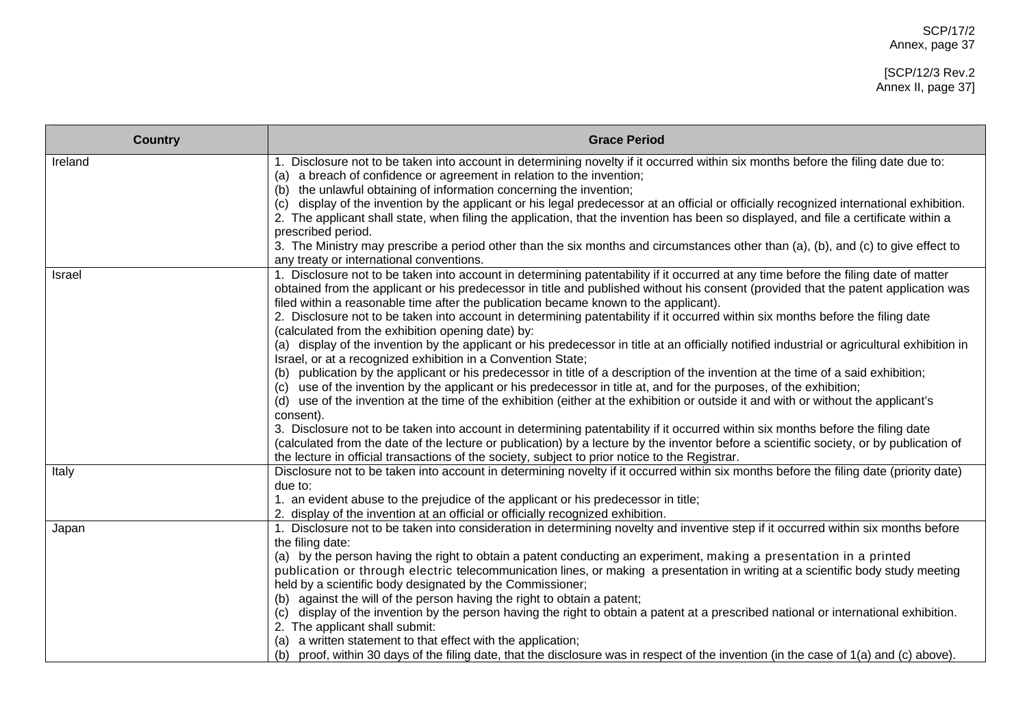| <b>Country</b> | <b>Grace Period</b>                                                                                                                                                                                                                                                                                                                                                                                                                                                                                                                                                                                                                                                                                                                                                                                                                                                                                                                                                                                                                                                                                                                                                                                                                                                                                                                                                                                                                                                                                                                                                        |
|----------------|----------------------------------------------------------------------------------------------------------------------------------------------------------------------------------------------------------------------------------------------------------------------------------------------------------------------------------------------------------------------------------------------------------------------------------------------------------------------------------------------------------------------------------------------------------------------------------------------------------------------------------------------------------------------------------------------------------------------------------------------------------------------------------------------------------------------------------------------------------------------------------------------------------------------------------------------------------------------------------------------------------------------------------------------------------------------------------------------------------------------------------------------------------------------------------------------------------------------------------------------------------------------------------------------------------------------------------------------------------------------------------------------------------------------------------------------------------------------------------------------------------------------------------------------------------------------------|
| Ireland        | 1. Disclosure not to be taken into account in determining novelty if it occurred within six months before the filing date due to:<br>(a) a breach of confidence or agreement in relation to the invention;<br>(b) the unlawful obtaining of information concerning the invention;<br>(c) display of the invention by the applicant or his legal predecessor at an official or officially recognized international exhibition.<br>2. The applicant shall state, when filing the application, that the invention has been so displayed, and file a certificate within a<br>prescribed period.<br>3. The Ministry may prescribe a period other than the six months and circumstances other than (a), (b), and (c) to give effect to<br>any treaty or international conventions.                                                                                                                                                                                                                                                                                                                                                                                                                                                                                                                                                                                                                                                                                                                                                                                               |
| Israel         | 1. Disclosure not to be taken into account in determining patentability if it occurred at any time before the filing date of matter<br>obtained from the applicant or his predecessor in title and published without his consent (provided that the patent application was<br>filed within a reasonable time after the publication became known to the applicant).<br>2. Disclosure not to be taken into account in determining patentability if it occurred within six months before the filing date<br>(calculated from the exhibition opening date) by:<br>(a) display of the invention by the applicant or his predecessor in title at an officially notified industrial or agricultural exhibition in<br>Israel, or at a recognized exhibition in a Convention State;<br>(b) publication by the applicant or his predecessor in title of a description of the invention at the time of a said exhibition;<br>use of the invention by the applicant or his predecessor in title at, and for the purposes, of the exhibition;<br>(c)<br>(d) use of the invention at the time of the exhibition (either at the exhibition or outside it and with or without the applicant's<br>consent).<br>3. Disclosure not to be taken into account in determining patentability if it occurred within six months before the filing date<br>(calculated from the date of the lecture or publication) by a lecture by the inventor before a scientific society, or by publication of<br>the lecture in official transactions of the society, subject to prior notice to the Registrar. |
| Italy          | Disclosure not to be taken into account in determining novelty if it occurred within six months before the filing date (priority date)<br>due to:<br>1. an evident abuse to the prejudice of the applicant or his predecessor in title;<br>2. display of the invention at an official or officially recognized exhibition.                                                                                                                                                                                                                                                                                                                                                                                                                                                                                                                                                                                                                                                                                                                                                                                                                                                                                                                                                                                                                                                                                                                                                                                                                                                 |
| Japan          | 1. Disclosure not to be taken into consideration in determining novelty and inventive step if it occurred within six months before<br>the filing date:<br>(a) by the person having the right to obtain a patent conducting an experiment, making a presentation in a printed<br>publication or through electric telecommunication lines, or making a presentation in writing at a scientific body study meeting<br>held by a scientific body designated by the Commissioner;<br>(b) against the will of the person having the right to obtain a patent;<br>display of the invention by the person having the right to obtain a patent at a prescribed national or international exhibition.<br>(c)<br>2. The applicant shall submit:<br>a written statement to that effect with the application;<br>(a)<br>(b) proof, within 30 days of the filing date, that the disclosure was in respect of the invention (in the case of 1(a) and (c) above).                                                                                                                                                                                                                                                                                                                                                                                                                                                                                                                                                                                                                          |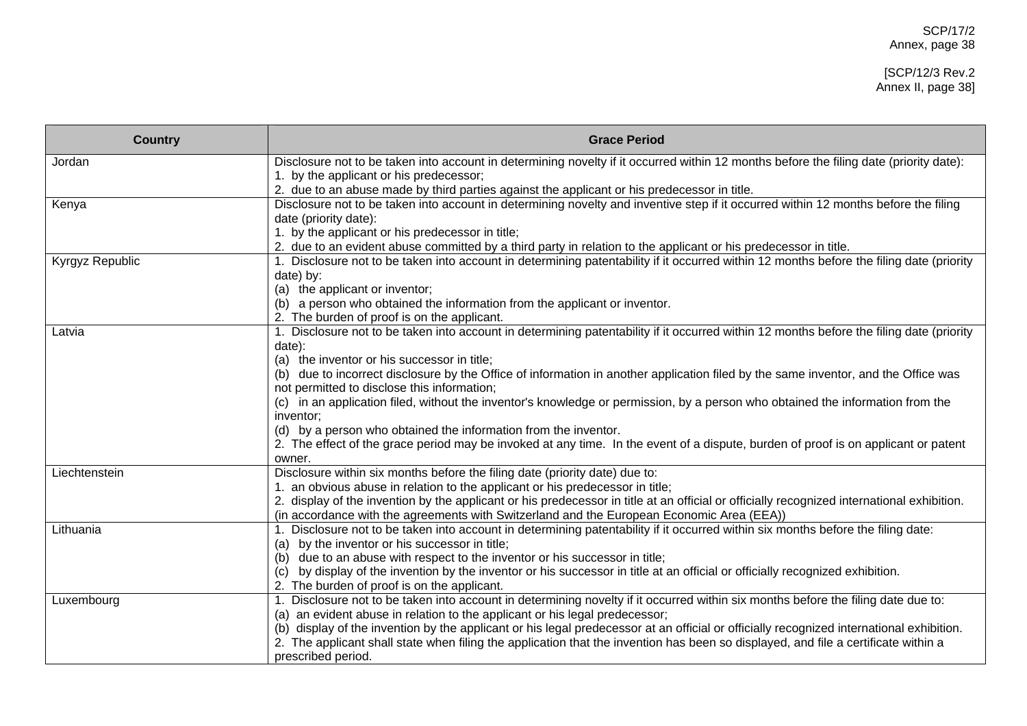#### [SCP/12/3 Rev.2 Annex II, page 38]

| <b>Country</b>  | <b>Grace Period</b>                                                                                                                                                               |
|-----------------|-----------------------------------------------------------------------------------------------------------------------------------------------------------------------------------|
| Jordan          | Disclosure not to be taken into account in determining novelty if it occurred within 12 months before the filing date (priority date):                                            |
|                 | 1. by the applicant or his predecessor;                                                                                                                                           |
|                 | 2. due to an abuse made by third parties against the applicant or his predecessor in title.                                                                                       |
| Kenya           | Disclosure not to be taken into account in determining novelty and inventive step if it occurred within 12 months before the filing                                               |
|                 | date (priority date):                                                                                                                                                             |
|                 | 1. by the applicant or his predecessor in title;                                                                                                                                  |
|                 | 2. due to an evident abuse committed by a third party in relation to the applicant or his predecessor in title.                                                                   |
| Kyrgyz Republic | 1. Disclosure not to be taken into account in determining patentability if it occurred within 12 months before the filing date (priority                                          |
|                 | date) by:                                                                                                                                                                         |
|                 | (a) the applicant or inventor;                                                                                                                                                    |
|                 | (b) a person who obtained the information from the applicant or inventor.                                                                                                         |
|                 | 2. The burden of proof is on the applicant.                                                                                                                                       |
| Latvia          | 1. Disclosure not to be taken into account in determining patentability if it occurred within 12 months before the filing date (priority                                          |
|                 | date):<br>(a) the inventor or his successor in title;                                                                                                                             |
|                 |                                                                                                                                                                                   |
|                 | (b) due to incorrect disclosure by the Office of information in another application filed by the same inventor, and the Office was<br>not permitted to disclose this information; |
|                 | (c) in an application filed, without the inventor's knowledge or permission, by a person who obtained the information from the                                                    |
|                 | inventor:                                                                                                                                                                         |
|                 | (d) by a person who obtained the information from the inventor.                                                                                                                   |
|                 | 2. The effect of the grace period may be invoked at any time. In the event of a dispute, burden of proof is on applicant or patent                                                |
|                 | owner.                                                                                                                                                                            |
| Liechtenstein   | Disclosure within six months before the filing date (priority date) due to:                                                                                                       |
|                 | 1. an obvious abuse in relation to the applicant or his predecessor in title;                                                                                                     |
|                 | 2. display of the invention by the applicant or his predecessor in title at an official or officially recognized international exhibition.                                        |
|                 | (in accordance with the agreements with Switzerland and the European Economic Area (EEA))                                                                                         |
| Lithuania       | 1. Disclosure not to be taken into account in determining patentability if it occurred within six months before the filing date:                                                  |
|                 | (a) by the inventor or his successor in title;                                                                                                                                    |
|                 | (b) due to an abuse with respect to the inventor or his successor in title;                                                                                                       |
|                 | by display of the invention by the inventor or his successor in title at an official or officially recognized exhibition.<br>(c)                                                  |
|                 | 2. The burden of proof is on the applicant.                                                                                                                                       |
| Luxembourg      | 1. Disclosure not to be taken into account in determining novelty if it occurred within six months before the filing date due to:                                                 |
|                 | (a) an evident abuse in relation to the applicant or his legal predecessor;                                                                                                       |
|                 | (b) display of the invention by the applicant or his legal predecessor at an official or officially recognized international exhibition.                                          |
|                 | 2. The applicant shall state when filing the application that the invention has been so displayed, and file a certificate within a                                                |
|                 | prescribed period.                                                                                                                                                                |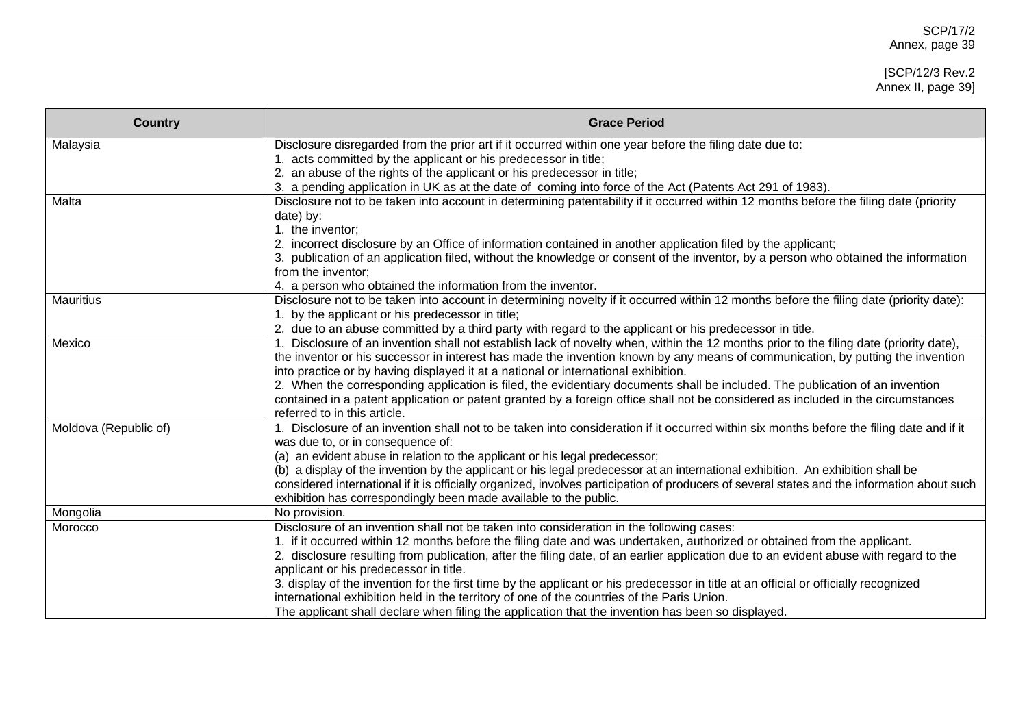#### [SCP/12/3 Rev.2 Annex II, page 39]

| <b>Country</b>        | <b>Grace Period</b>                                                                                                                                                                                                                                               |
|-----------------------|-------------------------------------------------------------------------------------------------------------------------------------------------------------------------------------------------------------------------------------------------------------------|
| Malaysia              | Disclosure disregarded from the prior art if it occurred within one year before the filing date due to:                                                                                                                                                           |
|                       | 1. acts committed by the applicant or his predecessor in title;                                                                                                                                                                                                   |
|                       | 2. an abuse of the rights of the applicant or his predecessor in title;                                                                                                                                                                                           |
|                       | 3. a pending application in UK as at the date of coming into force of the Act (Patents Act 291 of 1983).                                                                                                                                                          |
| Malta                 | Disclosure not to be taken into account in determining patentability if it occurred within 12 months before the filing date (priority                                                                                                                             |
|                       | date) by:                                                                                                                                                                                                                                                         |
|                       | 1. the inventor;                                                                                                                                                                                                                                                  |
|                       | 2. incorrect disclosure by an Office of information contained in another application filed by the applicant;                                                                                                                                                      |
|                       | 3. publication of an application filed, without the knowledge or consent of the inventor, by a person who obtained the information                                                                                                                                |
|                       | from the inventor;                                                                                                                                                                                                                                                |
|                       | 4. a person who obtained the information from the inventor.                                                                                                                                                                                                       |
| <b>Mauritius</b>      | Disclosure not to be taken into account in determining novelty if it occurred within 12 months before the filing date (priority date):                                                                                                                            |
|                       | 1. by the applicant or his predecessor in title;                                                                                                                                                                                                                  |
|                       | 2. due to an abuse committed by a third party with regard to the applicant or his predecessor in title.                                                                                                                                                           |
| Mexico                | 1. Disclosure of an invention shall not establish lack of novelty when, within the 12 months prior to the filing date (priority date),                                                                                                                            |
|                       | the inventor or his successor in interest has made the invention known by any means of communication, by putting the invention                                                                                                                                    |
|                       | into practice or by having displayed it at a national or international exhibition.                                                                                                                                                                                |
|                       | 2. When the corresponding application is filed, the evidentiary documents shall be included. The publication of an invention                                                                                                                                      |
|                       | contained in a patent application or patent granted by a foreign office shall not be considered as included in the circumstances<br>referred to in this article.                                                                                                  |
|                       |                                                                                                                                                                                                                                                                   |
| Moldova (Republic of) | 1. Disclosure of an invention shall not to be taken into consideration if it occurred within six months before the filing date and if it                                                                                                                          |
|                       | was due to, or in consequence of:                                                                                                                                                                                                                                 |
|                       | (a) an evident abuse in relation to the applicant or his legal predecessor;                                                                                                                                                                                       |
|                       | (b) a display of the invention by the applicant or his legal predecessor at an international exhibition. An exhibition shall be                                                                                                                                   |
|                       | considered international if it is officially organized, involves participation of producers of several states and the information about such<br>exhibition has correspondingly been made available to the public.                                                 |
|                       |                                                                                                                                                                                                                                                                   |
| Mongolia              | No provision.                                                                                                                                                                                                                                                     |
| Morocco               | Disclosure of an invention shall not be taken into consideration in the following cases:                                                                                                                                                                          |
|                       | 1. if it occurred within 12 months before the filing date and was undertaken, authorized or obtained from the applicant.<br>2. disclosure resulting from publication, after the filing date, of an earlier application due to an evident abuse with regard to the |
|                       | applicant or his predecessor in title.                                                                                                                                                                                                                            |
|                       | 3. display of the invention for the first time by the applicant or his predecessor in title at an official or officially recognized                                                                                                                               |
|                       | international exhibition held in the territory of one of the countries of the Paris Union.                                                                                                                                                                        |
|                       | The applicant shall declare when filing the application that the invention has been so displayed.                                                                                                                                                                 |
|                       |                                                                                                                                                                                                                                                                   |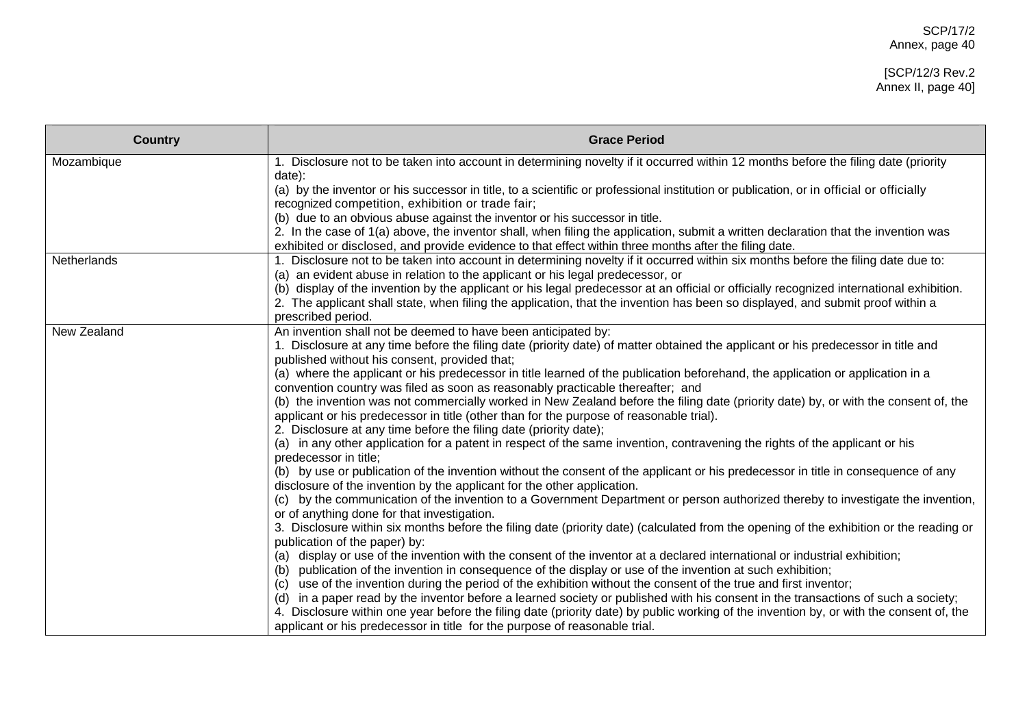| <b>Country</b> | <b>Grace Period</b>                                                                                                                                                                                                                                                                                 |
|----------------|-----------------------------------------------------------------------------------------------------------------------------------------------------------------------------------------------------------------------------------------------------------------------------------------------------|
| Mozambique     | 1. Disclosure not to be taken into account in determining novelty if it occurred within 12 months before the filing date (priority                                                                                                                                                                  |
|                | date):<br>(a) by the inventor or his successor in title, to a scientific or professional institution or publication, or in official or officially<br>recognized competition, exhibition or trade fair;                                                                                              |
|                | (b) due to an obvious abuse against the inventor or his successor in title.                                                                                                                                                                                                                         |
|                | 2. In the case of 1(a) above, the inventor shall, when filing the application, submit a written declaration that the invention was<br>exhibited or disclosed, and provide evidence to that effect within three months after the filing date.                                                        |
| Netherlands    | 1. Disclosure not to be taken into account in determining novelty if it occurred within six months before the filing date due to:                                                                                                                                                                   |
|                | (a) an evident abuse in relation to the applicant or his legal predecessor, or                                                                                                                                                                                                                      |
|                | (b) display of the invention by the applicant or his legal predecessor at an official or officially recognized international exhibition.                                                                                                                                                            |
|                | 2. The applicant shall state, when filing the application, that the invention has been so displayed, and submit proof within a<br>prescribed period.                                                                                                                                                |
| New Zealand    | An invention shall not be deemed to have been anticipated by:                                                                                                                                                                                                                                       |
|                | 1. Disclosure at any time before the filing date (priority date) of matter obtained the applicant or his predecessor in title and                                                                                                                                                                   |
|                | published without his consent, provided that;                                                                                                                                                                                                                                                       |
|                | (a) where the applicant or his predecessor in title learned of the publication beforehand, the application or application in a<br>convention country was filed as soon as reasonably practicable thereafter; and                                                                                    |
|                | (b) the invention was not commercially worked in New Zealand before the filing date (priority date) by, or with the consent of, the<br>applicant or his predecessor in title (other than for the purpose of reasonable trial).<br>2. Disclosure at any time before the filing date (priority date); |
|                | (a) in any other application for a patent in respect of the same invention, contravening the rights of the applicant or his                                                                                                                                                                         |
|                | predecessor in title;                                                                                                                                                                                                                                                                               |
|                | (b) by use or publication of the invention without the consent of the applicant or his predecessor in title in consequence of any<br>disclosure of the invention by the applicant for the other application.                                                                                        |
|                | (c) by the communication of the invention to a Government Department or person authorized thereby to investigate the invention,<br>or of anything done for that investigation.                                                                                                                      |
|                | 3. Disclosure within six months before the filing date (priority date) (calculated from the opening of the exhibition or the reading or<br>publication of the paper) by:                                                                                                                            |
|                | (a) display or use of the invention with the consent of the inventor at a declared international or industrial exhibition;                                                                                                                                                                          |
|                | publication of the invention in consequence of the display or use of the invention at such exhibition;                                                                                                                                                                                              |
|                | use of the invention during the period of the exhibition without the consent of the true and first inventor;<br>(C)                                                                                                                                                                                 |
|                | in a paper read by the inventor before a learned society or published with his consent in the transactions of such a society;<br>(d)                                                                                                                                                                |
|                | 4. Disclosure within one year before the filing date (priority date) by public working of the invention by, or with the consent of, the                                                                                                                                                             |
|                | applicant or his predecessor in title for the purpose of reasonable trial.                                                                                                                                                                                                                          |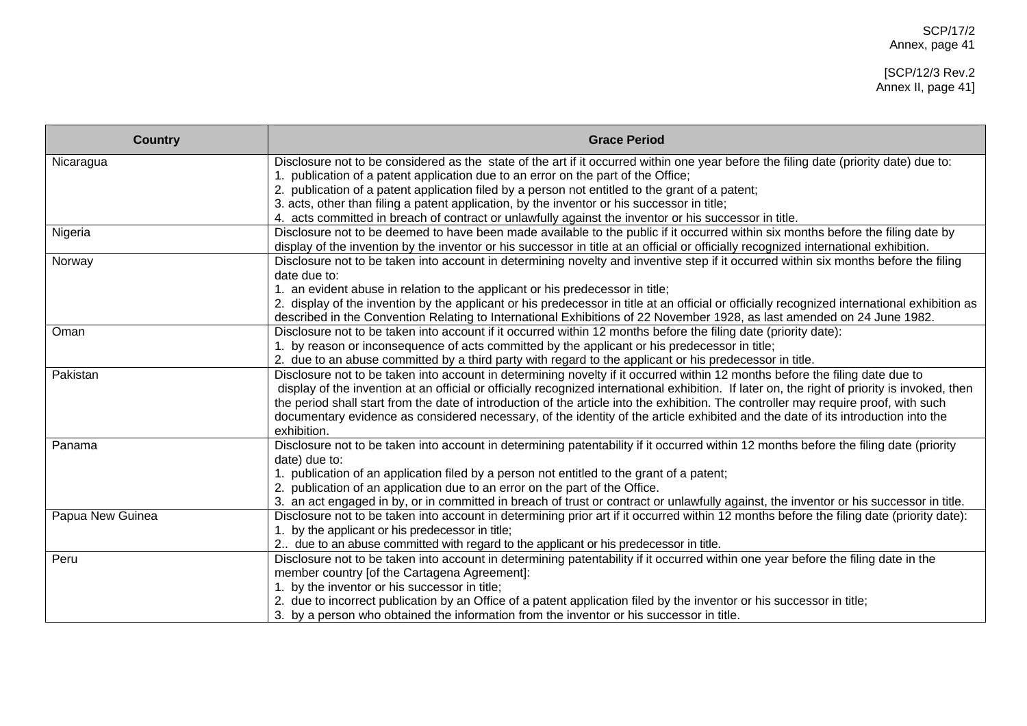#### [SCP/12/3 Rev.2 Annex II, page 41]

| <b>Country</b>   | <b>Grace Period</b>                                                                                                                            |
|------------------|------------------------------------------------------------------------------------------------------------------------------------------------|
| Nicaragua        | Disclosure not to be considered as the state of the art if it occurred within one year before the filing date (priority date) due to:          |
|                  | 1. publication of a patent application due to an error on the part of the Office;                                                              |
|                  | 2. publication of a patent application filed by a person not entitled to the grant of a patent;                                                |
|                  | 3. acts, other than filing a patent application, by the inventor or his successor in title;                                                    |
|                  | 4. acts committed in breach of contract or unlawfully against the inventor or his successor in title.                                          |
| Nigeria          | Disclosure not to be deemed to have been made available to the public if it occurred within six months before the filing date by               |
|                  | display of the invention by the inventor or his successor in title at an official or officially recognized international exhibition.           |
| Norway           | Disclosure not to be taken into account in determining novelty and inventive step if it occurred within six months before the filing           |
|                  | date due to:                                                                                                                                   |
|                  | 1. an evident abuse in relation to the applicant or his predecessor in title;                                                                  |
|                  | 2. display of the invention by the applicant or his predecessor in title at an official or officially recognized international exhibition as   |
|                  | described in the Convention Relating to International Exhibitions of 22 November 1928, as last amended on 24 June 1982.                        |
| Oman             | Disclosure not to be taken into account if it occurred within 12 months before the filing date (priority date):                                |
|                  | 1. by reason or inconsequence of acts committed by the applicant or his predecessor in title;                                                  |
|                  | 2. due to an abuse committed by a third party with regard to the applicant or his predecessor in title.                                        |
| Pakistan         | Disclosure not to be taken into account in determining novelty if it occurred within 12 months before the filing date due to                   |
|                  | display of the invention at an official or officially recognized international exhibition. If later on, the right of priority is invoked, then |
|                  | the period shall start from the date of introduction of the article into the exhibition. The controller may require proof, with such           |
|                  | documentary evidence as considered necessary, of the identity of the article exhibited and the date of its introduction into the               |
|                  | exhibition.                                                                                                                                    |
| Panama           | Disclosure not to be taken into account in determining patentability if it occurred within 12 months before the filing date (priority          |
|                  | date) due to:                                                                                                                                  |
|                  | 1. publication of an application filed by a person not entitled to the grant of a patent;                                                      |
|                  | 2. publication of an application due to an error on the part of the Office.                                                                    |
|                  | 3. an act engaged in by, or in committed in breach of trust or contract or unlawfully against, the inventor or his successor in title.         |
| Papua New Guinea | Disclosure not to be taken into account in determining prior art if it occurred within 12 months before the filing date (priority date):       |
|                  | 1. by the applicant or his predecessor in title;                                                                                               |
|                  | 2 due to an abuse committed with regard to the applicant or his predecessor in title.                                                          |
| Peru             | Disclosure not to be taken into account in determining patentability if it occurred within one year before the filing date in the              |
|                  | member country [of the Cartagena Agreement]:                                                                                                   |
|                  | 1. by the inventor or his successor in title;                                                                                                  |
|                  | 2. due to incorrect publication by an Office of a patent application filed by the inventor or his successor in title;                          |
|                  | 3. by a person who obtained the information from the inventor or his successor in title.                                                       |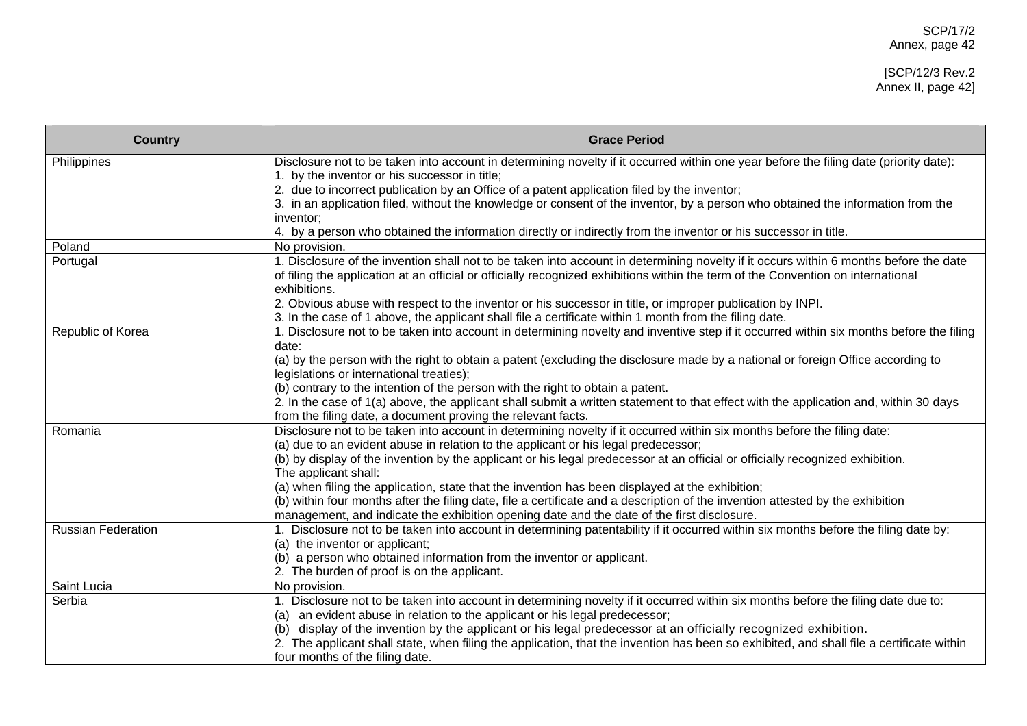| <b>Country</b>            | <b>Grace Period</b>                                                                                                                                                                                                                                                       |
|---------------------------|---------------------------------------------------------------------------------------------------------------------------------------------------------------------------------------------------------------------------------------------------------------------------|
| Philippines               | Disclosure not to be taken into account in determining novelty if it occurred within one year before the filing date (priority date):                                                                                                                                     |
|                           | 1. by the inventor or his successor in title;                                                                                                                                                                                                                             |
|                           | 2. due to incorrect publication by an Office of a patent application filed by the inventor;                                                                                                                                                                               |
|                           | 3. in an application filed, without the knowledge or consent of the inventor, by a person who obtained the information from the                                                                                                                                           |
|                           | inventor;                                                                                                                                                                                                                                                                 |
| Poland                    | 4. by a person who obtained the information directly or indirectly from the inventor or his successor in title.<br>No provision.                                                                                                                                          |
| Portugal                  |                                                                                                                                                                                                                                                                           |
|                           | 1. Disclosure of the invention shall not to be taken into account in determining novelty if it occurs within 6 months before the date<br>of filing the application at an official or officially recognized exhibitions within the term of the Convention on international |
|                           | exhibitions.                                                                                                                                                                                                                                                              |
|                           | 2. Obvious abuse with respect to the inventor or his successor in title, or improper publication by INPI.                                                                                                                                                                 |
|                           | 3. In the case of 1 above, the applicant shall file a certificate within 1 month from the filing date.                                                                                                                                                                    |
| Republic of Korea         | 1. Disclosure not to be taken into account in determining novelty and inventive step if it occurred within six months before the filing                                                                                                                                   |
|                           | date:                                                                                                                                                                                                                                                                     |
|                           | (a) by the person with the right to obtain a patent (excluding the disclosure made by a national or foreign Office according to                                                                                                                                           |
|                           | legislations or international treaties);                                                                                                                                                                                                                                  |
|                           | (b) contrary to the intention of the person with the right to obtain a patent.                                                                                                                                                                                            |
|                           | 2. In the case of 1(a) above, the applicant shall submit a written statement to that effect with the application and, within 30 days                                                                                                                                      |
|                           | from the filing date, a document proving the relevant facts.                                                                                                                                                                                                              |
| Romania                   | Disclosure not to be taken into account in determining novelty if it occurred within six months before the filing date:                                                                                                                                                   |
|                           | (a) due to an evident abuse in relation to the applicant or his legal predecessor;                                                                                                                                                                                        |
|                           | (b) by display of the invention by the applicant or his legal predecessor at an official or officially recognized exhibition.                                                                                                                                             |
|                           | The applicant shall:                                                                                                                                                                                                                                                      |
|                           | (a) when filing the application, state that the invention has been displayed at the exhibition;                                                                                                                                                                           |
|                           | (b) within four months after the filing date, file a certificate and a description of the invention attested by the exhibition                                                                                                                                            |
|                           | management, and indicate the exhibition opening date and the date of the first disclosure.                                                                                                                                                                                |
| <b>Russian Federation</b> | 1. Disclosure not to be taken into account in determining patentability if it occurred within six months before the filing date by:                                                                                                                                       |
|                           | (a) the inventor or applicant;                                                                                                                                                                                                                                            |
|                           | (b) a person who obtained information from the inventor or applicant.                                                                                                                                                                                                     |
|                           | 2. The burden of proof is on the applicant.                                                                                                                                                                                                                               |
| Saint Lucia               | No provision.                                                                                                                                                                                                                                                             |
| Serbia                    | 1. Disclosure not to be taken into account in determining novelty if it occurred within six months before the filing date due to:                                                                                                                                         |
|                           | an evident abuse in relation to the applicant or his legal predecessor;<br>(a)                                                                                                                                                                                            |
|                           | display of the invention by the applicant or his legal predecessor at an officially recognized exhibition.<br>(b)                                                                                                                                                         |
|                           | 2. The applicant shall state, when filing the application, that the invention has been so exhibited, and shall file a certificate within                                                                                                                                  |
|                           | four months of the filing date.                                                                                                                                                                                                                                           |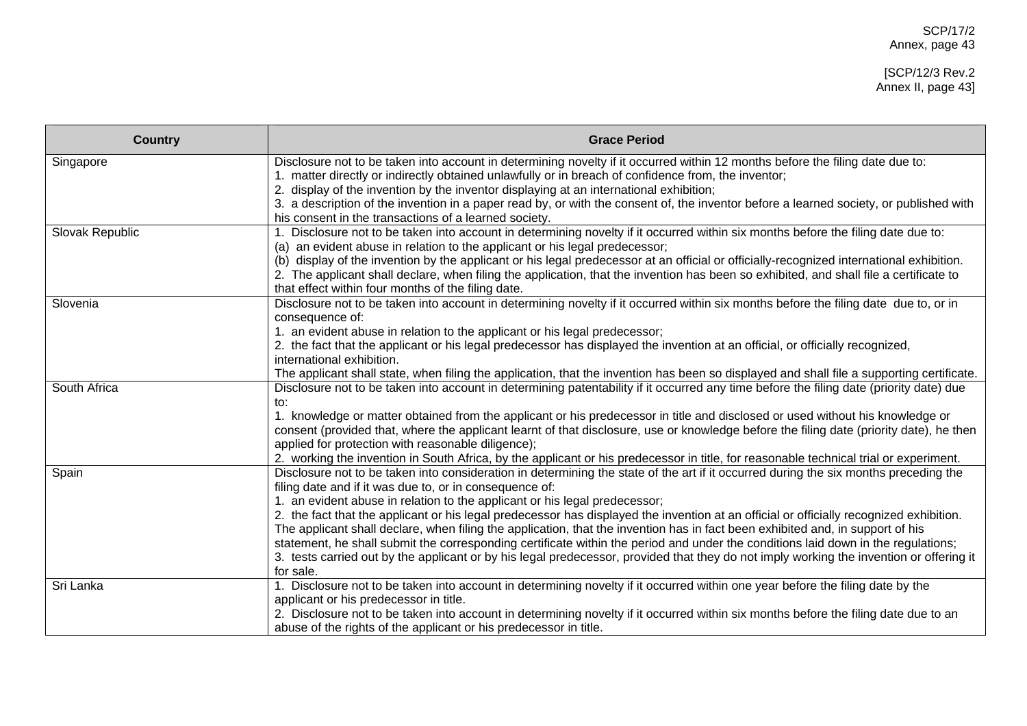| <b>Country</b>  | <b>Grace Period</b>                                                                                                                                                                                              |
|-----------------|------------------------------------------------------------------------------------------------------------------------------------------------------------------------------------------------------------------|
| Singapore       | Disclosure not to be taken into account in determining novelty if it occurred within 12 months before the filing date due to:                                                                                    |
|                 | 1. matter directly or indirectly obtained unlawfully or in breach of confidence from, the inventor;                                                                                                              |
|                 | 2. display of the invention by the inventor displaying at an international exhibition;                                                                                                                           |
|                 | 3. a description of the invention in a paper read by, or with the consent of, the inventor before a learned society, or published with                                                                           |
|                 | his consent in the transactions of a learned society.                                                                                                                                                            |
| Slovak Republic | 1. Disclosure not to be taken into account in determining novelty if it occurred within six months before the filing date due to:<br>(a) an evident abuse in relation to the applicant or his legal predecessor; |
|                 | (b) display of the invention by the applicant or his legal predecessor at an official or officially-recognized international exhibition.                                                                         |
|                 | 2. The applicant shall declare, when filing the application, that the invention has been so exhibited, and shall file a certificate to                                                                           |
|                 | that effect within four months of the filing date.                                                                                                                                                               |
| Slovenia        | Disclosure not to be taken into account in determining novelty if it occurred within six months before the filing date due to, or in                                                                             |
|                 | consequence of:                                                                                                                                                                                                  |
|                 | 1. an evident abuse in relation to the applicant or his legal predecessor;                                                                                                                                       |
|                 | 2. the fact that the applicant or his legal predecessor has displayed the invention at an official, or officially recognized,                                                                                    |
|                 | international exhibition.                                                                                                                                                                                        |
|                 | The applicant shall state, when filing the application, that the invention has been so displayed and shall file a supporting certificate.                                                                        |
| South Africa    | Disclosure not to be taken into account in determining patentability if it occurred any time before the filing date (priority date) due                                                                          |
|                 | to:<br>1. knowledge or matter obtained from the applicant or his predecessor in title and disclosed or used without his knowledge or                                                                             |
|                 | consent (provided that, where the applicant learnt of that disclosure, use or knowledge before the filing date (priority date), he then                                                                          |
|                 | applied for protection with reasonable diligence);                                                                                                                                                               |
|                 | 2. working the invention in South Africa, by the applicant or his predecessor in title, for reasonable technical trial or experiment.                                                                            |
| Spain           | Disclosure not to be taken into consideration in determining the state of the art if it occurred during the six months preceding the                                                                             |
|                 | filing date and if it was due to, or in consequence of:                                                                                                                                                          |
|                 | 1. an evident abuse in relation to the applicant or his legal predecessor;                                                                                                                                       |
|                 | 2. the fact that the applicant or his legal predecessor has displayed the invention at an official or officially recognized exhibition.                                                                          |
|                 | The applicant shall declare, when filing the application, that the invention has in fact been exhibited and, in support of his                                                                                   |
|                 | statement, he shall submit the corresponding certificate within the period and under the conditions laid down in the regulations;                                                                                |
|                 | 3. tests carried out by the applicant or by his legal predecessor, provided that they do not imply working the invention or offering it                                                                          |
|                 | for sale.                                                                                                                                                                                                        |
| Sri Lanka       | Disclosure not to be taken into account in determining novelty if it occurred within one year before the filing date by the                                                                                      |
|                 | applicant or his predecessor in title.                                                                                                                                                                           |
|                 | 2. Disclosure not to be taken into account in determining novelty if it occurred within six months before the filing date due to an                                                                              |
|                 | abuse of the rights of the applicant or his predecessor in title.                                                                                                                                                |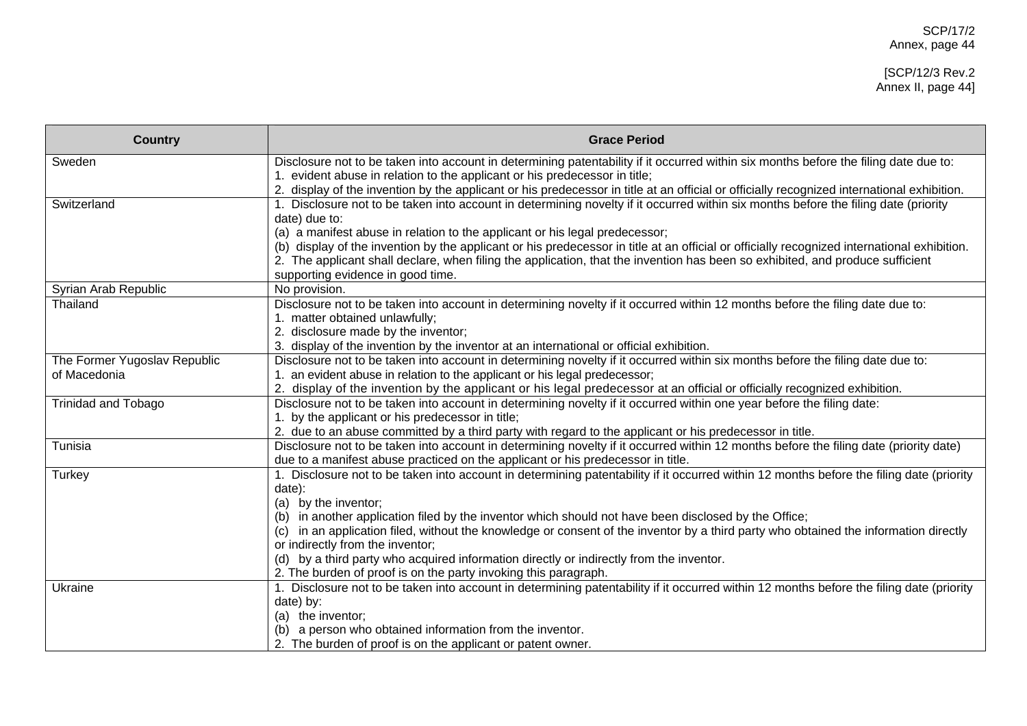| <b>Country</b>                               | <b>Grace Period</b>                                                                                                                                                                                                   |
|----------------------------------------------|-----------------------------------------------------------------------------------------------------------------------------------------------------------------------------------------------------------------------|
| Sweden                                       | Disclosure not to be taken into account in determining patentability if it occurred within six months before the filing date due to:                                                                                  |
|                                              | evident abuse in relation to the applicant or his predecessor in title;<br>2. display of the invention by the applicant or his predecessor in title at an official or officially recognized international exhibition. |
| Switzerland                                  | 1. Disclosure not to be taken into account in determining novelty if it occurred within six months before the filing date (priority                                                                                   |
|                                              | date) due to:                                                                                                                                                                                                         |
|                                              | (a) a manifest abuse in relation to the applicant or his legal predecessor;                                                                                                                                           |
|                                              | (b) display of the invention by the applicant or his predecessor in title at an official or officially recognized international exhibition.                                                                           |
|                                              | 2. The applicant shall declare, when filing the application, that the invention has been so exhibited, and produce sufficient                                                                                         |
|                                              | supporting evidence in good time.                                                                                                                                                                                     |
| Syrian Arab Republic                         | No provision.                                                                                                                                                                                                         |
| Thailand                                     | Disclosure not to be taken into account in determining novelty if it occurred within 12 months before the filing date due to:                                                                                         |
|                                              | 1. matter obtained unlawfully;                                                                                                                                                                                        |
|                                              | 2. disclosure made by the inventor;                                                                                                                                                                                   |
|                                              | 3. display of the invention by the inventor at an international or official exhibition.                                                                                                                               |
| The Former Yugoslav Republic<br>of Macedonia | Disclosure not to be taken into account in determining novelty if it occurred within six months before the filing date due to:                                                                                        |
|                                              | an evident abuse in relation to the applicant or his legal predecessor;<br>2. display of the invention by the applicant or his legal predecessor at an official or officially recognized exhibition.                  |
| <b>Trinidad and Tobago</b>                   | Disclosure not to be taken into account in determining novelty if it occurred within one year before the filing date:                                                                                                 |
|                                              | 1. by the applicant or his predecessor in title;                                                                                                                                                                      |
|                                              | 2. due to an abuse committed by a third party with regard to the applicant or his predecessor in title.                                                                                                               |
| Tunisia                                      | Disclosure not to be taken into account in determining novelty if it occurred within 12 months before the filing date (priority date)                                                                                 |
|                                              | due to a manifest abuse practiced on the applicant or his predecessor in title.                                                                                                                                       |
| Turkey                                       | 1. Disclosure not to be taken into account in determining patentability if it occurred within 12 months before the filing date (priority                                                                              |
|                                              | date):                                                                                                                                                                                                                |
|                                              | (a) by the inventor;                                                                                                                                                                                                  |
|                                              | in another application filed by the inventor which should not have been disclosed by the Office;                                                                                                                      |
|                                              | in an application filed, without the knowledge or consent of the inventor by a third party who obtained the information directly                                                                                      |
|                                              | or indirectly from the inventor;                                                                                                                                                                                      |
|                                              | (d) by a third party who acquired information directly or indirectly from the inventor.                                                                                                                               |
|                                              | 2. The burden of proof is on the party invoking this paragraph.                                                                                                                                                       |
| Ukraine                                      | 1. Disclosure not to be taken into account in determining patentability if it occurred within 12 months before the filing date (priority                                                                              |
|                                              | date) by:<br>(a) the inventor;                                                                                                                                                                                        |
|                                              | (b) a person who obtained information from the inventor.                                                                                                                                                              |
|                                              | 2. The burden of proof is on the applicant or patent owner.                                                                                                                                                           |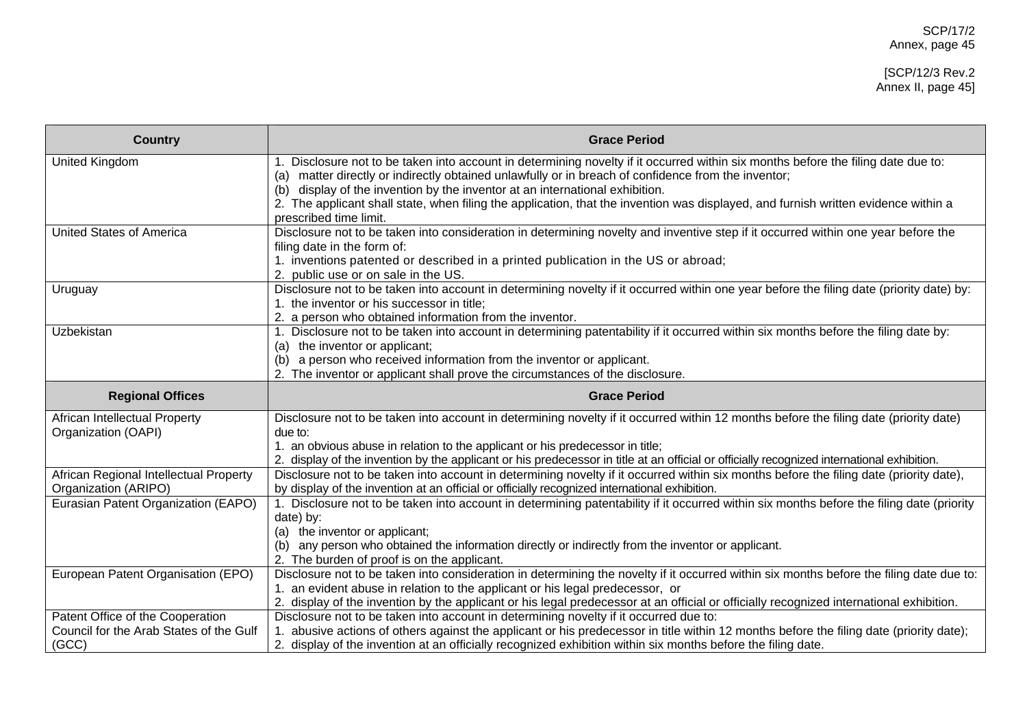| <b>Country</b>                                                              | <b>Grace Period</b>                                                                                                                                                                                                           |
|-----------------------------------------------------------------------------|-------------------------------------------------------------------------------------------------------------------------------------------------------------------------------------------------------------------------------|
| United Kingdom                                                              | Disclosure not to be taken into account in determining novelty if it occurred within six months before the filing date due to:<br>1.                                                                                          |
|                                                                             | matter directly or indirectly obtained unlawfully or in breach of confidence from the inventor;<br>(a)<br>display of the invention by the inventor at an international exhibition.<br>(b)                                     |
|                                                                             | 2. The applicant shall state, when filing the application, that the invention was displayed, and furnish written evidence within a                                                                                            |
|                                                                             | prescribed time limit.                                                                                                                                                                                                        |
| <b>United States of America</b>                                             | Disclosure not to be taken into consideration in determining novelty and inventive step if it occurred within one year before the<br>filing date in the form of:                                                              |
|                                                                             | 1. inventions patented or described in a printed publication in the US or abroad;                                                                                                                                             |
|                                                                             | 2. public use or on sale in the US.                                                                                                                                                                                           |
| Uruguay                                                                     | Disclosure not to be taken into account in determining novelty if it occurred within one year before the filing date (priority date) by:<br>1. the inventor or his successor in title;                                        |
|                                                                             | 2. a person who obtained information from the inventor.                                                                                                                                                                       |
| Uzbekistan                                                                  | 1. Disclosure not to be taken into account in determining patentability if it occurred within six months before the filing date by:                                                                                           |
|                                                                             | the inventor or applicant;<br>(a)                                                                                                                                                                                             |
|                                                                             | a person who received information from the inventor or applicant.<br>(b)                                                                                                                                                      |
|                                                                             | 2. The inventor or applicant shall prove the circumstances of the disclosure.                                                                                                                                                 |
| <b>Regional Offices</b>                                                     | <b>Grace Period</b>                                                                                                                                                                                                           |
| African Intellectual Property                                               | Disclosure not to be taken into account in determining novelty if it occurred within 12 months before the filing date (priority date)                                                                                         |
| Organization (OAPI)                                                         | due to:                                                                                                                                                                                                                       |
|                                                                             | 1. an obvious abuse in relation to the applicant or his predecessor in title;                                                                                                                                                 |
| African Regional Intellectual Property                                      | 2. display of the invention by the applicant or his predecessor in title at an official or officially recognized international exhibition.                                                                                    |
|                                                                             |                                                                                                                                                                                                                               |
|                                                                             | Disclosure not to be taken into account in determining novelty if it occurred within six months before the filing date (priority date),                                                                                       |
| Organization (ARIPO)                                                        | by display of the invention at an official or officially recognized international exhibition.                                                                                                                                 |
| Eurasian Patent Organization (EAPO)                                         | 1. Disclosure not to be taken into account in determining patentability if it occurred within six months before the filing date (priority<br>date) by:                                                                        |
|                                                                             | (a) the inventor or applicant;                                                                                                                                                                                                |
|                                                                             | any person who obtained the information directly or indirectly from the inventor or applicant.<br>(b)                                                                                                                         |
|                                                                             | 2. The burden of proof is on the applicant.                                                                                                                                                                                   |
| European Patent Organisation (EPO)                                          | Disclosure not to be taken into consideration in determining the novelty if it occurred within six months before the filing date due to:                                                                                      |
|                                                                             | 1. an evident abuse in relation to the applicant or his legal predecessor, or                                                                                                                                                 |
|                                                                             | 2. display of the invention by the applicant or his legal predecessor at an official or officially recognized international exhibition.                                                                                       |
| Patent Office of the Cooperation<br>Council for the Arab States of the Gulf | Disclosure not to be taken into account in determining novelty if it occurred due to:<br>abusive actions of others against the applicant or his predecessor in title within 12 months before the filing date (priority date); |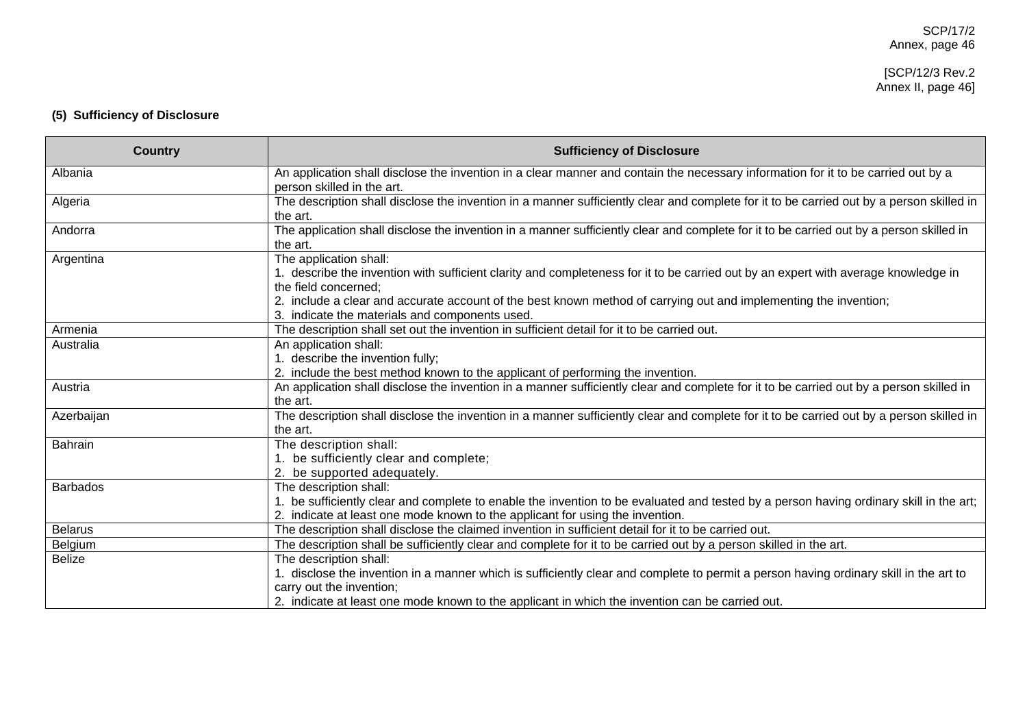#### [SCP/12/3 Rev.2 Annex II, page 46]

# **(5) Sufficiency of Disclosure**

| <b>Country</b>  | <b>Sufficiency of Disclosure</b>                                                                                                                                                                                                                                                                                                                           |
|-----------------|------------------------------------------------------------------------------------------------------------------------------------------------------------------------------------------------------------------------------------------------------------------------------------------------------------------------------------------------------------|
| Albania         | An application shall disclose the invention in a clear manner and contain the necessary information for it to be carried out by a<br>person skilled in the art.                                                                                                                                                                                            |
| Algeria         | The description shall disclose the invention in a manner sufficiently clear and complete for it to be carried out by a person skilled in<br>the art.                                                                                                                                                                                                       |
| Andorra         | The application shall disclose the invention in a manner sufficiently clear and complete for it to be carried out by a person skilled in<br>the art.                                                                                                                                                                                                       |
| Argentina       | The application shall:<br>1. describe the invention with sufficient clarity and completeness for it to be carried out by an expert with average knowledge in<br>the field concerned;<br>2. include a clear and accurate account of the best known method of carrying out and implementing the invention;<br>3. indicate the materials and components used. |
| Armenia         | The description shall set out the invention in sufficient detail for it to be carried out.                                                                                                                                                                                                                                                                 |
| Australia       | An application shall:<br>1. describe the invention fully;<br>2. include the best method known to the applicant of performing the invention.                                                                                                                                                                                                                |
| Austria         | An application shall disclose the invention in a manner sufficiently clear and complete for it to be carried out by a person skilled in<br>the art.                                                                                                                                                                                                        |
| Azerbaijan      | The description shall disclose the invention in a manner sufficiently clear and complete for it to be carried out by a person skilled in<br>the art.                                                                                                                                                                                                       |
| <b>Bahrain</b>  | The description shall:<br>1. be sufficiently clear and complete;<br>2. be supported adequately.                                                                                                                                                                                                                                                            |
| <b>Barbados</b> | The description shall:<br>1. be sufficiently clear and complete to enable the invention to be evaluated and tested by a person having ordinary skill in the art;<br>2. indicate at least one mode known to the applicant for using the invention.                                                                                                          |
| <b>Belarus</b>  | The description shall disclose the claimed invention in sufficient detail for it to be carried out.                                                                                                                                                                                                                                                        |
| Belgium         | The description shall be sufficiently clear and complete for it to be carried out by a person skilled in the art.                                                                                                                                                                                                                                          |
| <b>Belize</b>   | The description shall:<br>1. disclose the invention in a manner which is sufficiently clear and complete to permit a person having ordinary skill in the art to<br>carry out the invention;<br>2. indicate at least one mode known to the applicant in which the invention can be carried out.                                                             |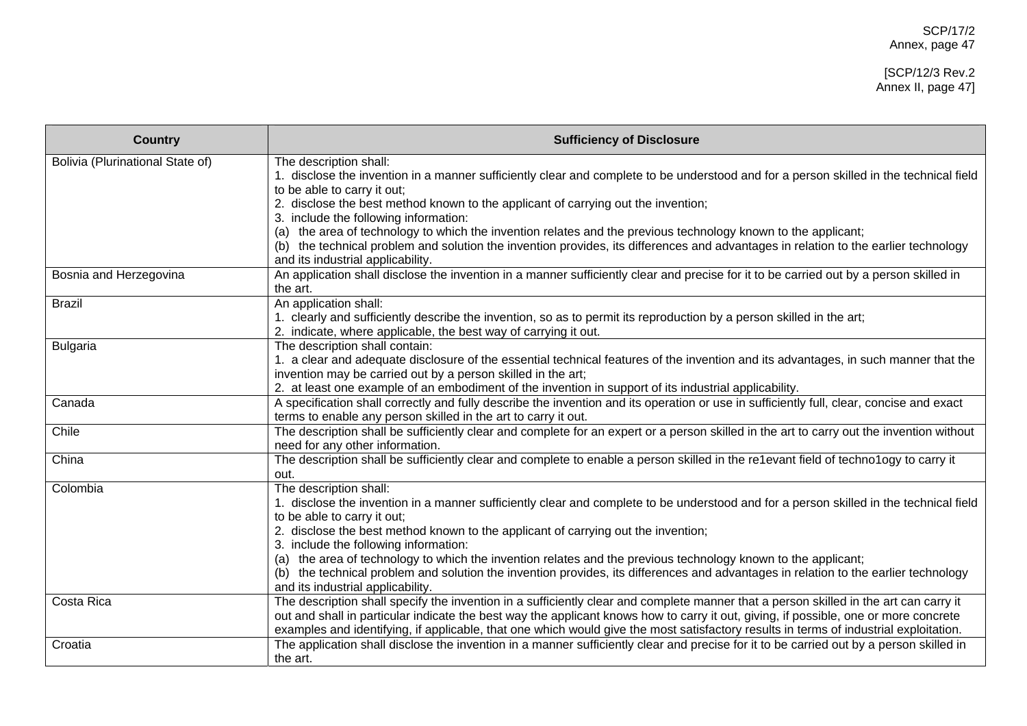#### [SCP/12/3 Rev.2 Annex II, page 47]

| <b>Country</b>                   | <b>Sufficiency of Disclosure</b>                                                                                                                                                                                                                                                                                                                                                                                       |
|----------------------------------|------------------------------------------------------------------------------------------------------------------------------------------------------------------------------------------------------------------------------------------------------------------------------------------------------------------------------------------------------------------------------------------------------------------------|
| Bolivia (Plurinational State of) | The description shall:<br>1. disclose the invention in a manner sufficiently clear and complete to be understood and for a person skilled in the technical field<br>to be able to carry it out;                                                                                                                                                                                                                        |
|                                  | 2. disclose the best method known to the applicant of carrying out the invention;                                                                                                                                                                                                                                                                                                                                      |
|                                  | 3. include the following information:<br>(a) the area of technology to which the invention relates and the previous technology known to the applicant;                                                                                                                                                                                                                                                                 |
|                                  | (b) the technical problem and solution the invention provides, its differences and advantages in relation to the earlier technology<br>and its industrial applicability.                                                                                                                                                                                                                                               |
| Bosnia and Herzegovina           | An application shall disclose the invention in a manner sufficiently clear and precise for it to be carried out by a person skilled in<br>the art.                                                                                                                                                                                                                                                                     |
| <b>Brazil</b>                    | An application shall:<br>1. clearly and sufficiently describe the invention, so as to permit its reproduction by a person skilled in the art;<br>2. indicate, where applicable, the best way of carrying it out.                                                                                                                                                                                                       |
| <b>Bulgaria</b>                  | The description shall contain:<br>1. a clear and adequate disclosure of the essential technical features of the invention and its advantages, in such manner that the<br>invention may be carried out by a person skilled in the art;<br>2. at least one example of an embodiment of the invention in support of its industrial applicability.                                                                         |
| Canada                           | A specification shall correctly and fully describe the invention and its operation or use in sufficiently full, clear, concise and exact<br>terms to enable any person skilled in the art to carry it out.                                                                                                                                                                                                             |
| Chile                            | The description shall be sufficiently clear and complete for an expert or a person skilled in the art to carry out the invention without<br>need for any other information.                                                                                                                                                                                                                                            |
| China                            | The description shall be sufficiently clear and complete to enable a person skilled in the re1evant field of techno1ogy to carry it<br>out.                                                                                                                                                                                                                                                                            |
| Colombia                         | The description shall:<br>1. disclose the invention in a manner sufficiently clear and complete to be understood and for a person skilled in the technical field<br>to be able to carry it out;                                                                                                                                                                                                                        |
|                                  | 2. disclose the best method known to the applicant of carrying out the invention;<br>3. include the following information:                                                                                                                                                                                                                                                                                             |
|                                  | (a) the area of technology to which the invention relates and the previous technology known to the applicant;<br>(b) the technical problem and solution the invention provides, its differences and advantages in relation to the earlier technology<br>and its industrial applicability.                                                                                                                              |
| Costa Rica                       | The description shall specify the invention in a sufficiently clear and complete manner that a person skilled in the art can carry it<br>out and shall in particular indicate the best way the applicant knows how to carry it out, giving, if possible, one or more concrete<br>examples and identifying, if applicable, that one which would give the most satisfactory results in terms of industrial exploitation. |
| Croatia                          | The application shall disclose the invention in a manner sufficiently clear and precise for it to be carried out by a person skilled in<br>the art.                                                                                                                                                                                                                                                                    |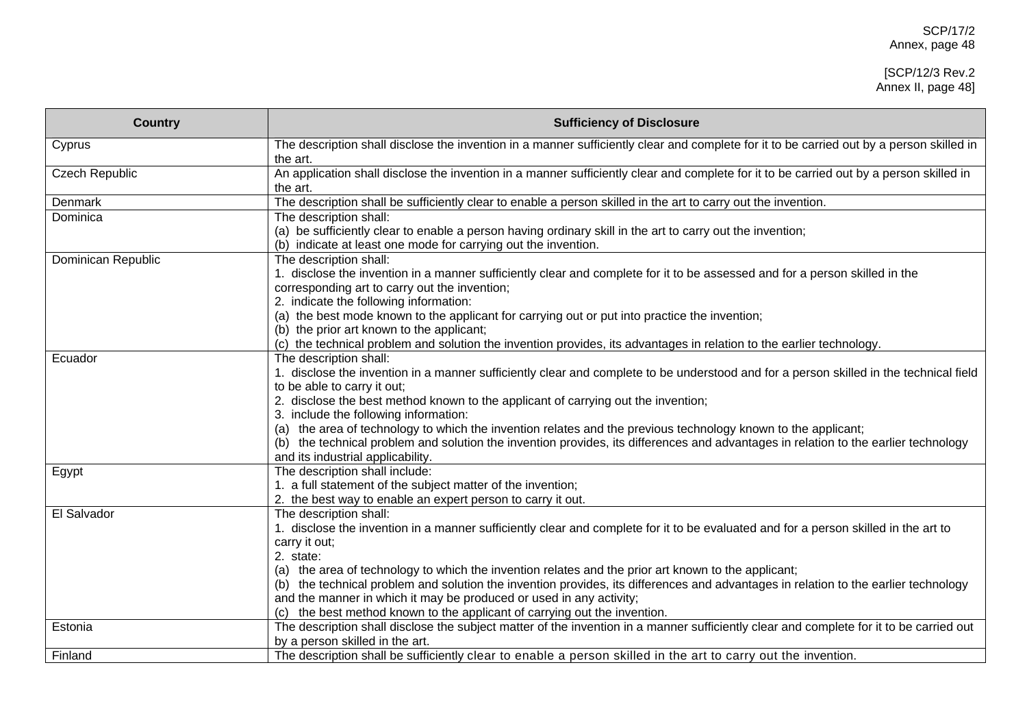| <b>Country</b>     | <b>Sufficiency of Disclosure</b>                                                                                                                                             |
|--------------------|------------------------------------------------------------------------------------------------------------------------------------------------------------------------------|
| Cyprus             | The description shall disclose the invention in a manner sufficiently clear and complete for it to be carried out by a person skilled in<br>the art.                         |
| Czech Republic     | An application shall disclose the invention in a manner sufficiently clear and complete for it to be carried out by a person skilled in<br>the art.                          |
| Denmark            | The description shall be sufficiently clear to enable a person skilled in the art to carry out the invention.                                                                |
| Dominica           | The description shall:                                                                                                                                                       |
|                    | (a) be sufficiently clear to enable a person having ordinary skill in the art to carry out the invention;<br>(b) indicate at least one mode for carrying out the invention.  |
| Dominican Republic | The description shall:                                                                                                                                                       |
|                    | 1. disclose the invention in a manner sufficiently clear and complete for it to be assessed and for a person skilled in the<br>corresponding art to carry out the invention; |
|                    | 2. indicate the following information:                                                                                                                                       |
|                    | (a) the best mode known to the applicant for carrying out or put into practice the invention;                                                                                |
|                    | (b) the prior art known to the applicant;                                                                                                                                    |
|                    | (c) the technical problem and solution the invention provides, its advantages in relation to the earlier technology.                                                         |
| Ecuador            | The description shall:                                                                                                                                                       |
|                    | 1. disclose the invention in a manner sufficiently clear and complete to be understood and for a person skilled in the technical field                                       |
|                    | to be able to carry it out;                                                                                                                                                  |
|                    | 2. disclose the best method known to the applicant of carrying out the invention;                                                                                            |
|                    | 3. include the following information:                                                                                                                                        |
|                    | (a) the area of technology to which the invention relates and the previous technology known to the applicant;                                                                |
|                    | (b) the technical problem and solution the invention provides, its differences and advantages in relation to the earlier technology                                          |
|                    | and its industrial applicability.                                                                                                                                            |
| Egypt              | The description shall include:                                                                                                                                               |
|                    | 1. a full statement of the subject matter of the invention;                                                                                                                  |
|                    | 2. the best way to enable an expert person to carry it out.                                                                                                                  |
| El Salvador        | The description shall:                                                                                                                                                       |
|                    | 1. disclose the invention in a manner sufficiently clear and complete for it to be evaluated and for a person skilled in the art to                                          |
|                    | carry it out;                                                                                                                                                                |
|                    | 2. state:                                                                                                                                                                    |
|                    | (a) the area of technology to which the invention relates and the prior art known to the applicant;                                                                          |
|                    | (b) the technical problem and solution the invention provides, its differences and advantages in relation to the earlier technology                                          |
|                    | and the manner in which it may be produced or used in any activity;                                                                                                          |
|                    | (c) the best method known to the applicant of carrying out the invention.                                                                                                    |
| Estonia            | The description shall disclose the subject matter of the invention in a manner sufficiently clear and complete for it to be carried out                                      |
|                    | by a person skilled in the art.                                                                                                                                              |
| Finland            | The description shall be sufficiently clear to enable a person skilled in the art to carry out the invention.                                                                |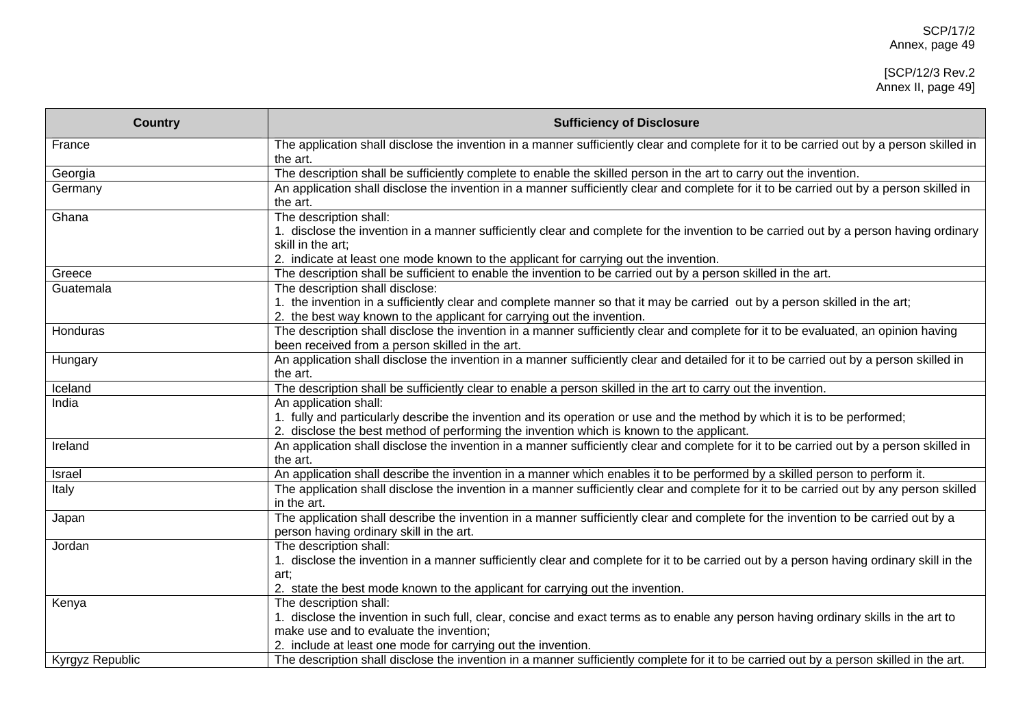| <b>Country</b>  | <b>Sufficiency of Disclosure</b>                                                                                                                                                                                                                                             |
|-----------------|------------------------------------------------------------------------------------------------------------------------------------------------------------------------------------------------------------------------------------------------------------------------------|
| France          | The application shall disclose the invention in a manner sufficiently clear and complete for it to be carried out by a person skilled in<br>the art.                                                                                                                         |
| Georgia         | The description shall be sufficiently complete to enable the skilled person in the art to carry out the invention.                                                                                                                                                           |
| Germany         | An application shall disclose the invention in a manner sufficiently clear and complete for it to be carried out by a person skilled in<br>the art.                                                                                                                          |
| Ghana           | The description shall:<br>1. disclose the invention in a manner sufficiently clear and complete for the invention to be carried out by a person having ordinary<br>skill in the art;<br>2. indicate at least one mode known to the applicant for carrying out the invention. |
| Greece          | The description shall be sufficient to enable the invention to be carried out by a person skilled in the art.                                                                                                                                                                |
| Guatemala       | The description shall disclose:<br>1. the invention in a sufficiently clear and complete manner so that it may be carried out by a person skilled in the art;                                                                                                                |
| Honduras        | 2. the best way known to the applicant for carrying out the invention.<br>The description shall disclose the invention in a manner sufficiently clear and complete for it to be evaluated, an opinion having<br>been received from a person skilled in the art.              |
| Hungary         | An application shall disclose the invention in a manner sufficiently clear and detailed for it to be carried out by a person skilled in<br>the art.                                                                                                                          |
| Iceland         | The description shall be sufficiently clear to enable a person skilled in the art to carry out the invention.                                                                                                                                                                |
| India           | An application shall:<br>1. fully and particularly describe the invention and its operation or use and the method by which it is to be performed;<br>2. disclose the best method of performing the invention which is known to the applicant.                                |
| Ireland         | An application shall disclose the invention in a manner sufficiently clear and complete for it to be carried out by a person skilled in<br>the art.                                                                                                                          |
| Israel          | An application shall describe the invention in a manner which enables it to be performed by a skilled person to perform it.                                                                                                                                                  |
| Italy           | The application shall disclose the invention in a manner sufficiently clear and complete for it to be carried out by any person skilled<br>in the art.                                                                                                                       |
| Japan           | The application shall describe the invention in a manner sufficiently clear and complete for the invention to be carried out by a<br>person having ordinary skill in the art.                                                                                                |
| Jordan          | The description shall:<br>1. disclose the invention in a manner sufficiently clear and complete for it to be carried out by a person having ordinary skill in the<br>art:<br>2. state the best mode known to the applicant for carrying out the invention.                   |
| Kenya           | The description shall:<br>1. disclose the invention in such full, clear, concise and exact terms as to enable any person having ordinary skills in the art to<br>make use and to evaluate the invention;<br>2. include at least one mode for carrying out the invention.     |
| Kyrgyz Republic | The description shall disclose the invention in a manner sufficiently complete for it to be carried out by a person skilled in the art.                                                                                                                                      |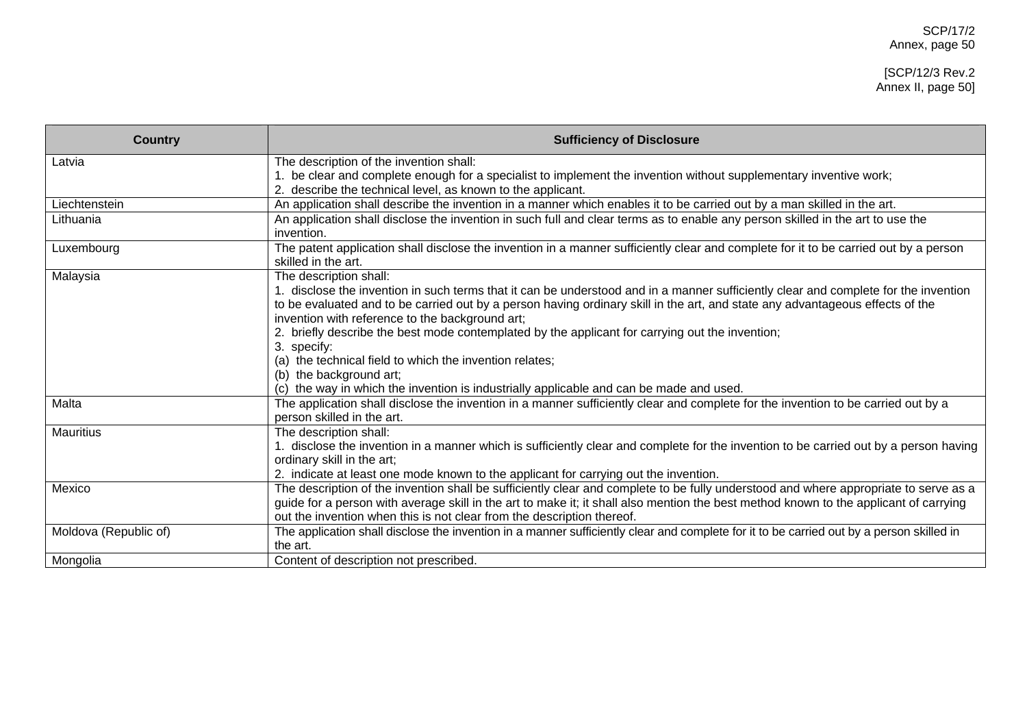| <b>Country</b>        | <b>Sufficiency of Disclosure</b>                                                                                                                                                                                                                                                                                                                                                                                                                                                                                                                                                                                                                                                                                                                                                       |
|-----------------------|----------------------------------------------------------------------------------------------------------------------------------------------------------------------------------------------------------------------------------------------------------------------------------------------------------------------------------------------------------------------------------------------------------------------------------------------------------------------------------------------------------------------------------------------------------------------------------------------------------------------------------------------------------------------------------------------------------------------------------------------------------------------------------------|
| Latvia                | The description of the invention shall:                                                                                                                                                                                                                                                                                                                                                                                                                                                                                                                                                                                                                                                                                                                                                |
|                       | 1. be clear and complete enough for a specialist to implement the invention without supplementary inventive work;<br>2. describe the technical level, as known to the applicant.                                                                                                                                                                                                                                                                                                                                                                                                                                                                                                                                                                                                       |
| Liechtenstein         | An application shall describe the invention in a manner which enables it to be carried out by a man skilled in the art.                                                                                                                                                                                                                                                                                                                                                                                                                                                                                                                                                                                                                                                                |
| Lithuania             | An application shall disclose the invention in such full and clear terms as to enable any person skilled in the art to use the<br>invention.                                                                                                                                                                                                                                                                                                                                                                                                                                                                                                                                                                                                                                           |
| Luxembourg            | The patent application shall disclose the invention in a manner sufficiently clear and complete for it to be carried out by a person<br>skilled in the art.                                                                                                                                                                                                                                                                                                                                                                                                                                                                                                                                                                                                                            |
| Malaysia<br>Malta     | The description shall:<br>disclose the invention in such terms that it can be understood and in a manner sufficiently clear and complete for the invention<br>to be evaluated and to be carried out by a person having ordinary skill in the art, and state any advantageous effects of the<br>invention with reference to the background art;<br>2. briefly describe the best mode contemplated by the applicant for carrying out the invention;<br>3. specify:<br>(a) the technical field to which the invention relates;<br>(b) the background art;<br>(c) the way in which the invention is industrially applicable and can be made and used.<br>The application shall disclose the invention in a manner sufficiently clear and complete for the invention to be carried out by a |
| <b>Mauritius</b>      | person skilled in the art.<br>The description shall:<br>1. disclose the invention in a manner which is sufficiently clear and complete for the invention to be carried out by a person having<br>ordinary skill in the art;<br>2. indicate at least one mode known to the applicant for carrying out the invention.                                                                                                                                                                                                                                                                                                                                                                                                                                                                    |
| Mexico                | The description of the invention shall be sufficiently clear and complete to be fully understood and where appropriate to serve as a<br>guide for a person with average skill in the art to make it; it shall also mention the best method known to the applicant of carrying<br>out the invention when this is not clear from the description thereof.                                                                                                                                                                                                                                                                                                                                                                                                                                |
| Moldova (Republic of) | The application shall disclose the invention in a manner sufficiently clear and complete for it to be carried out by a person skilled in<br>the art.                                                                                                                                                                                                                                                                                                                                                                                                                                                                                                                                                                                                                                   |
| Mongolia              | Content of description not prescribed.                                                                                                                                                                                                                                                                                                                                                                                                                                                                                                                                                                                                                                                                                                                                                 |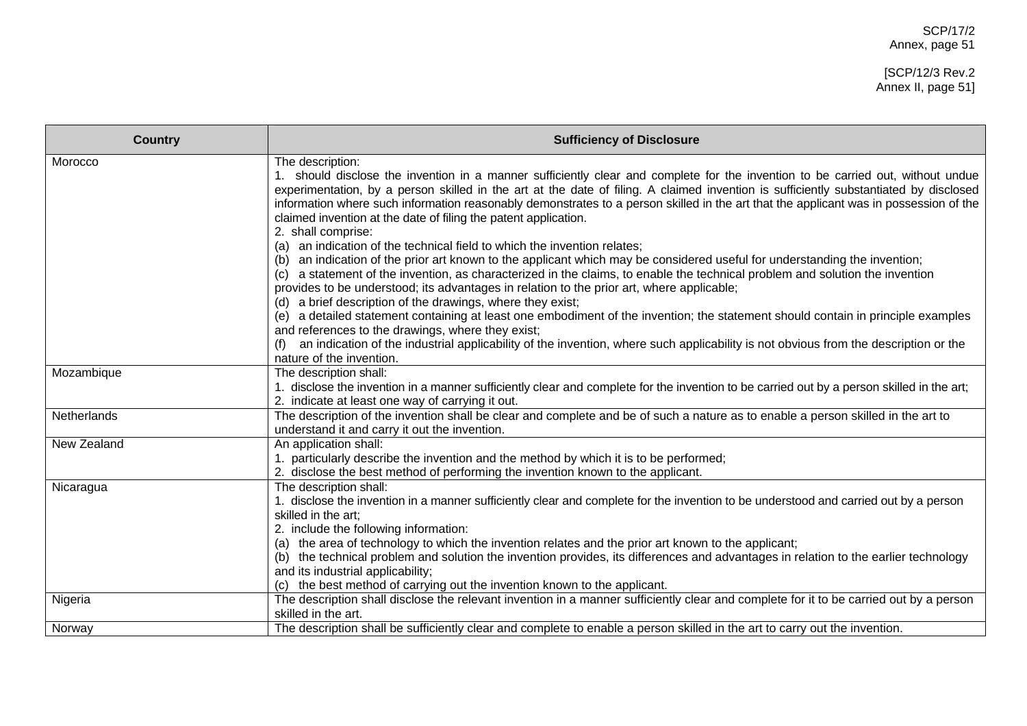## [SCP/12/3 Rev.2 Annex II, page 51]

| <b>Country</b> | <b>Sufficiency of Disclosure</b>                                                                                                                                                                                                                                                                                                                                                                                                                                                                                               |
|----------------|--------------------------------------------------------------------------------------------------------------------------------------------------------------------------------------------------------------------------------------------------------------------------------------------------------------------------------------------------------------------------------------------------------------------------------------------------------------------------------------------------------------------------------|
| Morocco        | The description:<br>1. should disclose the invention in a manner sufficiently clear and complete for the invention to be carried out, without undue<br>experimentation, by a person skilled in the art at the date of filing. A claimed invention is sufficiently substantiated by disclosed<br>information where such information reasonably demonstrates to a person skilled in the art that the applicant was in possession of the<br>claimed invention at the date of filing the patent application.<br>2. shall comprise: |
|                | an indication of the technical field to which the invention relates;<br>(a)<br>an indication of the prior art known to the applicant which may be considered useful for understanding the invention;<br>(b)<br>a statement of the invention, as characterized in the claims, to enable the technical problem and solution the invention<br>(C)<br>provides to be understood; its advantages in relation to the prior art, where applicable;<br>(d) a brief description of the drawings, where they exist;                      |
|                | (e) a detailed statement containing at least one embodiment of the invention; the statement should contain in principle examples<br>and references to the drawings, where they exist;<br>an indication of the industrial applicability of the invention, where such applicability is not obvious from the description or the<br>nature of the invention.                                                                                                                                                                       |
| Mozambique     | The description shall:<br>1. disclose the invention in a manner sufficiently clear and complete for the invention to be carried out by a person skilled in the art;<br>2. indicate at least one way of carrying it out.                                                                                                                                                                                                                                                                                                        |
| Netherlands    | The description of the invention shall be clear and complete and be of such a nature as to enable a person skilled in the art to<br>understand it and carry it out the invention.                                                                                                                                                                                                                                                                                                                                              |
| New Zealand    | An application shall:<br>1. particularly describe the invention and the method by which it is to be performed;<br>2. disclose the best method of performing the invention known to the applicant.                                                                                                                                                                                                                                                                                                                              |
| Nicaragua      | The description shall:<br>1. disclose the invention in a manner sufficiently clear and complete for the invention to be understood and carried out by a person<br>skilled in the art;<br>2. include the following information:<br>(a) the area of technology to which the invention relates and the prior art known to the applicant;<br>(b) the technical problem and solution the invention provides, its differences and advantages in relation to the earlier technology                                                   |
|                | and its industrial applicability;<br>(c) the best method of carrying out the invention known to the applicant.                                                                                                                                                                                                                                                                                                                                                                                                                 |
| Nigeria        | The description shall disclose the relevant invention in a manner sufficiently clear and complete for it to be carried out by a person<br>skilled in the art.                                                                                                                                                                                                                                                                                                                                                                  |
| Norway         | The description shall be sufficiently clear and complete to enable a person skilled in the art to carry out the invention.                                                                                                                                                                                                                                                                                                                                                                                                     |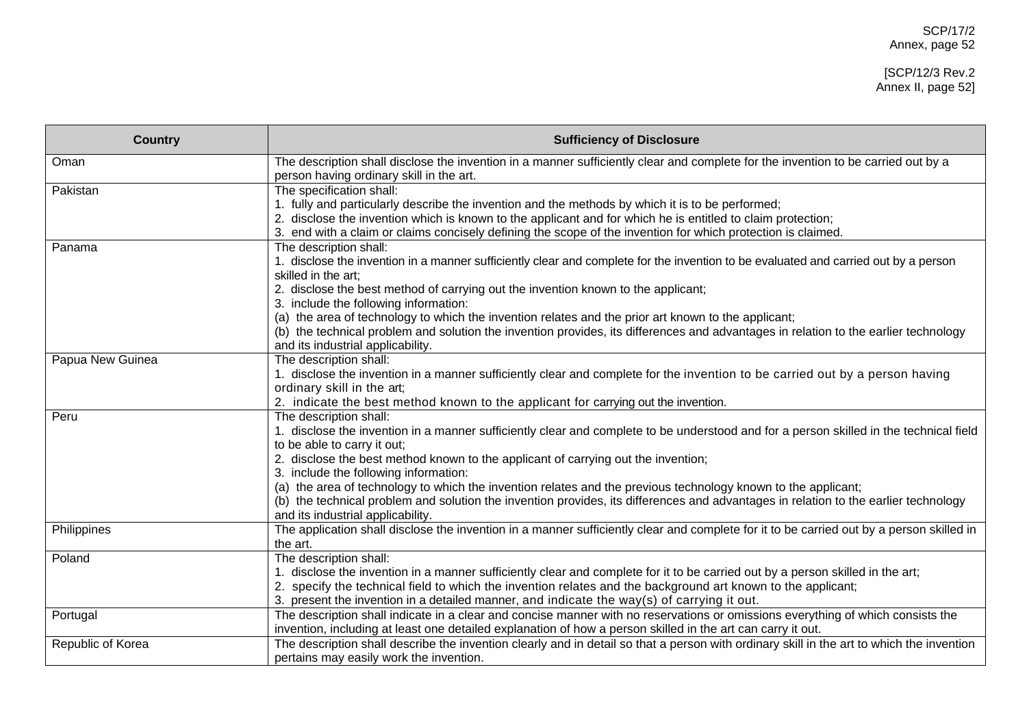| <b>Country</b>    | <b>Sufficiency of Disclosure</b>                                                                                                                                                                                                                                                                                                                                                                                                                                                                                                                                                                                           |
|-------------------|----------------------------------------------------------------------------------------------------------------------------------------------------------------------------------------------------------------------------------------------------------------------------------------------------------------------------------------------------------------------------------------------------------------------------------------------------------------------------------------------------------------------------------------------------------------------------------------------------------------------------|
| Oman              | The description shall disclose the invention in a manner sufficiently clear and complete for the invention to be carried out by a<br>person having ordinary skill in the art.                                                                                                                                                                                                                                                                                                                                                                                                                                              |
| Pakistan          | The specification shall:<br>1. fully and particularly describe the invention and the methods by which it is to be performed;<br>2. disclose the invention which is known to the applicant and for which he is entitled to claim protection;<br>3. end with a claim or claims concisely defining the scope of the invention for which protection is claimed.                                                                                                                                                                                                                                                                |
| Panama            | The description shall:<br>1. disclose the invention in a manner sufficiently clear and complete for the invention to be evaluated and carried out by a person<br>skilled in the art;<br>2. disclose the best method of carrying out the invention known to the applicant;<br>3. include the following information:<br>(a) the area of technology to which the invention relates and the prior art known to the applicant;<br>(b) the technical problem and solution the invention provides, its differences and advantages in relation to the earlier technology                                                           |
| Papua New Guinea  | and its industrial applicability.<br>The description shall:<br>1. disclose the invention in a manner sufficiently clear and complete for the invention to be carried out by a person having<br>ordinary skill in the art;<br>2. indicate the best method known to the applicant for carrying out the invention.                                                                                                                                                                                                                                                                                                            |
| Peru              | The description shall:<br>1. disclose the invention in a manner sufficiently clear and complete to be understood and for a person skilled in the technical field<br>to be able to carry it out;<br>2. disclose the best method known to the applicant of carrying out the invention;<br>3. include the following information:<br>(a) the area of technology to which the invention relates and the previous technology known to the applicant;<br>(b) the technical problem and solution the invention provides, its differences and advantages in relation to the earlier technology<br>and its industrial applicability. |
| Philippines       | The application shall disclose the invention in a manner sufficiently clear and complete for it to be carried out by a person skilled in<br>the art.                                                                                                                                                                                                                                                                                                                                                                                                                                                                       |
| Poland            | The description shall:<br>1. disclose the invention in a manner sufficiently clear and complete for it to be carried out by a person skilled in the art;<br>2. specify the technical field to which the invention relates and the background art known to the applicant;<br>3. present the invention in a detailed manner, and indicate the way(s) of carrying it out.                                                                                                                                                                                                                                                     |
| Portugal          | The description shall indicate in a clear and concise manner with no reservations or omissions everything of which consists the<br>invention, including at least one detailed explanation of how a person skilled in the art can carry it out.                                                                                                                                                                                                                                                                                                                                                                             |
| Republic of Korea | The description shall describe the invention clearly and in detail so that a person with ordinary skill in the art to which the invention<br>pertains may easily work the invention.                                                                                                                                                                                                                                                                                                                                                                                                                                       |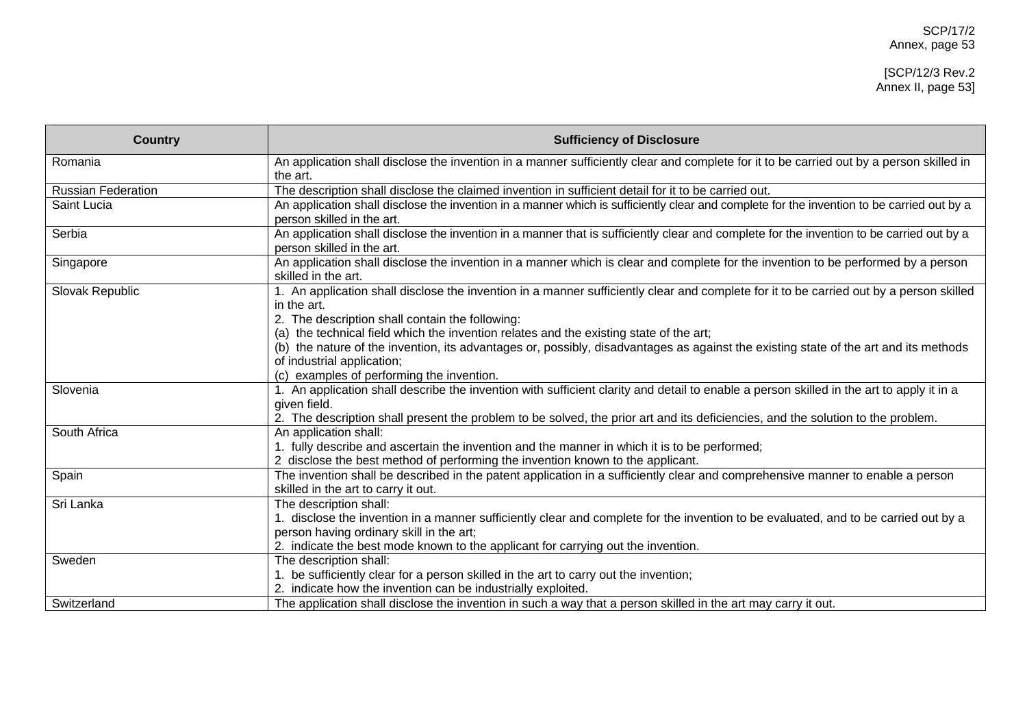| <b>Country</b>            | <b>Sufficiency of Disclosure</b>                                                                                                                                                                                                                                                                                                                                                                                                                                                                                       |
|---------------------------|------------------------------------------------------------------------------------------------------------------------------------------------------------------------------------------------------------------------------------------------------------------------------------------------------------------------------------------------------------------------------------------------------------------------------------------------------------------------------------------------------------------------|
| Romania                   | An application shall disclose the invention in a manner sufficiently clear and complete for it to be carried out by a person skilled in<br>the art.                                                                                                                                                                                                                                                                                                                                                                    |
| <b>Russian Federation</b> | The description shall disclose the claimed invention in sufficient detail for it to be carried out.                                                                                                                                                                                                                                                                                                                                                                                                                    |
| Saint Lucia               | An application shall disclose the invention in a manner which is sufficiently clear and complete for the invention to be carried out by a<br>person skilled in the art.                                                                                                                                                                                                                                                                                                                                                |
| Serbia                    | An application shall disclose the invention in a manner that is sufficiently clear and complete for the invention to be carried out by a<br>person skilled in the art.                                                                                                                                                                                                                                                                                                                                                 |
| Singapore                 | An application shall disclose the invention in a manner which is clear and complete for the invention to be performed by a person<br>skilled in the art.                                                                                                                                                                                                                                                                                                                                                               |
| Slovak Republic           | 1. An application shall disclose the invention in a manner sufficiently clear and complete for it to be carried out by a person skilled<br>in the art.<br>2. The description shall contain the following:<br>(a) the technical field which the invention relates and the existing state of the art;<br>(b) the nature of the invention, its advantages or, possibly, disadvantages as against the existing state of the art and its methods<br>of industrial application;<br>(c) examples of performing the invention. |
| Slovenia                  | 1. An application shall describe the invention with sufficient clarity and detail to enable a person skilled in the art to apply it in a<br>given field.<br>2. The description shall present the problem to be solved, the prior art and its deficiencies, and the solution to the problem.                                                                                                                                                                                                                            |
| South Africa              | An application shall:<br>1. fully describe and ascertain the invention and the manner in which it is to be performed;<br>2 disclose the best method of performing the invention known to the applicant.                                                                                                                                                                                                                                                                                                                |
| Spain                     | The invention shall be described in the patent application in a sufficiently clear and comprehensive manner to enable a person<br>skilled in the art to carry it out.                                                                                                                                                                                                                                                                                                                                                  |
| Sri Lanka                 | The description shall:<br>1. disclose the invention in a manner sufficiently clear and complete for the invention to be evaluated, and to be carried out by a<br>person having ordinary skill in the art;<br>2. indicate the best mode known to the applicant for carrying out the invention.                                                                                                                                                                                                                          |
| Sweden                    | The description shall:<br>be sufficiently clear for a person skilled in the art to carry out the invention;<br>2. indicate how the invention can be industrially exploited.                                                                                                                                                                                                                                                                                                                                            |
| Switzerland               | The application shall disclose the invention in such a way that a person skilled in the art may carry it out.                                                                                                                                                                                                                                                                                                                                                                                                          |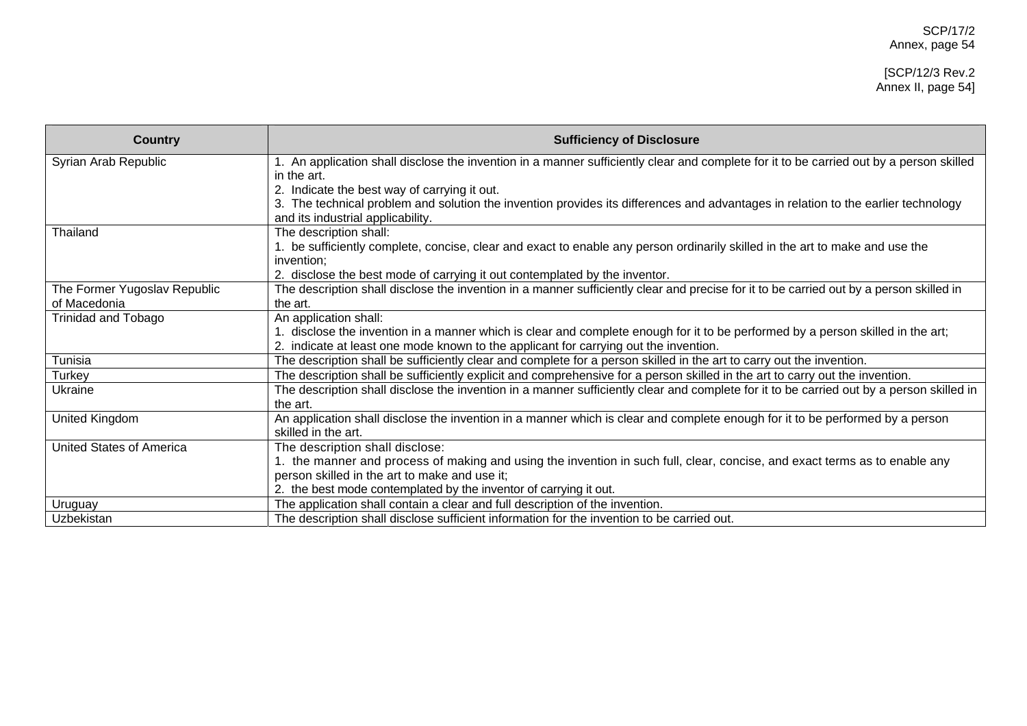#### [SCP/12/3 Rev.2 Annex II, page 54]

| <b>Country</b>                               | <b>Sufficiency of Disclosure</b>                                                                                                                                                                                      |
|----------------------------------------------|-----------------------------------------------------------------------------------------------------------------------------------------------------------------------------------------------------------------------|
| Syrian Arab Republic                         | 1. An application shall disclose the invention in a manner sufficiently clear and complete for it to be carried out by a person skilled                                                                               |
|                                              | in the art.                                                                                                                                                                                                           |
|                                              | 2. Indicate the best way of carrying it out.                                                                                                                                                                          |
|                                              | The technical problem and solution the invention provides its differences and advantages in relation to the earlier technology                                                                                        |
|                                              | and its industrial applicability.                                                                                                                                                                                     |
| Thailand                                     | The description shall:                                                                                                                                                                                                |
|                                              | . be sufficiently complete, concise, clear and exact to enable any person ordinarily skilled in the art to make and use the                                                                                           |
|                                              | invention;                                                                                                                                                                                                            |
|                                              | 2. disclose the best mode of carrying it out contemplated by the inventor.<br>The description shall disclose the invention in a manner sufficiently clear and precise for it to be carried out by a person skilled in |
| The Former Yugoslav Republic<br>of Macedonia | the art.                                                                                                                                                                                                              |
| Trinidad and Tobago                          | An application shall:                                                                                                                                                                                                 |
|                                              | 1. disclose the invention in a manner which is clear and complete enough for it to be performed by a person skilled in the art;                                                                                       |
|                                              | 2. indicate at least one mode known to the applicant for carrying out the invention.                                                                                                                                  |
| Tunisia                                      | The description shall be sufficiently clear and complete for a person skilled in the art to carry out the invention.                                                                                                  |
| Turkey                                       | The description shall be sufficiently explicit and comprehensive for a person skilled in the art to carry out the invention.                                                                                          |
| Ukraine                                      | The description shall disclose the invention in a manner sufficiently clear and complete for it to be carried out by a person skilled in                                                                              |
|                                              | the art.                                                                                                                                                                                                              |
| United Kingdom                               | An application shall disclose the invention in a manner which is clear and complete enough for it to be performed by a person                                                                                         |
|                                              | skilled in the art.                                                                                                                                                                                                   |
| <b>United States of America</b>              | The description shall disclose:                                                                                                                                                                                       |
|                                              | 1. the manner and process of making and using the invention in such full, clear, concise, and exact terms as to enable any                                                                                            |
|                                              | person skilled in the art to make and use it;                                                                                                                                                                         |
|                                              | 2. the best mode contemplated by the inventor of carrying it out.                                                                                                                                                     |
| Uruguay                                      | The application shall contain a clear and full description of the invention.                                                                                                                                          |
| Uzbekistan                                   | The description shall disclose sufficient information for the invention to be carried out.                                                                                                                            |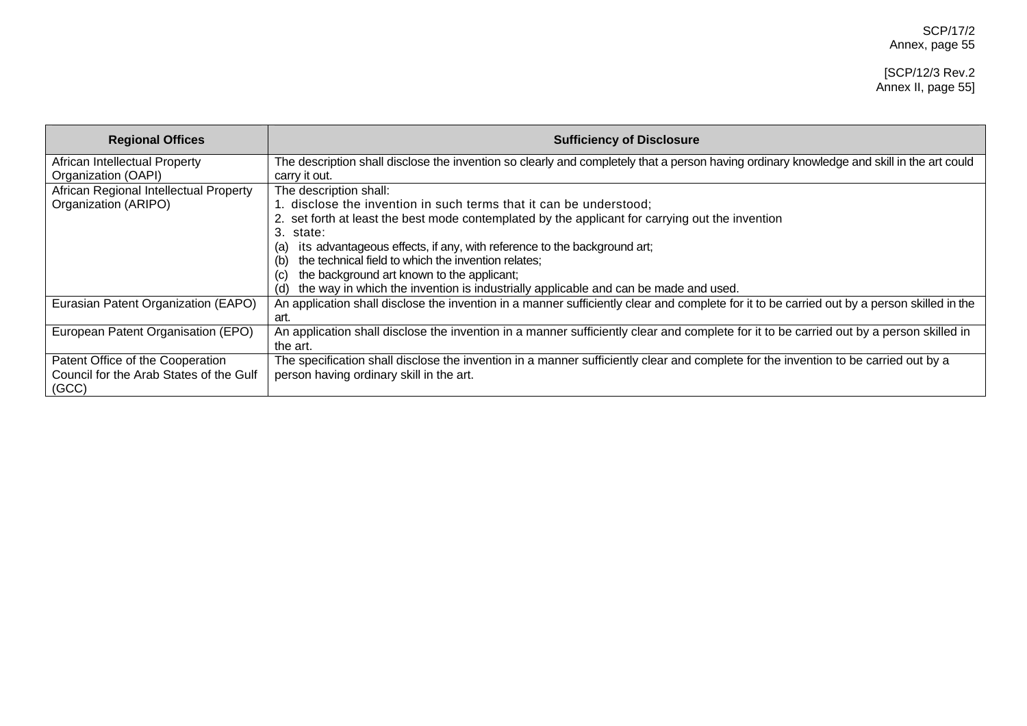| <b>Regional Offices</b>                                                              | <b>Sufficiency of Disclosure</b>                                                                                                                                                                                                                                                                                                                                                                                     |
|--------------------------------------------------------------------------------------|----------------------------------------------------------------------------------------------------------------------------------------------------------------------------------------------------------------------------------------------------------------------------------------------------------------------------------------------------------------------------------------------------------------------|
| African Intellectual Property<br>Organization (OAPI)                                 | The description shall disclose the invention so clearly and completely that a person having ordinary knowledge and skill in the art could<br>carry it out.                                                                                                                                                                                                                                                           |
| African Regional Intellectual Property<br>Organization (ARIPO)                       | The description shall:<br>1. disclose the invention in such terms that it can be understood;<br>2. set forth at least the best mode contemplated by the applicant for carrying out the invention<br>3.<br>state:<br>its advantageous effects, if any, with reference to the background art;<br>(a<br>the technical field to which the invention relates;<br>(b)<br>the background art known to the applicant;<br>(C) |
| Eurasian Patent Organization (EAPO)                                                  | the way in which the invention is industrially applicable and can be made and used.<br>(d)<br>An application shall disclose the invention in a manner sufficiently clear and complete for it to be carried out by a person skilled in the<br>art.                                                                                                                                                                    |
| European Patent Organisation (EPO)                                                   | An application shall disclose the invention in a manner sufficiently clear and complete for it to be carried out by a person skilled in<br>the art.                                                                                                                                                                                                                                                                  |
| Patent Office of the Cooperation<br>Council for the Arab States of the Gulf<br>(GCC) | The specification shall disclose the invention in a manner sufficiently clear and complete for the invention to be carried out by a<br>person having ordinary skill in the art.                                                                                                                                                                                                                                      |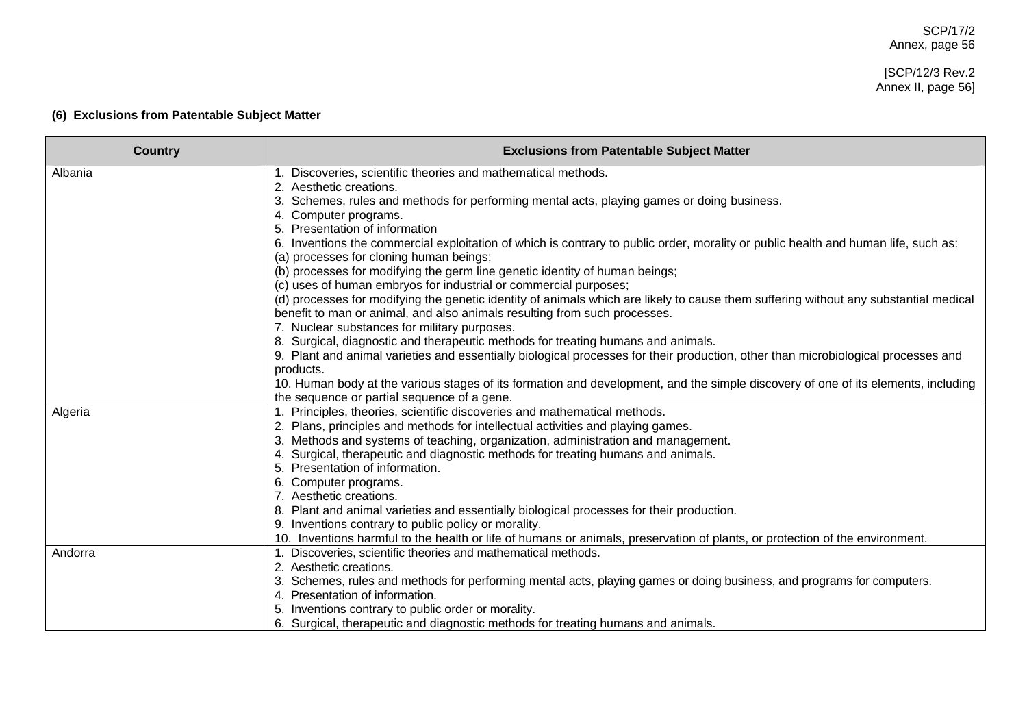# [SCP/12/3 Rev.2 Annex II, page 56]

# **(6) Exclusions from Patentable Subject Matter**

| <b>Country</b> | <b>Exclusions from Patentable Subject Matter</b>                                                                                                                              |
|----------------|-------------------------------------------------------------------------------------------------------------------------------------------------------------------------------|
| Albania        | Discoveries, scientific theories and mathematical methods.                                                                                                                    |
|                | 2. Aesthetic creations.                                                                                                                                                       |
|                | 3. Schemes, rules and methods for performing mental acts, playing games or doing business.                                                                                    |
|                | 4. Computer programs.                                                                                                                                                         |
|                | 5. Presentation of information                                                                                                                                                |
|                | 6. Inventions the commercial exploitation of which is contrary to public order, morality or public health and human life, such as:<br>(a) processes for cloning human beings; |
|                | (b) processes for modifying the germ line genetic identity of human beings;                                                                                                   |
|                | (c) uses of human embryos for industrial or commercial purposes;                                                                                                              |
|                | (d) processes for modifying the genetic identity of animals which are likely to cause them suffering without any substantial medical                                          |
|                | benefit to man or animal, and also animals resulting from such processes.                                                                                                     |
|                | 7. Nuclear substances for military purposes.                                                                                                                                  |
|                | 8. Surgical, diagnostic and therapeutic methods for treating humans and animals.                                                                                              |
|                | 9. Plant and animal varieties and essentially biological processes for their production, other than microbiological processes and                                             |
|                | products.                                                                                                                                                                     |
|                | 10. Human body at the various stages of its formation and development, and the simple discovery of one of its elements, including                                             |
|                | the sequence or partial sequence of a gene.                                                                                                                                   |
| Algeria        | 1. Principles, theories, scientific discoveries and mathematical methods.                                                                                                     |
|                | 2. Plans, principles and methods for intellectual activities and playing games.                                                                                               |
|                | 3. Methods and systems of teaching, organization, administration and management.                                                                                              |
|                | 4. Surgical, therapeutic and diagnostic methods for treating humans and animals.                                                                                              |
|                | 5. Presentation of information.                                                                                                                                               |
|                | 6. Computer programs.                                                                                                                                                         |
|                | 7. Aesthetic creations.                                                                                                                                                       |
|                | 8. Plant and animal varieties and essentially biological processes for their production.                                                                                      |
|                | 9. Inventions contrary to public policy or morality.                                                                                                                          |
|                | 10. Inventions harmful to the health or life of humans or animals, preservation of plants, or protection of the environment.                                                  |
| Andorra        | 1. Discoveries, scientific theories and mathematical methods.                                                                                                                 |
|                | 2. Aesthetic creations.                                                                                                                                                       |
|                | 3. Schemes, rules and methods for performing mental acts, playing games or doing business, and programs for computers.                                                        |
|                | 4. Presentation of information.                                                                                                                                               |
|                | Inventions contrary to public order or morality.                                                                                                                              |
|                | 6. Surgical, therapeutic and diagnostic methods for treating humans and animals.                                                                                              |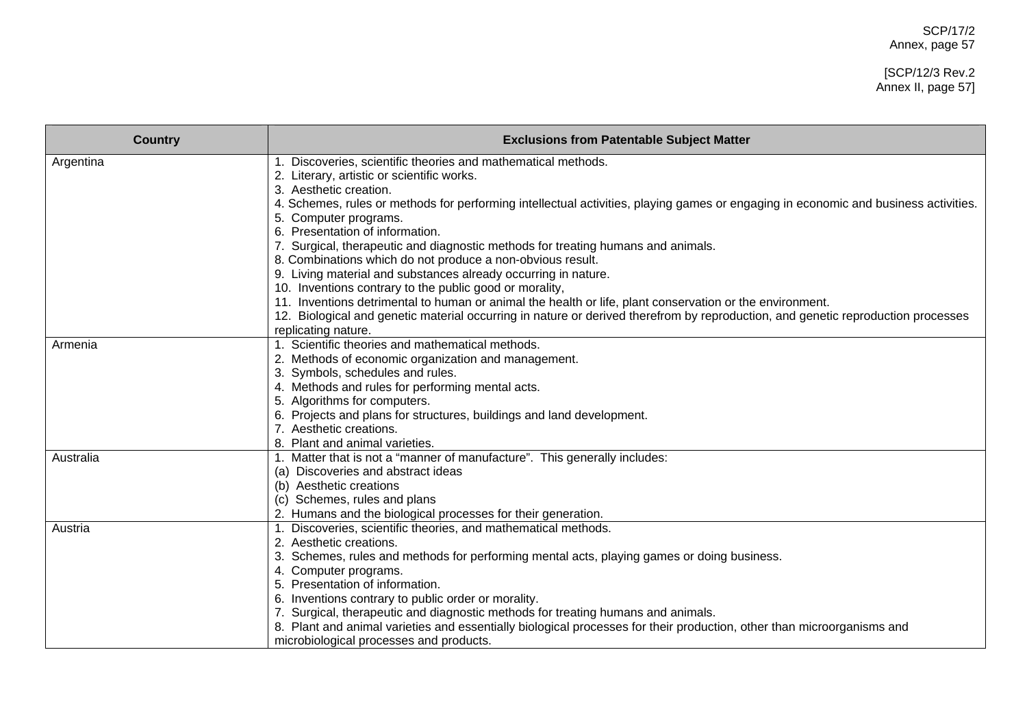# [SCP/12/3 Rev.2 Annex II, page 57]

| <b>Country</b> | <b>Exclusions from Patentable Subject Matter</b>                                                                                    |
|----------------|-------------------------------------------------------------------------------------------------------------------------------------|
| Argentina      | 1. Discoveries, scientific theories and mathematical methods.                                                                       |
|                | 2. Literary, artistic or scientific works.                                                                                          |
|                | 3. Aesthetic creation.                                                                                                              |
|                | 4. Schemes, rules or methods for performing intellectual activities, playing games or engaging in economic and business activities. |
|                | 5. Computer programs.                                                                                                               |
|                | Presentation of information.                                                                                                        |
|                | 7. Surgical, therapeutic and diagnostic methods for treating humans and animals.                                                    |
|                | 8. Combinations which do not produce a non-obvious result.                                                                          |
|                | 9. Living material and substances already occurring in nature.                                                                      |
|                | 10. Inventions contrary to the public good or morality,                                                                             |
|                | 11. Inventions detrimental to human or animal the health or life, plant conservation or the environment.                            |
|                | 12. Biological and genetic material occurring in nature or derived therefrom by reproduction, and genetic reproduction processes    |
|                | replicating nature.                                                                                                                 |
| Armenia        | 1. Scientific theories and mathematical methods.                                                                                    |
|                | 2. Methods of economic organization and management.                                                                                 |
|                | 3. Symbols, schedules and rules.                                                                                                    |
|                | 4. Methods and rules for performing mental acts.                                                                                    |
|                | 5. Algorithms for computers.                                                                                                        |
|                | 6. Projects and plans for structures, buildings and land development.                                                               |
|                | 7. Aesthetic creations.                                                                                                             |
|                | 8. Plant and animal varieties.                                                                                                      |
| Australia      | 1. Matter that is not a "manner of manufacture". This generally includes:                                                           |
|                | (a) Discoveries and abstract ideas                                                                                                  |
|                | (b) Aesthetic creations                                                                                                             |
|                | (c) Schemes, rules and plans                                                                                                        |
|                | 2. Humans and the biological processes for their generation.                                                                        |
| Austria        | Discoveries, scientific theories, and mathematical methods.                                                                         |
|                | Aesthetic creations.<br>2.                                                                                                          |
|                | Schemes, rules and methods for performing mental acts, playing games or doing business.                                             |
|                | 4. Computer programs.                                                                                                               |
|                | Presentation of information.<br>5.                                                                                                  |
|                | Inventions contrary to public order or morality.                                                                                    |
|                | Surgical, therapeutic and diagnostic methods for treating humans and animals.                                                       |
|                | 8. Plant and animal varieties and essentially biological processes for their production, other than microorganisms and              |
|                | microbiological processes and products.                                                                                             |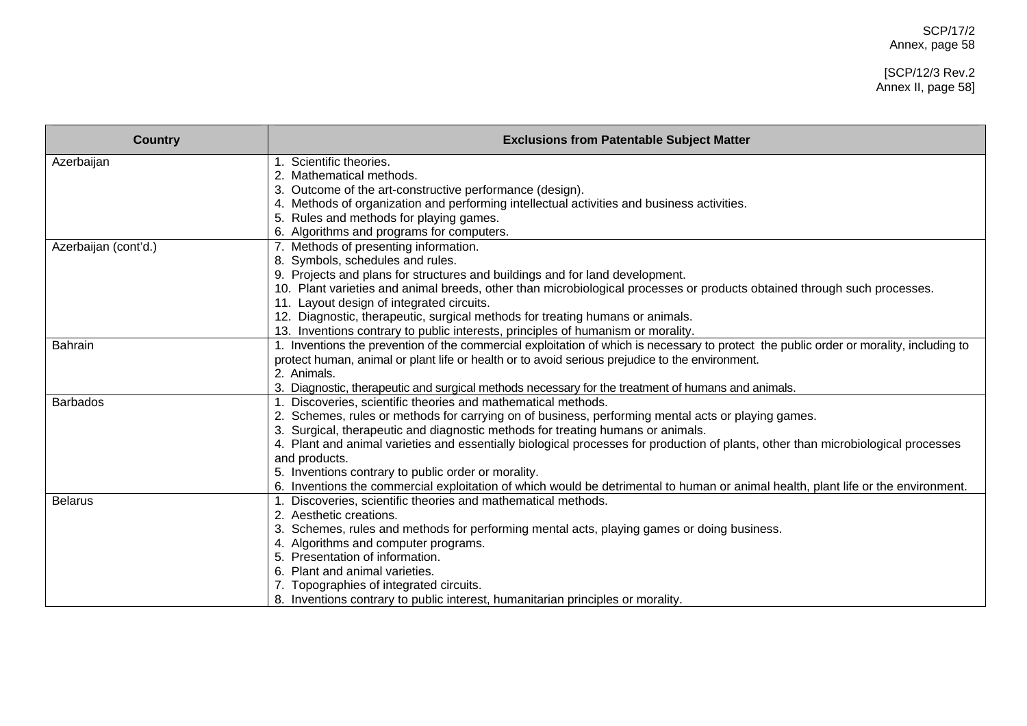# SCP/17/2 Annex, page 58

## [SCP/12/3 Rev.2 Annex II, page 58]

| <b>Country</b>       | <b>Exclusions from Patentable Subject Matter</b>                                                                                        |
|----------------------|-----------------------------------------------------------------------------------------------------------------------------------------|
| Azerbaijan           | Scientific theories.                                                                                                                    |
|                      | Mathematical methods.                                                                                                                   |
|                      | 3. Outcome of the art-constructive performance (design).                                                                                |
|                      | 4. Methods of organization and performing intellectual activities and business activities.                                              |
|                      | 5. Rules and methods for playing games.                                                                                                 |
|                      | Algorithms and programs for computers.                                                                                                  |
| Azerbaijan (cont'd.) | 7. Methods of presenting information.                                                                                                   |
|                      | 8. Symbols, schedules and rules.                                                                                                        |
|                      | 9. Projects and plans for structures and buildings and for land development.                                                            |
|                      | 10. Plant varieties and animal breeds, other than microbiological processes or products obtained through such processes.                |
|                      | 11. Layout design of integrated circuits.                                                                                               |
|                      | 12. Diagnostic, therapeutic, surgical methods for treating humans or animals.                                                           |
|                      | 13. Inventions contrary to public interests, principles of humanism or morality.                                                        |
| <b>Bahrain</b>       | 1. Inventions the prevention of the commercial exploitation of which is necessary to protect the public order or morality, including to |
|                      | protect human, animal or plant life or health or to avoid serious prejudice to the environment.                                         |
|                      | 2. Animals.                                                                                                                             |
|                      | 3. Diagnostic, therapeutic and surgical methods necessary for the treatment of humans and animals.                                      |
| <b>Barbados</b>      | 1. Discoveries, scientific theories and mathematical methods.                                                                           |
|                      | Schemes, rules or methods for carrying on of business, performing mental acts or playing games.                                         |
|                      | Surgical, therapeutic and diagnostic methods for treating humans or animals.                                                            |
|                      | 4. Plant and animal varieties and essentially biological processes for production of plants, other than microbiological processes       |
|                      | and products.                                                                                                                           |
|                      | 5. Inventions contrary to public order or morality.                                                                                     |
|                      | Inventions the commercial exploitation of which would be detrimental to human or animal health, plant life or the environment.          |
| <b>Belarus</b>       | Discoveries, scientific theories and mathematical methods.                                                                              |
|                      | 2. Aesthetic creations.                                                                                                                 |
|                      | Schemes, rules and methods for performing mental acts, playing games or doing business.                                                 |
|                      | Algorithms and computer programs.                                                                                                       |
|                      | Presentation of information.                                                                                                            |
|                      | Plant and animal varieties.                                                                                                             |
|                      | Topographies of integrated circuits.                                                                                                    |
|                      | 8. Inventions contrary to public interest, humanitarian principles or morality.                                                         |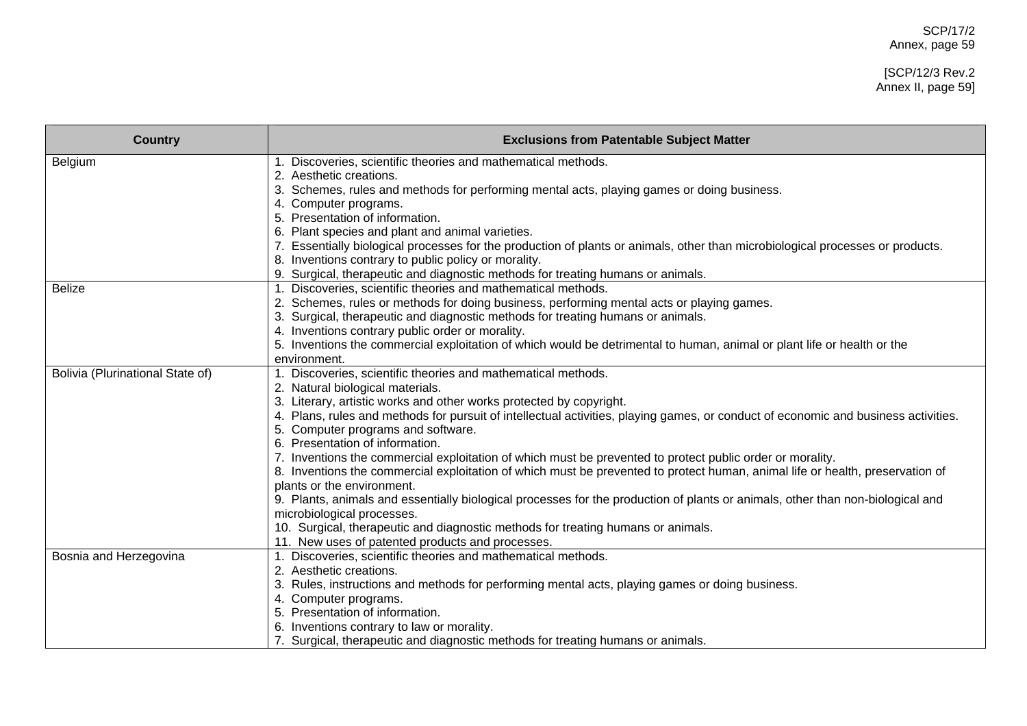# [SCP/12/3 Rev.2 Annex II, page 59]

| <b>Country</b>                   | <b>Exclusions from Patentable Subject Matter</b>                                                                                                            |
|----------------------------------|-------------------------------------------------------------------------------------------------------------------------------------------------------------|
| Belgium                          | Discoveries, scientific theories and mathematical methods.                                                                                                  |
|                                  | 2. Aesthetic creations.                                                                                                                                     |
|                                  | 3. Schemes, rules and methods for performing mental acts, playing games or doing business.                                                                  |
|                                  | 4. Computer programs.                                                                                                                                       |
|                                  | Presentation of information.<br>5.                                                                                                                          |
|                                  | 6. Plant species and plant and animal varieties.                                                                                                            |
|                                  | 7. Essentially biological processes for the production of plants or animals, other than microbiological processes or products.                              |
|                                  | 8. Inventions contrary to public policy or morality.                                                                                                        |
| <b>Belize</b>                    | 9. Surgical, therapeutic and diagnostic methods for treating humans or animals.<br>Discoveries, scientific theories and mathematical methods.               |
|                                  |                                                                                                                                                             |
|                                  | 2. Schemes, rules or methods for doing business, performing mental acts or playing games.                                                                   |
|                                  | Surgical, therapeutic and diagnostic methods for treating humans or animals.<br>3.<br>4. Inventions contrary public order or morality.                      |
|                                  |                                                                                                                                                             |
|                                  | 5. Inventions the commercial exploitation of which would be detrimental to human, animal or plant life or health or the                                     |
|                                  | environment.                                                                                                                                                |
| Bolivia (Plurinational State of) | Discoveries, scientific theories and mathematical methods.                                                                                                  |
|                                  | 2. Natural biological materials.<br>3. Literary, artistic works and other works protected by copyright.                                                     |
|                                  |                                                                                                                                                             |
|                                  | Plans, rules and methods for pursuit of intellectual activities, playing games, or conduct of economic and business activities.                             |
|                                  | 5. Computer programs and software.<br>6. Presentation of information.                                                                                       |
|                                  |                                                                                                                                                             |
|                                  | 7. Inventions the commercial exploitation of which must be prevented to protect public order or morality.                                                   |
|                                  | 8. Inventions the commercial exploitation of which must be prevented to protect human, animal life or health, preservation of<br>plants or the environment. |
|                                  | 9. Plants, animals and essentially biological processes for the production of plants or animals, other than non-biological and                              |
|                                  | microbiological processes.                                                                                                                                  |
|                                  | 10. Surgical, therapeutic and diagnostic methods for treating humans or animals.                                                                            |
|                                  | 11. New uses of patented products and processes.                                                                                                            |
|                                  | Discoveries, scientific theories and mathematical methods.                                                                                                  |
| Bosnia and Herzegovina           | 2. Aesthetic creations.                                                                                                                                     |
|                                  | 3. Rules, instructions and methods for performing mental acts, playing games or doing business.                                                             |
|                                  | 4. Computer programs.                                                                                                                                       |
|                                  | 5. Presentation of information.                                                                                                                             |
|                                  | 6. Inventions contrary to law or morality.                                                                                                                  |
|                                  | 7. Surgical, therapeutic and diagnostic methods for treating humans or animals.                                                                             |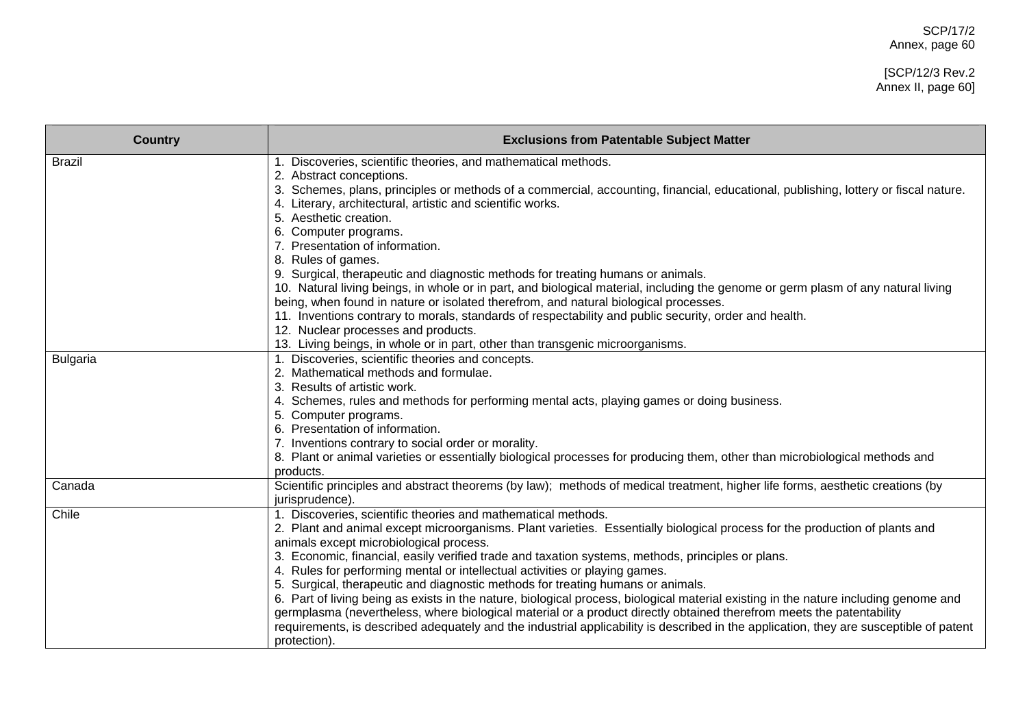# [SCP/12/3 Rev.2 Annex II, page 60]

| <b>Country</b>  | <b>Exclusions from Patentable Subject Matter</b>                                                                                                                                                                                                        |
|-----------------|---------------------------------------------------------------------------------------------------------------------------------------------------------------------------------------------------------------------------------------------------------|
| <b>Brazil</b>   | 1. Discoveries, scientific theories, and mathematical methods.                                                                                                                                                                                          |
|                 | Abstract conceptions.<br>2.<br>3. Schemes, plans, principles or methods of a commercial, accounting, financial, educational, publishing, lottery or fiscal nature.<br>4. Literary, architectural, artistic and scientific works.<br>Aesthetic creation. |
|                 | Computer programs.                                                                                                                                                                                                                                      |
|                 | Presentation of information.                                                                                                                                                                                                                            |
|                 | 8. Rules of games.                                                                                                                                                                                                                                      |
|                 | 9. Surgical, therapeutic and diagnostic methods for treating humans or animals.<br>10. Natural living beings, in whole or in part, and biological material, including the genome or germ plasm of any natural living                                    |
|                 | being, when found in nature or isolated therefrom, and natural biological processes.                                                                                                                                                                    |
|                 | 11. Inventions contrary to morals, standards of respectability and public security, order and health.                                                                                                                                                   |
|                 | 12. Nuclear processes and products.                                                                                                                                                                                                                     |
|                 | 13. Living beings, in whole or in part, other than transgenic microorganisms.                                                                                                                                                                           |
| <b>Bulgaria</b> | 1. Discoveries, scientific theories and concepts.                                                                                                                                                                                                       |
|                 | 2. Mathematical methods and formulae.                                                                                                                                                                                                                   |
|                 | Results of artistic work.                                                                                                                                                                                                                               |
|                 | 4. Schemes, rules and methods for performing mental acts, playing games or doing business.                                                                                                                                                              |
|                 | 5. Computer programs.<br>Presentation of information.                                                                                                                                                                                                   |
|                 |                                                                                                                                                                                                                                                         |
|                 | 7. Inventions contrary to social order or morality.<br>8. Plant or animal varieties or essentially biological processes for producing them, other than microbiological methods and                                                                      |
|                 | products.                                                                                                                                                                                                                                               |
| Canada          | Scientific principles and abstract theorems (by law); methods of medical treatment, higher life forms, aesthetic creations (by                                                                                                                          |
|                 | jurisprudence).                                                                                                                                                                                                                                         |
| Chile           | 1. Discoveries, scientific theories and mathematical methods.                                                                                                                                                                                           |
|                 | 2. Plant and animal except microorganisms. Plant varieties. Essentially biological process for the production of plants and                                                                                                                             |
|                 | animals except microbiological process.                                                                                                                                                                                                                 |
|                 | 3. Economic, financial, easily verified trade and taxation systems, methods, principles or plans.                                                                                                                                                       |
|                 | 4. Rules for performing mental or intellectual activities or playing games.                                                                                                                                                                             |
|                 | 5. Surgical, therapeutic and diagnostic methods for treating humans or animals.                                                                                                                                                                         |
|                 | 6. Part of living being as exists in the nature, biological process, biological material existing in the nature including genome and                                                                                                                    |
|                 | germplasma (nevertheless, where biological material or a product directly obtained therefrom meets the patentability                                                                                                                                    |
|                 | requirements, is described adequately and the industrial applicability is described in the application, they are susceptible of patent                                                                                                                  |
|                 | protection).                                                                                                                                                                                                                                            |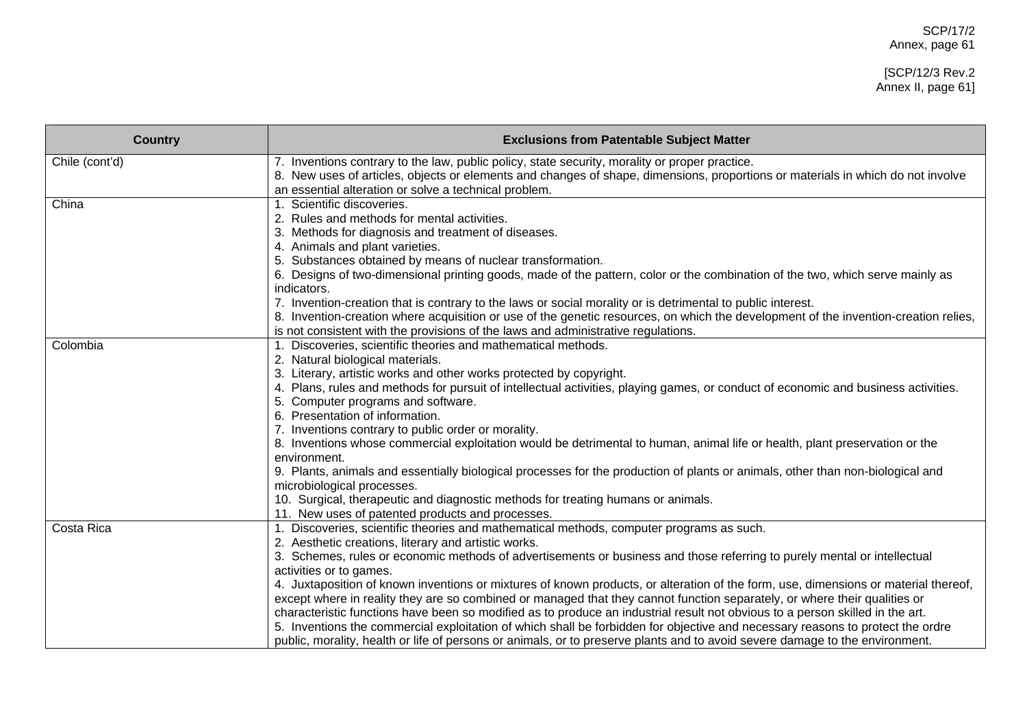## [SCP/12/3 Rev.2 Annex II, page 61]

| <b>Country</b> | <b>Exclusions from Patentable Subject Matter</b>                                                                                                                                                                                                                                                                                                                                                                                                                                                                                                                                                                                                                                                                                                                                                                                                                                                                                                                               |
|----------------|--------------------------------------------------------------------------------------------------------------------------------------------------------------------------------------------------------------------------------------------------------------------------------------------------------------------------------------------------------------------------------------------------------------------------------------------------------------------------------------------------------------------------------------------------------------------------------------------------------------------------------------------------------------------------------------------------------------------------------------------------------------------------------------------------------------------------------------------------------------------------------------------------------------------------------------------------------------------------------|
| Chile (cont'd) | 7. Inventions contrary to the law, public policy, state security, morality or proper practice.<br>8. New uses of articles, objects or elements and changes of shape, dimensions, proportions or materials in which do not involve<br>an essential alteration or solve a technical problem.                                                                                                                                                                                                                                                                                                                                                                                                                                                                                                                                                                                                                                                                                     |
| China          | 1. Scientific discoveries.<br>2. Rules and methods for mental activities.<br>3. Methods for diagnosis and treatment of diseases.<br>4. Animals and plant varieties.<br>5. Substances obtained by means of nuclear transformation.<br>6. Designs of two-dimensional printing goods, made of the pattern, color or the combination of the two, which serve mainly as<br>indicators.<br>7. Invention-creation that is contrary to the laws or social morality or is detrimental to public interest.                                                                                                                                                                                                                                                                                                                                                                                                                                                                               |
|                | 8. Invention-creation where acquisition or use of the genetic resources, on which the development of the invention-creation relies,<br>is not consistent with the provisions of the laws and administrative regulations.                                                                                                                                                                                                                                                                                                                                                                                                                                                                                                                                                                                                                                                                                                                                                       |
| Colombia       | 1. Discoveries, scientific theories and mathematical methods.<br>2. Natural biological materials.<br>3. Literary, artistic works and other works protected by copyright.<br>4. Plans, rules and methods for pursuit of intellectual activities, playing games, or conduct of economic and business activities.<br>5. Computer programs and software.<br>6. Presentation of information.<br>7. Inventions contrary to public order or morality.<br>8. Inventions whose commercial exploitation would be detrimental to human, animal life or health, plant preservation or the<br>environment.<br>9. Plants, animals and essentially biological processes for the production of plants or animals, other than non-biological and<br>microbiological processes.<br>10. Surgical, therapeutic and diagnostic methods for treating humans or animals.<br>11. New uses of patented products and processes.                                                                          |
| Costa Rica     | 1. Discoveries, scientific theories and mathematical methods, computer programs as such.<br>2. Aesthetic creations, literary and artistic works.<br>3. Schemes, rules or economic methods of advertisements or business and those referring to purely mental or intellectual<br>activities or to games.<br>4. Juxtaposition of known inventions or mixtures of known products, or alteration of the form, use, dimensions or material thereof,<br>except where in reality they are so combined or managed that they cannot function separately, or where their qualities or<br>characteristic functions have been so modified as to produce an industrial result not obvious to a person skilled in the art.<br>5. Inventions the commercial exploitation of which shall be forbidden for objective and necessary reasons to protect the ordre<br>public, morality, health or life of persons or animals, or to preserve plants and to avoid severe damage to the environment. |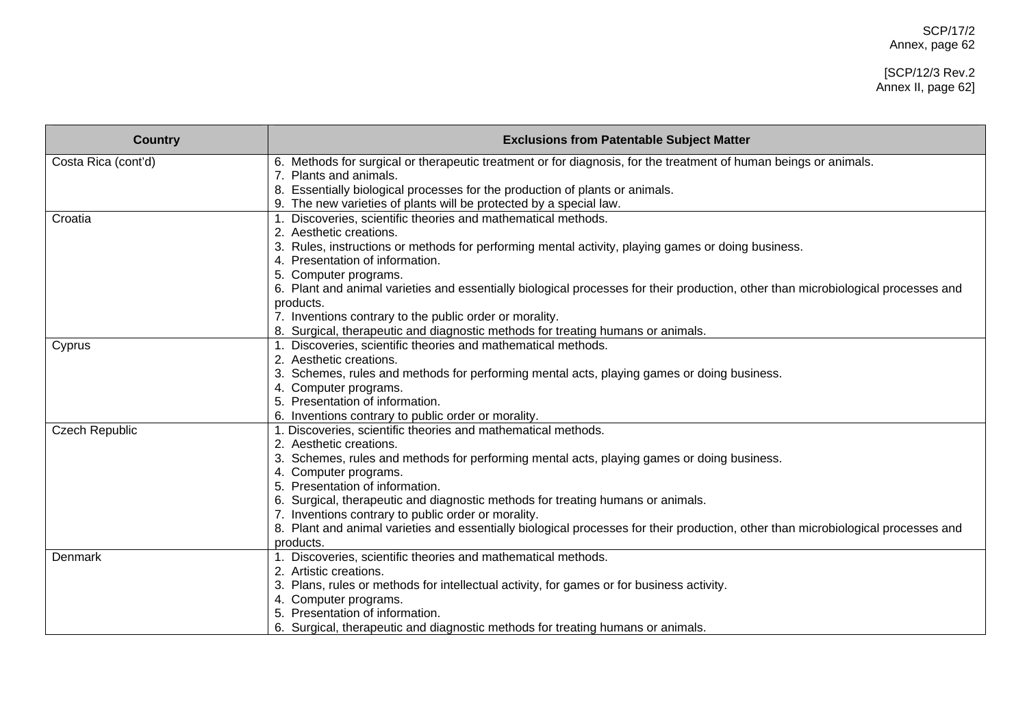# [SCP/12/3 Rev.2 Annex II, page 62]

| <b>Country</b>        | <b>Exclusions from Patentable Subject Matter</b>                                                                                  |
|-----------------------|-----------------------------------------------------------------------------------------------------------------------------------|
| Costa Rica (cont'd)   | 6. Methods for surgical or therapeutic treatment or for diagnosis, for the treatment of human beings or animals.                  |
|                       | 7. Plants and animals.                                                                                                            |
|                       | 8. Essentially biological processes for the production of plants or animals.                                                      |
|                       | 9. The new varieties of plants will be protected by a special law.                                                                |
| Croatia               | Discoveries, scientific theories and mathematical methods.                                                                        |
|                       | Aesthetic creations.                                                                                                              |
|                       | Rules, instructions or methods for performing mental activity, playing games or doing business.                                   |
|                       | Presentation of information.                                                                                                      |
|                       | 5. Computer programs.                                                                                                             |
|                       | 6. Plant and animal varieties and essentially biological processes for their production, other than microbiological processes and |
|                       | products.                                                                                                                         |
|                       | 7. Inventions contrary to the public order or morality.                                                                           |
|                       | 8. Surgical, therapeutic and diagnostic methods for treating humans or animals.                                                   |
| Cyprus                | Discoveries, scientific theories and mathematical methods.                                                                        |
|                       | 2. Aesthetic creations.                                                                                                           |
|                       | Schemes, rules and methods for performing mental acts, playing games or doing business.                                           |
|                       | 4. Computer programs.                                                                                                             |
|                       | 5. Presentation of information.                                                                                                   |
|                       | 6. Inventions contrary to public order or morality.                                                                               |
| <b>Czech Republic</b> | 1. Discoveries, scientific theories and mathematical methods.                                                                     |
|                       | 2. Aesthetic creations.                                                                                                           |
|                       | Schemes, rules and methods for performing mental acts, playing games or doing business.                                           |
|                       | Computer programs.                                                                                                                |
|                       | Presentation of information.                                                                                                      |
|                       | Surgical, therapeutic and diagnostic methods for treating humans or animals.                                                      |
|                       | 7. Inventions contrary to public order or morality.                                                                               |
|                       | 8. Plant and animal varieties and essentially biological processes for their production, other than microbiological processes and |
|                       | products.                                                                                                                         |
| Denmark               | 1. Discoveries, scientific theories and mathematical methods.                                                                     |
|                       | Artistic creations.                                                                                                               |
|                       | Plans, rules or methods for intellectual activity, for games or for business activity.                                            |
|                       | 4. Computer programs.                                                                                                             |
|                       | Presentation of information.                                                                                                      |
|                       | 6. Surgical, therapeutic and diagnostic methods for treating humans or animals.                                                   |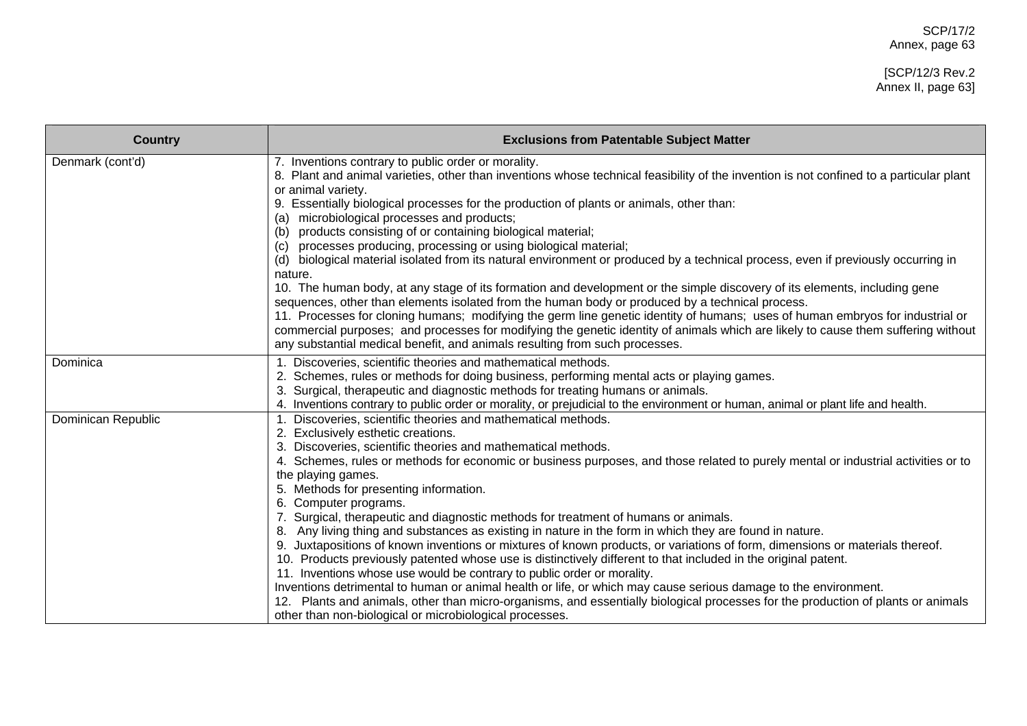# [SCP/12/3 Rev.2 Annex II, page 63]

| <b>Country</b>     | <b>Exclusions from Patentable Subject Matter</b>                                                                                                                                                                                     |
|--------------------|--------------------------------------------------------------------------------------------------------------------------------------------------------------------------------------------------------------------------------------|
| Denmark (cont'd)   | 7. Inventions contrary to public order or morality.<br>8. Plant and animal varieties, other than inventions whose technical feasibility of the invention is not confined to a particular plant<br>or animal variety.                 |
|                    | 9. Essentially biological processes for the production of plants or animals, other than:                                                                                                                                             |
|                    | microbiological processes and products;<br>(a)<br>products consisting of or containing biological material;                                                                                                                          |
|                    | processes producing, processing or using biological material;<br>(c)                                                                                                                                                                 |
|                    | biological material isolated from its natural environment or produced by a technical process, even if previously occurring in<br>(d)<br>nature.                                                                                      |
|                    | 10. The human body, at any stage of its formation and development or the simple discovery of its elements, including gene<br>sequences, other than elements isolated from the human body or produced by a technical process.         |
|                    | 11. Processes for cloning humans; modifying the germ line genetic identity of humans; uses of human embryos for industrial or                                                                                                        |
|                    | commercial purposes; and processes for modifying the genetic identity of animals which are likely to cause them suffering without                                                                                                    |
|                    | any substantial medical benefit, and animals resulting from such processes.                                                                                                                                                          |
| Dominica           | 1. Discoveries, scientific theories and mathematical methods.                                                                                                                                                                        |
|                    | 2. Schemes, rules or methods for doing business, performing mental acts or playing games.                                                                                                                                            |
|                    | 3. Surgical, therapeutic and diagnostic methods for treating humans or animals.<br>4. Inventions contrary to public order or morality, or prejudicial to the environment or human, animal or plant life and health.                  |
| Dominican Republic | 1. Discoveries, scientific theories and mathematical methods.                                                                                                                                                                        |
|                    | 2. Exclusively esthetic creations.                                                                                                                                                                                                   |
|                    | 3. Discoveries, scientific theories and mathematical methods.                                                                                                                                                                        |
|                    | 4. Schemes, rules or methods for economic or business purposes, and those related to purely mental or industrial activities or to                                                                                                    |
|                    | the playing games.                                                                                                                                                                                                                   |
|                    | 5. Methods for presenting information.                                                                                                                                                                                               |
|                    | 6. Computer programs.                                                                                                                                                                                                                |
|                    | Surgical, therapeutic and diagnostic methods for treatment of humans or animals.                                                                                                                                                     |
|                    | Any living thing and substances as existing in nature in the form in which they are found in nature.<br>9. Juxtapositions of known inventions or mixtures of known products, or variations of form, dimensions or materials thereof. |
|                    | 10. Products previously patented whose use is distinctively different to that included in the original patent.                                                                                                                       |
|                    | 11. Inventions whose use would be contrary to public order or morality.                                                                                                                                                              |
|                    | Inventions detrimental to human or animal health or life, or which may cause serious damage to the environment.                                                                                                                      |
|                    | 12. Plants and animals, other than micro-organisms, and essentially biological processes for the production of plants or animals                                                                                                     |
|                    | other than non-biological or microbiological processes.                                                                                                                                                                              |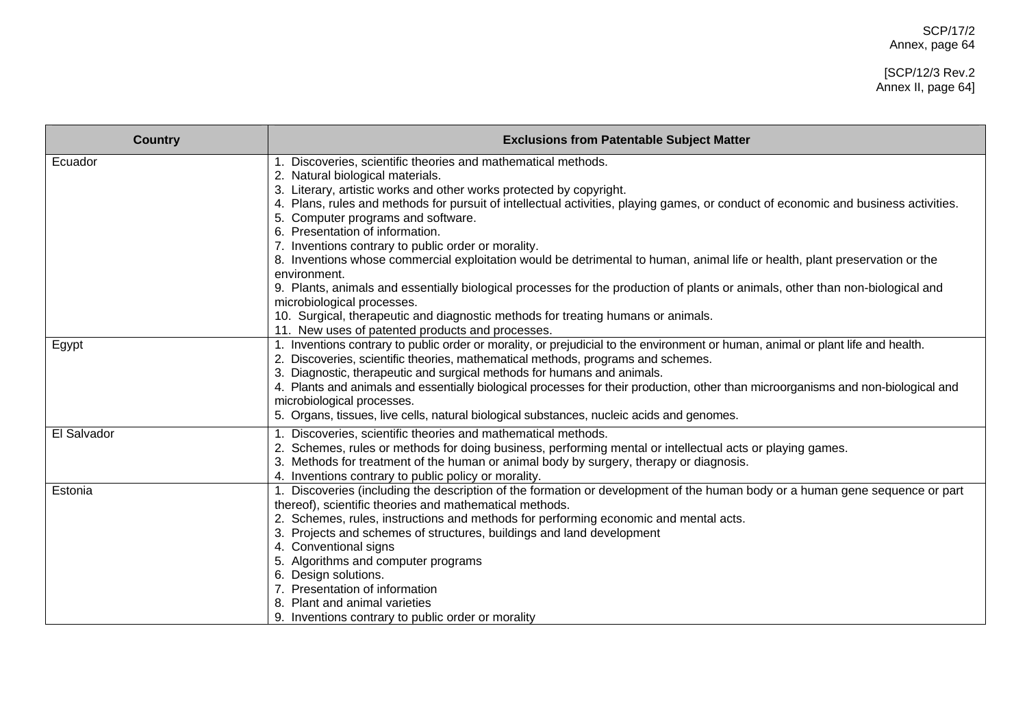# [SCP/12/3 Rev.2 Annex II, page 64]

| <b>Country</b> | <b>Exclusions from Patentable Subject Matter</b>                                                                                                                                                                                                                                                                                                                                                                                                                                                                                                                                                                                                                                                                                                                                                                                                                                                   |
|----------------|----------------------------------------------------------------------------------------------------------------------------------------------------------------------------------------------------------------------------------------------------------------------------------------------------------------------------------------------------------------------------------------------------------------------------------------------------------------------------------------------------------------------------------------------------------------------------------------------------------------------------------------------------------------------------------------------------------------------------------------------------------------------------------------------------------------------------------------------------------------------------------------------------|
| Ecuador        | Discoveries, scientific theories and mathematical methods.<br>2. Natural biological materials.<br>3. Literary, artistic works and other works protected by copyright.<br>4. Plans, rules and methods for pursuit of intellectual activities, playing games, or conduct of economic and business activities.<br>5. Computer programs and software.<br>6. Presentation of information.<br>7. Inventions contrary to public order or morality.<br>8. Inventions whose commercial exploitation would be detrimental to human, animal life or health, plant preservation or the<br>environment.<br>9. Plants, animals and essentially biological processes for the production of plants or animals, other than non-biological and<br>microbiological processes.<br>10. Surgical, therapeutic and diagnostic methods for treating humans or animals.<br>11. New uses of patented products and processes. |
| Egypt          | 1. Inventions contrary to public order or morality, or prejudicial to the environment or human, animal or plant life and health.<br>2. Discoveries, scientific theories, mathematical methods, programs and schemes.<br>3. Diagnostic, therapeutic and surgical methods for humans and animals.<br>4. Plants and animals and essentially biological processes for their production, other than microorganisms and non-biological and<br>microbiological processes.<br>5. Organs, tissues, live cells, natural biological substances, nucleic acids and genomes.                                                                                                                                                                                                                                                                                                                                    |
| El Salvador    | Discoveries, scientific theories and mathematical methods.<br>2. Schemes, rules or methods for doing business, performing mental or intellectual acts or playing games.<br>3. Methods for treatment of the human or animal body by surgery, therapy or diagnosis.<br>4. Inventions contrary to public policy or morality.                                                                                                                                                                                                                                                                                                                                                                                                                                                                                                                                                                          |
| Estonia        | 1. Discoveries (including the description of the formation or development of the human body or a human gene sequence or part<br>thereof), scientific theories and mathematical methods.<br>2. Schemes, rules, instructions and methods for performing economic and mental acts.<br>3. Projects and schemes of structures, buildings and land development<br>4. Conventional signs<br>5. Algorithms and computer programs<br>6. Design solutions.<br>7. Presentation of information<br>8. Plant and animal varieties<br>9. Inventions contrary to public order or morality                                                                                                                                                                                                                                                                                                                          |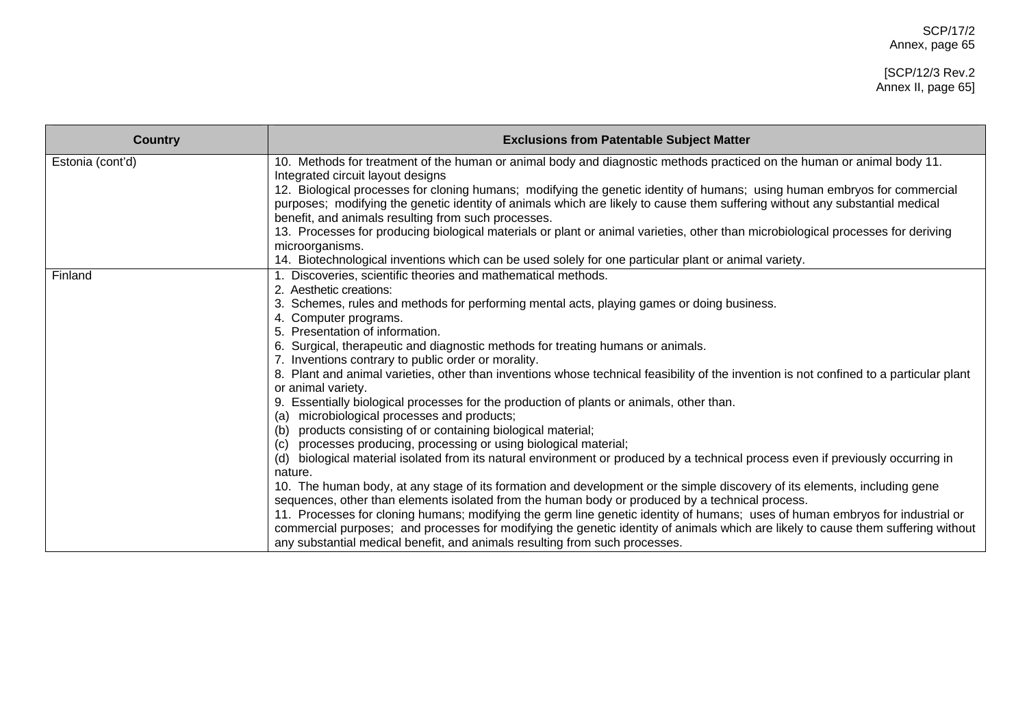| <b>Country</b>   | <b>Exclusions from Patentable Subject Matter</b>                                                                                                                                                                                                                                                                                                                                                                                                                                                                                                                                                                                       |
|------------------|----------------------------------------------------------------------------------------------------------------------------------------------------------------------------------------------------------------------------------------------------------------------------------------------------------------------------------------------------------------------------------------------------------------------------------------------------------------------------------------------------------------------------------------------------------------------------------------------------------------------------------------|
| Estonia (cont'd) | 10. Methods for treatment of the human or animal body and diagnostic methods practiced on the human or animal body 11.<br>Integrated circuit layout designs<br>12. Biological processes for cloning humans; modifying the genetic identity of humans; using human embryos for commercial<br>purposes; modifying the genetic identity of animals which are likely to cause them suffering without any substantial medical<br>benefit, and animals resulting from such processes.<br>13. Processes for producing biological materials or plant or animal varieties, other than microbiological processes for deriving<br>microorganisms. |
|                  | 14. Biotechnological inventions which can be used solely for one particular plant or animal variety.                                                                                                                                                                                                                                                                                                                                                                                                                                                                                                                                   |
| Finland          | 1. Discoveries, scientific theories and mathematical methods.<br>2. Aesthetic creations:<br>3. Schemes, rules and methods for performing mental acts, playing games or doing business.<br>4. Computer programs.<br>5. Presentation of information.                                                                                                                                                                                                                                                                                                                                                                                     |
|                  | 6. Surgical, therapeutic and diagnostic methods for treating humans or animals.                                                                                                                                                                                                                                                                                                                                                                                                                                                                                                                                                        |
|                  | 7. Inventions contrary to public order or morality.<br>8. Plant and animal varieties, other than inventions whose technical feasibility of the invention is not confined to a particular plant<br>or animal variety.                                                                                                                                                                                                                                                                                                                                                                                                                   |
|                  | 9. Essentially biological processes for the production of plants or animals, other than.<br>microbiological processes and products;<br>(a)<br>products consisting of or containing biological material;<br>(b)                                                                                                                                                                                                                                                                                                                                                                                                                         |
|                  | processes producing, processing or using biological material;<br>(C)<br>biological material isolated from its natural environment or produced by a technical process even if previously occurring in<br>(d)<br>nature.                                                                                                                                                                                                                                                                                                                                                                                                                 |
|                  | 10. The human body, at any stage of its formation and development or the simple discovery of its elements, including gene<br>sequences, other than elements isolated from the human body or produced by a technical process.<br>11. Processes for cloning humans; modifying the germ line genetic identity of humans; uses of human embryos for industrial or<br>commercial purposes; and processes for modifying the genetic identity of animals which are likely to cause them suffering without<br>any substantial medical benefit, and animals resulting from such processes.                                                      |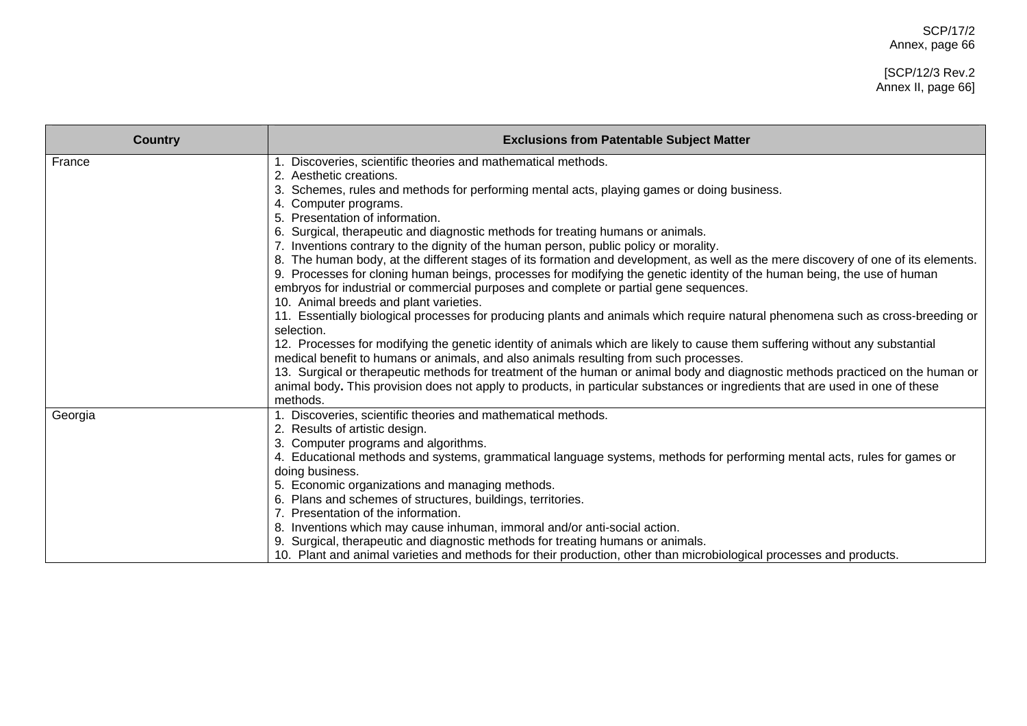# [SCP/12/3 Rev.2 Annex II, page 66]

| <b>Country</b> | <b>Exclusions from Patentable Subject Matter</b>                                                                                                                                                                                                               |
|----------------|----------------------------------------------------------------------------------------------------------------------------------------------------------------------------------------------------------------------------------------------------------------|
| France         | 1. Discoveries, scientific theories and mathematical methods.<br>2. Aesthetic creations.                                                                                                                                                                       |
|                | 3. Schemes, rules and methods for performing mental acts, playing games or doing business.                                                                                                                                                                     |
|                | 4. Computer programs.                                                                                                                                                                                                                                          |
|                | 5. Presentation of information.                                                                                                                                                                                                                                |
|                | 6. Surgical, therapeutic and diagnostic methods for treating humans or animals.                                                                                                                                                                                |
|                | 7. Inventions contrary to the dignity of the human person, public policy or morality.                                                                                                                                                                          |
|                | 8. The human body, at the different stages of its formation and development, as well as the mere discovery of one of its elements.<br>9. Processes for cloning human beings, processes for modifying the genetic identity of the human being, the use of human |
|                | embryos for industrial or commercial purposes and complete or partial gene sequences.                                                                                                                                                                          |
|                | 10. Animal breeds and plant varieties.                                                                                                                                                                                                                         |
|                | 11. Essentially biological processes for producing plants and animals which require natural phenomena such as cross-breeding or<br>selection.                                                                                                                  |
|                | 12. Processes for modifying the genetic identity of animals which are likely to cause them suffering without any substantial<br>medical benefit to humans or animals, and also animals resulting from such processes.                                          |
|                | 13. Surgical or therapeutic methods for treatment of the human or animal body and diagnostic methods practiced on the human or                                                                                                                                 |
|                | animal body. This provision does not apply to products, in particular substances or ingredients that are used in one of these                                                                                                                                  |
|                | methods.                                                                                                                                                                                                                                                       |
| Georgia        | 1. Discoveries, scientific theories and mathematical methods.                                                                                                                                                                                                  |
|                | 2. Results of artistic design.                                                                                                                                                                                                                                 |
|                | 3. Computer programs and algorithms.                                                                                                                                                                                                                           |
|                | 4. Educational methods and systems, grammatical language systems, methods for performing mental acts, rules for games or<br>doing business.                                                                                                                    |
|                | 5. Economic organizations and managing methods.                                                                                                                                                                                                                |
|                | 6. Plans and schemes of structures, buildings, territories.                                                                                                                                                                                                    |
|                | 7. Presentation of the information.                                                                                                                                                                                                                            |
|                | 8. Inventions which may cause inhuman, immoral and/or anti-social action.                                                                                                                                                                                      |
|                | 9. Surgical, therapeutic and diagnostic methods for treating humans or animals.                                                                                                                                                                                |
|                | 10. Plant and animal varieties and methods for their production, other than microbiological processes and products.                                                                                                                                            |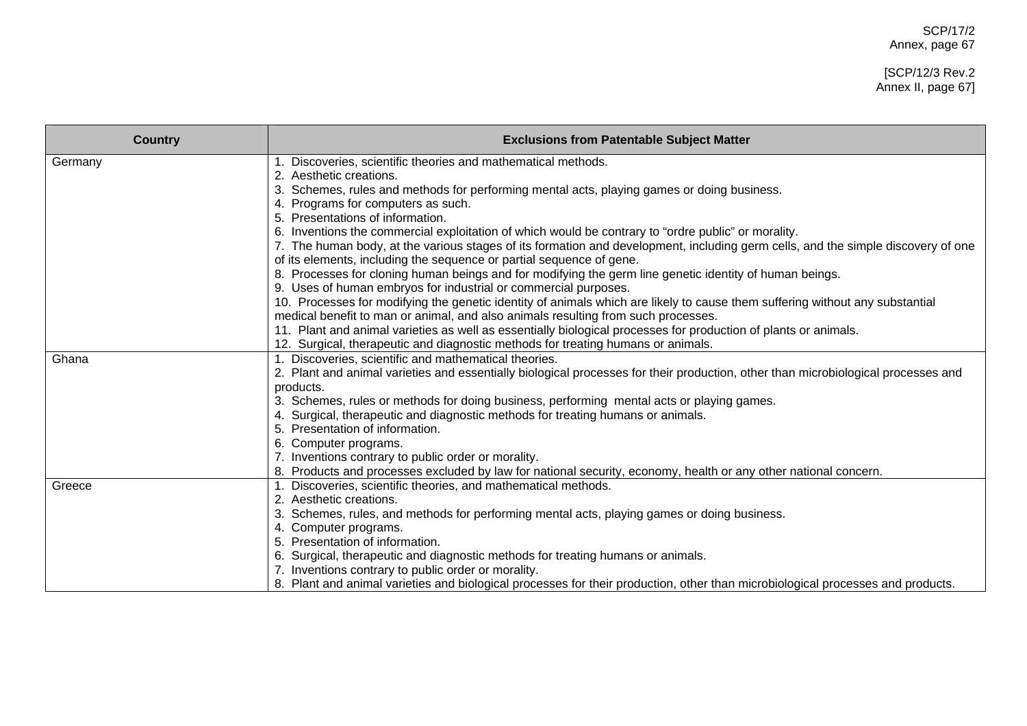# [SCP/12/3 Rev.2 Annex II, page 67]

| <b>Country</b> | <b>Exclusions from Patentable Subject Matter</b>                                                                                  |
|----------------|-----------------------------------------------------------------------------------------------------------------------------------|
| Germany        | 1. Discoveries, scientific theories and mathematical methods.                                                                     |
|                | 2. Aesthetic creations.                                                                                                           |
|                | 3. Schemes, rules and methods for performing mental acts, playing games or doing business.                                        |
|                | Programs for computers as such.                                                                                                   |
|                | 5. Presentations of information.                                                                                                  |
|                | 6. Inventions the commercial exploitation of which would be contrary to "ordre public" or morality.                               |
|                | 7. The human body, at the various stages of its formation and development, including germ cells, and the simple discovery of one  |
|                | of its elements, including the sequence or partial sequence of gene.                                                              |
|                | 8. Processes for cloning human beings and for modifying the germ line genetic identity of human beings.                           |
|                | 9. Uses of human embryos for industrial or commercial purposes.                                                                   |
|                | 10. Processes for modifying the genetic identity of animals which are likely to cause them suffering without any substantial      |
|                | medical benefit to man or animal, and also animals resulting from such processes.                                                 |
|                | 11. Plant and animal varieties as well as essentially biological processes for production of plants or animals.                   |
|                | 12. Surgical, therapeutic and diagnostic methods for treating humans or animals.                                                  |
| Ghana          | 1. Discoveries, scientific and mathematical theories.                                                                             |
|                | 2. Plant and animal varieties and essentially biological processes for their production, other than microbiological processes and |
|                | products.                                                                                                                         |
|                | 3. Schemes, rules or methods for doing business, performing mental acts or playing games.                                         |
|                | 4. Surgical, therapeutic and diagnostic methods for treating humans or animals.                                                   |
|                | 5. Presentation of information.                                                                                                   |
|                | 6. Computer programs.                                                                                                             |
|                | 7. Inventions contrary to public order or morality.                                                                               |
|                | 8. Products and processes excluded by law for national security, economy, health or any other national concern.                   |
| Greece         | 1. Discoveries, scientific theories, and mathematical methods.                                                                    |
|                | Aesthetic creations.                                                                                                              |
|                | 3. Schemes, rules, and methods for performing mental acts, playing games or doing business.                                       |
|                | 4. Computer programs.                                                                                                             |
|                | 5. Presentation of information.                                                                                                   |
|                | 6. Surgical, therapeutic and diagnostic methods for treating humans or animals.                                                   |
|                | 7. Inventions contrary to public order or morality.                                                                               |
|                | 8. Plant and animal varieties and biological processes for their production, other than microbiological processes and products.   |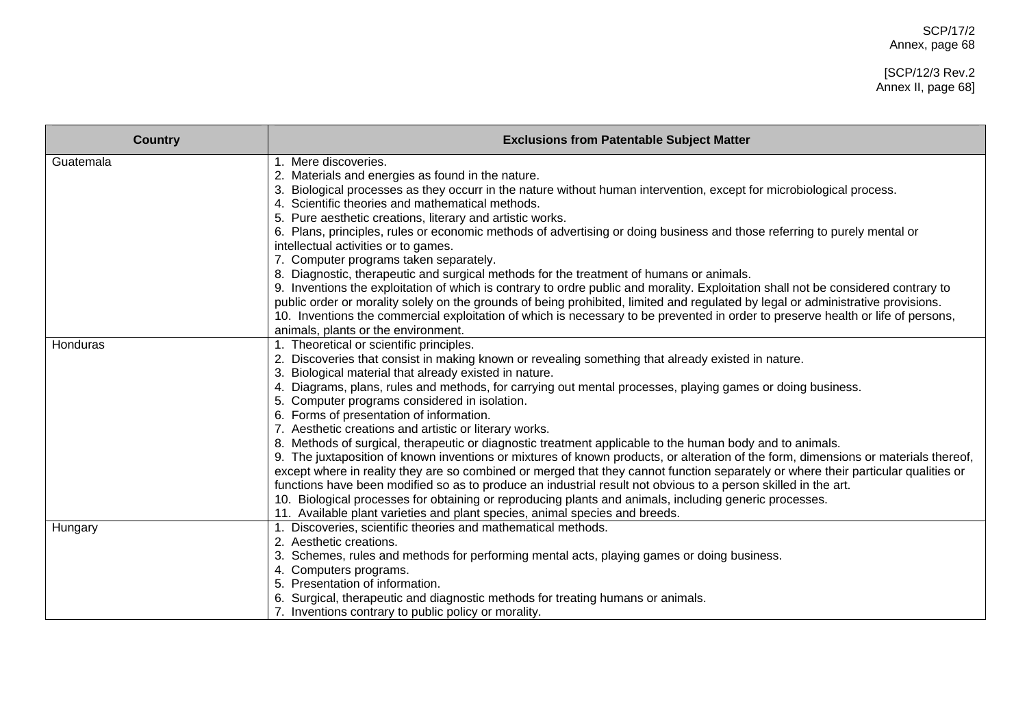# [SCP/12/3 Rev.2 Annex II, page 68]

| <b>Country</b> | <b>Exclusions from Patentable Subject Matter</b>                                                                                                                                                                                                                                                                                                                                                                                                                                                                                                                                                                                                                                                                                                                                                                                                                                                                                                                                                                                                                                                                                                                                                                      |
|----------------|-----------------------------------------------------------------------------------------------------------------------------------------------------------------------------------------------------------------------------------------------------------------------------------------------------------------------------------------------------------------------------------------------------------------------------------------------------------------------------------------------------------------------------------------------------------------------------------------------------------------------------------------------------------------------------------------------------------------------------------------------------------------------------------------------------------------------------------------------------------------------------------------------------------------------------------------------------------------------------------------------------------------------------------------------------------------------------------------------------------------------------------------------------------------------------------------------------------------------|
| Guatemala      | 1. Mere discoveries.<br>2. Materials and energies as found in the nature.<br>3. Biological processes as they occurr in the nature without human intervention, except for microbiological process.<br>4. Scientific theories and mathematical methods.<br>5. Pure aesthetic creations, literary and artistic works.<br>6. Plans, principles, rules or economic methods of advertising or doing business and those referring to purely mental or<br>intellectual activities or to games.<br>7. Computer programs taken separately.<br>8. Diagnostic, therapeutic and surgical methods for the treatment of humans or animals.<br>9. Inventions the exploitation of which is contrary to ordre public and morality. Exploitation shall not be considered contrary to<br>public order or morality solely on the grounds of being prohibited, limited and regulated by legal or administrative provisions.<br>10. Inventions the commercial exploitation of which is necessary to be prevented in order to preserve health or life of persons,                                                                                                                                                                             |
| Honduras       | animals, plants or the environment.<br>1. Theoretical or scientific principles.<br>2. Discoveries that consist in making known or revealing something that already existed in nature.<br>Biological material that already existed in nature.<br>4. Diagrams, plans, rules and methods, for carrying out mental processes, playing games or doing business.<br>5. Computer programs considered in isolation.<br>6. Forms of presentation of information.<br>7. Aesthetic creations and artistic or literary works.<br>8. Methods of surgical, therapeutic or diagnostic treatment applicable to the human body and to animals.<br>9. The juxtaposition of known inventions or mixtures of known products, or alteration of the form, dimensions or materials thereof,<br>except where in reality they are so combined or merged that they cannot function separately or where their particular qualities or<br>functions have been modified so as to produce an industrial result not obvious to a person skilled in the art.<br>10. Biological processes for obtaining or reproducing plants and animals, including generic processes.<br>11. Available plant varieties and plant species, animal species and breeds. |
| Hungary        | 1. Discoveries, scientific theories and mathematical methods.<br>2. Aesthetic creations.<br>3. Schemes, rules and methods for performing mental acts, playing games or doing business.<br>4. Computers programs.<br>5. Presentation of information.<br>Surgical, therapeutic and diagnostic methods for treating humans or animals.<br>7. Inventions contrary to public policy or morality.                                                                                                                                                                                                                                                                                                                                                                                                                                                                                                                                                                                                                                                                                                                                                                                                                           |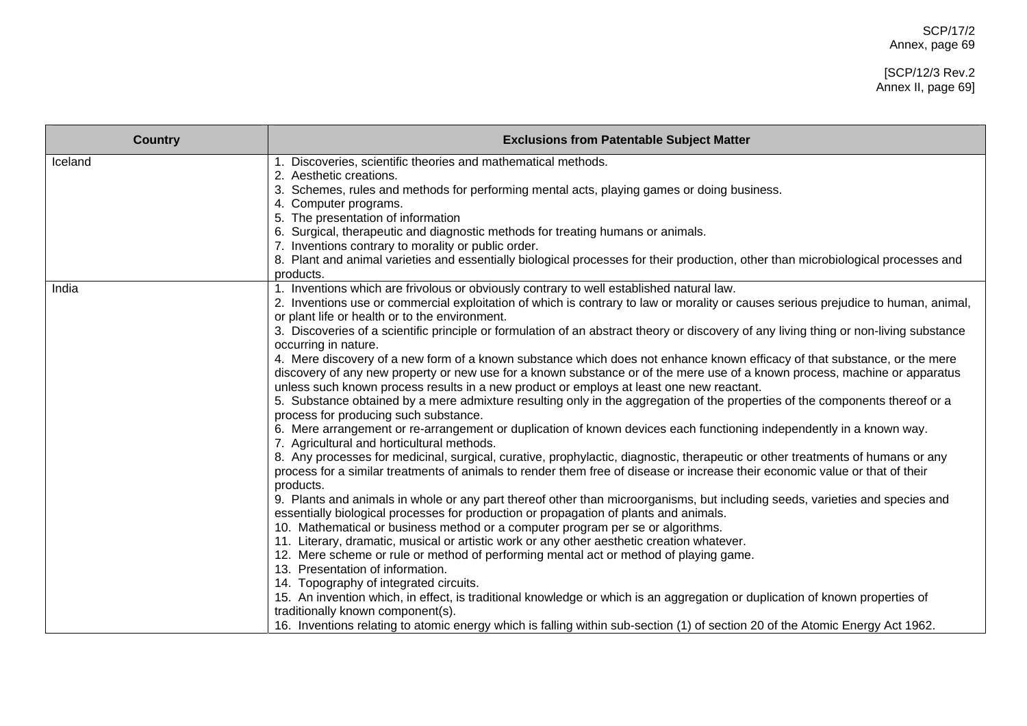# [SCP/12/3 Rev.2 Annex II, page 69]

| <b>Country</b> | <b>Exclusions from Patentable Subject Matter</b>                                                                                                                                         |
|----------------|------------------------------------------------------------------------------------------------------------------------------------------------------------------------------------------|
| Iceland        | 1. Discoveries, scientific theories and mathematical methods.                                                                                                                            |
|                | 2. Aesthetic creations.<br>3. Schemes, rules and methods for performing mental acts, playing games or doing business.                                                                    |
|                | 4. Computer programs.                                                                                                                                                                    |
|                | 5. The presentation of information                                                                                                                                                       |
|                | 6. Surgical, therapeutic and diagnostic methods for treating humans or animals.                                                                                                          |
|                | 7. Inventions contrary to morality or public order.                                                                                                                                      |
|                | 8. Plant and animal varieties and essentially biological processes for their production, other than microbiological processes and                                                        |
|                | products.                                                                                                                                                                                |
| India          | 1. Inventions which are frivolous or obviously contrary to well established natural law.                                                                                                 |
|                | 2. Inventions use or commercial exploitation of which is contrary to law or morality or causes serious prejudice to human, animal,                                                       |
|                | or plant life or health or to the environment.<br>3. Discoveries of a scientific principle or formulation of an abstract theory or discovery of any living thing or non-living substance |
|                | occurring in nature.                                                                                                                                                                     |
|                | 4. Mere discovery of a new form of a known substance which does not enhance known efficacy of that substance, or the mere                                                                |
|                | discovery of any new property or new use for a known substance or of the mere use of a known process, machine or apparatus                                                               |
|                | unless such known process results in a new product or employs at least one new reactant.                                                                                                 |
|                | 5. Substance obtained by a mere admixture resulting only in the aggregation of the properties of the components thereof or a                                                             |
|                | process for producing such substance.                                                                                                                                                    |
|                | 6. Mere arrangement or re-arrangement or duplication of known devices each functioning independently in a known way.                                                                     |
|                | 7. Agricultural and horticultural methods.<br>8. Any processes for medicinal, surgical, curative, prophylactic, diagnostic, therapeutic or other treatments of humans or any             |
|                | process for a similar treatments of animals to render them free of disease or increase their economic value or that of their                                                             |
|                | products.                                                                                                                                                                                |
|                | 9. Plants and animals in whole or any part thereof other than microorganisms, but including seeds, varieties and species and                                                             |
|                | essentially biological processes for production or propagation of plants and animals.                                                                                                    |
|                | 10. Mathematical or business method or a computer program per se or algorithms.                                                                                                          |
|                | 11. Literary, dramatic, musical or artistic work or any other aesthetic creation whatever.                                                                                               |
|                | 12. Mere scheme or rule or method of performing mental act or method of playing game.                                                                                                    |
|                | 13. Presentation of information.                                                                                                                                                         |
|                | 14. Topography of integrated circuits.<br>15. An invention which, in effect, is traditional knowledge or which is an aggregation or duplication of known properties of                   |
|                | traditionally known component(s).                                                                                                                                                        |
|                | 16. Inventions relating to atomic energy which is falling within sub-section (1) of section 20 of the Atomic Energy Act 1962.                                                            |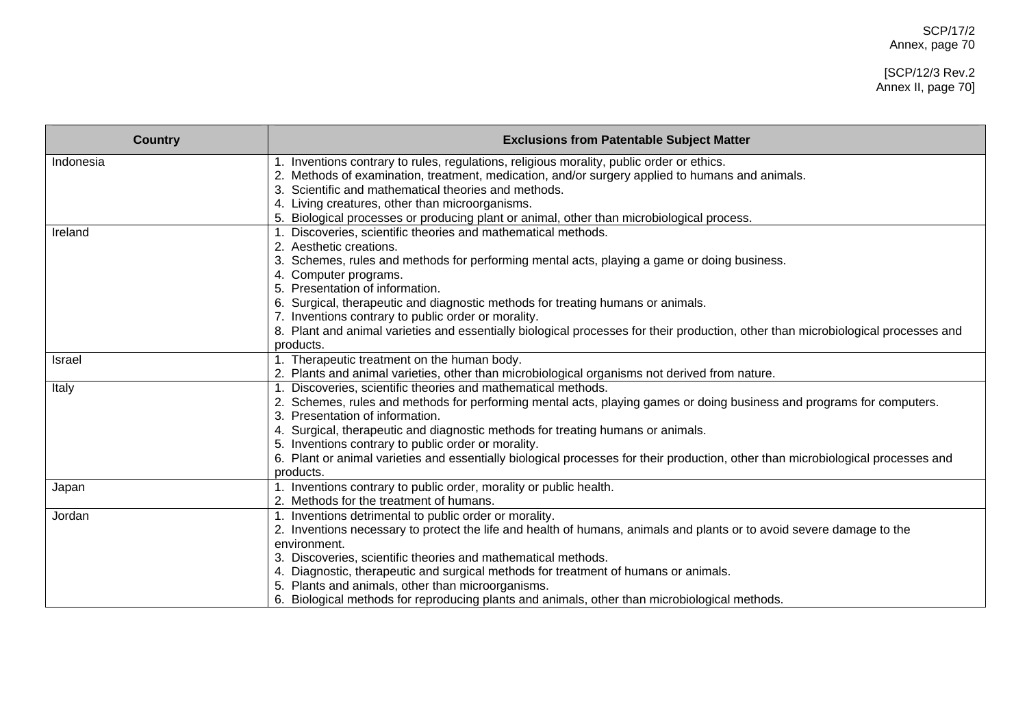#### [SCP/12/3 Rev.2 Annex II, page 70]

| <b>Country</b> | <b>Exclusions from Patentable Subject Matter</b>                                                                                  |
|----------------|-----------------------------------------------------------------------------------------------------------------------------------|
| Indonesia      | Inventions contrary to rules, regulations, religious morality, public order or ethics.                                            |
|                | 2. Methods of examination, treatment, medication, and/or surgery applied to humans and animals.                                   |
|                | Scientific and mathematical theories and methods.                                                                                 |
|                | 4. Living creatures, other than microorganisms.                                                                                   |
|                | 5. Biological processes or producing plant or animal, other than microbiological process.                                         |
| Ireland        | Discoveries, scientific theories and mathematical methods.                                                                        |
|                | Aesthetic creations.                                                                                                              |
|                | Schemes, rules and methods for performing mental acts, playing a game or doing business.                                          |
|                | Computer programs.                                                                                                                |
|                | Presentation of information.                                                                                                      |
|                | Surgical, therapeutic and diagnostic methods for treating humans or animals.                                                      |
|                | 7. Inventions contrary to public order or morality.                                                                               |
|                | 8. Plant and animal varieties and essentially biological processes for their production, other than microbiological processes and |
|                | products.                                                                                                                         |
| <b>Israel</b>  | 1. Therapeutic treatment on the human body.                                                                                       |
|                | 2. Plants and animal varieties, other than microbiological organisms not derived from nature.                                     |
| Italy          | Discoveries, scientific theories and mathematical methods.                                                                        |
|                | 2. Schemes, rules and methods for performing mental acts, playing games or doing business and programs for computers.             |
|                | Presentation of information.                                                                                                      |
|                | Surgical, therapeutic and diagnostic methods for treating humans or animals.                                                      |
|                | 5. Inventions contrary to public order or morality.                                                                               |
|                | 6. Plant or animal varieties and essentially biological processes for their production, other than microbiological processes and  |
|                | products.                                                                                                                         |
| Japan          | 1. Inventions contrary to public order, morality or public health.                                                                |
|                | 2. Methods for the treatment of humans.                                                                                           |
| Jordan         | 1. Inventions detrimental to public order or morality.                                                                            |
|                | 2. Inventions necessary to protect the life and health of humans, animals and plants or to avoid severe damage to the             |
|                | environment.                                                                                                                      |
|                | 3. Discoveries, scientific theories and mathematical methods.                                                                     |
|                | 4. Diagnostic, therapeutic and surgical methods for treatment of humans or animals.                                               |
|                | 5. Plants and animals, other than microorganisms.                                                                                 |
|                | 6. Biological methods for reproducing plants and animals, other than microbiological methods.                                     |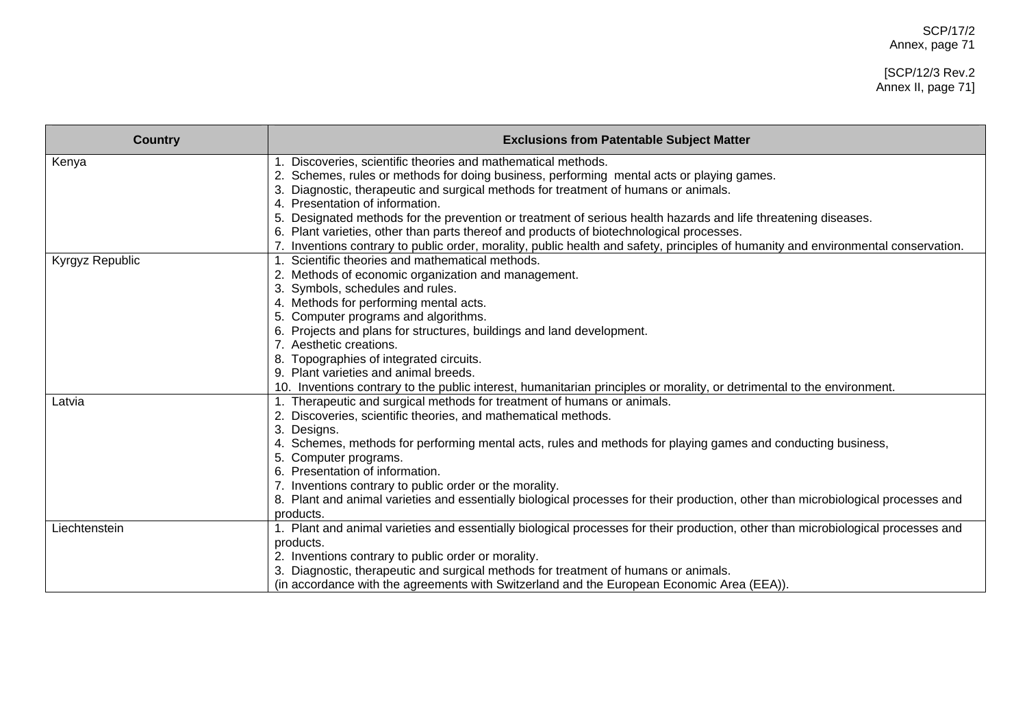#### [SCP/12/3 Rev.2 Annex II, page 71]

| <b>Country</b>  | <b>Exclusions from Patentable Subject Matter</b>                                                                                  |
|-----------------|-----------------------------------------------------------------------------------------------------------------------------------|
| Kenya           | 1. Discoveries, scientific theories and mathematical methods.                                                                     |
|                 | 2. Schemes, rules or methods for doing business, performing mental acts or playing games.                                         |
|                 | Diagnostic, therapeutic and surgical methods for treatment of humans or animals.                                                  |
|                 | Presentation of information.                                                                                                      |
|                 | Designated methods for the prevention or treatment of serious health hazards and life threatening diseases.                       |
|                 | 6. Plant varieties, other than parts thereof and products of biotechnological processes.                                          |
|                 | Inventions contrary to public order, morality, public health and safety, principles of humanity and environmental conservation.   |
| Kyrgyz Republic | 1. Scientific theories and mathematical methods.                                                                                  |
|                 | 2. Methods of economic organization and management.                                                                               |
|                 | 3. Symbols, schedules and rules.                                                                                                  |
|                 | 4. Methods for performing mental acts.                                                                                            |
|                 | 5. Computer programs and algorithms.                                                                                              |
|                 | Projects and plans for structures, buildings and land development.                                                                |
|                 | Aesthetic creations.                                                                                                              |
|                 | Topographies of integrated circuits.                                                                                              |
|                 | 9. Plant varieties and animal breeds.                                                                                             |
|                 | 10. Inventions contrary to the public interest, humanitarian principles or morality, or detrimental to the environment.           |
| Latvia          | 1. Therapeutic and surgical methods for treatment of humans or animals.                                                           |
|                 | 2. Discoveries, scientific theories, and mathematical methods.                                                                    |
|                 | 3. Designs.                                                                                                                       |
|                 | 4. Schemes, methods for performing mental acts, rules and methods for playing games and conducting business,                      |
|                 | 5. Computer programs.                                                                                                             |
|                 | Presentation of information.                                                                                                      |
|                 | 7. Inventions contrary to public order or the morality.                                                                           |
|                 | 8. Plant and animal varieties and essentially biological processes for their production, other than microbiological processes and |
|                 | products.                                                                                                                         |
| Liechtenstein   | 1. Plant and animal varieties and essentially biological processes for their production, other than microbiological processes and |
|                 | products.                                                                                                                         |
|                 | 2. Inventions contrary to public order or morality.                                                                               |
|                 | Diagnostic, therapeutic and surgical methods for treatment of humans or animals.                                                  |
|                 | (in accordance with the agreements with Switzerland and the European Economic Area (EEA)).                                        |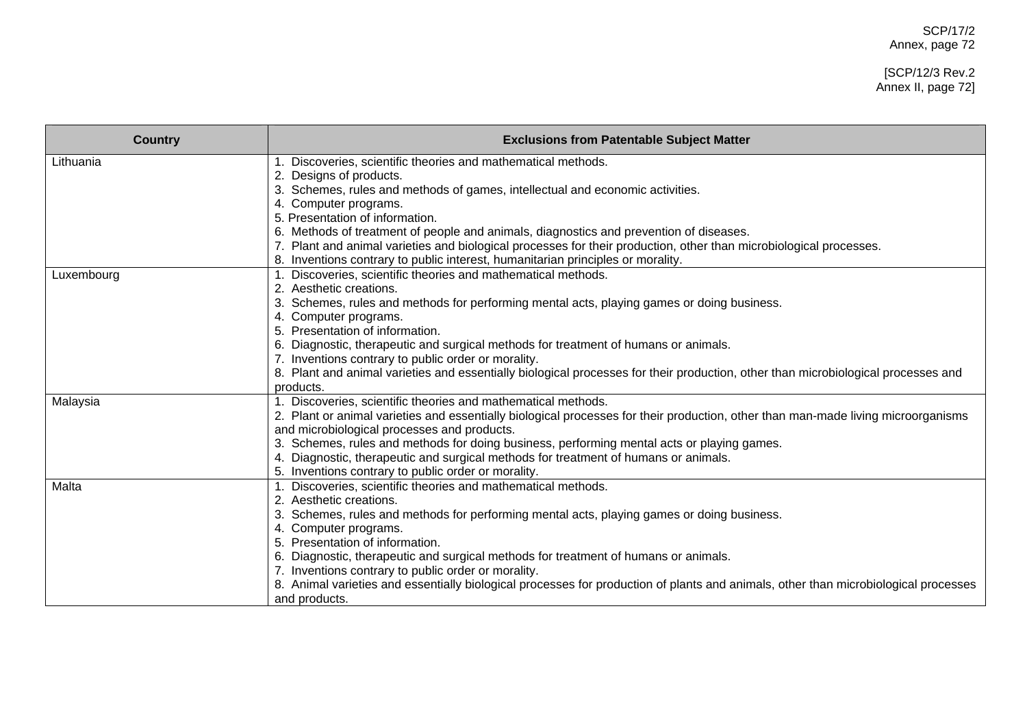# [SCP/12/3 Rev.2 Annex II, page 72]

| <b>Country</b> | <b>Exclusions from Patentable Subject Matter</b>                                                                                        |
|----------------|-----------------------------------------------------------------------------------------------------------------------------------------|
| Lithuania      | Discoveries, scientific theories and mathematical methods.                                                                              |
|                | 2. Designs of products.                                                                                                                 |
|                | Schemes, rules and methods of games, intellectual and economic activities.                                                              |
|                | 4. Computer programs.                                                                                                                   |
|                | 5. Presentation of information.                                                                                                         |
|                | 6. Methods of treatment of people and animals, diagnostics and prevention of diseases.                                                  |
|                | 7. Plant and animal varieties and biological processes for their production, other than microbiological processes.                      |
|                | 8. Inventions contrary to public interest, humanitarian principles or morality.                                                         |
| Luxembourg     | Discoveries, scientific theories and mathematical methods.                                                                              |
|                | 2. Aesthetic creations.                                                                                                                 |
|                | Schemes, rules and methods for performing mental acts, playing games or doing business.                                                 |
|                | Computer programs.                                                                                                                      |
|                | Presentation of information.                                                                                                            |
|                | Diagnostic, therapeutic and surgical methods for treatment of humans or animals.                                                        |
|                | 7. Inventions contrary to public order or morality.                                                                                     |
|                | 8. Plant and animal varieties and essentially biological processes for their production, other than microbiological processes and       |
|                | products.                                                                                                                               |
| Malaysia       | 1. Discoveries, scientific theories and mathematical methods.                                                                           |
|                | 2. Plant or animal varieties and essentially biological processes for their production, other than man-made living microorganisms       |
|                | and microbiological processes and products.                                                                                             |
|                | 3. Schemes, rules and methods for doing business, performing mental acts or playing games.                                              |
|                | Diagnostic, therapeutic and surgical methods for treatment of humans or animals.                                                        |
|                | 5. Inventions contrary to public order or morality.                                                                                     |
| Malta          | Discoveries, scientific theories and mathematical methods.<br>2. Aesthetic creations.                                                   |
|                |                                                                                                                                         |
|                | Schemes, rules and methods for performing mental acts, playing games or doing business.                                                 |
|                | Computer programs.<br>Presentation of information.                                                                                      |
|                |                                                                                                                                         |
|                | Diagnostic, therapeutic and surgical methods for treatment of humans or animals.<br>7. Inventions contrary to public order or morality. |
|                | Animal varieties and essentially biological processes for production of plants and animals, other than microbiological processes        |
|                | and products.                                                                                                                           |
|                |                                                                                                                                         |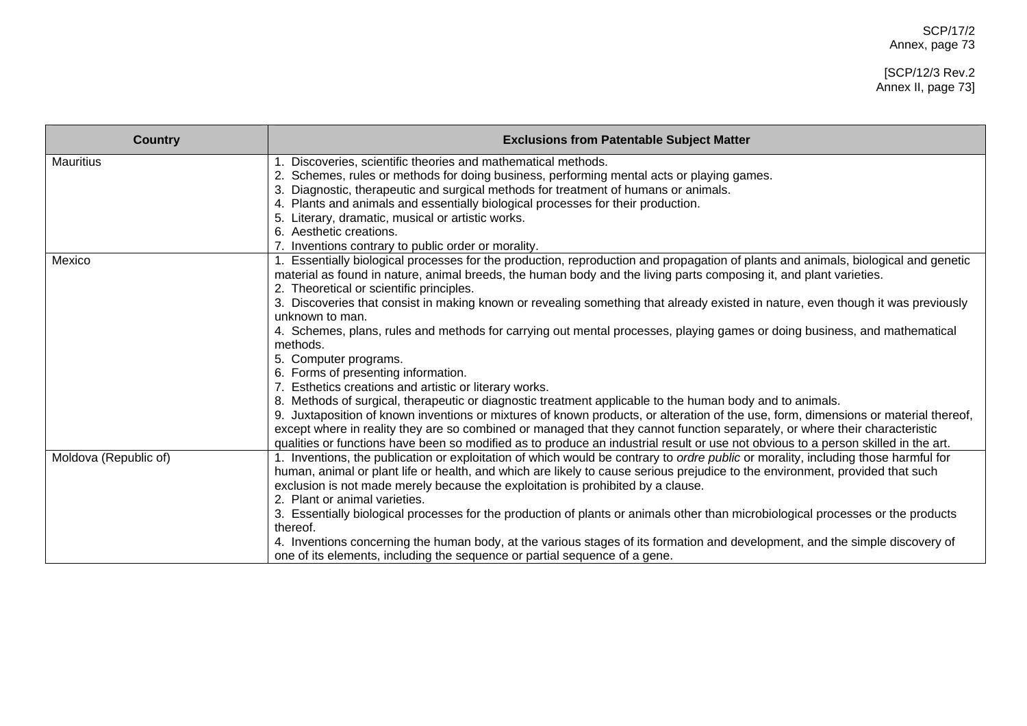## [SCP/12/3 Rev.2 Annex II, page 73]

| <b>Country</b>        | <b>Exclusions from Patentable Subject Matter</b>                                                                                                                                                                                                                                                                                                                                                                                                                                                                  |
|-----------------------|-------------------------------------------------------------------------------------------------------------------------------------------------------------------------------------------------------------------------------------------------------------------------------------------------------------------------------------------------------------------------------------------------------------------------------------------------------------------------------------------------------------------|
| <b>Mauritius</b>      | Discoveries, scientific theories and mathematical methods.<br>2. Schemes, rules or methods for doing business, performing mental acts or playing games.<br>Diagnostic, therapeutic and surgical methods for treatment of humans or animals.<br>. Plants and animals and essentially biological processes for their production.<br>4.                                                                                                                                                                              |
|                       | Literary, dramatic, musical or artistic works.<br>Aesthetic creations.<br>Inventions contrary to public order or morality.                                                                                                                                                                                                                                                                                                                                                                                        |
| Mexico                | 1. Essentially biological processes for the production, reproduction and propagation of plants and animals, biological and genetic<br>material as found in nature, animal breeds, the human body and the living parts composing it, and plant varieties.<br>2. Theoretical or scientific principles.                                                                                                                                                                                                              |
|                       | 3. Discoveries that consist in making known or revealing something that already existed in nature, even though it was previously<br>unknown to man.<br>4. Schemes, plans, rules and methods for carrying out mental processes, playing games or doing business, and mathematical                                                                                                                                                                                                                                  |
|                       | methods.<br>5. Computer programs.                                                                                                                                                                                                                                                                                                                                                                                                                                                                                 |
|                       | 6. Forms of presenting information.<br>Esthetics creations and artistic or literary works.                                                                                                                                                                                                                                                                                                                                                                                                                        |
|                       | 8. Methods of surgical, therapeutic or diagnostic treatment applicable to the human body and to animals.<br>Juxtaposition of known inventions or mixtures of known products, or alteration of the use, form, dimensions or material thereof,<br>except where in reality they are so combined or managed that they cannot function separately, or where their characteristic<br>qualities or functions have been so modified as to produce an industrial result or use not obvious to a person skilled in the art. |
| Moldova (Republic of) | 1. Inventions, the publication or exploitation of which would be contrary to ordre public or morality, including those harmful for<br>human, animal or plant life or health, and which are likely to cause serious prejudice to the environment, provided that such<br>exclusion is not made merely because the exploitation is prohibited by a clause.<br>2. Plant or animal varieties.                                                                                                                          |
|                       | 3. Essentially biological processes for the production of plants or animals other than microbiological processes or the products<br>thereof.                                                                                                                                                                                                                                                                                                                                                                      |
|                       | 4. Inventions concerning the human body, at the various stages of its formation and development, and the simple discovery of<br>one of its elements, including the sequence or partial sequence of a gene.                                                                                                                                                                                                                                                                                                        |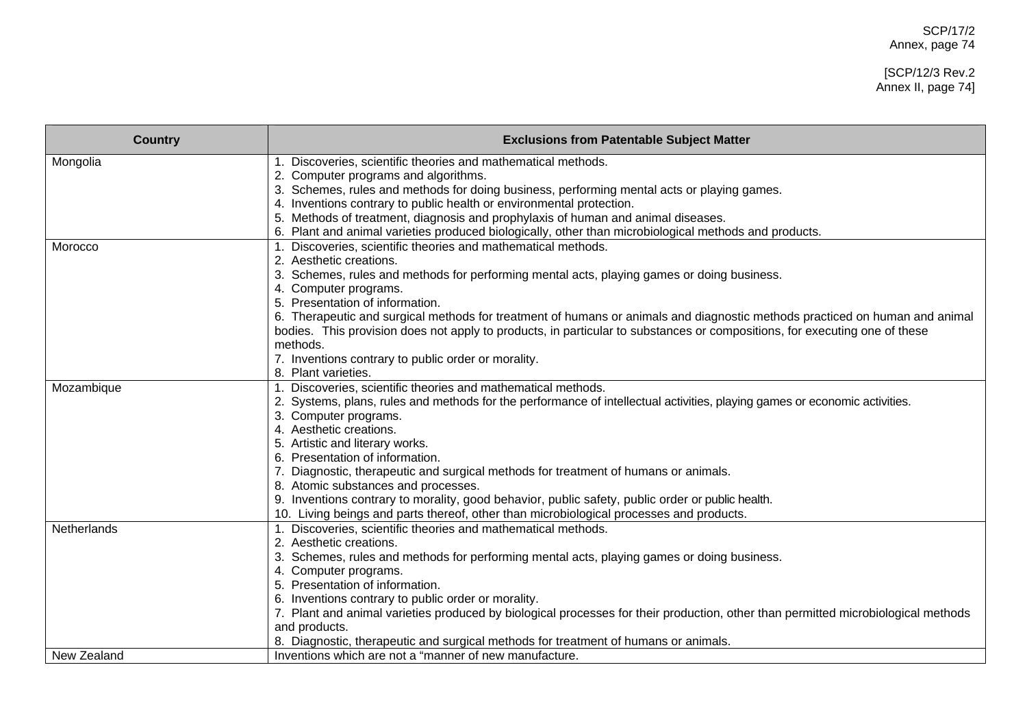### [SCP/12/3 Rev.2 Annex II, page 74]

| <b>Country</b> | <b>Exclusions from Patentable Subject Matter</b>                                                                                                                                            |
|----------------|---------------------------------------------------------------------------------------------------------------------------------------------------------------------------------------------|
| Mongolia       | 1. Discoveries, scientific theories and mathematical methods.                                                                                                                               |
|                | 2. Computer programs and algorithms.                                                                                                                                                        |
|                | 3. Schemes, rules and methods for doing business, performing mental acts or playing games.                                                                                                  |
|                | 4. Inventions contrary to public health or environmental protection.                                                                                                                        |
|                | 5. Methods of treatment, diagnosis and prophylaxis of human and animal diseases.                                                                                                            |
|                | 6. Plant and animal varieties produced biologically, other than microbiological methods and products.                                                                                       |
| Morocco        | Discoveries, scientific theories and mathematical methods.                                                                                                                                  |
|                | 2. Aesthetic creations.                                                                                                                                                                     |
|                | Schemes, rules and methods for performing mental acts, playing games or doing business.<br>3.                                                                                               |
|                | 4. Computer programs.                                                                                                                                                                       |
|                | 5. Presentation of information.                                                                                                                                                             |
|                | 6. Therapeutic and surgical methods for treatment of humans or animals and diagnostic methods practiced on human and animal                                                                 |
|                | bodies. This provision does not apply to products, in particular to substances or compositions, for executing one of these                                                                  |
|                | methods.                                                                                                                                                                                    |
|                | 7. Inventions contrary to public order or morality.                                                                                                                                         |
|                | 8. Plant varieties.                                                                                                                                                                         |
| Mozambique     | Discoveries, scientific theories and mathematical methods.                                                                                                                                  |
|                | 2. Systems, plans, rules and methods for the performance of intellectual activities, playing games or economic activities.                                                                  |
|                | 3. Computer programs.                                                                                                                                                                       |
|                | 4. Aesthetic creations.                                                                                                                                                                     |
|                | 5. Artistic and literary works.                                                                                                                                                             |
|                | 6. Presentation of information.                                                                                                                                                             |
|                | 7. Diagnostic, therapeutic and surgical methods for treatment of humans or animals.                                                                                                         |
|                | 8. Atomic substances and processes.                                                                                                                                                         |
|                | 9. Inventions contrary to morality, good behavior, public safety, public order or public health.<br>10. Living beings and parts thereof, other than microbiological processes and products. |
|                |                                                                                                                                                                                             |
| Netherlands    | 1. Discoveries, scientific theories and mathematical methods.<br>2. Aesthetic creations.                                                                                                    |
|                |                                                                                                                                                                                             |
|                | Schemes, rules and methods for performing mental acts, playing games or doing business.                                                                                                     |
|                | 4. Computer programs.<br>5. Presentation of information.                                                                                                                                    |
|                |                                                                                                                                                                                             |
|                | 6. Inventions contrary to public order or morality.                                                                                                                                         |
|                | 7. Plant and animal varieties produced by biological processes for their production, other than permitted microbiological methods                                                           |
|                | and products.<br>8. Diagnostic, therapeutic and surgical methods for treatment of humans or animals.                                                                                        |
| New Zealand    | Inventions which are not a "manner of new manufacture.                                                                                                                                      |
|                |                                                                                                                                                                                             |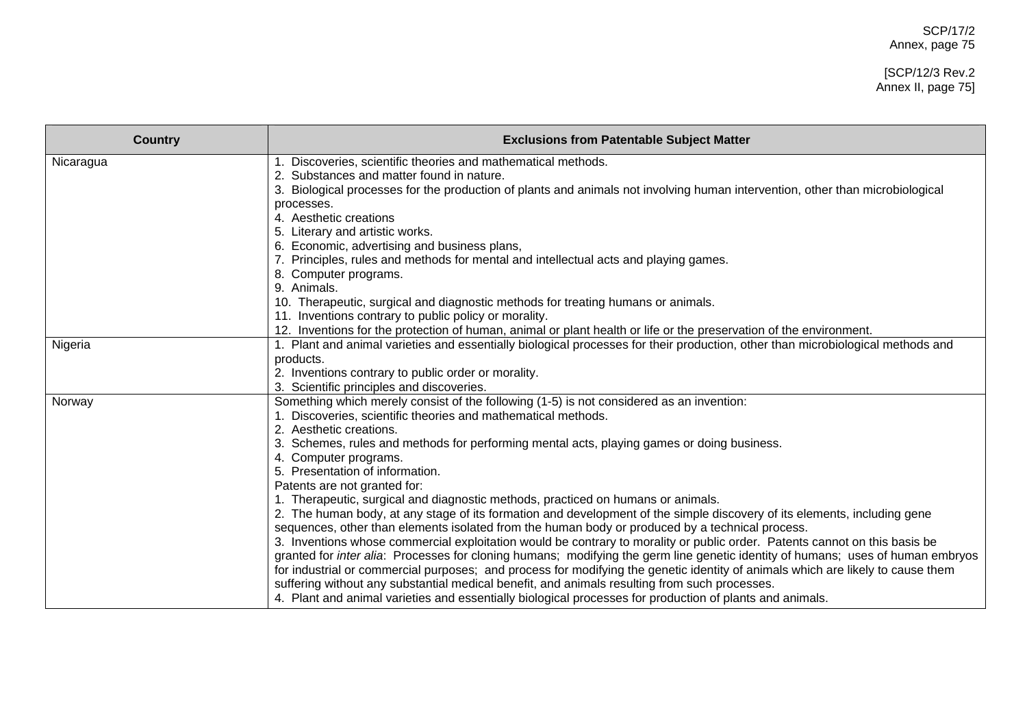### [SCP/12/3 Rev.2 Annex II, page 75]

| <b>Country</b> | <b>Exclusions from Patentable Subject Matter</b>                                                                                |
|----------------|---------------------------------------------------------------------------------------------------------------------------------|
| Nicaragua      | 1. Discoveries, scientific theories and mathematical methods.                                                                   |
|                | 2. Substances and matter found in nature.                                                                                       |
|                | 3. Biological processes for the production of plants and animals not involving human intervention, other than microbiological   |
|                | processes.<br>4. Aesthetic creations                                                                                            |
|                | 5. Literary and artistic works.                                                                                                 |
|                | 6. Economic, advertising and business plans,                                                                                    |
|                | 7. Principles, rules and methods for mental and intellectual acts and playing games.                                            |
|                | 8. Computer programs.                                                                                                           |
|                | 9. Animals.                                                                                                                     |
|                | 10. Therapeutic, surgical and diagnostic methods for treating humans or animals.                                                |
|                | 11. Inventions contrary to public policy or morality.                                                                           |
|                | 12. Inventions for the protection of human, animal or plant health or life or the preservation of the environment.              |
| Nigeria        | 1. Plant and animal varieties and essentially biological processes for their production, other than microbiological methods and |
|                | products.                                                                                                                       |
|                | 2. Inventions contrary to public order or morality.                                                                             |
|                | 3. Scientific principles and discoveries.                                                                                       |
| Norway         | Something which merely consist of the following (1-5) is not considered as an invention:                                        |
|                | 1. Discoveries, scientific theories and mathematical methods.                                                                   |
|                | 2. Aesthetic creations.                                                                                                         |
|                | 3. Schemes, rules and methods for performing mental acts, playing games or doing business.                                      |
|                | 4. Computer programs.                                                                                                           |
|                | 5. Presentation of information.<br>Patents are not granted for:                                                                 |
|                | 1. Therapeutic, surgical and diagnostic methods, practiced on humans or animals.                                                |
|                | 2. The human body, at any stage of its formation and development of the simple discovery of its elements, including gene        |
|                | sequences, other than elements isolated from the human body or produced by a technical process.                                 |
|                | 3. Inventions whose commercial exploitation would be contrary to morality or public order. Patents cannot on this basis be      |
|                | granted for inter alia: Processes for cloning humans; modifying the germ line genetic identity of humans; uses of human embryos |
|                | for industrial or commercial purposes; and process for modifying the genetic identity of animals which are likely to cause them |
|                | suffering without any substantial medical benefit, and animals resulting from such processes.                                   |
|                | 4. Plant and animal varieties and essentially biological processes for production of plants and animals.                        |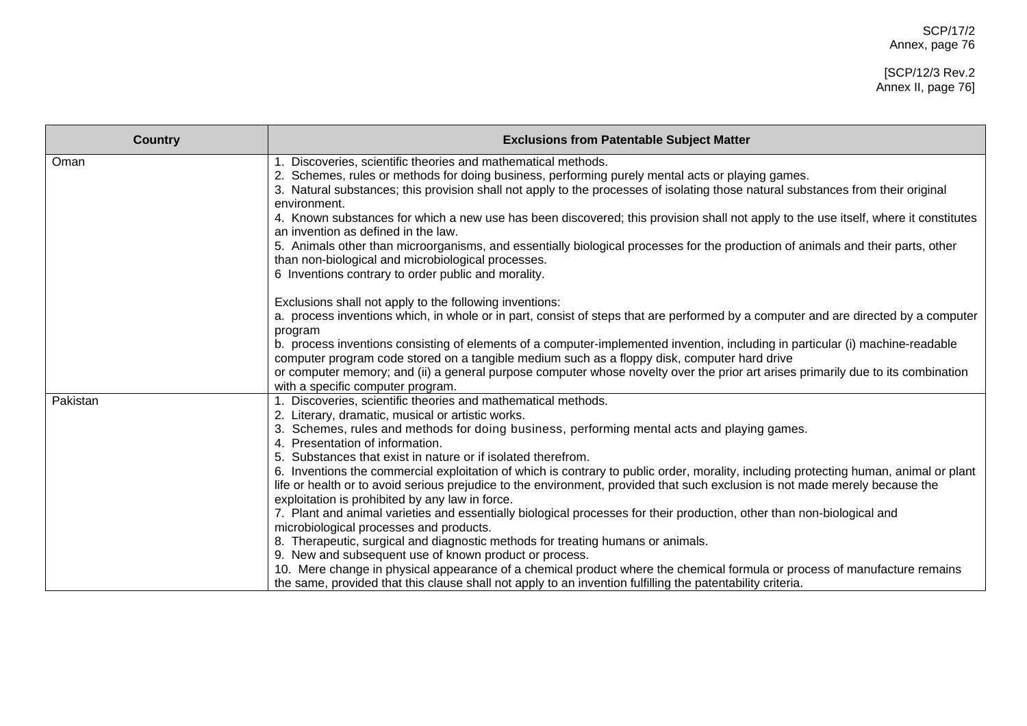| <b>Country</b> | <b>Exclusions from Patentable Subject Matter</b>                                                                                                                                                                                                                                                                                                                                                                                                                                                                                                                                                                                                                                                                                                                                                                                                                                                                                                                                                                                                                                                                                                                                                              |
|----------------|---------------------------------------------------------------------------------------------------------------------------------------------------------------------------------------------------------------------------------------------------------------------------------------------------------------------------------------------------------------------------------------------------------------------------------------------------------------------------------------------------------------------------------------------------------------------------------------------------------------------------------------------------------------------------------------------------------------------------------------------------------------------------------------------------------------------------------------------------------------------------------------------------------------------------------------------------------------------------------------------------------------------------------------------------------------------------------------------------------------------------------------------------------------------------------------------------------------|
| Oman           | Discoveries, scientific theories and mathematical methods.<br>1.<br>2. Schemes, rules or methods for doing business, performing purely mental acts or playing games.<br>3. Natural substances; this provision shall not apply to the processes of isolating those natural substances from their original<br>environment.<br>4. Known substances for which a new use has been discovered; this provision shall not apply to the use itself, where it constitutes<br>an invention as defined in the law.<br>5. Animals other than microorganisms, and essentially biological processes for the production of animals and their parts, other<br>than non-biological and microbiological processes.<br>6 Inventions contrary to order public and morality.                                                                                                                                                                                                                                                                                                                                                                                                                                                        |
|                | Exclusions shall not apply to the following inventions:<br>a. process inventions which, in whole or in part, consist of steps that are performed by a computer and are directed by a computer<br>program<br>b. process inventions consisting of elements of a computer-implemented invention, including in particular (i) machine-readable<br>computer program code stored on a tangible medium such as a floppy disk, computer hard drive<br>or computer memory; and (ii) a general purpose computer whose novelty over the prior art arises primarily due to its combination<br>with a specific computer program.                                                                                                                                                                                                                                                                                                                                                                                                                                                                                                                                                                                           |
| Pakistan       | 1. Discoveries, scientific theories and mathematical methods.<br>2. Literary, dramatic, musical or artistic works.<br>3. Schemes, rules and methods for doing business, performing mental acts and playing games.<br>4. Presentation of information.<br>5. Substances that exist in nature or if isolated therefrom.<br>6. Inventions the commercial exploitation of which is contrary to public order, morality, including protecting human, animal or plant<br>life or health or to avoid serious prejudice to the environment, provided that such exclusion is not made merely because the<br>exploitation is prohibited by any law in force.<br>7. Plant and animal varieties and essentially biological processes for their production, other than non-biological and<br>microbiological processes and products.<br>8. Therapeutic, surgical and diagnostic methods for treating humans or animals.<br>9. New and subsequent use of known product or process.<br>10. Mere change in physical appearance of a chemical product where the chemical formula or process of manufacture remains<br>the same, provided that this clause shall not apply to an invention fulfilling the patentability criteria. |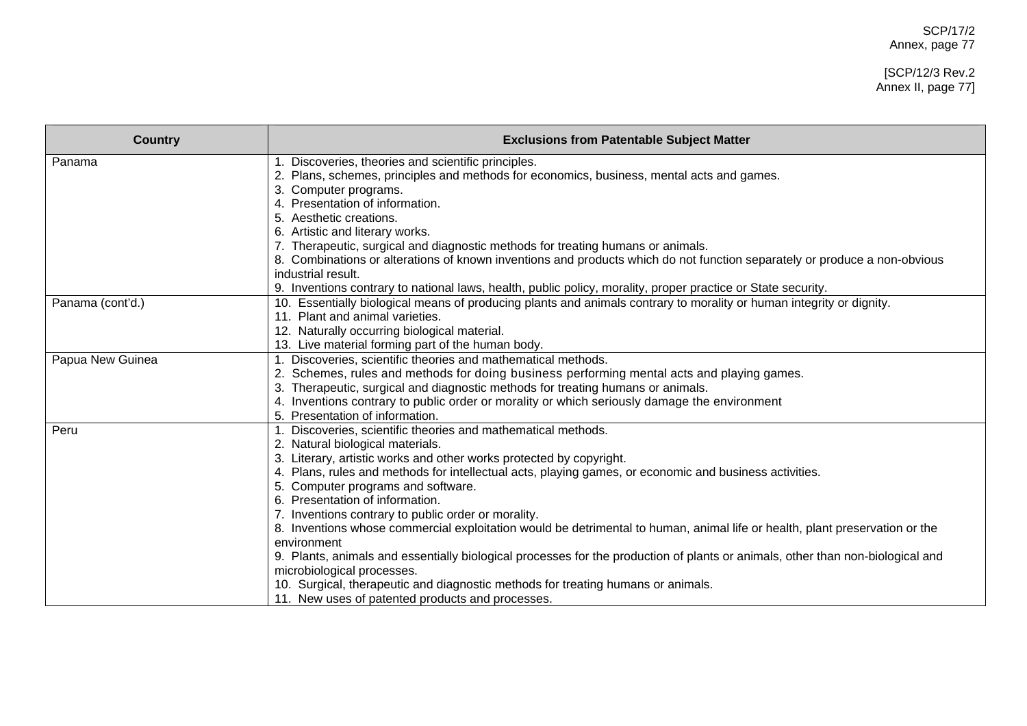# [SCP/12/3 Rev.2 Annex II, page 77]

| <b>Country</b>   | <b>Exclusions from Patentable Subject Matter</b>                                                                                           |
|------------------|--------------------------------------------------------------------------------------------------------------------------------------------|
| Panama           | Discoveries, theories and scientific principles.<br>Plans, schemes, principles and methods for economics, business, mental acts and games. |
|                  | Computer programs.                                                                                                                         |
|                  | Presentation of information.                                                                                                               |
|                  | 5. Aesthetic creations.                                                                                                                    |
|                  | 6. Artistic and literary works.                                                                                                            |
|                  | 7. Therapeutic, surgical and diagnostic methods for treating humans or animals.                                                            |
|                  | 8. Combinations or alterations of known inventions and products which do not function separately or produce a non-obvious                  |
|                  | industrial result.                                                                                                                         |
|                  | 9. Inventions contrary to national laws, health, public policy, morality, proper practice or State security.                               |
| Panama (cont'd.) | 10. Essentially biological means of producing plants and animals contrary to morality or human integrity or dignity.                       |
|                  | 11. Plant and animal varieties.                                                                                                            |
|                  | 12. Naturally occurring biological material.                                                                                               |
|                  | 13. Live material forming part of the human body.                                                                                          |
| Papua New Guinea | Discoveries, scientific theories and mathematical methods.                                                                                 |
|                  | Schemes, rules and methods for doing business performing mental acts and playing games.                                                    |
|                  | 3. Therapeutic, surgical and diagnostic methods for treating humans or animals.                                                            |
|                  | 4. Inventions contrary to public order or morality or which seriously damage the environment<br>5. Presentation of information.            |
| Peru             | Discoveries, scientific theories and mathematical methods.                                                                                 |
|                  | 2. Natural biological materials.                                                                                                           |
|                  | 3. Literary, artistic works and other works protected by copyright.                                                                        |
|                  | Plans, rules and methods for intellectual acts, playing games, or economic and business activities.                                        |
|                  | Computer programs and software.                                                                                                            |
|                  | Presentation of information.                                                                                                               |
|                  | 7. Inventions contrary to public order or morality.                                                                                        |
|                  | 8. Inventions whose commercial exploitation would be detrimental to human, animal life or health, plant preservation or the                |
|                  | environment                                                                                                                                |
|                  | 9. Plants, animals and essentially biological processes for the production of plants or animals, other than non-biological and             |
|                  | microbiological processes.                                                                                                                 |
|                  | 10. Surgical, therapeutic and diagnostic methods for treating humans or animals.                                                           |
|                  | 11. New uses of patented products and processes.                                                                                           |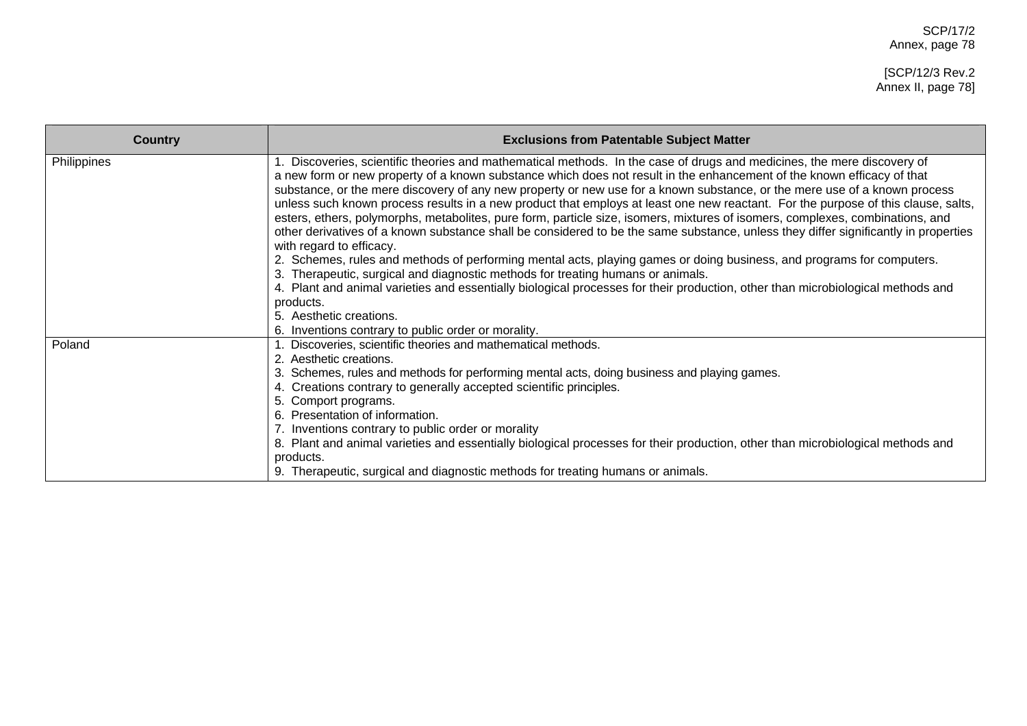SCP/17/2 Annex, page 78

[SCP/12/3 Rev.2 Annex II, page 78]

| <b>Country</b> | <b>Exclusions from Patentable Subject Matter</b>                                                                                                                                                                                                                                                                                                                                                                                                                                                                                                                                                                                                                                                                                                                                                                                                                                                                                                                                                                                                                                                                                                                                                                                                                      |
|----------------|-----------------------------------------------------------------------------------------------------------------------------------------------------------------------------------------------------------------------------------------------------------------------------------------------------------------------------------------------------------------------------------------------------------------------------------------------------------------------------------------------------------------------------------------------------------------------------------------------------------------------------------------------------------------------------------------------------------------------------------------------------------------------------------------------------------------------------------------------------------------------------------------------------------------------------------------------------------------------------------------------------------------------------------------------------------------------------------------------------------------------------------------------------------------------------------------------------------------------------------------------------------------------|
| Philippines    | 1. Discoveries, scientific theories and mathematical methods. In the case of drugs and medicines, the mere discovery of<br>a new form or new property of a known substance which does not result in the enhancement of the known efficacy of that<br>substance, or the mere discovery of any new property or new use for a known substance, or the mere use of a known process<br>unless such known process results in a new product that employs at least one new reactant. For the purpose of this clause, salts,<br>esters, ethers, polymorphs, metabolites, pure form, particle size, isomers, mixtures of isomers, complexes, combinations, and<br>other derivatives of a known substance shall be considered to be the same substance, unless they differ significantly in properties<br>with regard to efficacy.<br>2. Schemes, rules and methods of performing mental acts, playing games or doing business, and programs for computers.<br>3. Therapeutic, surgical and diagnostic methods for treating humans or animals.<br>4. Plant and animal varieties and essentially biological processes for their production, other than microbiological methods and<br>products.<br>5. Aesthetic creations.<br>6. Inventions contrary to public order or morality. |
| Poland         | Discoveries, scientific theories and mathematical methods.<br>2. Aesthetic creations.<br>3. Schemes, rules and methods for performing mental acts, doing business and playing games.<br>4. Creations contrary to generally accepted scientific principles.<br>5. Comport programs.<br>6. Presentation of information.<br>7. Inventions contrary to public order or morality<br>8. Plant and animal varieties and essentially biological processes for their production, other than microbiological methods and<br>products.<br>9. Therapeutic, surgical and diagnostic methods for treating humans or animals.                                                                                                                                                                                                                                                                                                                                                                                                                                                                                                                                                                                                                                                        |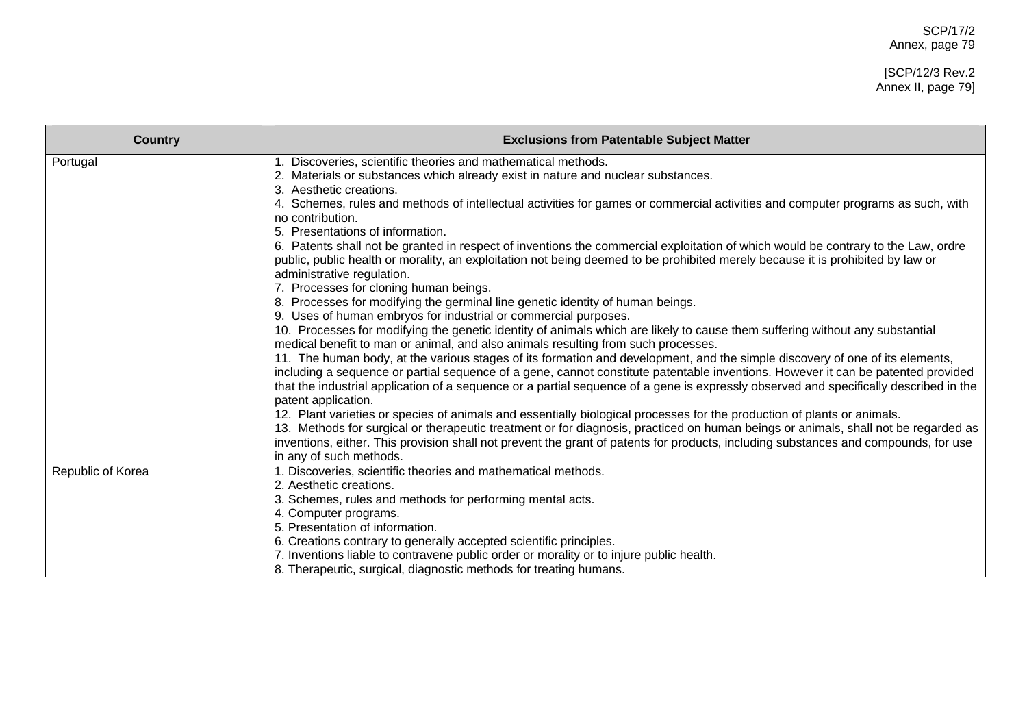#### [SCP/12/3 Rev.2 Annex II, page 79]

| <b>Country</b>    | <b>Exclusions from Patentable Subject Matter</b>                                                                                                                                                                                                                                                                                                                                                          |
|-------------------|-----------------------------------------------------------------------------------------------------------------------------------------------------------------------------------------------------------------------------------------------------------------------------------------------------------------------------------------------------------------------------------------------------------|
| Portugal          | Discoveries, scientific theories and mathematical methods.<br>2. Materials or substances which already exist in nature and nuclear substances.                                                                                                                                                                                                                                                            |
|                   | 3. Aesthetic creations.<br>4. Schemes, rules and methods of intellectual activities for games or commercial activities and computer programs as such, with<br>no contribution.                                                                                                                                                                                                                            |
|                   | 5. Presentations of information.<br>6. Patents shall not be granted in respect of inventions the commercial exploitation of which would be contrary to the Law, ordre                                                                                                                                                                                                                                     |
|                   | public, public health or morality, an exploitation not being deemed to be prohibited merely because it is prohibited by law or<br>administrative regulation.                                                                                                                                                                                                                                              |
|                   | 7. Processes for cloning human beings.<br>8. Processes for modifying the germinal line genetic identity of human beings.                                                                                                                                                                                                                                                                                  |
|                   | 9. Uses of human embryos for industrial or commercial purposes.<br>10. Processes for modifying the genetic identity of animals which are likely to cause them suffering without any substantial<br>medical benefit to man or animal, and also animals resulting from such processes.                                                                                                                      |
|                   | 11. The human body, at the various stages of its formation and development, and the simple discovery of one of its elements,<br>including a sequence or partial sequence of a gene, cannot constitute patentable inventions. However it can be patented provided<br>that the industrial application of a sequence or a partial sequence of a gene is expressly observed and specifically described in the |
|                   | patent application.<br>12. Plant varieties or species of animals and essentially biological processes for the production of plants or animals.                                                                                                                                                                                                                                                            |
|                   | 13. Methods for surgical or therapeutic treatment or for diagnosis, practiced on human beings or animals, shall not be regarded as<br>inventions, either. This provision shall not prevent the grant of patents for products, including substances and compounds, for use                                                                                                                                 |
|                   | in any of such methods.                                                                                                                                                                                                                                                                                                                                                                                   |
| Republic of Korea | 1. Discoveries, scientific theories and mathematical methods.                                                                                                                                                                                                                                                                                                                                             |
|                   | 2. Aesthetic creations.<br>3. Schemes, rules and methods for performing mental acts.                                                                                                                                                                                                                                                                                                                      |
|                   | 4. Computer programs.                                                                                                                                                                                                                                                                                                                                                                                     |
|                   | 5. Presentation of information.                                                                                                                                                                                                                                                                                                                                                                           |
|                   | 6. Creations contrary to generally accepted scientific principles.                                                                                                                                                                                                                                                                                                                                        |
|                   | 7. Inventions liable to contravene public order or morality or to injure public health.                                                                                                                                                                                                                                                                                                                   |
|                   | 8. Therapeutic, surgical, diagnostic methods for treating humans.                                                                                                                                                                                                                                                                                                                                         |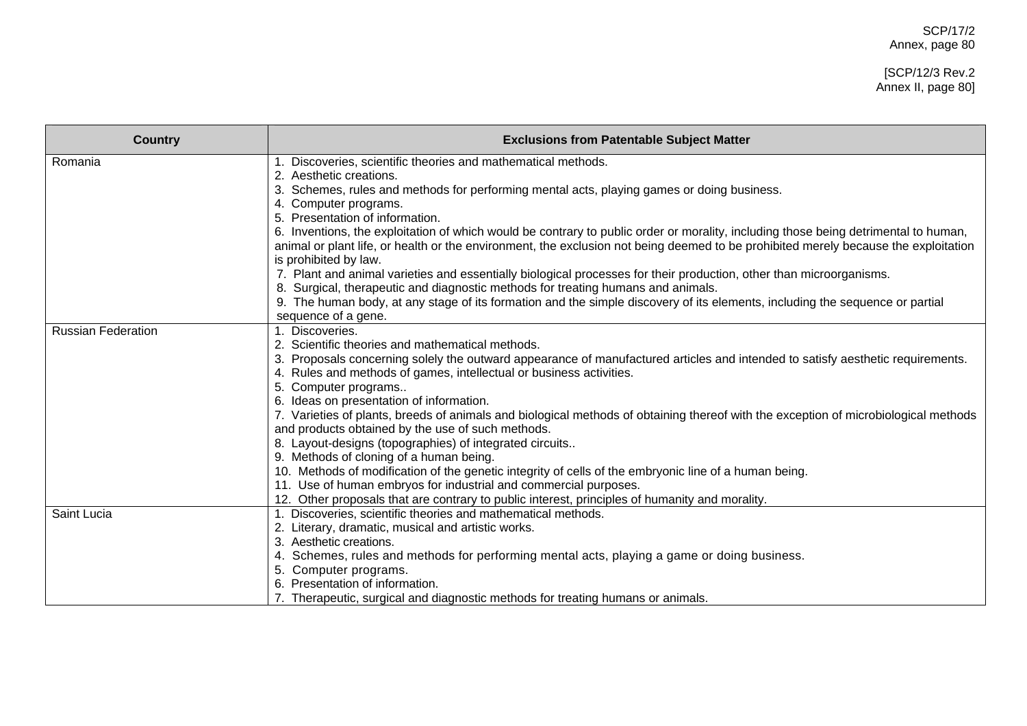# [SCP/12/3 Rev.2 Annex II, page 80]

| <b>Country</b>            | <b>Exclusions from Patentable Subject Matter</b>                                                                                                             |
|---------------------------|--------------------------------------------------------------------------------------------------------------------------------------------------------------|
| Romania                   | 1. Discoveries, scientific theories and mathematical methods.                                                                                                |
|                           | 2. Aesthetic creations.                                                                                                                                      |
|                           | 3. Schemes, rules and methods for performing mental acts, playing games or doing business.                                                                   |
|                           | 4. Computer programs.                                                                                                                                        |
|                           | 5. Presentation of information.                                                                                                                              |
|                           | 6. Inventions, the exploitation of which would be contrary to public order or morality, including those being detrimental to human,                          |
|                           | animal or plant life, or health or the environment, the exclusion not being deemed to be prohibited merely because the exploitation<br>is prohibited by law. |
|                           | 7. Plant and animal varieties and essentially biological processes for their production, other than microorganisms.                                          |
|                           | 8. Surgical, therapeutic and diagnostic methods for treating humans and animals.                                                                             |
|                           | 9. The human body, at any stage of its formation and the simple discovery of its elements, including the sequence or partial                                 |
|                           | sequence of a gene.                                                                                                                                          |
| <b>Russian Federation</b> | 1. Discoveries.                                                                                                                                              |
|                           | 2. Scientific theories and mathematical methods.                                                                                                             |
|                           | Proposals concerning solely the outward appearance of manufactured articles and intended to satisfy aesthetic requirements.                                  |
|                           | 4. Rules and methods of games, intellectual or business activities.                                                                                          |
|                           | 5. Computer programs                                                                                                                                         |
|                           | 6. Ideas on presentation of information.                                                                                                                     |
|                           | 7. Varieties of plants, breeds of animals and biological methods of obtaining thereof with the exception of microbiological methods                          |
|                           | and products obtained by the use of such methods.                                                                                                            |
|                           | 8. Layout-designs (topographies) of integrated circuits                                                                                                      |
|                           | 9. Methods of cloning of a human being.                                                                                                                      |
|                           | 10. Methods of modification of the genetic integrity of cells of the embryonic line of a human being.                                                        |
|                           | 11. Use of human embryos for industrial and commercial purposes.                                                                                             |
|                           | 12. Other proposals that are contrary to public interest, principles of humanity and morality.                                                               |
| Saint Lucia               | 1. Discoveries, scientific theories and mathematical methods.                                                                                                |
|                           | 2. Literary, dramatic, musical and artistic works.                                                                                                           |
|                           | 3. Aesthetic creations.                                                                                                                                      |
|                           | Schemes, rules and methods for performing mental acts, playing a game or doing business.                                                                     |
|                           | Computer programs.                                                                                                                                           |
|                           | Presentation of information.                                                                                                                                 |
|                           | Therapeutic, surgical and diagnostic methods for treating humans or animals.                                                                                 |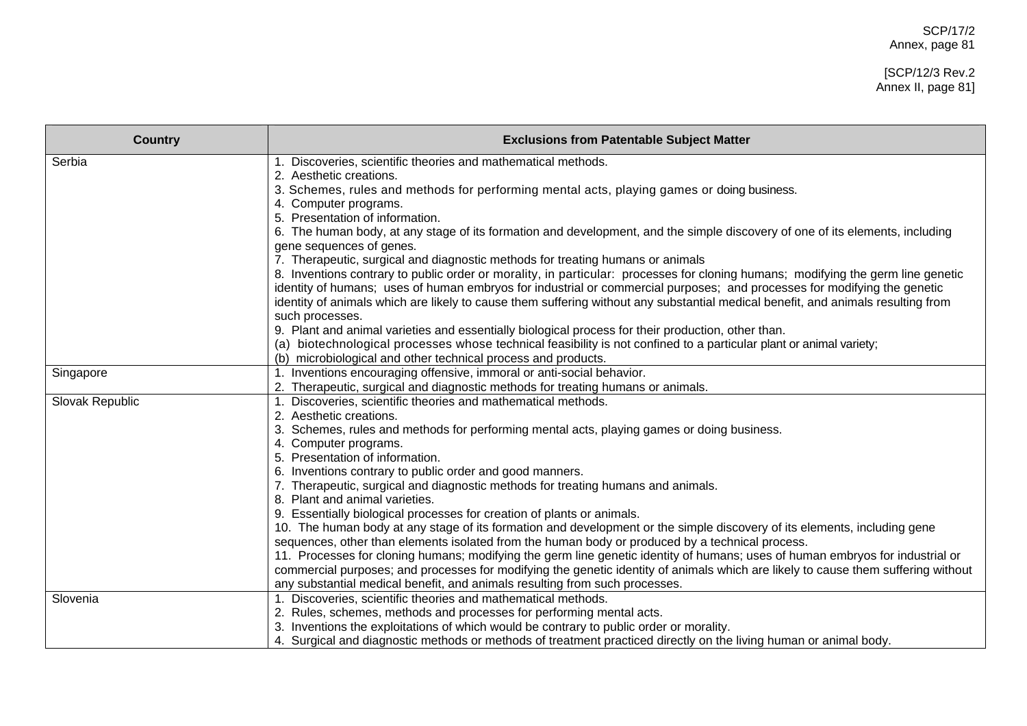# [SCP/12/3 Rev.2 Annex II, page 81]

| <b>Country</b>  | <b>Exclusions from Patentable Subject Matter</b>                                                                                  |
|-----------------|-----------------------------------------------------------------------------------------------------------------------------------|
| Serbia          | 1. Discoveries, scientific theories and mathematical methods.                                                                     |
|                 | 2. Aesthetic creations.                                                                                                           |
|                 | 3. Schemes, rules and methods for performing mental acts, playing games or doing business.                                        |
|                 | 4. Computer programs.<br>5. Presentation of information.                                                                          |
|                 | 6. The human body, at any stage of its formation and development, and the simple discovery of one of its elements, including      |
|                 | gene sequences of genes.                                                                                                          |
|                 | 7. Therapeutic, surgical and diagnostic methods for treating humans or animals                                                    |
|                 | 8. Inventions contrary to public order or morality, in particular: processes for cloning humans; modifying the germ line genetic  |
|                 | identity of humans; uses of human embryos for industrial or commercial purposes; and processes for modifying the genetic          |
|                 | identity of animals which are likely to cause them suffering without any substantial medical benefit, and animals resulting from  |
|                 | such processes.                                                                                                                   |
|                 | 9. Plant and animal varieties and essentially biological process for their production, other than.                                |
|                 | (a) biotechnological processes whose technical feasibility is not confined to a particular plant or animal variety;               |
|                 | (b) microbiological and other technical process and products.                                                                     |
| Singapore       | 1. Inventions encouraging offensive, immoral or anti-social behavior.                                                             |
|                 | 2. Therapeutic, surgical and diagnostic methods for treating humans or animals.                                                   |
| Slovak Republic | 1. Discoveries, scientific theories and mathematical methods.                                                                     |
|                 | 2. Aesthetic creations.                                                                                                           |
|                 | 3. Schemes, rules and methods for performing mental acts, playing games or doing business.                                        |
|                 | 4. Computer programs.                                                                                                             |
|                 | 5. Presentation of information.                                                                                                   |
|                 | 6. Inventions contrary to public order and good manners.                                                                          |
|                 | 7. Therapeutic, surgical and diagnostic methods for treating humans and animals.<br>8. Plant and animal varieties.                |
|                 | 9. Essentially biological processes for creation of plants or animals.                                                            |
|                 | 10. The human body at any stage of its formation and development or the simple discovery of its elements, including gene          |
|                 | sequences, other than elements isolated from the human body or produced by a technical process.                                   |
|                 | 11. Processes for cloning humans; modifying the germ line genetic identity of humans; uses of human embryos for industrial or     |
|                 | commercial purposes; and processes for modifying the genetic identity of animals which are likely to cause them suffering without |
|                 | any substantial medical benefit, and animals resulting from such processes.                                                       |
| Slovenia        | 1. Discoveries, scientific theories and mathematical methods.                                                                     |
|                 | 2. Rules, schemes, methods and processes for performing mental acts.                                                              |
|                 | 3. Inventions the exploitations of which would be contrary to public order or morality.                                           |
|                 | 4. Surgical and diagnostic methods or methods of treatment practiced directly on the living human or animal body.                 |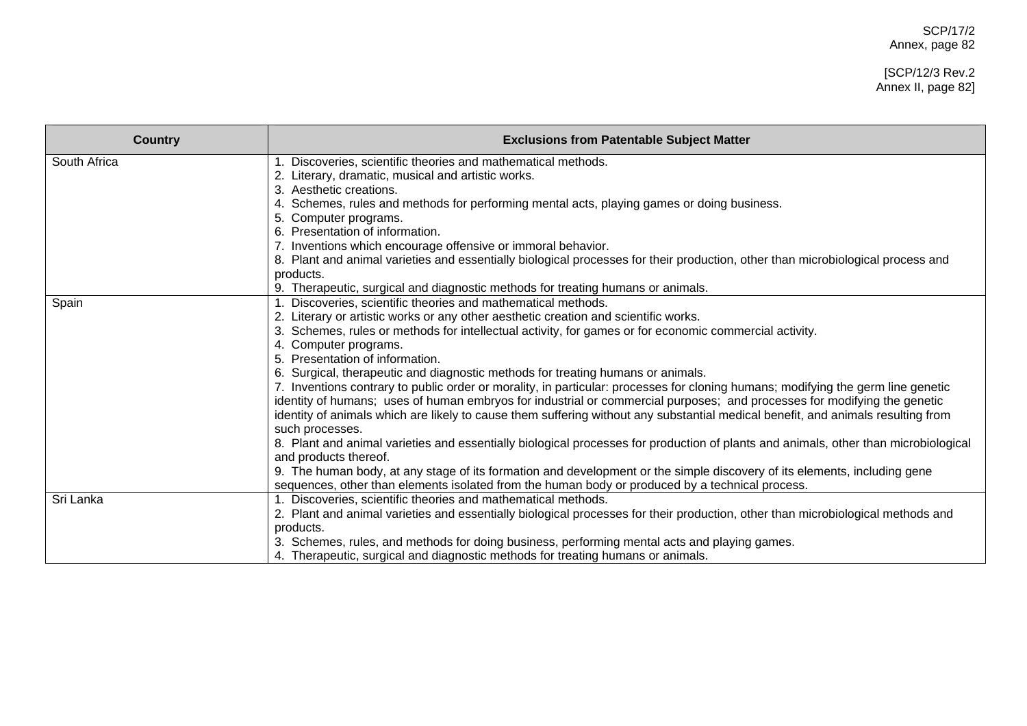## [SCP/12/3 Rev.2 Annex II, page 82]

| <b>Country</b> | <b>Exclusions from Patentable Subject Matter</b>                                                                                    |
|----------------|-------------------------------------------------------------------------------------------------------------------------------------|
| South Africa   | 1. Discoveries, scientific theories and mathematical methods.                                                                       |
|                | 2. Literary, dramatic, musical and artistic works.                                                                                  |
|                | Aesthetic creations.                                                                                                                |
|                | Schemes, rules and methods for performing mental acts, playing games or doing business.                                             |
|                | 5. Computer programs.                                                                                                               |
|                | Presentation of information.<br>6.                                                                                                  |
|                | Inventions which encourage offensive or immoral behavior.                                                                           |
|                | 8. Plant and animal varieties and essentially biological processes for their production, other than microbiological process and     |
|                | products.                                                                                                                           |
|                | 9. Therapeutic, surgical and diagnostic methods for treating humans or animals.                                                     |
| Spain          | Discoveries, scientific theories and mathematical methods.                                                                          |
|                | Literary or artistic works or any other aesthetic creation and scientific works.                                                    |
|                | 3. Schemes, rules or methods for intellectual activity, for games or for economic commercial activity.                              |
|                | 4. Computer programs.                                                                                                               |
|                | Presentation of information.                                                                                                        |
|                | 6. Surgical, therapeutic and diagnostic methods for treating humans or animals.                                                     |
|                | 7. Inventions contrary to public order or morality, in particular: processes for cloning humans; modifying the germ line genetic    |
|                | identity of humans; uses of human embryos for industrial or commercial purposes; and processes for modifying the genetic            |
|                | identity of animals which are likely to cause them suffering without any substantial medical benefit, and animals resulting from    |
|                | such processes.                                                                                                                     |
|                | 8. Plant and animal varieties and essentially biological processes for production of plants and animals, other than microbiological |
|                | and products thereof.                                                                                                               |
|                | 9. The human body, at any stage of its formation and development or the simple discovery of its elements, including gene            |
|                | sequences, other than elements isolated from the human body or produced by a technical process.                                     |
| Sri Lanka      | 1. Discoveries, scientific theories and mathematical methods.                                                                       |
|                | 2. Plant and animal varieties and essentially biological processes for their production, other than microbiological methods and     |
|                | products.                                                                                                                           |
|                | 3. Schemes, rules, and methods for doing business, performing mental acts and playing games.                                        |
|                | 4. Therapeutic, surgical and diagnostic methods for treating humans or animals.                                                     |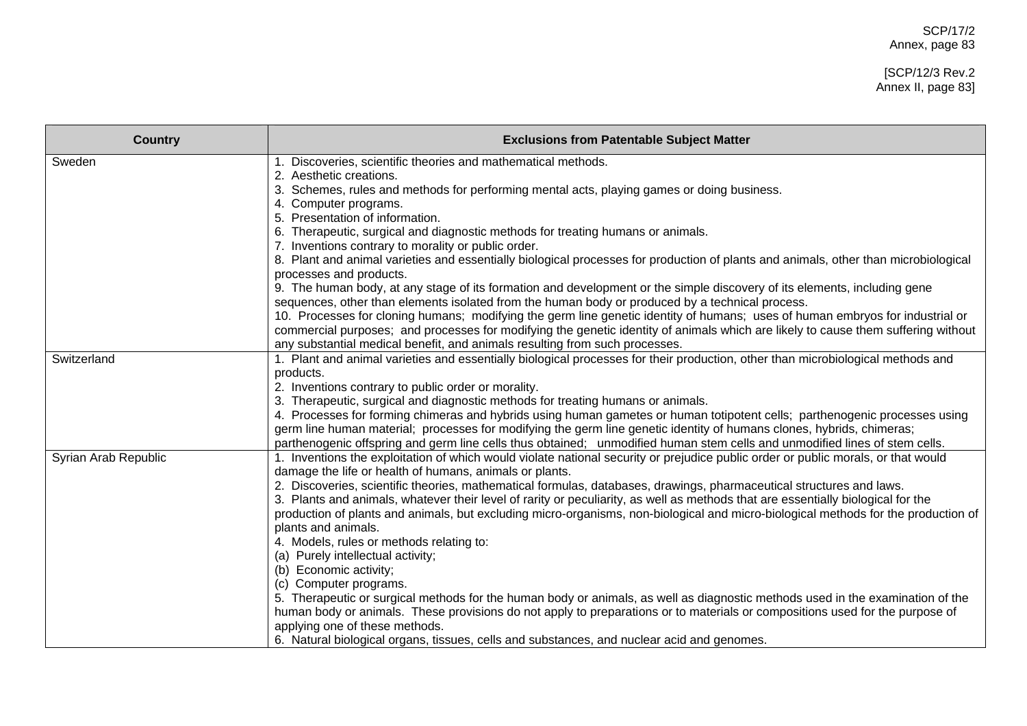## [SCP/12/3 Rev.2 Annex II, page 83]

| <b>Country</b>       | <b>Exclusions from Patentable Subject Matter</b>                                                                                                                                                                                                                       |
|----------------------|------------------------------------------------------------------------------------------------------------------------------------------------------------------------------------------------------------------------------------------------------------------------|
| Sweden               | Discoveries, scientific theories and mathematical methods.                                                                                                                                                                                                             |
|                      | 2. Aesthetic creations.                                                                                                                                                                                                                                                |
|                      | Schemes, rules and methods for performing mental acts, playing games or doing business.<br>4. Computer programs.                                                                                                                                                       |
|                      | Presentation of information.<br>5.                                                                                                                                                                                                                                     |
|                      | 6. Therapeutic, surgical and diagnostic methods for treating humans or animals.                                                                                                                                                                                        |
|                      | 7. Inventions contrary to morality or public order.                                                                                                                                                                                                                    |
|                      | 8. Plant and animal varieties and essentially biological processes for production of plants and animals, other than microbiological<br>processes and products.                                                                                                         |
|                      | 9. The human body, at any stage of its formation and development or the simple discovery of its elements, including gene                                                                                                                                               |
|                      | sequences, other than elements isolated from the human body or produced by a technical process.                                                                                                                                                                        |
|                      | 10. Processes for cloning humans; modifying the germ line genetic identity of humans; uses of human embryos for industrial or                                                                                                                                          |
|                      | commercial purposes; and processes for modifying the genetic identity of animals which are likely to cause them suffering without<br>any substantial medical benefit, and animals resulting from such processes.                                                       |
| Switzerland          | 1. Plant and animal varieties and essentially biological processes for their production, other than microbiological methods and                                                                                                                                        |
|                      | products.                                                                                                                                                                                                                                                              |
|                      | 2. Inventions contrary to public order or morality.                                                                                                                                                                                                                    |
|                      | Therapeutic, surgical and diagnostic methods for treating humans or animals.                                                                                                                                                                                           |
|                      | 4. Processes for forming chimeras and hybrids using human gametes or human totipotent cells; parthenogenic processes using                                                                                                                                             |
|                      | germ line human material; processes for modifying the germ line genetic identity of humans clones, hybrids, chimeras;                                                                                                                                                  |
|                      | parthenogenic offspring and germ line cells thus obtained; unmodified human stem cells and unmodified lines of stem cells.                                                                                                                                             |
| Syrian Arab Republic | 1. Inventions the exploitation of which would violate national security or prejudice public order or public morals, or that would                                                                                                                                      |
|                      | damage the life or health of humans, animals or plants.                                                                                                                                                                                                                |
|                      | 2. Discoveries, scientific theories, mathematical formulas, databases, drawings, pharmaceutical structures and laws.                                                                                                                                                   |
|                      | 3. Plants and animals, whatever their level of rarity or peculiarity, as well as methods that are essentially biological for the<br>production of plants and animals, but excluding micro-organisms, non-biological and micro-biological methods for the production of |
|                      | plants and animals.                                                                                                                                                                                                                                                    |
|                      | 4. Models, rules or methods relating to:                                                                                                                                                                                                                               |
|                      | (a) Purely intellectual activity;                                                                                                                                                                                                                                      |
|                      | (b) Economic activity;                                                                                                                                                                                                                                                 |
|                      | (c) Computer programs.                                                                                                                                                                                                                                                 |
|                      | 5. Therapeutic or surgical methods for the human body or animals, as well as diagnostic methods used in the examination of the                                                                                                                                         |
|                      | human body or animals. These provisions do not apply to preparations or to materials or compositions used for the purpose of                                                                                                                                           |
|                      | applying one of these methods.                                                                                                                                                                                                                                         |
|                      | 6. Natural biological organs, tissues, cells and substances, and nuclear acid and genomes.                                                                                                                                                                             |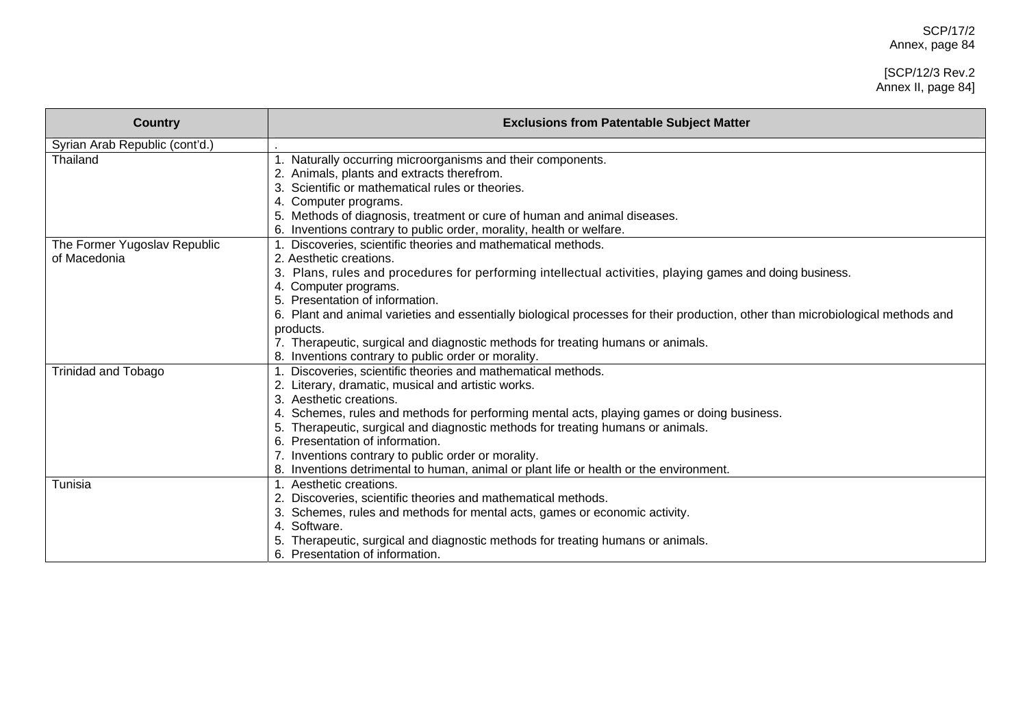#### [SCP/12/3 Rev.2 Annex II, page 84]

| <b>Country</b>                 | <b>Exclusions from Patentable Subject Matter</b>                                                                                |
|--------------------------------|---------------------------------------------------------------------------------------------------------------------------------|
| Syrian Arab Republic (cont'd.) |                                                                                                                                 |
| Thailand                       | 1. Naturally occurring microorganisms and their components.                                                                     |
|                                | Animals, plants and extracts therefrom.                                                                                         |
|                                | Scientific or mathematical rules or theories.                                                                                   |
|                                | 4. Computer programs.                                                                                                           |
|                                | Methods of diagnosis, treatment or cure of human and animal diseases.                                                           |
|                                | Inventions contrary to public order, morality, health or welfare.                                                               |
| The Former Yugoslav Republic   | Discoveries, scientific theories and mathematical methods.                                                                      |
| of Macedonia                   | 2. Aesthetic creations.                                                                                                         |
|                                | Plans, rules and procedures for performing intellectual activities, playing games and doing business.                           |
|                                | 4. Computer programs.                                                                                                           |
|                                | Presentation of information.                                                                                                    |
|                                | 6. Plant and animal varieties and essentially biological processes for their production, other than microbiological methods and |
|                                | products.                                                                                                                       |
|                                | 7. Therapeutic, surgical and diagnostic methods for treating humans or animals.                                                 |
|                                | 8. Inventions contrary to public order or morality.                                                                             |
| <b>Trinidad and Tobago</b>     | Discoveries, scientific theories and mathematical methods.                                                                      |
|                                | Literary, dramatic, musical and artistic works.                                                                                 |
|                                | Aesthetic creations.                                                                                                            |
|                                | 4. Schemes, rules and methods for performing mental acts, playing games or doing business.                                      |
|                                | Therapeutic, surgical and diagnostic methods for treating humans or animals.                                                    |
|                                | Presentation of information.                                                                                                    |
|                                | Inventions contrary to public order or morality.                                                                                |
|                                | Inventions detrimental to human, animal or plant life or health or the environment.                                             |
| Tunisia                        | Aesthetic creations.                                                                                                            |
|                                | Discoveries, scientific theories and mathematical methods.                                                                      |
|                                | Schemes, rules and methods for mental acts, games or economic activity.                                                         |
|                                | 4. Software.                                                                                                                    |
|                                | Therapeutic, surgical and diagnostic methods for treating humans or animals.                                                    |
|                                | 6. Presentation of information.                                                                                                 |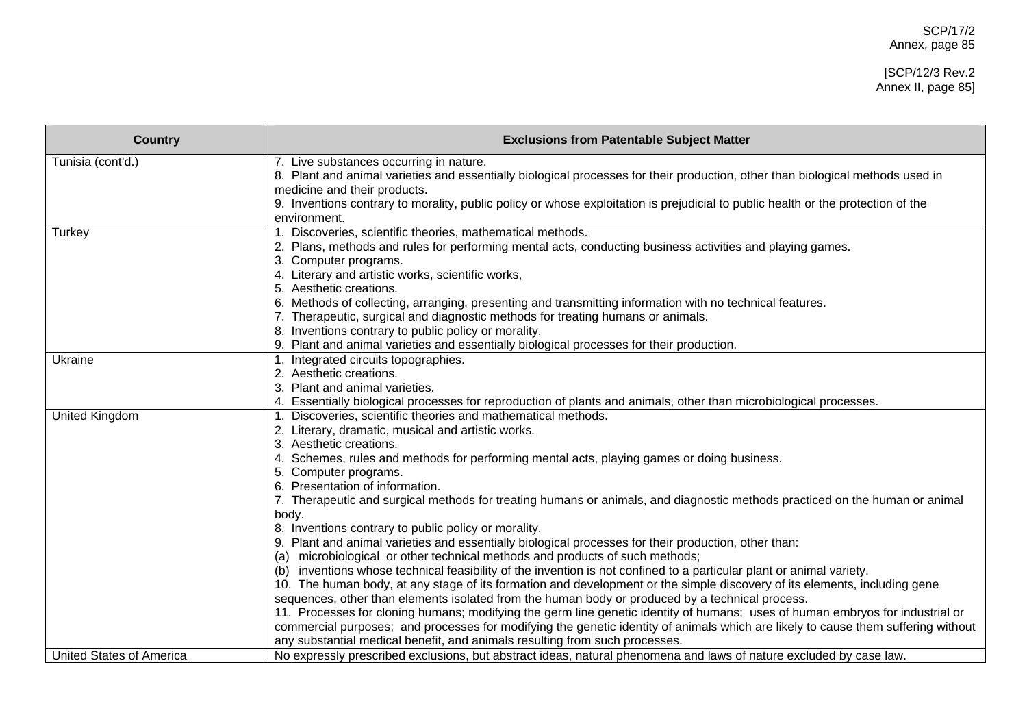| <b>Country</b>                  | <b>Exclusions from Patentable Subject Matter</b>                                                                                                                                                    |
|---------------------------------|-----------------------------------------------------------------------------------------------------------------------------------------------------------------------------------------------------|
| Tunisia (cont'd.)               | 7. Live substances occurring in nature.                                                                                                                                                             |
|                                 | 8. Plant and animal varieties and essentially biological processes for their production, other than biological methods used in                                                                      |
|                                 | medicine and their products.<br>9. Inventions contrary to morality, public policy or whose exploitation is prejudicial to public health or the protection of the                                    |
|                                 | environment.                                                                                                                                                                                        |
| Turkey                          | 1. Discoveries, scientific theories, mathematical methods.                                                                                                                                          |
|                                 | 2. Plans, methods and rules for performing mental acts, conducting business activities and playing games.                                                                                           |
|                                 | 3. Computer programs.                                                                                                                                                                               |
|                                 | 4. Literary and artistic works, scientific works,                                                                                                                                                   |
|                                 | 5. Aesthetic creations.                                                                                                                                                                             |
|                                 | 6. Methods of collecting, arranging, presenting and transmitting information with no technical features.                                                                                            |
|                                 | 7. Therapeutic, surgical and diagnostic methods for treating humans or animals.                                                                                                                     |
|                                 | 8. Inventions contrary to public policy or morality.                                                                                                                                                |
|                                 | 9. Plant and animal varieties and essentially biological processes for their production.                                                                                                            |
| Ukraine                         | 1. Integrated circuits topographies.<br>2. Aesthetic creations.                                                                                                                                     |
|                                 | 3. Plant and animal varieties.                                                                                                                                                                      |
|                                 | 4. Essentially biological processes for reproduction of plants and animals, other than microbiological processes.                                                                                   |
| United Kingdom                  | 1. Discoveries, scientific theories and mathematical methods.                                                                                                                                       |
|                                 | 2. Literary, dramatic, musical and artistic works.                                                                                                                                                  |
|                                 | 3. Aesthetic creations.                                                                                                                                                                             |
|                                 | 4. Schemes, rules and methods for performing mental acts, playing games or doing business.                                                                                                          |
|                                 | 5. Computer programs.                                                                                                                                                                               |
|                                 | 6. Presentation of information.                                                                                                                                                                     |
|                                 | 7. Therapeutic and surgical methods for treating humans or animals, and diagnostic methods practiced on the human or animal                                                                         |
|                                 | body.                                                                                                                                                                                               |
|                                 | 8. Inventions contrary to public policy or morality.                                                                                                                                                |
|                                 | 9. Plant and animal varieties and essentially biological processes for their production, other than:                                                                                                |
|                                 | microbiological or other technical methods and products of such methods;<br>(a)<br>inventions whose technical feasibility of the invention is not confined to a particular plant or animal variety. |
|                                 | (b)<br>10. The human body, at any stage of its formation and development or the simple discovery of its elements, including gene                                                                    |
|                                 | sequences, other than elements isolated from the human body or produced by a technical process.                                                                                                     |
|                                 | 11. Processes for cloning humans; modifying the germ line genetic identity of humans; uses of human embryos for industrial or                                                                       |
|                                 | commercial purposes; and processes for modifying the genetic identity of animals which are likely to cause them suffering without                                                                   |
|                                 | any substantial medical benefit, and animals resulting from such processes.                                                                                                                         |
| <b>United States of America</b> | No expressly prescribed exclusions, but abstract ideas, natural phenomena and laws of nature excluded by case law.                                                                                  |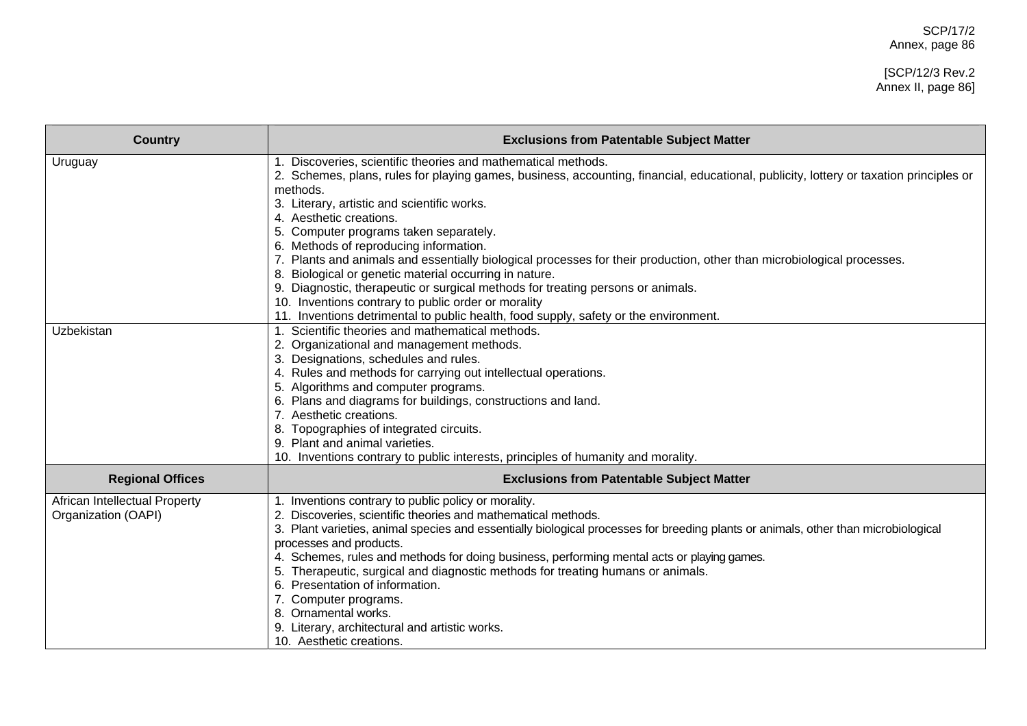#### [SCP/12/3 Rev.2 Annex II, page 86]

| <b>Country</b>                                       | <b>Exclusions from Patentable Subject Matter</b>                                                                                                                                                                                                                                                                                                                                                                                                                                                                                                                                                                                                                                                                                                                                                        |
|------------------------------------------------------|---------------------------------------------------------------------------------------------------------------------------------------------------------------------------------------------------------------------------------------------------------------------------------------------------------------------------------------------------------------------------------------------------------------------------------------------------------------------------------------------------------------------------------------------------------------------------------------------------------------------------------------------------------------------------------------------------------------------------------------------------------------------------------------------------------|
| Uruguay                                              | 1. Discoveries, scientific theories and mathematical methods.<br>2. Schemes, plans, rules for playing games, business, accounting, financial, educational, publicity, lottery or taxation principles or<br>methods.<br>3. Literary, artistic and scientific works.<br>4. Aesthetic creations.<br>5. Computer programs taken separately.<br>6. Methods of reproducing information.<br>7. Plants and animals and essentially biological processes for their production, other than microbiological processes.<br>8. Biological or genetic material occurring in nature.<br>9. Diagnostic, therapeutic or surgical methods for treating persons or animals.<br>10. Inventions contrary to public order or morality<br>11. Inventions detrimental to public health, food supply, safety or the environment. |
| Uzbekistan                                           | 1. Scientific theories and mathematical methods.<br>2. Organizational and management methods.<br>3. Designations, schedules and rules.<br>4. Rules and methods for carrying out intellectual operations.<br>5. Algorithms and computer programs.<br>6. Plans and diagrams for buildings, constructions and land.<br>7. Aesthetic creations.<br>Topographies of integrated circuits.<br>9. Plant and animal varieties.<br>10. Inventions contrary to public interests, principles of humanity and morality.                                                                                                                                                                                                                                                                                              |
| <b>Regional Offices</b>                              | <b>Exclusions from Patentable Subject Matter</b>                                                                                                                                                                                                                                                                                                                                                                                                                                                                                                                                                                                                                                                                                                                                                        |
| African Intellectual Property<br>Organization (OAPI) | 1. Inventions contrary to public policy or morality.<br>2. Discoveries, scientific theories and mathematical methods.<br>3. Plant varieties, animal species and essentially biological processes for breeding plants or animals, other than microbiological<br>processes and products.<br>4. Schemes, rules and methods for doing business, performing mental acts or playing games.<br>Therapeutic, surgical and diagnostic methods for treating humans or animals.<br>Presentation of information.<br>6.<br>7. Computer programs.<br>8. Ornamental works.<br>9. Literary, architectural and artistic works.<br>10. Aesthetic creations.                                                                                                                                                               |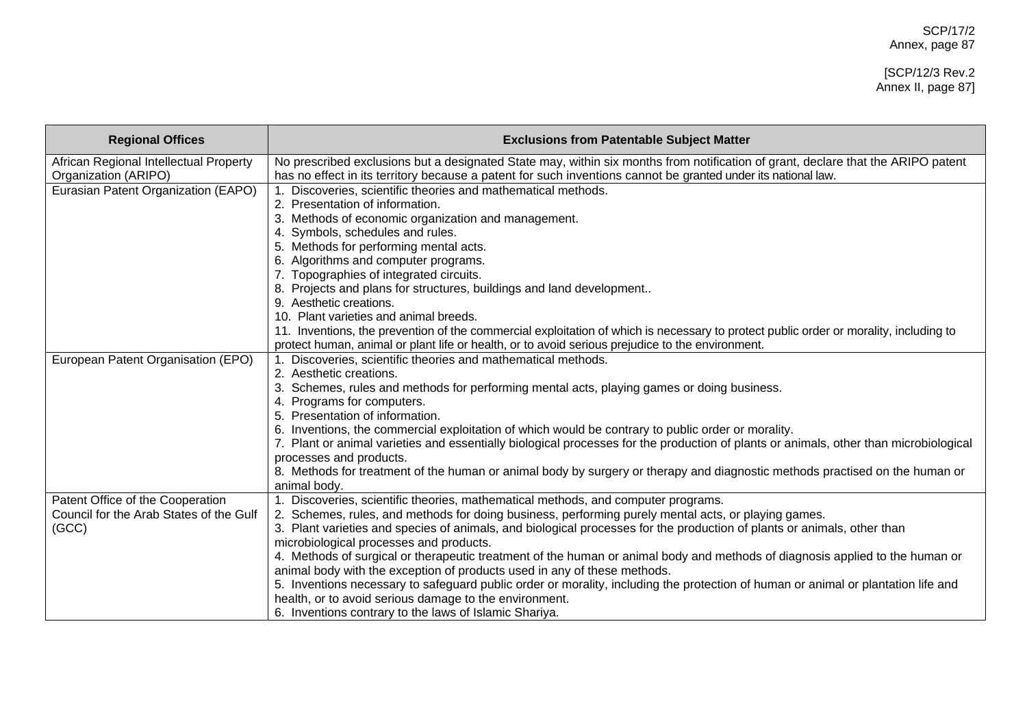#### [SCP/12/3 Rev.2 Annex II, page 87]

| <b>Regional Offices</b>                 | <b>Exclusions from Patentable Subject Matter</b>                                                                                      |
|-----------------------------------------|---------------------------------------------------------------------------------------------------------------------------------------|
| African Regional Intellectual Property  | No prescribed exclusions but a designated State may, within six months from notification of grant, declare that the ARIPO patent      |
| Organization (ARIPO)                    | has no effect in its territory because a patent for such inventions cannot be granted under its national law.                         |
| Eurasian Patent Organization (EAPO)     | 1. Discoveries, scientific theories and mathematical methods.                                                                         |
|                                         | 2. Presentation of information.                                                                                                       |
|                                         | Methods of economic organization and management.                                                                                      |
|                                         | 4. Symbols, schedules and rules.                                                                                                      |
|                                         | 5. Methods for performing mental acts.                                                                                                |
|                                         | Algorithms and computer programs.                                                                                                     |
|                                         | 7. Topographies of integrated circuits.                                                                                               |
|                                         | Projects and plans for structures, buildings and land development                                                                     |
|                                         | Aesthetic creations.                                                                                                                  |
|                                         | 10. Plant varieties and animal breeds.                                                                                                |
|                                         | 11. Inventions, the prevention of the commercial exploitation of which is necessary to protect public order or morality, including to |
|                                         | protect human, animal or plant life or health, or to avoid serious prejudice to the environment.                                      |
| European Patent Organisation (EPO)      | 1. Discoveries, scientific theories and mathematical methods.                                                                         |
|                                         | 2. Aesthetic creations.                                                                                                               |
|                                         | 3. Schemes, rules and methods for performing mental acts, playing games or doing business.                                            |
|                                         | Programs for computers.                                                                                                               |
|                                         | Presentation of information.<br>5.                                                                                                    |
|                                         | Inventions, the commercial exploitation of which would be contrary to public order or morality.                                       |
|                                         | 7. Plant or animal varieties and essentially biological processes for the production of plants or animals, other than microbiological |
|                                         | processes and products.                                                                                                               |
|                                         | 8. Methods for treatment of the human or animal body by surgery or therapy and diagnostic methods practised on the human or           |
|                                         | animal body.                                                                                                                          |
| Patent Office of the Cooperation        | 1. Discoveries, scientific theories, mathematical methods, and computer programs.                                                     |
| Council for the Arab States of the Gulf | 2. Schemes, rules, and methods for doing business, performing purely mental acts, or playing games.                                   |
| (GCC)                                   | 3. Plant varieties and species of animals, and biological processes for the production of plants or animals, other than               |
|                                         | microbiological processes and products.                                                                                               |
|                                         | 4. Methods of surgical or therapeutic treatment of the human or animal body and methods of diagnosis applied to the human or          |
|                                         | animal body with the exception of products used in any of these methods.                                                              |
|                                         | 5. Inventions necessary to safeguard public order or morality, including the protection of human or animal or plantation life and     |
|                                         | health, or to avoid serious damage to the environment.                                                                                |
|                                         | 6. Inventions contrary to the laws of Islamic Shariya.                                                                                |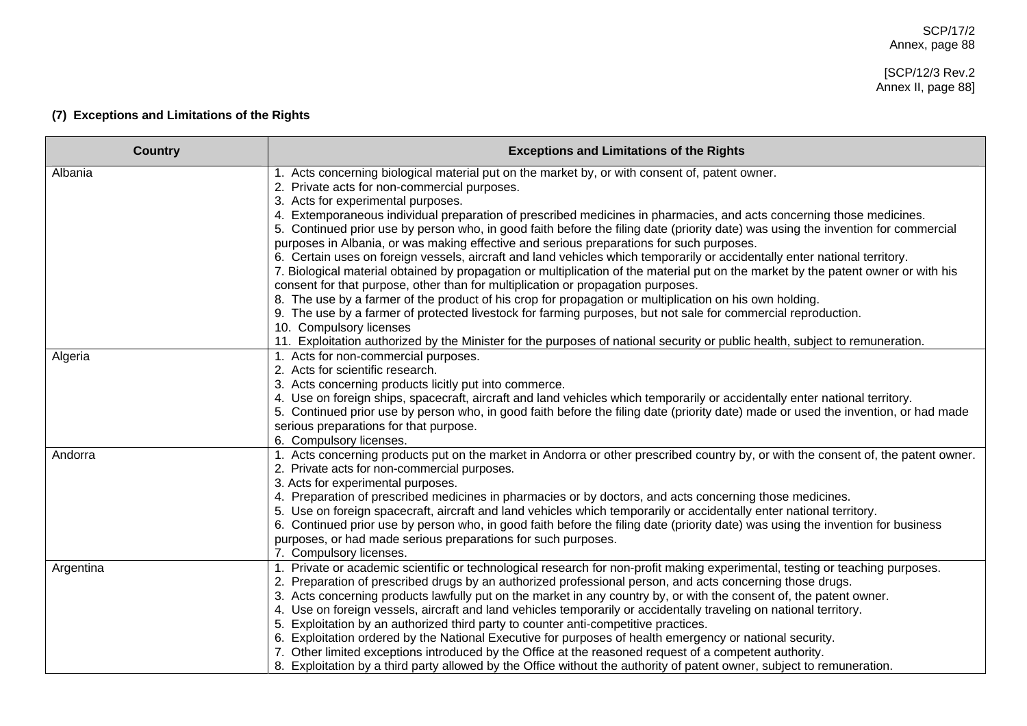# [SCP/12/3 Rev.2 Annex II, page 88]

# **(7) Exceptions and Limitations of the Rights**

| <b>Country</b> | <b>Exceptions and Limitations of the Rights</b>                                                                                                                                                                               |
|----------------|-------------------------------------------------------------------------------------------------------------------------------------------------------------------------------------------------------------------------------|
| Albania        | 1. Acts concerning biological material put on the market by, or with consent of, patent owner.<br>2. Private acts for non-commercial purposes.                                                                                |
|                | 3. Acts for experimental purposes.                                                                                                                                                                                            |
|                | 4. Extemporaneous individual preparation of prescribed medicines in pharmacies, and acts concerning those medicines.                                                                                                          |
|                | 5. Continued prior use by person who, in good faith before the filing date (priority date) was using the invention for commercial                                                                                             |
|                | purposes in Albania, or was making effective and serious preparations for such purposes.                                                                                                                                      |
|                | 6. Certain uses on foreign vessels, aircraft and land vehicles which temporarily or accidentally enter national territory.                                                                                                    |
|                | 7. Biological material obtained by propagation or multiplication of the material put on the market by the patent owner or with his                                                                                            |
|                | consent for that purpose, other than for multiplication or propagation purposes.                                                                                                                                              |
|                | 8. The use by a farmer of the product of his crop for propagation or multiplication on his own holding.                                                                                                                       |
|                | 9. The use by a farmer of protected livestock for farming purposes, but not sale for commercial reproduction.                                                                                                                 |
|                | 10. Compulsory licenses                                                                                                                                                                                                       |
|                | 11. Exploitation authorized by the Minister for the purposes of national security or public health, subject to remuneration.                                                                                                  |
| Algeria        | 1. Acts for non-commercial purposes.                                                                                                                                                                                          |
|                | 2. Acts for scientific research.                                                                                                                                                                                              |
|                | 3. Acts concerning products licitly put into commerce.<br>4. Use on foreign ships, spacecraft, aircraft and land vehicles which temporarily or accidentally enter national territory.                                         |
|                | 5. Continued prior use by person who, in good faith before the filing date (priority date) made or used the invention, or had made                                                                                            |
|                | serious preparations for that purpose.                                                                                                                                                                                        |
|                | 6. Compulsory licenses.                                                                                                                                                                                                       |
| Andorra        | 1. Acts concerning products put on the market in Andorra or other prescribed country by, or with the consent of, the patent owner.                                                                                            |
|                | 2. Private acts for non-commercial purposes.                                                                                                                                                                                  |
|                | 3. Acts for experimental purposes.                                                                                                                                                                                            |
|                | 4. Preparation of prescribed medicines in pharmacies or by doctors, and acts concerning those medicines.                                                                                                                      |
|                | 5. Use on foreign spacecraft, aircraft and land vehicles which temporarily or accidentally enter national territory.                                                                                                          |
|                | 6. Continued prior use by person who, in good faith before the filing date (priority date) was using the invention for business                                                                                               |
|                | purposes, or had made serious preparations for such purposes.                                                                                                                                                                 |
|                | 7. Compulsory licenses.                                                                                                                                                                                                       |
| Argentina      | Private or academic scientific or technological research for non-profit making experimental, testing or teaching purposes.                                                                                                    |
|                | Preparation of prescribed drugs by an authorized professional person, and acts concerning those drugs.<br>3. Acts concerning products lawfully put on the market in any country by, or with the consent of, the patent owner. |
|                | 4. Use on foreign vessels, aircraft and land vehicles temporarily or accidentally traveling on national territory.                                                                                                            |
|                | 5. Exploitation by an authorized third party to counter anti-competitive practices.                                                                                                                                           |
|                | 6. Exploitation ordered by the National Executive for purposes of health emergency or national security.                                                                                                                      |
|                | 7. Other limited exceptions introduced by the Office at the reasoned request of a competent authority.                                                                                                                        |
|                | 8. Exploitation by a third party allowed by the Office without the authority of patent owner, subject to remuneration.                                                                                                        |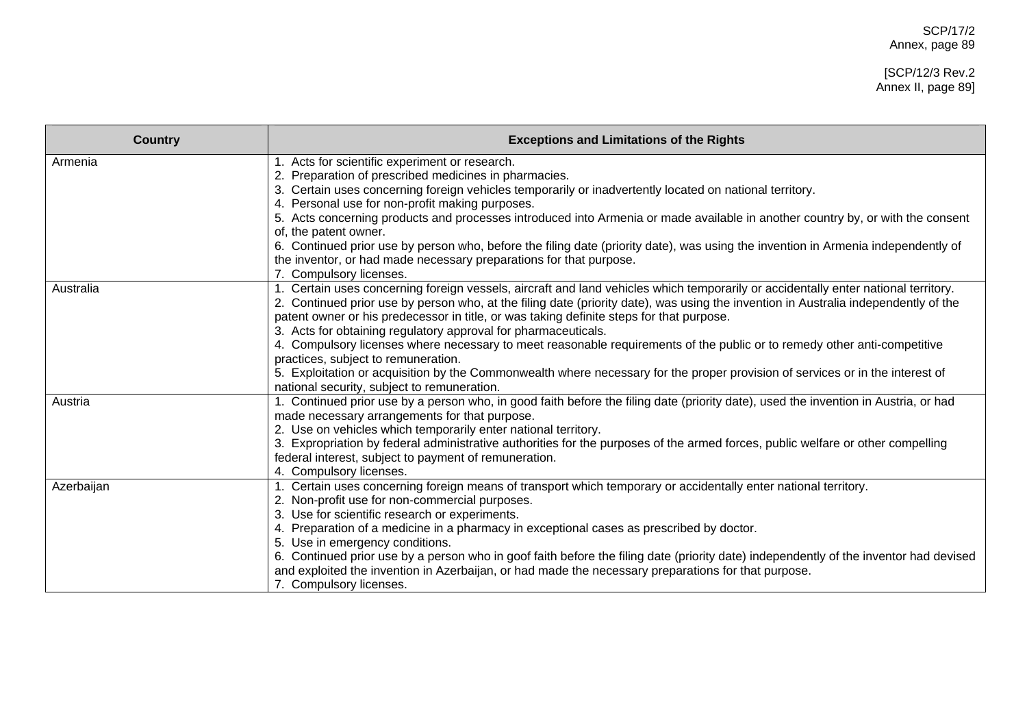#### [SCP/12/3 Rev.2 Annex II, page 89]

| <b>Country</b> | <b>Exceptions and Limitations of the Rights</b>                                                                                                                                            |
|----------------|--------------------------------------------------------------------------------------------------------------------------------------------------------------------------------------------|
| Armenia        | 1. Acts for scientific experiment or research.                                                                                                                                             |
|                | 2. Preparation of prescribed medicines in pharmacies.                                                                                                                                      |
|                | 3. Certain uses concerning foreign vehicles temporarily or inadvertently located on national territory.                                                                                    |
|                | 4. Personal use for non-profit making purposes.                                                                                                                                            |
|                | 5. Acts concerning products and processes introduced into Armenia or made available in another country by, or with the consent                                                             |
|                | of, the patent owner.                                                                                                                                                                      |
|                | 6. Continued prior use by person who, before the filing date (priority date), was using the invention in Armenia independently of                                                          |
|                | the inventor, or had made necessary preparations for that purpose.                                                                                                                         |
|                | 7. Compulsory licenses.                                                                                                                                                                    |
| Australia      | 1. Certain uses concerning foreign vessels, aircraft and land vehicles which temporarily or accidentally enter national territory.                                                         |
|                | 2. Continued prior use by person who, at the filing date (priority date), was using the invention in Australia independently of the                                                        |
|                | patent owner or his predecessor in title, or was taking definite steps for that purpose.                                                                                                   |
|                | 3. Acts for obtaining regulatory approval for pharmaceuticals.<br>4. Compulsory licenses where necessary to meet reasonable requirements of the public or to remedy other anti-competitive |
|                | practices, subject to remuneration.                                                                                                                                                        |
|                | 5. Exploitation or acquisition by the Commonwealth where necessary for the proper provision of services or in the interest of                                                              |
|                | national security, subject to remuneration.                                                                                                                                                |
| Austria        | 1. Continued prior use by a person who, in good faith before the filing date (priority date), used the invention in Austria, or had                                                        |
|                | made necessary arrangements for that purpose.                                                                                                                                              |
|                | 2. Use on vehicles which temporarily enter national territory.                                                                                                                             |
|                | 3. Expropriation by federal administrative authorities for the purposes of the armed forces, public welfare or other compelling                                                            |
|                | federal interest, subject to payment of remuneration.                                                                                                                                      |
|                | 4. Compulsory licenses.                                                                                                                                                                    |
| Azerbaijan     | 1. Certain uses concerning foreign means of transport which temporary or accidentally enter national territory.                                                                            |
|                | Non-profit use for non-commercial purposes.                                                                                                                                                |
|                | 3. Use for scientific research or experiments.                                                                                                                                             |
|                | Preparation of a medicine in a pharmacy in exceptional cases as prescribed by doctor.                                                                                                      |
|                | 5. Use in emergency conditions.                                                                                                                                                            |
|                | 6. Continued prior use by a person who in goof faith before the filing date (priority date) independently of the inventor had devised                                                      |
|                | and exploited the invention in Azerbaijan, or had made the necessary preparations for that purpose.                                                                                        |
|                | 7. Compulsory licenses.                                                                                                                                                                    |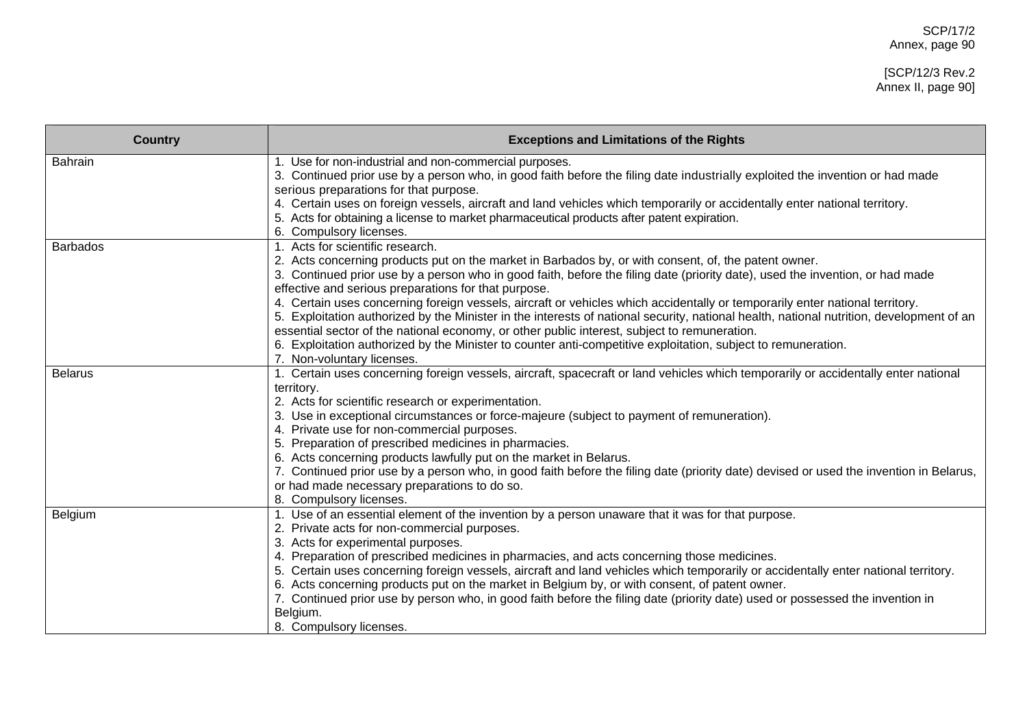| <b>Country</b>  | <b>Exceptions and Limitations of the Rights</b>                                                                                                                                                                                  |
|-----------------|----------------------------------------------------------------------------------------------------------------------------------------------------------------------------------------------------------------------------------|
| <b>Bahrain</b>  | 1. Use for non-industrial and non-commercial purposes.                                                                                                                                                                           |
|                 | 3. Continued prior use by a person who, in good faith before the filing date industrially exploited the invention or had made<br>serious preparations for that purpose.                                                          |
|                 | 4. Certain uses on foreign vessels, aircraft and land vehicles which temporarily or accidentally enter national territory.                                                                                                       |
|                 | 5. Acts for obtaining a license to market pharmaceutical products after patent expiration.                                                                                                                                       |
|                 | 6. Compulsory licenses.                                                                                                                                                                                                          |
| <b>Barbados</b> | 1. Acts for scientific research.                                                                                                                                                                                                 |
|                 | 2. Acts concerning products put on the market in Barbados by, or with consent, of, the patent owner.                                                                                                                             |
|                 | 3. Continued prior use by a person who in good faith, before the filing date (priority date), used the invention, or had made                                                                                                    |
|                 | effective and serious preparations for that purpose.                                                                                                                                                                             |
|                 | 4. Certain uses concerning foreign vessels, aircraft or vehicles which accidentally or temporarily enter national territory.                                                                                                     |
|                 | 5. Exploitation authorized by the Minister in the interests of national security, national health, national nutrition, development of an                                                                                         |
|                 | essential sector of the national economy, or other public interest, subject to remuneration.                                                                                                                                     |
|                 | 6. Exploitation authorized by the Minister to counter anti-competitive exploitation, subject to remuneration.                                                                                                                    |
| <b>Belarus</b>  | 7. Non-voluntary licenses.<br>1. Certain uses concerning foreign vessels, aircraft, spacecraft or land vehicles which temporarily or accidentally enter national                                                                 |
|                 | territory.                                                                                                                                                                                                                       |
|                 | 2. Acts for scientific research or experimentation.                                                                                                                                                                              |
|                 | 3. Use in exceptional circumstances or force-majeure (subject to payment of remuneration).                                                                                                                                       |
|                 | 4. Private use for non-commercial purposes.                                                                                                                                                                                      |
|                 | 5. Preparation of prescribed medicines in pharmacies.                                                                                                                                                                            |
|                 | 6. Acts concerning products lawfully put on the market in Belarus.                                                                                                                                                               |
|                 | 7. Continued prior use by a person who, in good faith before the filing date (priority date) devised or used the invention in Belarus,                                                                                           |
|                 | or had made necessary preparations to do so.                                                                                                                                                                                     |
|                 | 8. Compulsory licenses.                                                                                                                                                                                                          |
| Belgium         | 1. Use of an essential element of the invention by a person unaware that it was for that purpose.                                                                                                                                |
|                 | 2. Private acts for non-commercial purposes.                                                                                                                                                                                     |
|                 | 3. Acts for experimental purposes.                                                                                                                                                                                               |
|                 | 4. Preparation of prescribed medicines in pharmacies, and acts concerning those medicines.<br>5. Certain uses concerning foreign vessels, aircraft and land vehicles which temporarily or accidentally enter national territory. |
|                 | 6. Acts concerning products put on the market in Belgium by, or with consent, of patent owner.                                                                                                                                   |
|                 | 7. Continued prior use by person who, in good faith before the filing date (priority date) used or possessed the invention in                                                                                                    |
|                 | Belgium.                                                                                                                                                                                                                         |
|                 | 8. Compulsory licenses.                                                                                                                                                                                                          |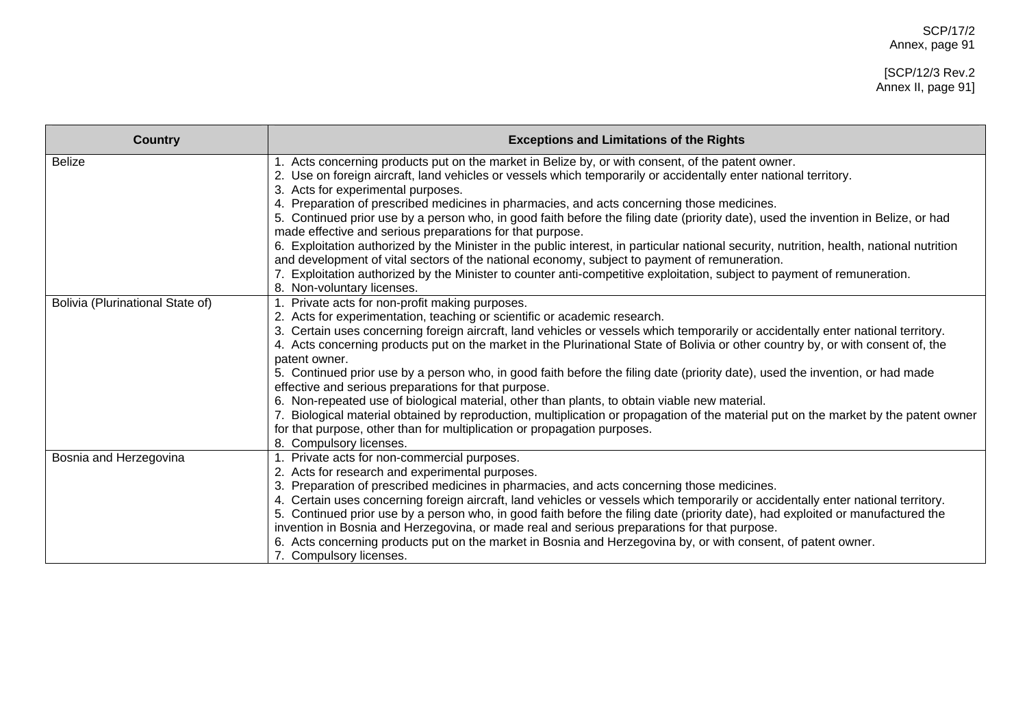| <b>Country</b>                   | <b>Exceptions and Limitations of the Rights</b>                                                                                                                                                                                                                                                                                                                                                                                                                                                                                                                                                                                                                                                                                                                                                                                                                                                                                                                 |
|----------------------------------|-----------------------------------------------------------------------------------------------------------------------------------------------------------------------------------------------------------------------------------------------------------------------------------------------------------------------------------------------------------------------------------------------------------------------------------------------------------------------------------------------------------------------------------------------------------------------------------------------------------------------------------------------------------------------------------------------------------------------------------------------------------------------------------------------------------------------------------------------------------------------------------------------------------------------------------------------------------------|
| <b>Belize</b>                    | 1. Acts concerning products put on the market in Belize by, or with consent, of the patent owner.<br>2. Use on foreign aircraft, land vehicles or vessels which temporarily or accidentally enter national territory.<br>3. Acts for experimental purposes.<br>4. Preparation of prescribed medicines in pharmacies, and acts concerning those medicines.<br>5. Continued prior use by a person who, in good faith before the filing date (priority date), used the invention in Belize, or had<br>made effective and serious preparations for that purpose.                                                                                                                                                                                                                                                                                                                                                                                                    |
|                                  | 6. Exploitation authorized by the Minister in the public interest, in particular national security, nutrition, health, national nutrition<br>and development of vital sectors of the national economy, subject to payment of remuneration.<br>7. Exploitation authorized by the Minister to counter anti-competitive exploitation, subject to payment of remuneration.<br>8. Non-voluntary licenses.                                                                                                                                                                                                                                                                                                                                                                                                                                                                                                                                                            |
| Bolivia (Plurinational State of) | 1. Private acts for non-profit making purposes.<br>2. Acts for experimentation, teaching or scientific or academic research.<br>3. Certain uses concerning foreign aircraft, land vehicles or vessels which temporarily or accidentally enter national territory.<br>4. Acts concerning products put on the market in the Plurinational State of Bolivia or other country by, or with consent of, the<br>patent owner.<br>5. Continued prior use by a person who, in good faith before the filing date (priority date), used the invention, or had made<br>effective and serious preparations for that purpose.<br>6. Non-repeated use of biological material, other than plants, to obtain viable new material.<br>7. Biological material obtained by reproduction, multiplication or propagation of the material put on the market by the patent owner<br>for that purpose, other than for multiplication or propagation purposes.<br>8. Compulsory licenses. |
| Bosnia and Herzegovina           | 1. Private acts for non-commercial purposes.<br>2. Acts for research and experimental purposes.<br>3. Preparation of prescribed medicines in pharmacies, and acts concerning those medicines.<br>4. Certain uses concerning foreign aircraft, land vehicles or vessels which temporarily or accidentally enter national territory.<br>5. Continued prior use by a person who, in good faith before the filing date (priority date), had exploited or manufactured the<br>invention in Bosnia and Herzegovina, or made real and serious preparations for that purpose.<br>6. Acts concerning products put on the market in Bosnia and Herzegovina by, or with consent, of patent owner.<br>7. Compulsory licenses.                                                                                                                                                                                                                                               |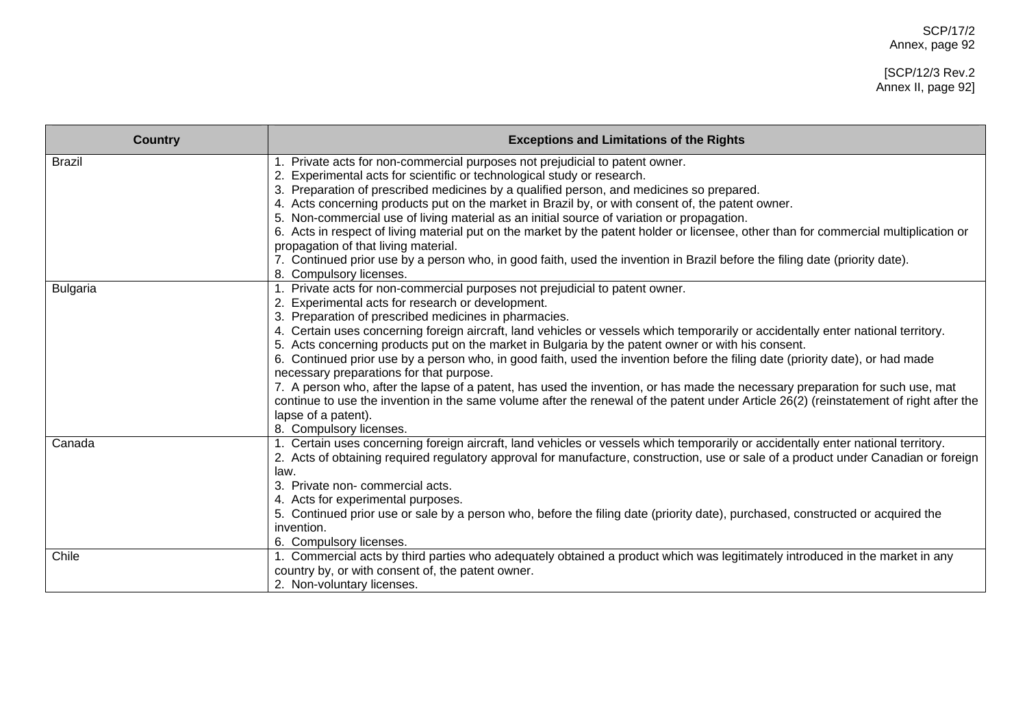#### [SCP/12/3 Rev.2 Annex II, page 92]

| <b>Country</b>  | <b>Exceptions and Limitations of the Rights</b>                                                                                                                                              |
|-----------------|----------------------------------------------------------------------------------------------------------------------------------------------------------------------------------------------|
| <b>Brazil</b>   | Private acts for non-commercial purposes not prejudicial to patent owner.                                                                                                                    |
|                 | Experimental acts for scientific or technological study or research.                                                                                                                         |
|                 | Preparation of prescribed medicines by a qualified person, and medicines so prepared.<br>3.                                                                                                  |
|                 | Acts concerning products put on the market in Brazil by, or with consent of, the patent owner.<br>5. Non-commercial use of living material as an initial source of variation or propagation. |
|                 | 6. Acts in respect of living material put on the market by the patent holder or licensee, other than for commercial multiplication or                                                        |
|                 | propagation of that living material.                                                                                                                                                         |
|                 | 7. Continued prior use by a person who, in good faith, used the invention in Brazil before the filing date (priority date).                                                                  |
|                 | 8. Compulsory licenses.                                                                                                                                                                      |
| <b>Bulgaria</b> | 1. Private acts for non-commercial purposes not prejudicial to patent owner.                                                                                                                 |
|                 | Experimental acts for research or development.                                                                                                                                               |
|                 | 3. Preparation of prescribed medicines in pharmacies.                                                                                                                                        |
|                 | 4. Certain uses concerning foreign aircraft, land vehicles or vessels which temporarily or accidentally enter national territory.                                                            |
|                 | 5. Acts concerning products put on the market in Bulgaria by the patent owner or with his consent.                                                                                           |
|                 | 6. Continued prior use by a person who, in good faith, used the invention before the filing date (priority date), or had made                                                                |
|                 | necessary preparations for that purpose.                                                                                                                                                     |
|                 | 7. A person who, after the lapse of a patent, has used the invention, or has made the necessary preparation for such use, mat                                                                |
|                 | continue to use the invention in the same volume after the renewal of the patent under Article 26(2) (reinstatement of right after the                                                       |
|                 | lapse of a patent).<br>8. Compulsory licenses.                                                                                                                                               |
| Canada          | 1. Certain uses concerning foreign aircraft, land vehicles or vessels which temporarily or accidentally enter national territory.                                                            |
|                 | 2. Acts of obtaining required regulatory approval for manufacture, construction, use or sale of a product under Canadian or foreign                                                          |
|                 | law.                                                                                                                                                                                         |
|                 | Private non-commercial acts.<br>3.                                                                                                                                                           |
|                 | Acts for experimental purposes.                                                                                                                                                              |
|                 | 5. Continued prior use or sale by a person who, before the filing date (priority date), purchased, constructed or acquired the                                                               |
|                 | invention.                                                                                                                                                                                   |
|                 | 6. Compulsory licenses.                                                                                                                                                                      |
| Chile           | 1. Commercial acts by third parties who adequately obtained a product which was legitimately introduced in the market in any                                                                 |
|                 | country by, or with consent of, the patent owner.                                                                                                                                            |
|                 | 2. Non-voluntary licenses.                                                                                                                                                                   |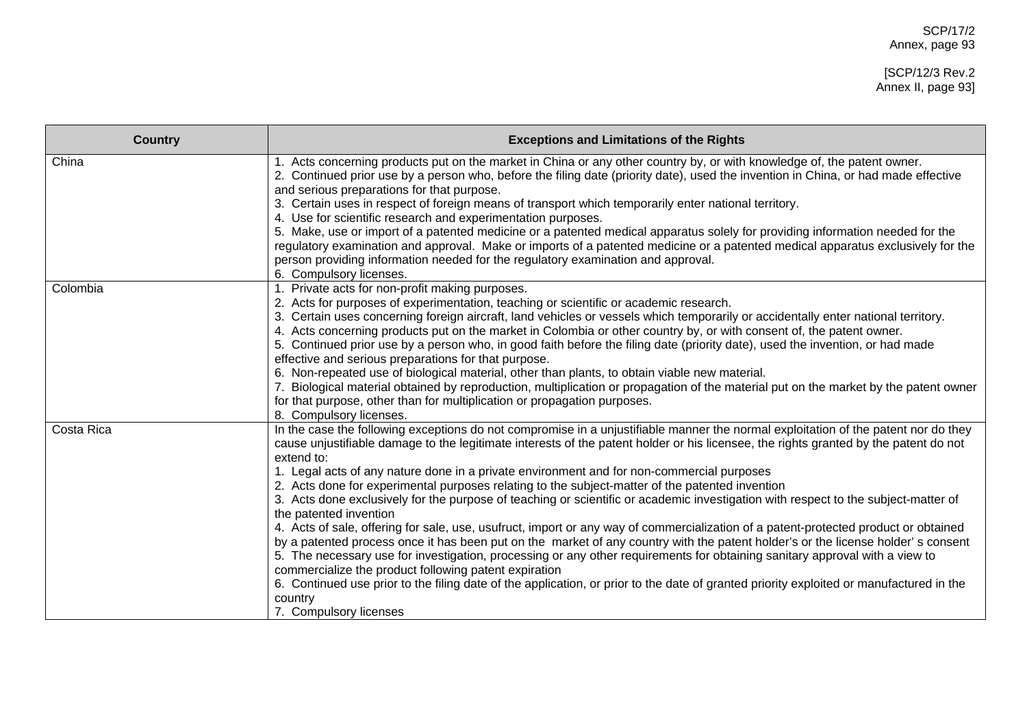| <b>Country</b> | <b>Exceptions and Limitations of the Rights</b>                                                                                                                                                                                                                                                                                                                                                                                                                                                                                                                                                                                                                                                                                                                                                                                                                                                                                                                                                                                                                                                                                                                                                                                                                                                             |
|----------------|-------------------------------------------------------------------------------------------------------------------------------------------------------------------------------------------------------------------------------------------------------------------------------------------------------------------------------------------------------------------------------------------------------------------------------------------------------------------------------------------------------------------------------------------------------------------------------------------------------------------------------------------------------------------------------------------------------------------------------------------------------------------------------------------------------------------------------------------------------------------------------------------------------------------------------------------------------------------------------------------------------------------------------------------------------------------------------------------------------------------------------------------------------------------------------------------------------------------------------------------------------------------------------------------------------------|
| China          | 1. Acts concerning products put on the market in China or any other country by, or with knowledge of, the patent owner.<br>2. Continued prior use by a person who, before the filing date (priority date), used the invention in China, or had made effective<br>and serious preparations for that purpose.<br>3. Certain uses in respect of foreign means of transport which temporarily enter national territory.<br>4. Use for scientific research and experimentation purposes.<br>5. Make, use or import of a patented medicine or a patented medical apparatus solely for providing information needed for the<br>regulatory examination and approval. Make or imports of a patented medicine or a patented medical apparatus exclusively for the<br>person providing information needed for the regulatory examination and approval.<br>6. Compulsory licenses.                                                                                                                                                                                                                                                                                                                                                                                                                                      |
| Colombia       | 1. Private acts for non-profit making purposes.<br>2. Acts for purposes of experimentation, teaching or scientific or academic research.<br>3. Certain uses concerning foreign aircraft, land vehicles or vessels which temporarily or accidentally enter national territory.<br>4. Acts concerning products put on the market in Colombia or other country by, or with consent of, the patent owner.<br>5. Continued prior use by a person who, in good faith before the filing date (priority date), used the invention, or had made<br>effective and serious preparations for that purpose.<br>6. Non-repeated use of biological material, other than plants, to obtain viable new material.<br>7. Biological material obtained by reproduction, multiplication or propagation of the material put on the market by the patent owner<br>for that purpose, other than for multiplication or propagation purposes.<br>8. Compulsory licenses.                                                                                                                                                                                                                                                                                                                                                              |
| Costa Rica     | In the case the following exceptions do not compromise in a unjustifiable manner the normal exploitation of the patent nor do they<br>cause unjustifiable damage to the legitimate interests of the patent holder or his licensee, the rights granted by the patent do not<br>extend to:<br>1. Legal acts of any nature done in a private environment and for non-commercial purposes<br>2. Acts done for experimental purposes relating to the subject-matter of the patented invention<br>3. Acts done exclusively for the purpose of teaching or scientific or academic investigation with respect to the subject-matter of<br>the patented invention<br>4. Acts of sale, offering for sale, use, usufruct, import or any way of commercialization of a patent-protected product or obtained<br>by a patented process once it has been put on the market of any country with the patent holder's or the license holder's consent<br>5. The necessary use for investigation, processing or any other requirements for obtaining sanitary approval with a view to<br>commercialize the product following patent expiration<br>6. Continued use prior to the filing date of the application, or prior to the date of granted priority exploited or manufactured in the<br>country<br>7. Compulsory licenses |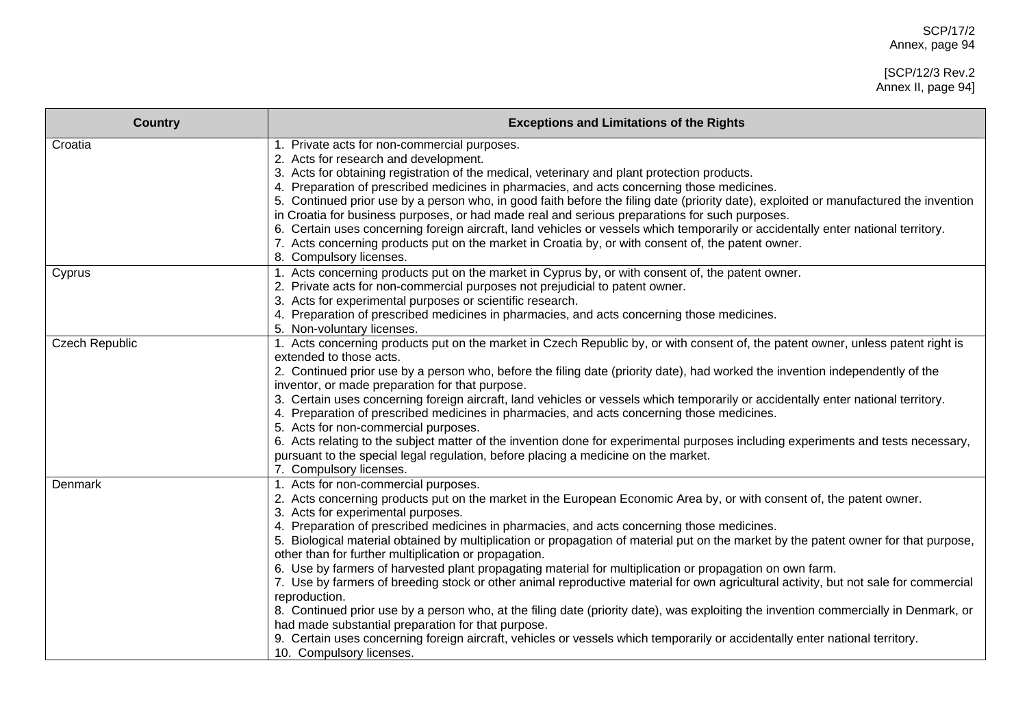| <b>Country</b>        | <b>Exceptions and Limitations of the Rights</b>                                                                                                                                                                                         |
|-----------------------|-----------------------------------------------------------------------------------------------------------------------------------------------------------------------------------------------------------------------------------------|
| Croatia               | 1. Private acts for non-commercial purposes.                                                                                                                                                                                            |
|                       | 2. Acts for research and development.                                                                                                                                                                                                   |
|                       | 3. Acts for obtaining registration of the medical, veterinary and plant protection products.                                                                                                                                            |
|                       | 4. Preparation of prescribed medicines in pharmacies, and acts concerning those medicines.                                                                                                                                              |
|                       | 5. Continued prior use by a person who, in good faith before the filing date (priority date), exploited or manufactured the invention                                                                                                   |
|                       | in Croatia for business purposes, or had made real and serious preparations for such purposes.                                                                                                                                          |
|                       | 6. Certain uses concerning foreign aircraft, land vehicles or vessels which temporarily or accidentally enter national territory.<br>7. Acts concerning products put on the market in Croatia by, or with consent of, the patent owner. |
|                       | 8. Compulsory licenses.                                                                                                                                                                                                                 |
|                       | 1. Acts concerning products put on the market in Cyprus by, or with consent of, the patent owner.                                                                                                                                       |
| Cyprus                | 2. Private acts for non-commercial purposes not prejudicial to patent owner.                                                                                                                                                            |
|                       | 3. Acts for experimental purposes or scientific research.                                                                                                                                                                               |
|                       | 4. Preparation of prescribed medicines in pharmacies, and acts concerning those medicines.                                                                                                                                              |
|                       | 5. Non-voluntary licenses.                                                                                                                                                                                                              |
| <b>Czech Republic</b> | 1. Acts concerning products put on the market in Czech Republic by, or with consent of, the patent owner, unless patent right is                                                                                                        |
|                       | extended to those acts.                                                                                                                                                                                                                 |
|                       | 2. Continued prior use by a person who, before the filing date (priority date), had worked the invention independently of the                                                                                                           |
|                       | inventor, or made preparation for that purpose.                                                                                                                                                                                         |
|                       | 3. Certain uses concerning foreign aircraft, land vehicles or vessels which temporarily or accidentally enter national territory.                                                                                                       |
|                       | 4. Preparation of prescribed medicines in pharmacies, and acts concerning those medicines.                                                                                                                                              |
|                       | 5. Acts for non-commercial purposes.                                                                                                                                                                                                    |
|                       | 6. Acts relating to the subject matter of the invention done for experimental purposes including experiments and tests necessary,                                                                                                       |
|                       | pursuant to the special legal regulation, before placing a medicine on the market.                                                                                                                                                      |
|                       | 7. Compulsory licenses.                                                                                                                                                                                                                 |
| Denmark               | 1. Acts for non-commercial purposes.                                                                                                                                                                                                    |
|                       | 2. Acts concerning products put on the market in the European Economic Area by, or with consent of, the patent owner.                                                                                                                   |
|                       | 3. Acts for experimental purposes.                                                                                                                                                                                                      |
|                       | 4. Preparation of prescribed medicines in pharmacies, and acts concerning those medicines.                                                                                                                                              |
|                       | 5. Biological material obtained by multiplication or propagation of material put on the market by the patent owner for that purpose,                                                                                                    |
|                       | other than for further multiplication or propagation.                                                                                                                                                                                   |
|                       | 6. Use by farmers of harvested plant propagating material for multiplication or propagation on own farm.                                                                                                                                |
|                       | 7. Use by farmers of breeding stock or other animal reproductive material for own agricultural activity, but not sale for commercial<br>reproduction.                                                                                   |
|                       | 8. Continued prior use by a person who, at the filing date (priority date), was exploiting the invention commercially in Denmark, or                                                                                                    |
|                       | had made substantial preparation for that purpose.                                                                                                                                                                                      |
|                       | 9. Certain uses concerning foreign aircraft, vehicles or vessels which temporarily or accidentally enter national territory.                                                                                                            |
|                       | 10. Compulsory licenses.                                                                                                                                                                                                                |
|                       |                                                                                                                                                                                                                                         |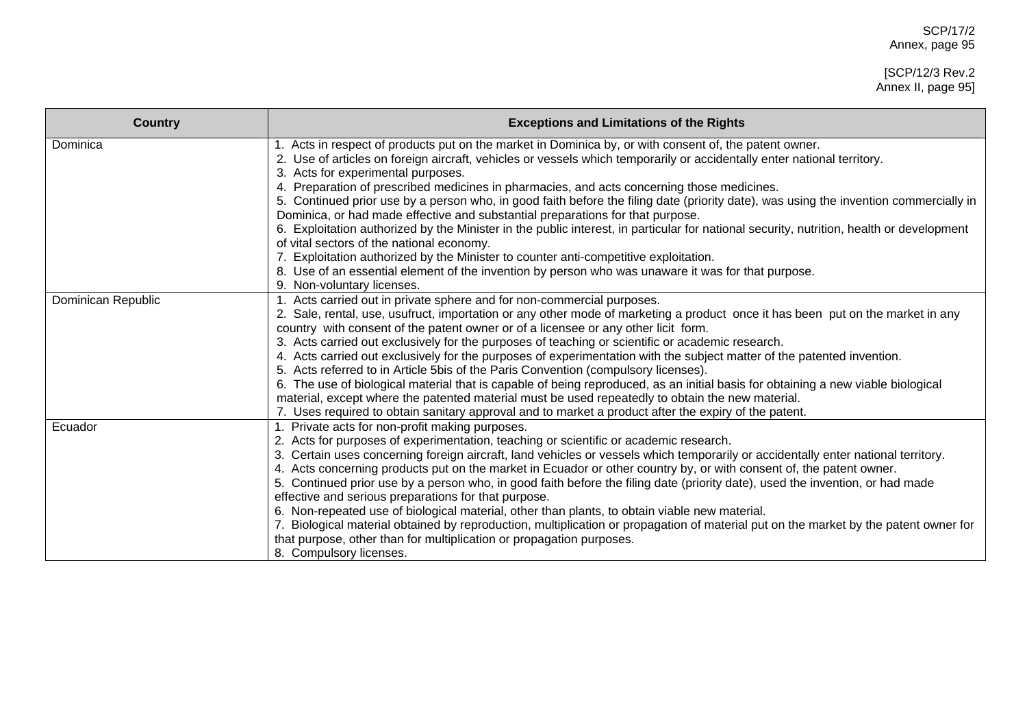| <b>Country</b>     | <b>Exceptions and Limitations of the Rights</b>                                                                                                                                                                                |
|--------------------|--------------------------------------------------------------------------------------------------------------------------------------------------------------------------------------------------------------------------------|
| Dominica           | Acts in respect of products put on the market in Dominica by, or with consent of, the patent owner.<br>2. Use of articles on foreign aircraft, vehicles or vessels which temporarily or accidentally enter national territory. |
|                    | 3. Acts for experimental purposes.                                                                                                                                                                                             |
|                    | 4. Preparation of prescribed medicines in pharmacies, and acts concerning those medicines.                                                                                                                                     |
|                    | 5. Continued prior use by a person who, in good faith before the filing date (priority date), was using the invention commercially in<br>Dominica, or had made effective and substantial preparations for that purpose.        |
|                    | 6. Exploitation authorized by the Minister in the public interest, in particular for national security, nutrition, health or development                                                                                       |
|                    | of vital sectors of the national economy.                                                                                                                                                                                      |
|                    | 7. Exploitation authorized by the Minister to counter anti-competitive exploitation.                                                                                                                                           |
|                    | 8. Use of an essential element of the invention by person who was unaware it was for that purpose.                                                                                                                             |
|                    | 9. Non-voluntary licenses.                                                                                                                                                                                                     |
| Dominican Republic | 1. Acts carried out in private sphere and for non-commercial purposes.                                                                                                                                                         |
|                    | 2. Sale, rental, use, usufruct, importation or any other mode of marketing a product once it has been put on the market in any<br>country with consent of the patent owner or of a licensee or any other licit form.           |
|                    | 3. Acts carried out exclusively for the purposes of teaching or scientific or academic research.                                                                                                                               |
|                    | 4. Acts carried out exclusively for the purposes of experimentation with the subject matter of the patented invention.                                                                                                         |
|                    | 5. Acts referred to in Article 5bis of the Paris Convention (compulsory licenses).                                                                                                                                             |
|                    | 6. The use of biological material that is capable of being reproduced, as an initial basis for obtaining a new viable biological                                                                                               |
|                    | material, except where the patented material must be used repeatedly to obtain the new material.                                                                                                                               |
| Ecuador            | 7. Uses required to obtain sanitary approval and to market a product after the expiry of the patent.<br>1. Private acts for non-profit making purposes.                                                                        |
|                    | 2. Acts for purposes of experimentation, teaching or scientific or academic research.                                                                                                                                          |
|                    | 3. Certain uses concerning foreign aircraft, land vehicles or vessels which temporarily or accidentally enter national territory.                                                                                              |
|                    | 4. Acts concerning products put on the market in Ecuador or other country by, or with consent of, the patent owner.                                                                                                            |
|                    | 5. Continued prior use by a person who, in good faith before the filing date (priority date), used the invention, or had made                                                                                                  |
|                    | effective and serious preparations for that purpose.                                                                                                                                                                           |
|                    | 6. Non-repeated use of biological material, other than plants, to obtain viable new material.                                                                                                                                  |
|                    | 7. Biological material obtained by reproduction, multiplication or propagation of material put on the market by the patent owner for                                                                                           |
|                    | that purpose, other than for multiplication or propagation purposes.                                                                                                                                                           |
|                    | 8. Compulsory licenses.                                                                                                                                                                                                        |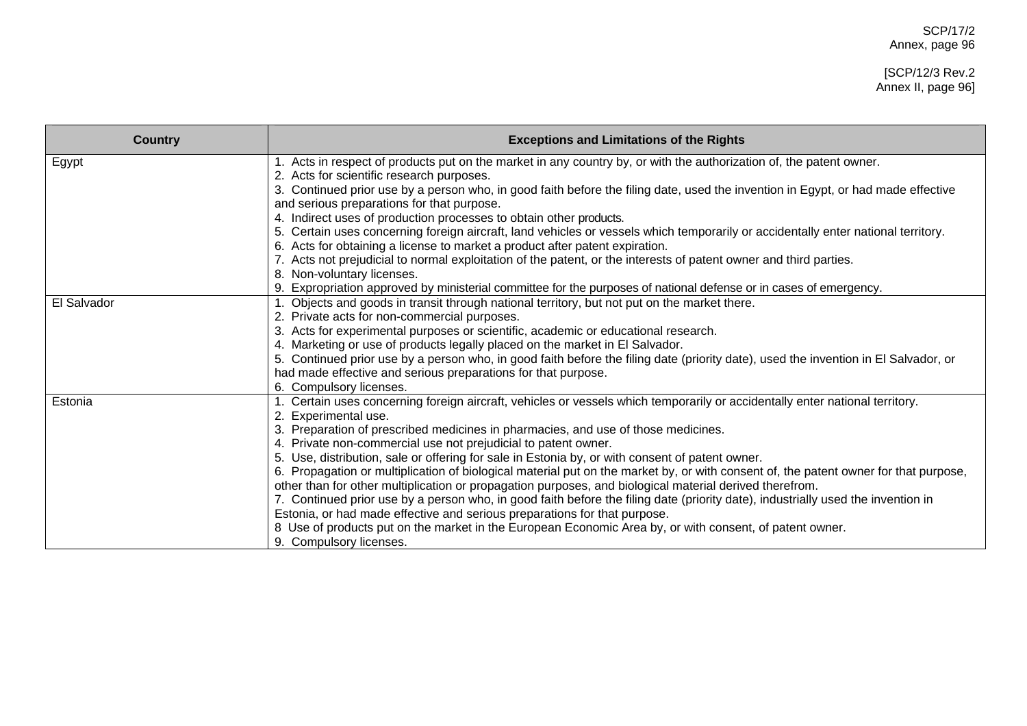#### [SCP/12/3 Rev.2 Annex II, page 96]

| <b>Country</b> | <b>Exceptions and Limitations of the Rights</b>                                                                                      |
|----------------|--------------------------------------------------------------------------------------------------------------------------------------|
| Egypt          | Acts in respect of products put on the market in any country by, or with the authorization of, the patent owner.                     |
|                | 2. Acts for scientific research purposes.                                                                                            |
|                | 3. Continued prior use by a person who, in good faith before the filing date, used the invention in Egypt, or had made effective     |
|                | and serious preparations for that purpose.<br>4. Indirect uses of production processes to obtain other products.                     |
|                | 5. Certain uses concerning foreign aircraft, land vehicles or vessels which temporarily or accidentally enter national territory.    |
|                | 6. Acts for obtaining a license to market a product after patent expiration.                                                         |
|                | 7. Acts not prejudicial to normal exploitation of the patent, or the interests of patent owner and third parties.                    |
|                | 8. Non-voluntary licenses.                                                                                                           |
|                | 9. Expropriation approved by ministerial committee for the purposes of national defense or in cases of emergency.                    |
| El Salvador    | 1. Objects and goods in transit through national territory, but not put on the market there.                                         |
|                | 2. Private acts for non-commercial purposes.                                                                                         |
|                | 3. Acts for experimental purposes or scientific, academic or educational research.                                                   |
|                | 4. Marketing or use of products legally placed on the market in El Salvador.                                                         |
|                | 5. Continued prior use by a person who, in good faith before the filing date (priority date), used the invention in El Salvador, or  |
|                | had made effective and serious preparations for that purpose.                                                                        |
|                | 6. Compulsory licenses.                                                                                                              |
| Estonia        | 1. Certain uses concerning foreign aircraft, vehicles or vessels which temporarily or accidentally enter national territory.         |
|                | 2. Experimental use.                                                                                                                 |
|                | 3. Preparation of prescribed medicines in pharmacies, and use of those medicines.                                                    |
|                | 4. Private non-commercial use not prejudicial to patent owner.                                                                       |
|                | 5. Use, distribution, sale or offering for sale in Estonia by, or with consent of patent owner.                                      |
|                | 6. Propagation or multiplication of biological material put on the market by, or with consent of, the patent owner for that purpose, |
|                | other than for other multiplication or propagation purposes, and biological material derived therefrom.                              |
|                | 7. Continued prior use by a person who, in good faith before the filing date (priority date), industrially used the invention in     |
|                | Estonia, or had made effective and serious preparations for that purpose.                                                            |
|                | 8 Use of products put on the market in the European Economic Area by, or with consent, of patent owner.                              |
|                | 9. Compulsory licenses.                                                                                                              |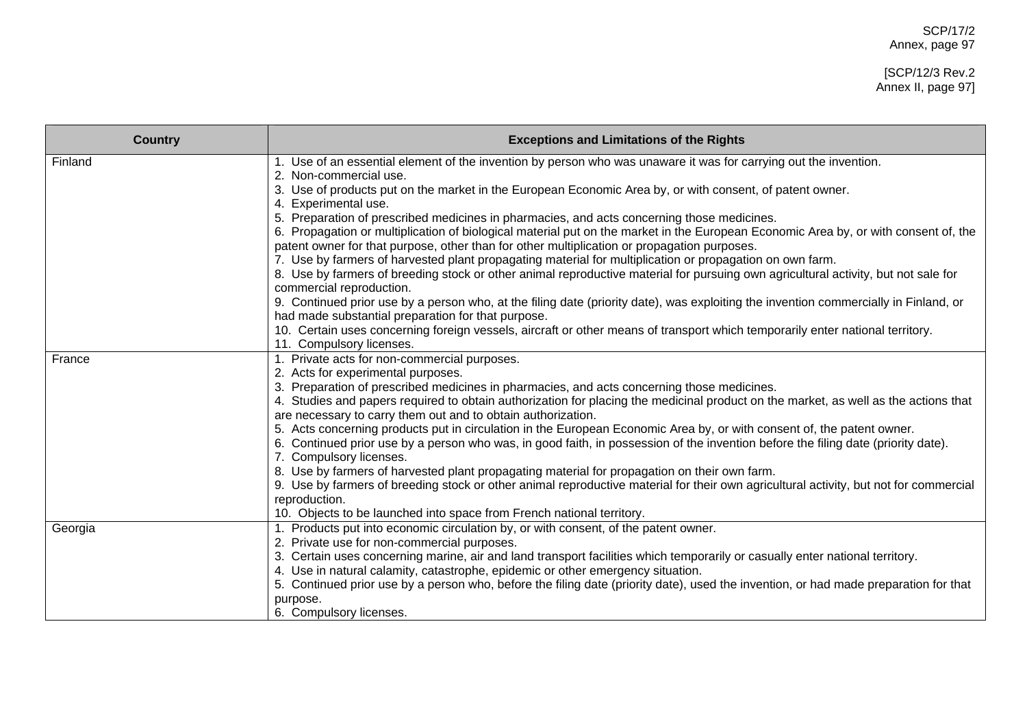| <b>Country</b> | <b>Exceptions and Limitations of the Rights</b>                                                                                       |
|----------------|---------------------------------------------------------------------------------------------------------------------------------------|
| Finland        | 1. Use of an essential element of the invention by person who was unaware it was for carrying out the invention.                      |
|                | 2. Non-commercial use.                                                                                                                |
|                | 3. Use of products put on the market in the European Economic Area by, or with consent, of patent owner.<br>4. Experimental use.      |
|                | 5. Preparation of prescribed medicines in pharmacies, and acts concerning those medicines.                                            |
|                | 6. Propagation or multiplication of biological material put on the market in the European Economic Area by, or with consent of, the   |
|                | patent owner for that purpose, other than for other multiplication or propagation purposes.                                           |
|                | 7. Use by farmers of harvested plant propagating material for multiplication or propagation on own farm.                              |
|                | 8. Use by farmers of breeding stock or other animal reproductive material for pursuing own agricultural activity, but not sale for    |
|                | commercial reproduction.                                                                                                              |
|                | 9. Continued prior use by a person who, at the filing date (priority date), was exploiting the invention commercially in Finland, or  |
|                | had made substantial preparation for that purpose.                                                                                    |
|                | 10. Certain uses concerning foreign vessels, aircraft or other means of transport which temporarily enter national territory.         |
|                | 11. Compulsory licenses.                                                                                                              |
| France         | 1. Private acts for non-commercial purposes.                                                                                          |
|                | 2. Acts for experimental purposes.<br>3. Preparation of prescribed medicines in pharmacies, and acts concerning those medicines.      |
|                | 4. Studies and papers required to obtain authorization for placing the medicinal product on the market, as well as the actions that   |
|                | are necessary to carry them out and to obtain authorization.                                                                          |
|                | 5. Acts concerning products put in circulation in the European Economic Area by, or with consent of, the patent owner.                |
|                | 6. Continued prior use by a person who was, in good faith, in possession of the invention before the filing date (priority date).     |
|                | 7. Compulsory licenses.                                                                                                               |
|                | 8. Use by farmers of harvested plant propagating material for propagation on their own farm.                                          |
|                | 9. Use by farmers of breeding stock or other animal reproductive material for their own agricultural activity, but not for commercial |
|                | reproduction.                                                                                                                         |
|                | 10. Objects to be launched into space from French national territory.                                                                 |
| Georgia        | 1. Products put into economic circulation by, or with consent, of the patent owner.                                                   |
|                | 2. Private use for non-commercial purposes.                                                                                           |
|                | 3. Certain uses concerning marine, air and land transport facilities which temporarily or casually enter national territory.          |
|                | 4. Use in natural calamity, catastrophe, epidemic or other emergency situation.                                                       |
|                | 5. Continued prior use by a person who, before the filing date (priority date), used the invention, or had made preparation for that  |
|                | purpose.                                                                                                                              |
|                | 6. Compulsory licenses.                                                                                                               |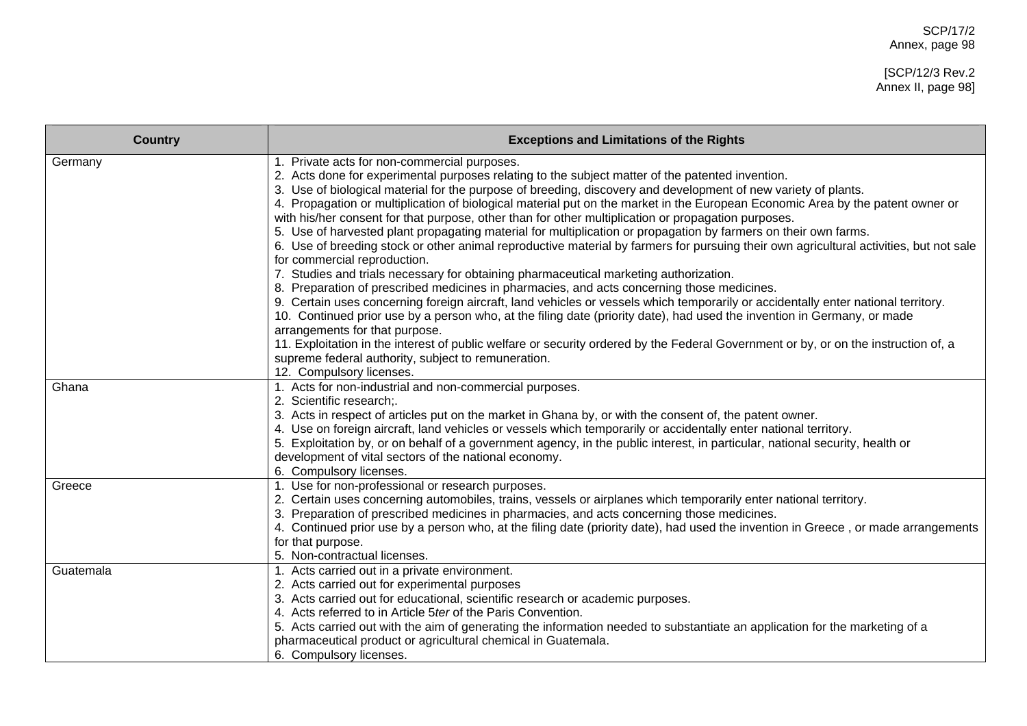| <b>Country</b> | <b>Exceptions and Limitations of the Rights</b>                                                                                                                                                                                                                                                                                                                                                                                                                                                                                                                                                                                                                                                                                                                                                                                                                                                                                                                                                                                                                                                                                                                                                                                                                                                                                                                                                                                                                                                 |
|----------------|-------------------------------------------------------------------------------------------------------------------------------------------------------------------------------------------------------------------------------------------------------------------------------------------------------------------------------------------------------------------------------------------------------------------------------------------------------------------------------------------------------------------------------------------------------------------------------------------------------------------------------------------------------------------------------------------------------------------------------------------------------------------------------------------------------------------------------------------------------------------------------------------------------------------------------------------------------------------------------------------------------------------------------------------------------------------------------------------------------------------------------------------------------------------------------------------------------------------------------------------------------------------------------------------------------------------------------------------------------------------------------------------------------------------------------------------------------------------------------------------------|
| Germany        | 1. Private acts for non-commercial purposes.<br>2. Acts done for experimental purposes relating to the subject matter of the patented invention.<br>3. Use of biological material for the purpose of breeding, discovery and development of new variety of plants.<br>4. Propagation or multiplication of biological material put on the market in the European Economic Area by the patent owner or<br>with his/her consent for that purpose, other than for other multiplication or propagation purposes.<br>5. Use of harvested plant propagating material for multiplication or propagation by farmers on their own farms.<br>6. Use of breeding stock or other animal reproductive material by farmers for pursuing their own agricultural activities, but not sale<br>for commercial reproduction.<br>7. Studies and trials necessary for obtaining pharmaceutical marketing authorization.<br>8. Preparation of prescribed medicines in pharmacies, and acts concerning those medicines.<br>9. Certain uses concerning foreign aircraft, land vehicles or vessels which temporarily or accidentally enter national territory.<br>10. Continued prior use by a person who, at the filing date (priority date), had used the invention in Germany, or made<br>arrangements for that purpose.<br>11. Exploitation in the interest of public welfare or security ordered by the Federal Government or by, or on the instruction of, a<br>supreme federal authority, subject to remuneration. |
| Ghana          | 12. Compulsory licenses.<br>1. Acts for non-industrial and non-commercial purposes.<br>2. Scientific research;.<br>3. Acts in respect of articles put on the market in Ghana by, or with the consent of, the patent owner.<br>4. Use on foreign aircraft, land vehicles or vessels which temporarily or accidentally enter national territory.<br>5. Exploitation by, or on behalf of a government agency, in the public interest, in particular, national security, health or<br>development of vital sectors of the national economy.<br>6. Compulsory licenses.                                                                                                                                                                                                                                                                                                                                                                                                                                                                                                                                                                                                                                                                                                                                                                                                                                                                                                                              |
| Greece         | 1. Use for non-professional or research purposes.<br>2. Certain uses concerning automobiles, trains, vessels or airplanes which temporarily enter national territory.<br>3. Preparation of prescribed medicines in pharmacies, and acts concerning those medicines.<br>4. Continued prior use by a person who, at the filing date (priority date), had used the invention in Greece, or made arrangements<br>for that purpose.<br>5. Non-contractual licenses.                                                                                                                                                                                                                                                                                                                                                                                                                                                                                                                                                                                                                                                                                                                                                                                                                                                                                                                                                                                                                                  |
| Guatemala      | 1. Acts carried out in a private environment.<br>2. Acts carried out for experimental purposes<br>3. Acts carried out for educational, scientific research or academic purposes.<br>4. Acts referred to in Article 5ter of the Paris Convention.<br>5. Acts carried out with the aim of generating the information needed to substantiate an application for the marketing of a<br>pharmaceutical product or agricultural chemical in Guatemala.<br>6. Compulsory licenses.                                                                                                                                                                                                                                                                                                                                                                                                                                                                                                                                                                                                                                                                                                                                                                                                                                                                                                                                                                                                                     |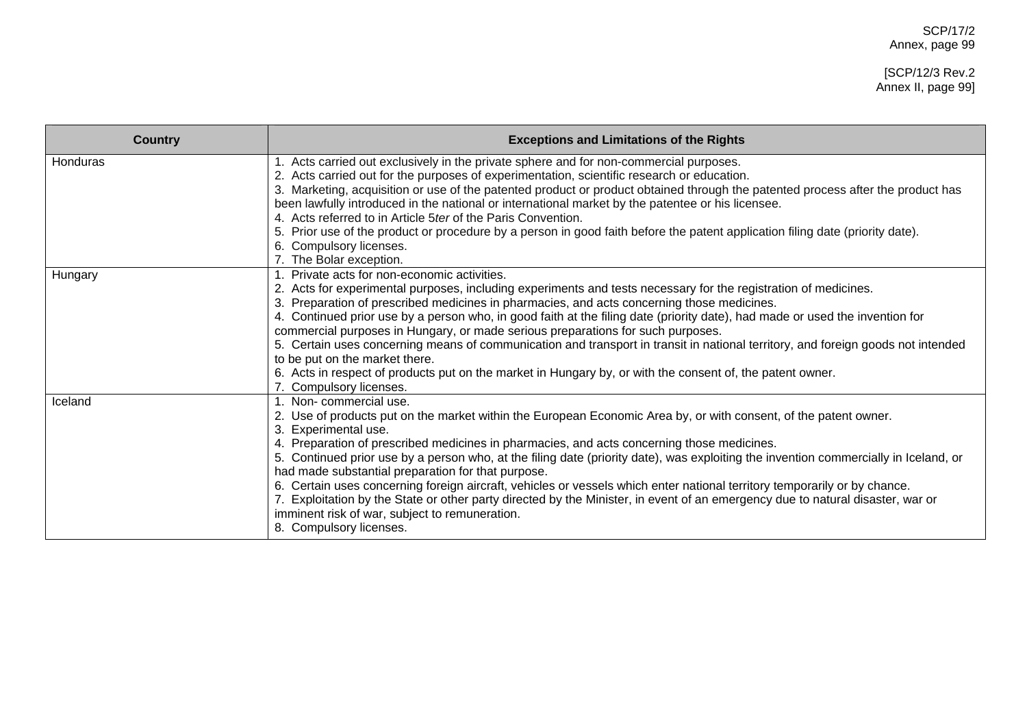| <b>Country</b> | <b>Exceptions and Limitations of the Rights</b>                                                                                                                                                                                                                                                                                                                                                                                                                                                                                                                                                                                                                                                                                                                                                         |
|----------------|---------------------------------------------------------------------------------------------------------------------------------------------------------------------------------------------------------------------------------------------------------------------------------------------------------------------------------------------------------------------------------------------------------------------------------------------------------------------------------------------------------------------------------------------------------------------------------------------------------------------------------------------------------------------------------------------------------------------------------------------------------------------------------------------------------|
| Honduras       | 1. Acts carried out exclusively in the private sphere and for non-commercial purposes.<br>2. Acts carried out for the purposes of experimentation, scientific research or education.<br>3. Marketing, acquisition or use of the patented product or product obtained through the patented process after the product has<br>been lawfully introduced in the national or international market by the patentee or his licensee.<br>4. Acts referred to in Article 5ter of the Paris Convention.<br>5. Prior use of the product or procedure by a person in good faith before the patent application filing date (priority date).<br>6. Compulsory licenses.<br>7. The Bolar exception.                                                                                                                     |
| Hungary        | 1. Private acts for non-economic activities.<br>2. Acts for experimental purposes, including experiments and tests necessary for the registration of medicines.<br>3. Preparation of prescribed medicines in pharmacies, and acts concerning those medicines.<br>4. Continued prior use by a person who, in good faith at the filing date (priority date), had made or used the invention for<br>commercial purposes in Hungary, or made serious preparations for such purposes.<br>5. Certain uses concerning means of communication and transport in transit in national territory, and foreign goods not intended<br>to be put on the market there.<br>6. Acts in respect of products put on the market in Hungary by, or with the consent of, the patent owner.<br>7. Compulsory licenses.          |
| Iceland        | 1. Non-commercial use.<br>2. Use of products put on the market within the European Economic Area by, or with consent, of the patent owner.<br>Experimental use.<br>4. Preparation of prescribed medicines in pharmacies, and acts concerning those medicines.<br>5. Continued prior use by a person who, at the filing date (priority date), was exploiting the invention commercially in Iceland, or<br>had made substantial preparation for that purpose.<br>6. Certain uses concerning foreign aircraft, vehicles or vessels which enter national territory temporarily or by chance.<br>7. Exploitation by the State or other party directed by the Minister, in event of an emergency due to natural disaster, war or<br>imminent risk of war, subject to remuneration.<br>8. Compulsory licenses. |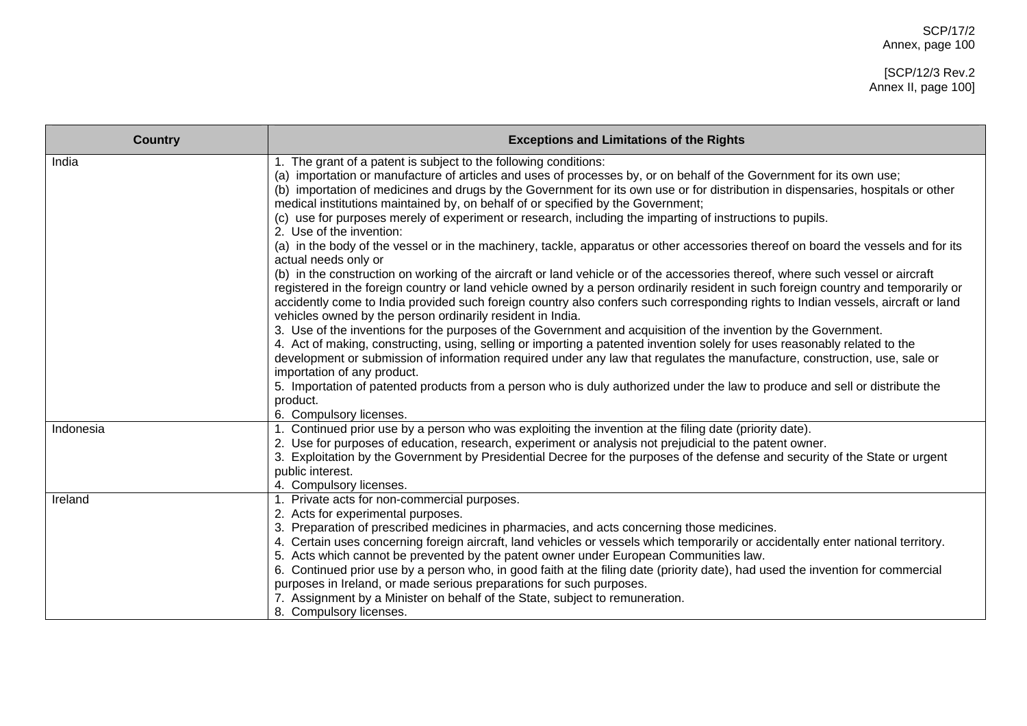| <b>Country</b> | <b>Exceptions and Limitations of the Rights</b>                                                                                                                                                                                                                                                                                                                                                                                                                                                                                                                                                                                                                                                                                                                                                                                                                                                                                                                                                                                                                                                                                                                                                                                                                                                                                                                                                                                                                                                                                                                                                                   |
|----------------|-------------------------------------------------------------------------------------------------------------------------------------------------------------------------------------------------------------------------------------------------------------------------------------------------------------------------------------------------------------------------------------------------------------------------------------------------------------------------------------------------------------------------------------------------------------------------------------------------------------------------------------------------------------------------------------------------------------------------------------------------------------------------------------------------------------------------------------------------------------------------------------------------------------------------------------------------------------------------------------------------------------------------------------------------------------------------------------------------------------------------------------------------------------------------------------------------------------------------------------------------------------------------------------------------------------------------------------------------------------------------------------------------------------------------------------------------------------------------------------------------------------------------------------------------------------------------------------------------------------------|
| India          | 1. The grant of a patent is subject to the following conditions:<br>(a) importation or manufacture of articles and uses of processes by, or on behalf of the Government for its own use;<br>(b) importation of medicines and drugs by the Government for its own use or for distribution in dispensaries, hospitals or other<br>medical institutions maintained by, on behalf of or specified by the Government;<br>(c) use for purposes merely of experiment or research, including the imparting of instructions to pupils.<br>2. Use of the invention:<br>(a) in the body of the vessel or in the machinery, tackle, apparatus or other accessories thereof on board the vessels and for its<br>actual needs only or<br>(b) in the construction on working of the aircraft or land vehicle or of the accessories thereof, where such vessel or aircraft<br>registered in the foreign country or land vehicle owned by a person ordinarily resident in such foreign country and temporarily or<br>accidently come to India provided such foreign country also confers such corresponding rights to Indian vessels, aircraft or land<br>vehicles owned by the person ordinarily resident in India.<br>3. Use of the inventions for the purposes of the Government and acquisition of the invention by the Government.<br>4. Act of making, constructing, using, selling or importing a patented invention solely for uses reasonably related to the<br>development or submission of information required under any law that regulates the manufacture, construction, use, sale or<br>importation of any product. |
|                | 5. Importation of patented products from a person who is duly authorized under the law to produce and sell or distribute the<br>product.<br>6. Compulsory licenses.                                                                                                                                                                                                                                                                                                                                                                                                                                                                                                                                                                                                                                                                                                                                                                                                                                                                                                                                                                                                                                                                                                                                                                                                                                                                                                                                                                                                                                               |
| Indonesia      | 1. Continued prior use by a person who was exploiting the invention at the filing date (priority date).<br>2. Use for purposes of education, research, experiment or analysis not prejudicial to the patent owner.<br>3. Exploitation by the Government by Presidential Decree for the purposes of the defense and security of the State or urgent<br>public interest.<br>4. Compulsory licenses.                                                                                                                                                                                                                                                                                                                                                                                                                                                                                                                                                                                                                                                                                                                                                                                                                                                                                                                                                                                                                                                                                                                                                                                                                 |
| Ireland        | 1. Private acts for non-commercial purposes.<br>2. Acts for experimental purposes.<br>3. Preparation of prescribed medicines in pharmacies, and acts concerning those medicines.<br>4. Certain uses concerning foreign aircraft, land vehicles or vessels which temporarily or accidentally enter national territory.<br>5. Acts which cannot be prevented by the patent owner under European Communities law.<br>6. Continued prior use by a person who, in good faith at the filing date (priority date), had used the invention for commercial<br>purposes in Ireland, or made serious preparations for such purposes.<br>7. Assignment by a Minister on behalf of the State, subject to remuneration.<br>8. Compulsory licenses.                                                                                                                                                                                                                                                                                                                                                                                                                                                                                                                                                                                                                                                                                                                                                                                                                                                                              |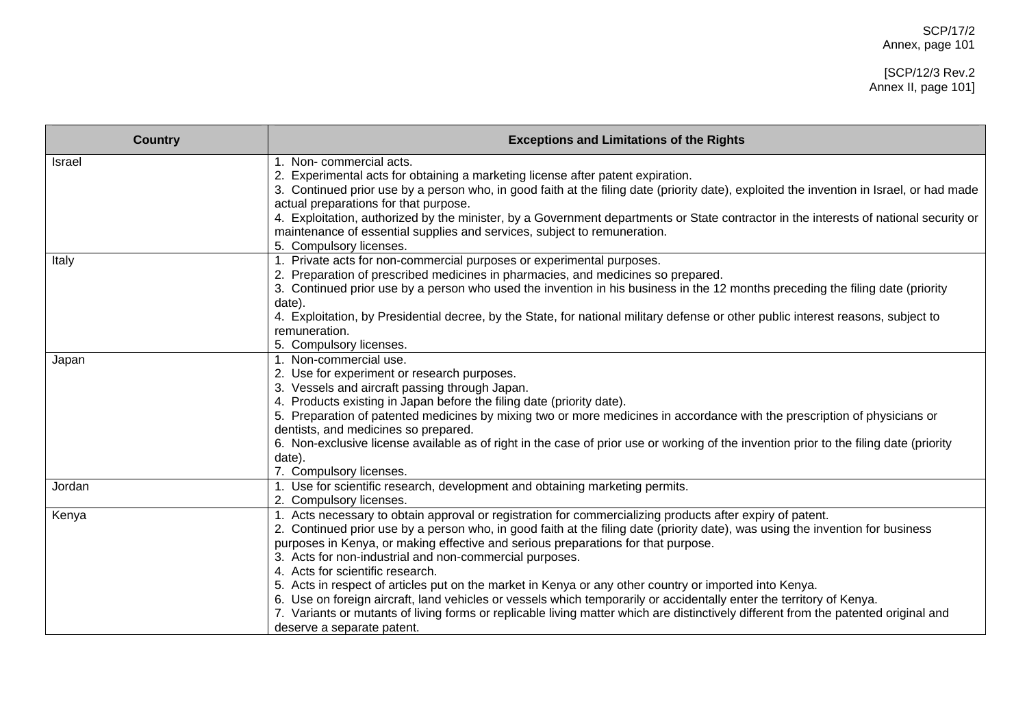# [SCP/12/3 Rev.2 Annex II, page 101]

| <b>Country</b> | <b>Exceptions and Limitations of the Rights</b>                                                                                                                                                                                                                                                                                                                                                                                                                                                                                                                                                                                                                                                                                                                                                                                        |
|----------------|----------------------------------------------------------------------------------------------------------------------------------------------------------------------------------------------------------------------------------------------------------------------------------------------------------------------------------------------------------------------------------------------------------------------------------------------------------------------------------------------------------------------------------------------------------------------------------------------------------------------------------------------------------------------------------------------------------------------------------------------------------------------------------------------------------------------------------------|
| Israel         | 1. Non-commercial acts.<br>2. Experimental acts for obtaining a marketing license after patent expiration.<br>3. Continued prior use by a person who, in good faith at the filing date (priority date), exploited the invention in Israel, or had made<br>actual preparations for that purpose.<br>4. Exploitation, authorized by the minister, by a Government departments or State contractor in the interests of national security or<br>maintenance of essential supplies and services, subject to remuneration.<br>5. Compulsory licenses.                                                                                                                                                                                                                                                                                        |
| Italy          | 1. Private acts for non-commercial purposes or experimental purposes.<br>2. Preparation of prescribed medicines in pharmacies, and medicines so prepared.<br>3. Continued prior use by a person who used the invention in his business in the 12 months preceding the filing date (priority<br>date).<br>4. Exploitation, by Presidential decree, by the State, for national military defense or other public interest reasons, subject to<br>remuneration.<br>5. Compulsory licenses.                                                                                                                                                                                                                                                                                                                                                 |
| Japan          | 1. Non-commercial use.<br>2. Use for experiment or research purposes.<br>3. Vessels and aircraft passing through Japan.<br>4. Products existing in Japan before the filing date (priority date).<br>5. Preparation of patented medicines by mixing two or more medicines in accordance with the prescription of physicians or<br>dentists, and medicines so prepared.<br>6. Non-exclusive license available as of right in the case of prior use or working of the invention prior to the filing date (priority<br>date).<br>7. Compulsory licenses.                                                                                                                                                                                                                                                                                   |
| Jordan         | 1. Use for scientific research, development and obtaining marketing permits.<br>2. Compulsory licenses.                                                                                                                                                                                                                                                                                                                                                                                                                                                                                                                                                                                                                                                                                                                                |
| Kenya          | 1. Acts necessary to obtain approval or registration for commercializing products after expiry of patent.<br>2. Continued prior use by a person who, in good faith at the filing date (priority date), was using the invention for business<br>purposes in Kenya, or making effective and serious preparations for that purpose.<br>3. Acts for non-industrial and non-commercial purposes.<br>4. Acts for scientific research.<br>5. Acts in respect of articles put on the market in Kenya or any other country or imported into Kenya.<br>6. Use on foreign aircraft, land vehicles or vessels which temporarily or accidentally enter the territory of Kenya.<br>7. Variants or mutants of living forms or replicable living matter which are distinctively different from the patented original and<br>deserve a separate patent. |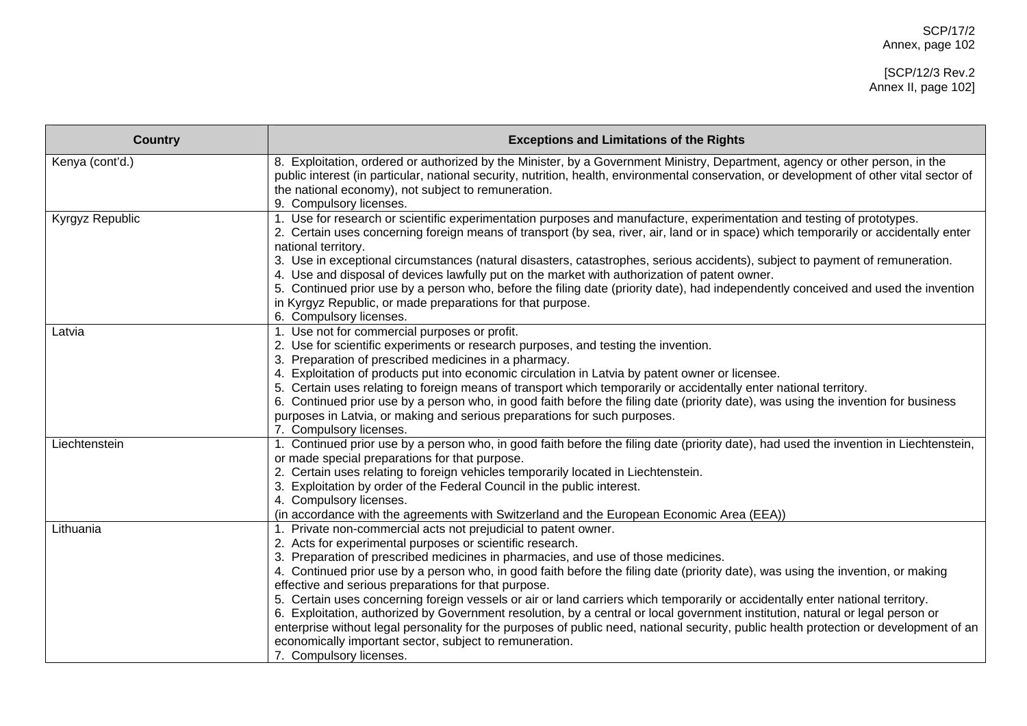| <b>Country</b>  | <b>Exceptions and Limitations of the Rights</b>                                                                                                                                                                                                                                                                                                                                                                                                                                                                                                                                                                                                                                                                                                                                                                                                                                                                   |
|-----------------|-------------------------------------------------------------------------------------------------------------------------------------------------------------------------------------------------------------------------------------------------------------------------------------------------------------------------------------------------------------------------------------------------------------------------------------------------------------------------------------------------------------------------------------------------------------------------------------------------------------------------------------------------------------------------------------------------------------------------------------------------------------------------------------------------------------------------------------------------------------------------------------------------------------------|
| Kenya (cont'd.) | 8. Exploitation, ordered or authorized by the Minister, by a Government Ministry, Department, agency or other person, in the<br>public interest (in particular, national security, nutrition, health, environmental conservation, or development of other vital sector of<br>the national economy), not subject to remuneration.<br>9. Compulsory licenses.                                                                                                                                                                                                                                                                                                                                                                                                                                                                                                                                                       |
| Kyrgyz Republic | 1. Use for research or scientific experimentation purposes and manufacture, experimentation and testing of prototypes.<br>2. Certain uses concerning foreign means of transport (by sea, river, air, land or in space) which temporarily or accidentally enter<br>national territory.<br>3. Use in exceptional circumstances (natural disasters, catastrophes, serious accidents), subject to payment of remuneration.<br>4. Use and disposal of devices lawfully put on the market with authorization of patent owner.<br>5. Continued prior use by a person who, before the filing date (priority date), had independently conceived and used the invention<br>in Kyrgyz Republic, or made preparations for that purpose.<br>6. Compulsory licenses.                                                                                                                                                            |
| Latvia          | 1. Use not for commercial purposes or profit.<br>2. Use for scientific experiments or research purposes, and testing the invention.<br>3. Preparation of prescribed medicines in a pharmacy.<br>4. Exploitation of products put into economic circulation in Latvia by patent owner or licensee.<br>5. Certain uses relating to foreign means of transport which temporarily or accidentally enter national territory.<br>6. Continued prior use by a person who, in good faith before the filing date (priority date), was using the invention for business<br>purposes in Latvia, or making and serious preparations for such purposes.<br>7. Compulsory licenses.                                                                                                                                                                                                                                              |
| Liechtenstein   | 1. Continued prior use by a person who, in good faith before the filing date (priority date), had used the invention in Liechtenstein,<br>or made special preparations for that purpose.<br>2. Certain uses relating to foreign vehicles temporarily located in Liechtenstein.<br>3. Exploitation by order of the Federal Council in the public interest.<br>4. Compulsory licenses.<br>(in accordance with the agreements with Switzerland and the European Economic Area (EEA))                                                                                                                                                                                                                                                                                                                                                                                                                                 |
| Lithuania       | 1. Private non-commercial acts not prejudicial to patent owner.<br>2. Acts for experimental purposes or scientific research.<br>3. Preparation of prescribed medicines in pharmacies, and use of those medicines.<br>4. Continued prior use by a person who, in good faith before the filing date (priority date), was using the invention, or making<br>effective and serious preparations for that purpose.<br>5. Certain uses concerning foreign vessels or air or land carriers which temporarily or accidentally enter national territory.<br>6. Exploitation, authorized by Government resolution, by a central or local government institution, natural or legal person or<br>enterprise without legal personality for the purposes of public need, national security, public health protection or development of an<br>economically important sector, subject to remuneration.<br>7. Compulsory licenses. |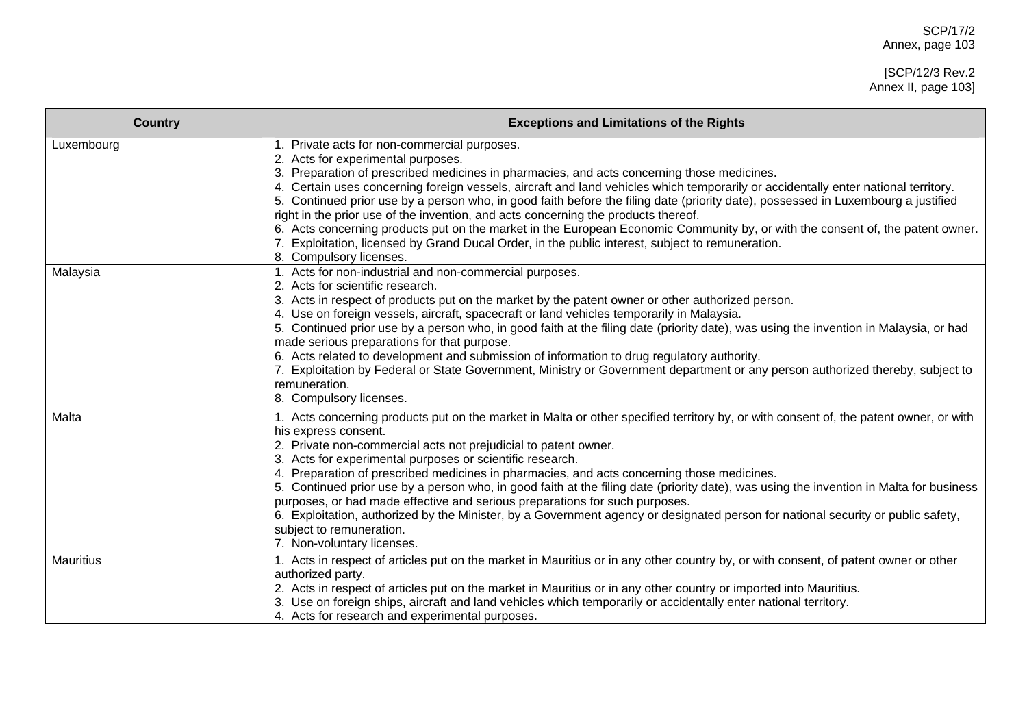| <b>Country</b>   | <b>Exceptions and Limitations of the Rights</b>                                                                                                                                                                                                                                                                                                                                                                                                                                                                                                                                                                                                                                                                                                                                                                     |
|------------------|---------------------------------------------------------------------------------------------------------------------------------------------------------------------------------------------------------------------------------------------------------------------------------------------------------------------------------------------------------------------------------------------------------------------------------------------------------------------------------------------------------------------------------------------------------------------------------------------------------------------------------------------------------------------------------------------------------------------------------------------------------------------------------------------------------------------|
| Luxembourg       | 1. Private acts for non-commercial purposes.<br>2. Acts for experimental purposes.<br>3. Preparation of prescribed medicines in pharmacies, and acts concerning those medicines.<br>4. Certain uses concerning foreign vessels, aircraft and land vehicles which temporarily or accidentally enter national territory.<br>5. Continued prior use by a person who, in good faith before the filing date (priority date), possessed in Luxembourg a justified<br>right in the prior use of the invention, and acts concerning the products thereof.<br>6. Acts concerning products put on the market in the European Economic Community by, or with the consent of, the patent owner.<br>7. Exploitation, licensed by Grand Ducal Order, in the public interest, subject to remuneration.<br>8. Compulsory licenses.  |
| Malaysia         | 1. Acts for non-industrial and non-commercial purposes.<br>2. Acts for scientific research.<br>3. Acts in respect of products put on the market by the patent owner or other authorized person.<br>4. Use on foreign vessels, aircraft, spacecraft or land vehicles temporarily in Malaysia.<br>5. Continued prior use by a person who, in good faith at the filing date (priority date), was using the invention in Malaysia, or had<br>made serious preparations for that purpose.<br>6. Acts related to development and submission of information to drug regulatory authority.<br>7. Exploitation by Federal or State Government, Ministry or Government department or any person authorized thereby, subject to<br>remuneration.<br>8. Compulsory licenses.                                                    |
| Malta            | 1. Acts concerning products put on the market in Malta or other specified territory by, or with consent of, the patent owner, or with<br>his express consent.<br>2. Private non-commercial acts not prejudicial to patent owner.<br>3. Acts for experimental purposes or scientific research.<br>4. Preparation of prescribed medicines in pharmacies, and acts concerning those medicines.<br>5. Continued prior use by a person who, in good faith at the filing date (priority date), was using the invention in Malta for business<br>purposes, or had made effective and serious preparations for such purposes.<br>6. Exploitation, authorized by the Minister, by a Government agency or designated person for national security or public safety,<br>subject to remuneration.<br>7. Non-voluntary licenses. |
| <b>Mauritius</b> | 1. Acts in respect of articles put on the market in Mauritius or in any other country by, or with consent, of patent owner or other<br>authorized party.<br>2. Acts in respect of articles put on the market in Mauritius or in any other country or imported into Mauritius.<br>3. Use on foreign ships, aircraft and land vehicles which temporarily or accidentally enter national territory.<br>4. Acts for research and experimental purposes.                                                                                                                                                                                                                                                                                                                                                                 |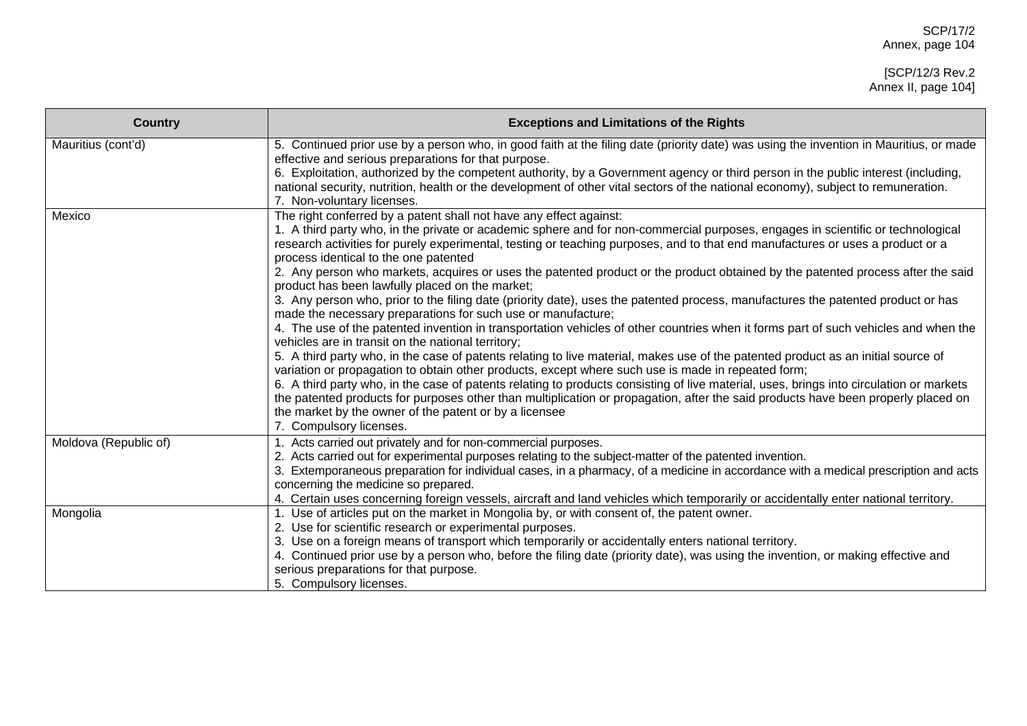| <b>Country</b>        | <b>Exceptions and Limitations of the Rights</b>                                                                                                                                                                                                                                                                                                                                                                                                                                                                                                                                                                                                                                                                                                                                                                                                                                                                                                                                                                                                                                                                                                                                                                                                                                                                                                                                                                                                                                                                                                                                         |
|-----------------------|-----------------------------------------------------------------------------------------------------------------------------------------------------------------------------------------------------------------------------------------------------------------------------------------------------------------------------------------------------------------------------------------------------------------------------------------------------------------------------------------------------------------------------------------------------------------------------------------------------------------------------------------------------------------------------------------------------------------------------------------------------------------------------------------------------------------------------------------------------------------------------------------------------------------------------------------------------------------------------------------------------------------------------------------------------------------------------------------------------------------------------------------------------------------------------------------------------------------------------------------------------------------------------------------------------------------------------------------------------------------------------------------------------------------------------------------------------------------------------------------------------------------------------------------------------------------------------------------|
| Mauritius (cont'd)    | 5. Continued prior use by a person who, in good faith at the filing date (priority date) was using the invention in Mauritius, or made<br>effective and serious preparations for that purpose.<br>6. Exploitation, authorized by the competent authority, by a Government agency or third person in the public interest (including,<br>national security, nutrition, health or the development of other vital sectors of the national economy), subject to remuneration.<br>7. Non-voluntary licenses.                                                                                                                                                                                                                                                                                                                                                                                                                                                                                                                                                                                                                                                                                                                                                                                                                                                                                                                                                                                                                                                                                  |
| Mexico                | The right conferred by a patent shall not have any effect against:<br>1. A third party who, in the private or academic sphere and for non-commercial purposes, engages in scientific or technological<br>research activities for purely experimental, testing or teaching purposes, and to that end manufactures or uses a product or a<br>process identical to the one patented<br>2. Any person who markets, acquires or uses the patented product or the product obtained by the patented process after the said<br>product has been lawfully placed on the market;<br>3. Any person who, prior to the filing date (priority date), uses the patented process, manufactures the patented product or has<br>made the necessary preparations for such use or manufacture;<br>4. The use of the patented invention in transportation vehicles of other countries when it forms part of such vehicles and when the<br>vehicles are in transit on the national territory;<br>5. A third party who, in the case of patents relating to live material, makes use of the patented product as an initial source of<br>variation or propagation to obtain other products, except where such use is made in repeated form;<br>6. A third party who, in the case of patents relating to products consisting of live material, uses, brings into circulation or markets<br>the patented products for purposes other than multiplication or propagation, after the said products have been properly placed on<br>the market by the owner of the patent or by a licensee<br>7. Compulsory licenses. |
| Moldova (Republic of) | 1. Acts carried out privately and for non-commercial purposes.<br>2. Acts carried out for experimental purposes relating to the subject-matter of the patented invention.<br>3. Extemporaneous preparation for individual cases, in a pharmacy, of a medicine in accordance with a medical prescription and acts<br>concerning the medicine so prepared.<br>4. Certain uses concerning foreign vessels, aircraft and land vehicles which temporarily or accidentally enter national territory.                                                                                                                                                                                                                                                                                                                                                                                                                                                                                                                                                                                                                                                                                                                                                                                                                                                                                                                                                                                                                                                                                          |
| Mongolia              | 1. Use of articles put on the market in Mongolia by, or with consent of, the patent owner.<br>2. Use for scientific research or experimental purposes.<br>3. Use on a foreign means of transport which temporarily or accidentally enters national territory.<br>4. Continued prior use by a person who, before the filing date (priority date), was using the invention, or making effective and<br>serious preparations for that purpose.<br>5. Compulsory licenses.                                                                                                                                                                                                                                                                                                                                                                                                                                                                                                                                                                                                                                                                                                                                                                                                                                                                                                                                                                                                                                                                                                                  |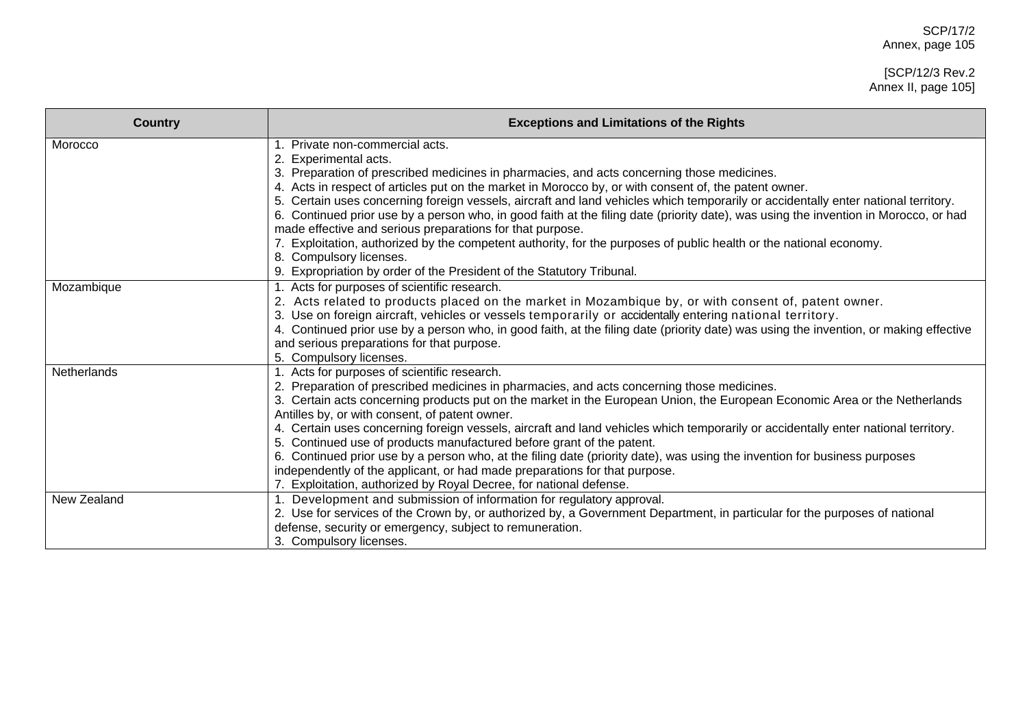| <b>Country</b> | <b>Exceptions and Limitations of the Rights</b>                                                                                                                                                     |
|----------------|-----------------------------------------------------------------------------------------------------------------------------------------------------------------------------------------------------|
| Morocco        | 1. Private non-commercial acts.                                                                                                                                                                     |
|                | Experimental acts.                                                                                                                                                                                  |
|                | 3. Preparation of prescribed medicines in pharmacies, and acts concerning those medicines.<br>4. Acts in respect of articles put on the market in Morocco by, or with consent of, the patent owner. |
|                | 5. Certain uses concerning foreign vessels, aircraft and land vehicles which temporarily or accidentally enter national territory.                                                                  |
|                | 6. Continued prior use by a person who, in good faith at the filing date (priority date), was using the invention in Morocco, or had                                                                |
|                | made effective and serious preparations for that purpose.                                                                                                                                           |
|                | 7. Exploitation, authorized by the competent authority, for the purposes of public health or the national economy.                                                                                  |
|                | 8. Compulsory licenses.                                                                                                                                                                             |
|                | 9. Expropriation by order of the President of the Statutory Tribunal.                                                                                                                               |
| Mozambique     | 1. Acts for purposes of scientific research.                                                                                                                                                        |
|                | Acts related to products placed on the market in Mozambique by, or with consent of, patent owner.                                                                                                   |
|                | 3. Use on foreign aircraft, vehicles or vessels temporarily or accidentally entering national territory.                                                                                            |
|                | 4. Continued prior use by a person who, in good faith, at the filing date (priority date) was using the invention, or making effective                                                              |
|                | and serious preparations for that purpose.                                                                                                                                                          |
|                | 5. Compulsory licenses.                                                                                                                                                                             |
| Netherlands    | 1. Acts for purposes of scientific research.                                                                                                                                                        |
|                | 2. Preparation of prescribed medicines in pharmacies, and acts concerning those medicines.                                                                                                          |
|                | 3. Certain acts concerning products put on the market in the European Union, the European Economic Area or the Netherlands                                                                          |
|                | Antilles by, or with consent, of patent owner.                                                                                                                                                      |
|                | 4. Certain uses concerning foreign vessels, aircraft and land vehicles which temporarily or accidentally enter national territory.                                                                  |
|                | 5. Continued use of products manufactured before grant of the patent.                                                                                                                               |
|                | 6. Continued prior use by a person who, at the filing date (priority date), was using the invention for business purposes                                                                           |
|                | independently of the applicant, or had made preparations for that purpose.<br>7. Exploitation, authorized by Royal Decree, for national defense.                                                    |
| New Zealand    |                                                                                                                                                                                                     |
|                | 1. Development and submission of information for regulatory approval.<br>2. Use for services of the Crown by, or authorized by, a Government Department, in particular for the purposes of national |
|                | defense, security or emergency, subject to remuneration.                                                                                                                                            |
|                |                                                                                                                                                                                                     |
|                | 3. Compulsory licenses.                                                                                                                                                                             |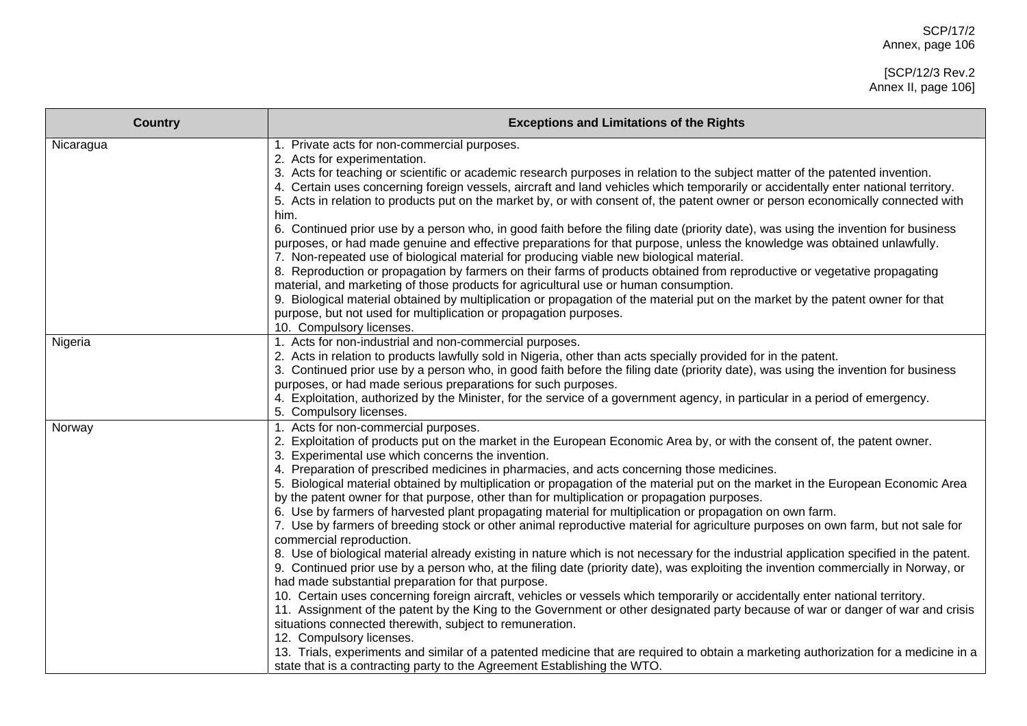| <b>Country</b> | <b>Exceptions and Limitations of the Rights</b>                                                                                                                                                                                                                                                                                                                                                                                                                                                                                                                                                                                                                                                                                                                                                                                                                                                                                                                                                                                                                                                                                                                                                                                                                                                                                                                                                                                                                                                                                                                                                                                                                                                                                                              |
|----------------|--------------------------------------------------------------------------------------------------------------------------------------------------------------------------------------------------------------------------------------------------------------------------------------------------------------------------------------------------------------------------------------------------------------------------------------------------------------------------------------------------------------------------------------------------------------------------------------------------------------------------------------------------------------------------------------------------------------------------------------------------------------------------------------------------------------------------------------------------------------------------------------------------------------------------------------------------------------------------------------------------------------------------------------------------------------------------------------------------------------------------------------------------------------------------------------------------------------------------------------------------------------------------------------------------------------------------------------------------------------------------------------------------------------------------------------------------------------------------------------------------------------------------------------------------------------------------------------------------------------------------------------------------------------------------------------------------------------------------------------------------------------|
| Nicaragua      | 1. Private acts for non-commercial purposes.<br>2. Acts for experimentation.<br>3. Acts for teaching or scientific or academic research purposes in relation to the subject matter of the patented invention.<br>4. Certain uses concerning foreign vessels, aircraft and land vehicles which temporarily or accidentally enter national territory.<br>5. Acts in relation to products put on the market by, or with consent of, the patent owner or person economically connected with<br>him.<br>6. Continued prior use by a person who, in good faith before the filing date (priority date), was using the invention for business<br>purposes, or had made genuine and effective preparations for that purpose, unless the knowledge was obtained unlawfully.<br>7. Non-repeated use of biological material for producing viable new biological material.<br>8. Reproduction or propagation by farmers on their farms of products obtained from reproductive or vegetative propagating<br>material, and marketing of those products for agricultural use or human consumption.<br>9. Biological material obtained by multiplication or propagation of the material put on the market by the patent owner for that<br>purpose, but not used for multiplication or propagation purposes.<br>10. Compulsory licenses.                                                                                                                                                                                                                                                                                                                                                                                                                                       |
| Nigeria        | 1. Acts for non-industrial and non-commercial purposes.<br>2. Acts in relation to products lawfully sold in Nigeria, other than acts specially provided for in the patent.<br>3. Continued prior use by a person who, in good faith before the filing date (priority date), was using the invention for business<br>purposes, or had made serious preparations for such purposes.<br>4. Exploitation, authorized by the Minister, for the service of a government agency, in particular in a period of emergency.<br>5. Compulsory licenses.                                                                                                                                                                                                                                                                                                                                                                                                                                                                                                                                                                                                                                                                                                                                                                                                                                                                                                                                                                                                                                                                                                                                                                                                                 |
| Norway         | 1. Acts for non-commercial purposes.<br>2. Exploitation of products put on the market in the European Economic Area by, or with the consent of, the patent owner.<br>3. Experimental use which concerns the invention.<br>4. Preparation of prescribed medicines in pharmacies, and acts concerning those medicines.<br>5. Biological material obtained by multiplication or propagation of the material put on the market in the European Economic Area<br>by the patent owner for that purpose, other than for multiplication or propagation purposes.<br>6. Use by farmers of harvested plant propagating material for multiplication or propagation on own farm.<br>7. Use by farmers of breeding stock or other animal reproductive material for agriculture purposes on own farm, but not sale for<br>commercial reproduction.<br>8. Use of biological material already existing in nature which is not necessary for the industrial application specified in the patent.<br>9. Continued prior use by a person who, at the filing date (priority date), was exploiting the invention commercially in Norway, or<br>had made substantial preparation for that purpose.<br>10. Certain uses concerning foreign aircraft, vehicles or vessels which temporarily or accidentally enter national territory.<br>11. Assignment of the patent by the King to the Government or other designated party because of war or danger of war and crisis<br>situations connected therewith, subject to remuneration.<br>12. Compulsory licenses.<br>13. Trials, experiments and similar of a patented medicine that are required to obtain a marketing authorization for a medicine in a<br>state that is a contracting party to the Agreement Establishing the WTO. |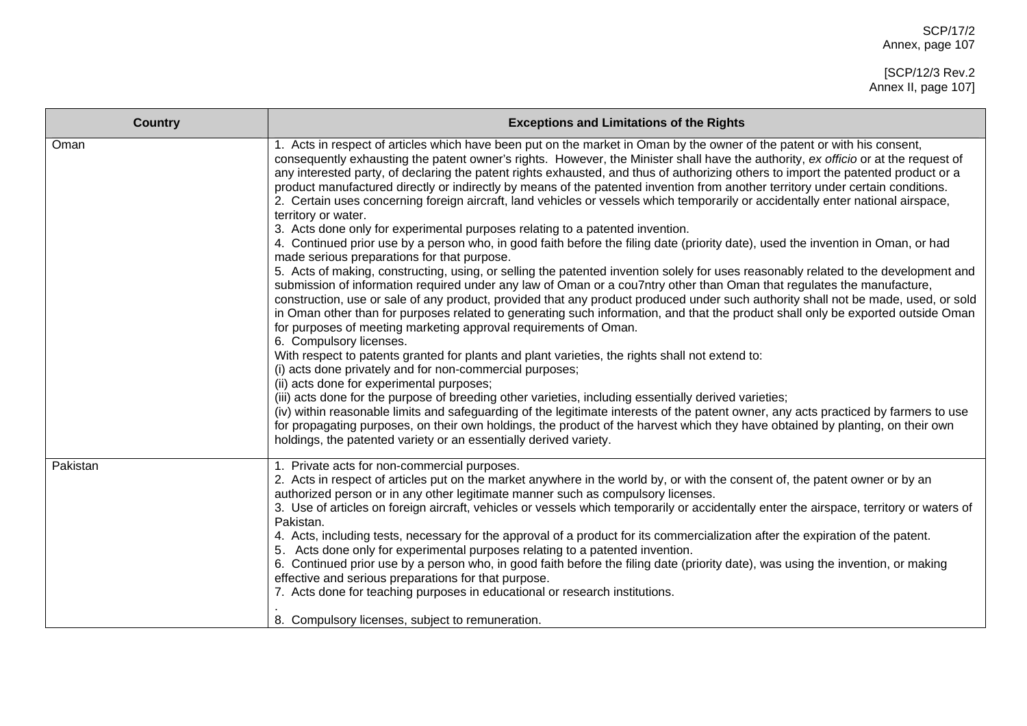| <b>Country</b> | <b>Exceptions and Limitations of the Rights</b>                                                                                                                                                                                                                                                                                                                                                                                                                                                                                                                                                                                                                                                                                                                                                                                                                                                                                                                                                                                                                                                                                                                                                                                                                                                                                                                                                                                                                                                                                                                                                                                                                                                                                                                                                                                                                                                                                                                                                                                                                                                                                                                                                                                                                                      |
|----------------|--------------------------------------------------------------------------------------------------------------------------------------------------------------------------------------------------------------------------------------------------------------------------------------------------------------------------------------------------------------------------------------------------------------------------------------------------------------------------------------------------------------------------------------------------------------------------------------------------------------------------------------------------------------------------------------------------------------------------------------------------------------------------------------------------------------------------------------------------------------------------------------------------------------------------------------------------------------------------------------------------------------------------------------------------------------------------------------------------------------------------------------------------------------------------------------------------------------------------------------------------------------------------------------------------------------------------------------------------------------------------------------------------------------------------------------------------------------------------------------------------------------------------------------------------------------------------------------------------------------------------------------------------------------------------------------------------------------------------------------------------------------------------------------------------------------------------------------------------------------------------------------------------------------------------------------------------------------------------------------------------------------------------------------------------------------------------------------------------------------------------------------------------------------------------------------------------------------------------------------------------------------------------------------|
| Oman           | 1. Acts in respect of articles which have been put on the market in Oman by the owner of the patent or with his consent,<br>consequently exhausting the patent owner's rights. However, the Minister shall have the authority, ex officio or at the request of<br>any interested party, of declaring the patent rights exhausted, and thus of authorizing others to import the patented product or a<br>product manufactured directly or indirectly by means of the patented invention from another territory under certain conditions.<br>2. Certain uses concerning foreign aircraft, land vehicles or vessels which temporarily or accidentally enter national airspace,<br>territory or water.<br>3. Acts done only for experimental purposes relating to a patented invention.<br>4. Continued prior use by a person who, in good faith before the filing date (priority date), used the invention in Oman, or had<br>made serious preparations for that purpose.<br>5. Acts of making, constructing, using, or selling the patented invention solely for uses reasonably related to the development and<br>submission of information required under any law of Oman or a cou7ntry other than Oman that regulates the manufacture,<br>construction, use or sale of any product, provided that any product produced under such authority shall not be made, used, or sold<br>in Oman other than for purposes related to generating such information, and that the product shall only be exported outside Oman<br>for purposes of meeting marketing approval requirements of Oman.<br>6. Compulsory licenses.<br>With respect to patents granted for plants and plant varieties, the rights shall not extend to:<br>(i) acts done privately and for non-commercial purposes;<br>(ii) acts done for experimental purposes;<br>(iii) acts done for the purpose of breeding other varieties, including essentially derived varieties;<br>(iv) within reasonable limits and safeguarding of the legitimate interests of the patent owner, any acts practiced by farmers to use<br>for propagating purposes, on their own holdings, the product of the harvest which they have obtained by planting, on their own<br>holdings, the patented variety or an essentially derived variety. |
| Pakistan       | 1. Private acts for non-commercial purposes.<br>2. Acts in respect of articles put on the market anywhere in the world by, or with the consent of, the patent owner or by an<br>authorized person or in any other legitimate manner such as compulsory licenses.<br>3. Use of articles on foreign aircraft, vehicles or vessels which temporarily or accidentally enter the airspace, territory or waters of<br>Pakistan.<br>4. Acts, including tests, necessary for the approval of a product for its commercialization after the expiration of the patent.<br>5. Acts done only for experimental purposes relating to a patented invention.<br>6. Continued prior use by a person who, in good faith before the filing date (priority date), was using the invention, or making<br>effective and serious preparations for that purpose.<br>7. Acts done for teaching purposes in educational or research institutions.<br>8. Compulsory licenses, subject to remuneration.                                                                                                                                                                                                                                                                                                                                                                                                                                                                                                                                                                                                                                                                                                                                                                                                                                                                                                                                                                                                                                                                                                                                                                                                                                                                                                         |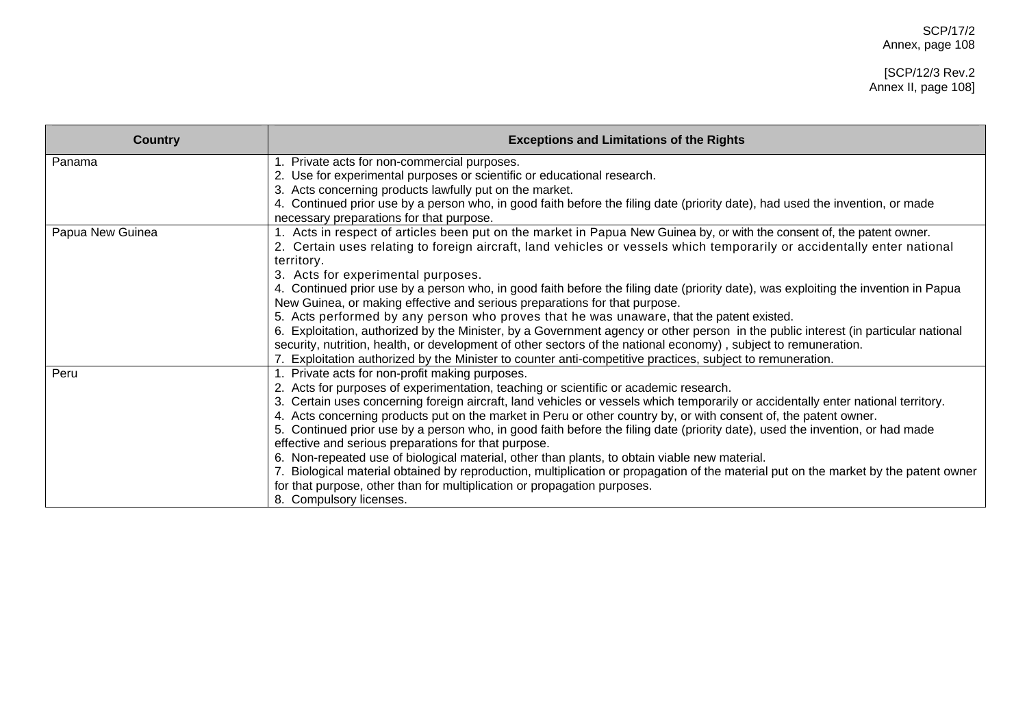# [SCP/12/3 Rev.2 Annex II, page 108]

| <b>Country</b>   | <b>Exceptions and Limitations of the Rights</b>                                                                                                                           |
|------------------|---------------------------------------------------------------------------------------------------------------------------------------------------------------------------|
| Panama           | 1. Private acts for non-commercial purposes.                                                                                                                              |
|                  | 2. Use for experimental purposes or scientific or educational research.<br>3. Acts concerning products lawfully put on the market.                                        |
|                  |                                                                                                                                                                           |
|                  | 4. Continued prior use by a person who, in good faith before the filing date (priority date), had used the invention, or made<br>necessary preparations for that purpose. |
| Papua New Guinea | 1. Acts in respect of articles been put on the market in Papua New Guinea by, or with the consent of, the patent owner.                                                   |
|                  | 2. Certain uses relating to foreign aircraft, land vehicles or vessels which temporarily or accidentally enter national                                                   |
|                  | territory.                                                                                                                                                                |
|                  | 3. Acts for experimental purposes.                                                                                                                                        |
|                  | 4. Continued prior use by a person who, in good faith before the filing date (priority date), was exploiting the invention in Papua                                       |
|                  | New Guinea, or making effective and serious preparations for that purpose.                                                                                                |
|                  | 5. Acts performed by any person who proves that he was unaware, that the patent existed.                                                                                  |
|                  | 6. Exploitation, authorized by the Minister, by a Government agency or other person in the public interest (in particular national                                        |
|                  | security, nutrition, health, or development of other sectors of the national economy), subject to remuneration.                                                           |
|                  | 7. Exploitation authorized by the Minister to counter anti-competitive practices, subject to remuneration.                                                                |
| Peru             | 1. Private acts for non-profit making purposes.                                                                                                                           |
|                  | 2. Acts for purposes of experimentation, teaching or scientific or academic research.                                                                                     |
|                  | 3. Certain uses concerning foreign aircraft, land vehicles or vessels which temporarily or accidentally enter national territory.                                         |
|                  | 4. Acts concerning products put on the market in Peru or other country by, or with consent of, the patent owner.                                                          |
|                  | 5. Continued prior use by a person who, in good faith before the filing date (priority date), used the invention, or had made                                             |
|                  | effective and serious preparations for that purpose.                                                                                                                      |
|                  | 6. Non-repeated use of biological material, other than plants, to obtain viable new material.                                                                             |
|                  | Biological material obtained by reproduction, multiplication or propagation of the material put on the market by the patent owner                                         |
|                  | for that purpose, other than for multiplication or propagation purposes.                                                                                                  |
|                  | 8. Compulsory licenses.                                                                                                                                                   |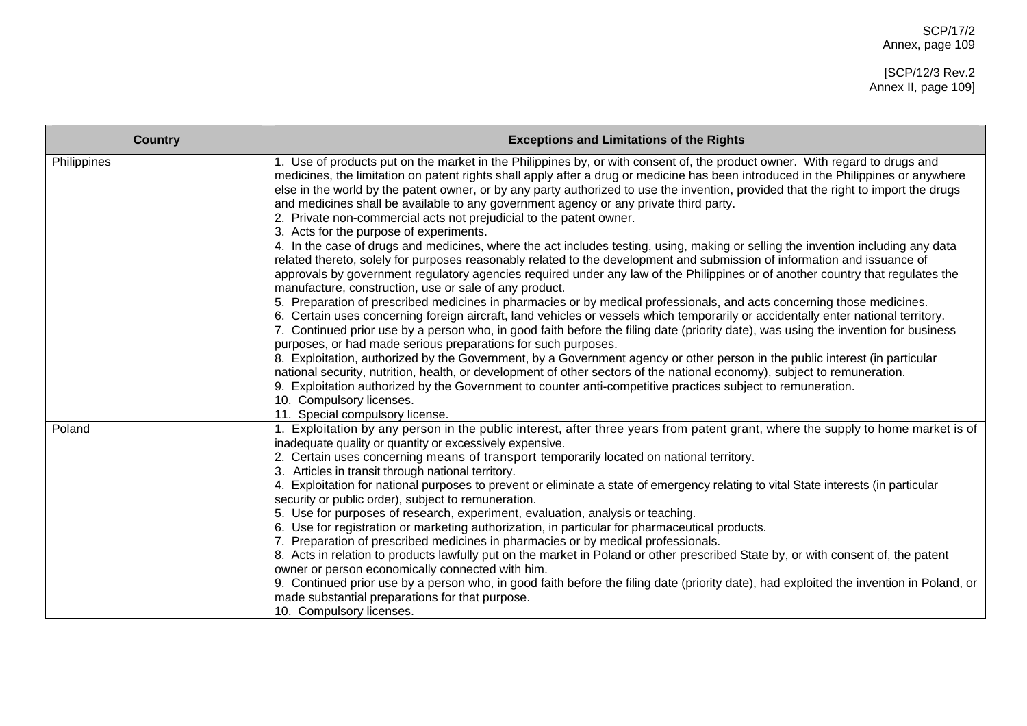| <b>Country</b> | <b>Exceptions and Limitations of the Rights</b>                                                                                                                                                                                                                                                                                                                                                                                                                                                                                                                                                                     |
|----------------|---------------------------------------------------------------------------------------------------------------------------------------------------------------------------------------------------------------------------------------------------------------------------------------------------------------------------------------------------------------------------------------------------------------------------------------------------------------------------------------------------------------------------------------------------------------------------------------------------------------------|
| Philippines    | 1. Use of products put on the market in the Philippines by, or with consent of, the product owner. With regard to drugs and<br>medicines, the limitation on patent rights shall apply after a drug or medicine has been introduced in the Philippines or anywhere<br>else in the world by the patent owner, or by any party authorized to use the invention, provided that the right to import the drugs<br>and medicines shall be available to any government agency or any private third party.<br>2. Private non-commercial acts not prejudicial to the patent owner.<br>3. Acts for the purpose of experiments. |
|                | 4. In the case of drugs and medicines, where the act includes testing, using, making or selling the invention including any data<br>related thereto, solely for purposes reasonably related to the development and submission of information and issuance of<br>approvals by government regulatory agencies required under any law of the Philippines or of another country that regulates the<br>manufacture, construction, use or sale of any product.                                                                                                                                                            |
|                | 5. Preparation of prescribed medicines in pharmacies or by medical professionals, and acts concerning those medicines.<br>6. Certain uses concerning foreign aircraft, land vehicles or vessels which temporarily or accidentally enter national territory.<br>7. Continued prior use by a person who, in good faith before the filing date (priority date), was using the invention for business<br>purposes, or had made serious preparations for such purposes.                                                                                                                                                  |
|                | 8. Exploitation, authorized by the Government, by a Government agency or other person in the public interest (in particular<br>national security, nutrition, health, or development of other sectors of the national economy), subject to remuneration.<br>9. Exploitation authorized by the Government to counter anti-competitive practices subject to remuneration.<br>10. Compulsory licenses.                                                                                                                                                                                                                  |
| Poland         | 11. Special compulsory license.<br>1. Exploitation by any person in the public interest, after three years from patent grant, where the supply to home market is of                                                                                                                                                                                                                                                                                                                                                                                                                                                 |
|                | inadequate quality or quantity or excessively expensive.<br>2. Certain uses concerning means of transport temporarily located on national territory.                                                                                                                                                                                                                                                                                                                                                                                                                                                                |
|                | 3. Articles in transit through national territory.<br>4. Exploitation for national purposes to prevent or eliminate a state of emergency relating to vital State interests (in particular<br>security or public order), subject to remuneration.                                                                                                                                                                                                                                                                                                                                                                    |
|                | 5. Use for purposes of research, experiment, evaluation, analysis or teaching.<br>6. Use for registration or marketing authorization, in particular for pharmaceutical products.                                                                                                                                                                                                                                                                                                                                                                                                                                    |
|                | 7. Preparation of prescribed medicines in pharmacies or by medical professionals.                                                                                                                                                                                                                                                                                                                                                                                                                                                                                                                                   |
|                | 8. Acts in relation to products lawfully put on the market in Poland or other prescribed State by, or with consent of, the patent                                                                                                                                                                                                                                                                                                                                                                                                                                                                                   |
|                | owner or person economically connected with him.<br>9. Continued prior use by a person who, in good faith before the filing date (priority date), had exploited the invention in Poland, or<br>made substantial preparations for that purpose.<br>10. Compulsory licenses.                                                                                                                                                                                                                                                                                                                                          |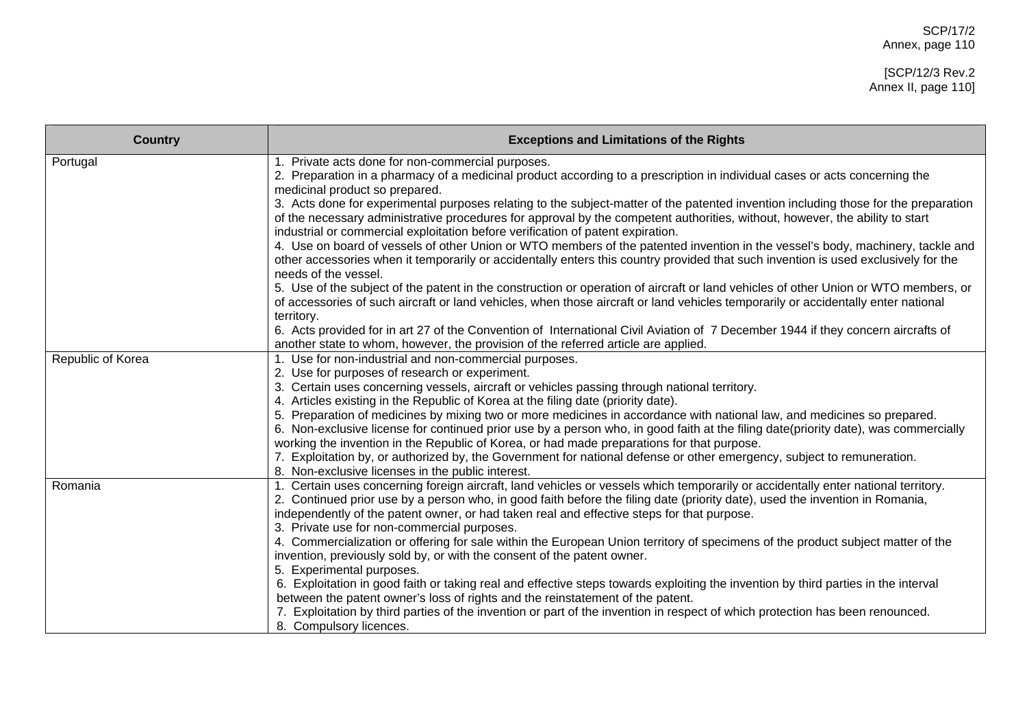| <b>Country</b>    | <b>Exceptions and Limitations of the Rights</b>                                                                                                                                                                                                                                                                                                        |
|-------------------|--------------------------------------------------------------------------------------------------------------------------------------------------------------------------------------------------------------------------------------------------------------------------------------------------------------------------------------------------------|
| Portugal          | 1. Private acts done for non-commercial purposes.<br>2. Preparation in a pharmacy of a medicinal product according to a prescription in individual cases or acts concerning the<br>medicinal product so prepared.                                                                                                                                      |
|                   | 3. Acts done for experimental purposes relating to the subject-matter of the patented invention including those for the preparation<br>of the necessary administrative procedures for approval by the competent authorities, without, however, the ability to start<br>industrial or commercial exploitation before verification of patent expiration. |
|                   | 4. Use on board of vessels of other Union or WTO members of the patented invention in the vessel's body, machinery, tackle and<br>other accessories when it temporarily or accidentally enters this country provided that such invention is used exclusively for the<br>needs of the vessel.                                                           |
|                   | 5. Use of the subject of the patent in the construction or operation of aircraft or land vehicles of other Union or WTO members, or<br>of accessories of such aircraft or land vehicles, when those aircraft or land vehicles temporarily or accidentally enter national<br>territory.                                                                 |
|                   | 6. Acts provided for in art 27 of the Convention of International Civil Aviation of 7 December 1944 if they concern aircrafts of<br>another state to whom, however, the provision of the referred article are applied.                                                                                                                                 |
| Republic of Korea | 1. Use for non-industrial and non-commercial purposes.<br>2. Use for purposes of research or experiment.                                                                                                                                                                                                                                               |
|                   | 3. Certain uses concerning vessels, aircraft or vehicles passing through national territory.                                                                                                                                                                                                                                                           |
|                   | 4. Articles existing in the Republic of Korea at the filing date (priority date).                                                                                                                                                                                                                                                                      |
|                   | 5. Preparation of medicines by mixing two or more medicines in accordance with national law, and medicines so prepared.                                                                                                                                                                                                                                |
|                   | 6. Non-exclusive license for continued prior use by a person who, in good faith at the filing date(priority date), was commercially<br>working the invention in the Republic of Korea, or had made preparations for that purpose.                                                                                                                      |
|                   | 7. Exploitation by, or authorized by, the Government for national defense or other emergency, subject to remuneration.                                                                                                                                                                                                                                 |
|                   | 8. Non-exclusive licenses in the public interest.                                                                                                                                                                                                                                                                                                      |
| Romania           | 1. Certain uses concerning foreign aircraft, land vehicles or vessels which temporarily or accidentally enter national territory.                                                                                                                                                                                                                      |
|                   | 2. Continued prior use by a person who, in good faith before the filing date (priority date), used the invention in Romania,                                                                                                                                                                                                                           |
|                   | independently of the patent owner, or had taken real and effective steps for that purpose.                                                                                                                                                                                                                                                             |
|                   | 3. Private use for non-commercial purposes.                                                                                                                                                                                                                                                                                                            |
|                   | 4. Commercialization or offering for sale within the European Union territory of specimens of the product subject matter of the                                                                                                                                                                                                                        |
|                   | invention, previously sold by, or with the consent of the patent owner.<br>5. Experimental purposes.                                                                                                                                                                                                                                                   |
|                   | 6. Exploitation in good faith or taking real and effective steps towards exploiting the invention by third parties in the interval                                                                                                                                                                                                                     |
|                   | between the patent owner's loss of rights and the reinstatement of the patent.                                                                                                                                                                                                                                                                         |
|                   | 7. Exploitation by third parties of the invention or part of the invention in respect of which protection has been renounced.                                                                                                                                                                                                                          |
|                   | 8. Compulsory licences.                                                                                                                                                                                                                                                                                                                                |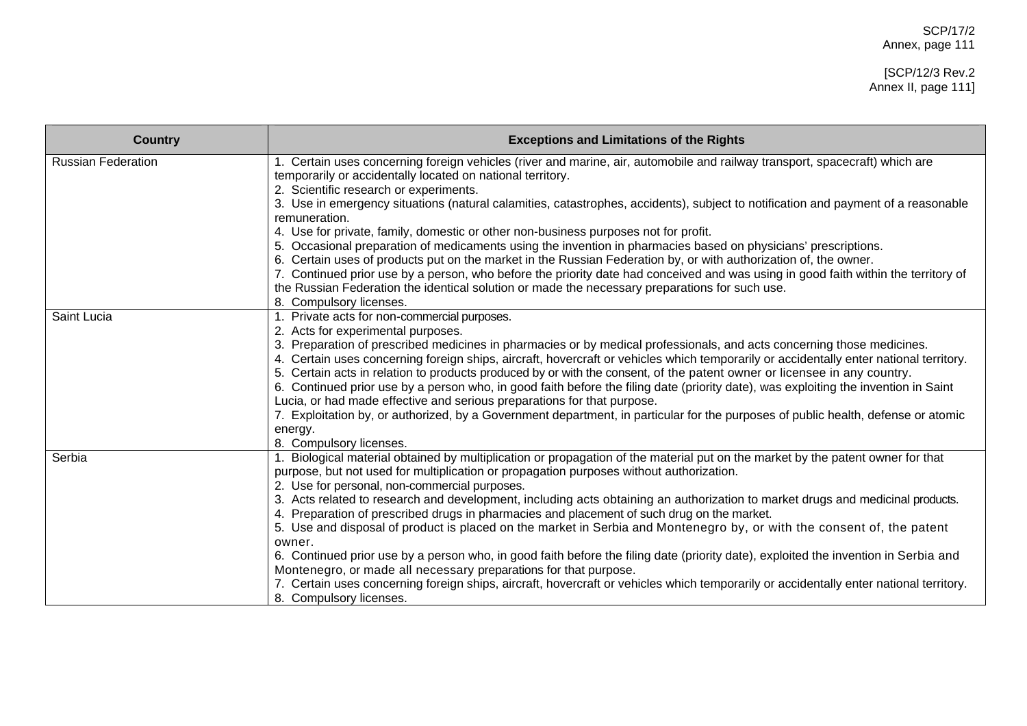| <b>Country</b>            | <b>Exceptions and Limitations of the Rights</b>                                                                                                                                                                                     |
|---------------------------|-------------------------------------------------------------------------------------------------------------------------------------------------------------------------------------------------------------------------------------|
| <b>Russian Federation</b> | 1. Certain uses concerning foreign vehicles (river and marine, air, automobile and railway transport, spacecraft) which are<br>temporarily or accidentally located on national territory.<br>2. Scientific research or experiments. |
|                           | 3. Use in emergency situations (natural calamities, catastrophes, accidents), subject to notification and payment of a reasonable<br>remuneration.                                                                                  |
|                           | 4. Use for private, family, domestic or other non-business purposes not for profit.                                                                                                                                                 |
|                           | 5. Occasional preparation of medicaments using the invention in pharmacies based on physicians' prescriptions.<br>6. Certain uses of products put on the market in the Russian Federation by, or with authorization of, the owner.  |
|                           | 7. Continued prior use by a person, who before the priority date had conceived and was using in good faith within the territory of                                                                                                  |
|                           | the Russian Federation the identical solution or made the necessary preparations for such use.                                                                                                                                      |
|                           | 8. Compulsory licenses.                                                                                                                                                                                                             |
| Saint Lucia               | 1. Private acts for non-commercial purposes.                                                                                                                                                                                        |
|                           | 2. Acts for experimental purposes.<br>3. Preparation of prescribed medicines in pharmacies or by medical professionals, and acts concerning those medicines.                                                                        |
|                           | 4. Certain uses concerning foreign ships, aircraft, hovercraft or vehicles which temporarily or accidentally enter national territory.                                                                                              |
|                           | 5. Certain acts in relation to products produced by or with the consent, of the patent owner or licensee in any country.                                                                                                            |
|                           | 6. Continued prior use by a person who, in good faith before the filing date (priority date), was exploiting the invention in Saint                                                                                                 |
|                           | Lucia, or had made effective and serious preparations for that purpose.<br>7. Exploitation by, or authorized, by a Government department, in particular for the purposes of public health, defense or atomic                        |
|                           | energy.                                                                                                                                                                                                                             |
|                           | 8. Compulsory licenses.                                                                                                                                                                                                             |
| Serbia                    | 1. Biological material obtained by multiplication or propagation of the material put on the market by the patent owner for that                                                                                                     |
|                           | purpose, but not used for multiplication or propagation purposes without authorization.<br>2. Use for personal, non-commercial purposes.                                                                                            |
|                           | 3. Acts related to research and development, including acts obtaining an authorization to market drugs and medicinal products.                                                                                                      |
|                           | 4. Preparation of prescribed drugs in pharmacies and placement of such drug on the market.                                                                                                                                          |
|                           | 5. Use and disposal of product is placed on the market in Serbia and Montenegro by, or with the consent of, the patent                                                                                                              |
|                           | owner.                                                                                                                                                                                                                              |
|                           | 6. Continued prior use by a person who, in good faith before the filing date (priority date), exploited the invention in Serbia and<br>Montenegro, or made all necessary preparations for that purpose.                             |
|                           | 7. Certain uses concerning foreign ships, aircraft, hovercraft or vehicles which temporarily or accidentally enter national territory.                                                                                              |
|                           | 8. Compulsory licenses.                                                                                                                                                                                                             |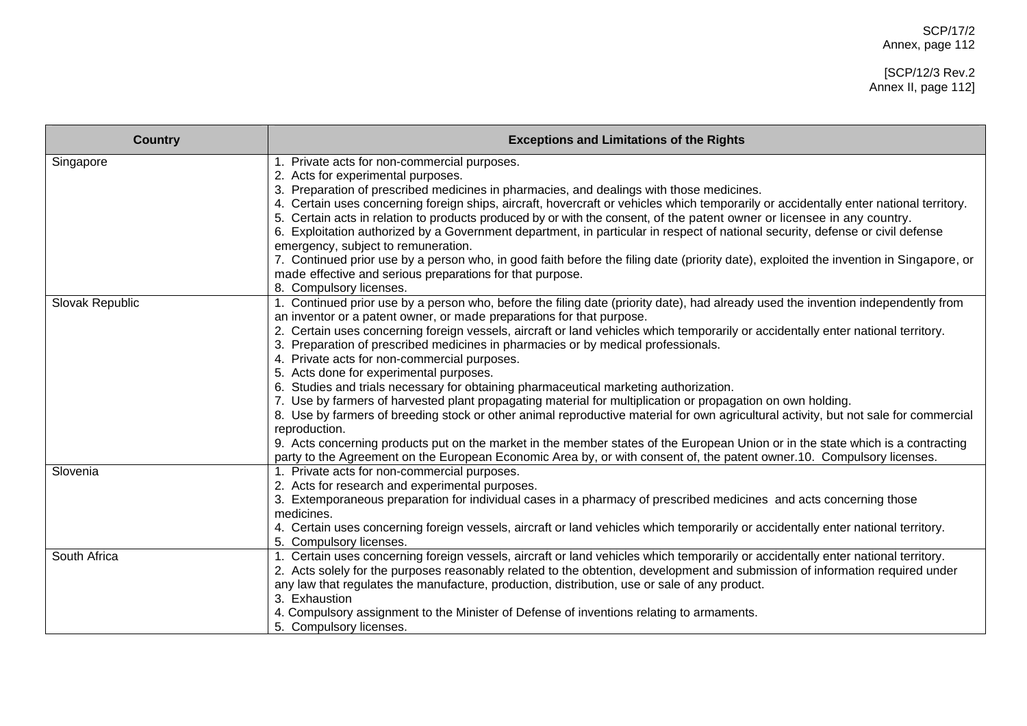## [SCP/12/3 Rev.2 Annex II, page 112]

| <b>Country</b>  | <b>Exceptions and Limitations of the Rights</b>                                                                                                                                                                                                                                                                                                                                                                                                                                                                                                                                                                                                                                                                                                                                                                                                                                                                                                                                                                                                                                                                                                            |
|-----------------|------------------------------------------------------------------------------------------------------------------------------------------------------------------------------------------------------------------------------------------------------------------------------------------------------------------------------------------------------------------------------------------------------------------------------------------------------------------------------------------------------------------------------------------------------------------------------------------------------------------------------------------------------------------------------------------------------------------------------------------------------------------------------------------------------------------------------------------------------------------------------------------------------------------------------------------------------------------------------------------------------------------------------------------------------------------------------------------------------------------------------------------------------------|
| Singapore       | 1. Private acts for non-commercial purposes.<br>2. Acts for experimental purposes.<br>3. Preparation of prescribed medicines in pharmacies, and dealings with those medicines.<br>4. Certain uses concerning foreign ships, aircraft, hovercraft or vehicles which temporarily or accidentally enter national territory.<br>5. Certain acts in relation to products produced by or with the consent, of the patent owner or licensee in any country.<br>6. Exploitation authorized by a Government department, in particular in respect of national security, defense or civil defense<br>emergency, subject to remuneration.<br>7. Continued prior use by a person who, in good faith before the filing date (priority date), exploited the invention in Singapore, or<br>made effective and serious preparations for that purpose.<br>8. Compulsory licenses.                                                                                                                                                                                                                                                                                            |
| Slovak Republic | 1. Continued prior use by a person who, before the filing date (priority date), had already used the invention independently from<br>an inventor or a patent owner, or made preparations for that purpose.<br>2. Certain uses concerning foreign vessels, aircraft or land vehicles which temporarily or accidentally enter national territory.<br>Preparation of prescribed medicines in pharmacies or by medical professionals.<br>4. Private acts for non-commercial purposes.<br>5. Acts done for experimental purposes.<br>6. Studies and trials necessary for obtaining pharmaceutical marketing authorization.<br>7. Use by farmers of harvested plant propagating material for multiplication or propagation on own holding.<br>8. Use by farmers of breeding stock or other animal reproductive material for own agricultural activity, but not sale for commercial<br>reproduction.<br>9. Acts concerning products put on the market in the member states of the European Union or in the state which is a contracting<br>party to the Agreement on the European Economic Area by, or with consent of, the patent owner.10. Compulsory licenses. |
| Slovenia        | 1. Private acts for non-commercial purposes.<br>2. Acts for research and experimental purposes.<br>3. Extemporaneous preparation for individual cases in a pharmacy of prescribed medicines and acts concerning those<br>medicines.<br>4. Certain uses concerning foreign vessels, aircraft or land vehicles which temporarily or accidentally enter national territory.<br>5. Compulsory licenses.                                                                                                                                                                                                                                                                                                                                                                                                                                                                                                                                                                                                                                                                                                                                                        |
| South Africa    | 1. Certain uses concerning foreign vessels, aircraft or land vehicles which temporarily or accidentally enter national territory.<br>2. Acts solely for the purposes reasonably related to the obtention, development and submission of information required under<br>any law that regulates the manufacture, production, distribution, use or sale of any product.<br>3. Exhaustion<br>4. Compulsory assignment to the Minister of Defense of inventions relating to armaments.<br>5. Compulsory licenses.                                                                                                                                                                                                                                                                                                                                                                                                                                                                                                                                                                                                                                                |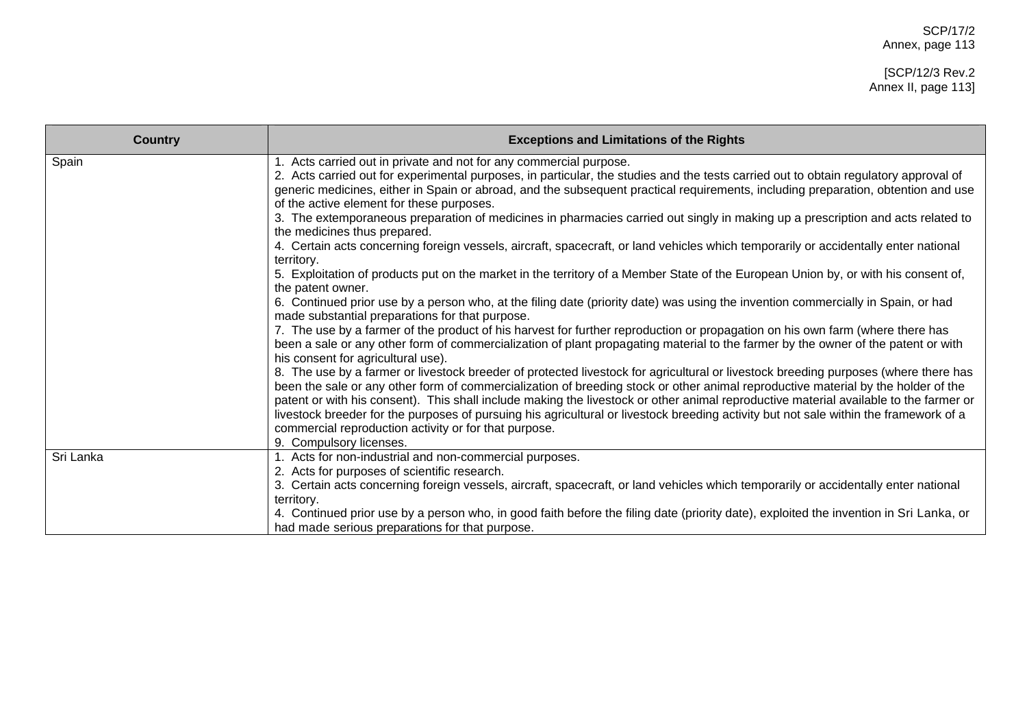| <b>Country</b> | <b>Exceptions and Limitations of the Rights</b>                                                                                                                                                                                                                                                                                                                                                                                                                                                                                                                                                                                                |
|----------------|------------------------------------------------------------------------------------------------------------------------------------------------------------------------------------------------------------------------------------------------------------------------------------------------------------------------------------------------------------------------------------------------------------------------------------------------------------------------------------------------------------------------------------------------------------------------------------------------------------------------------------------------|
| Spain          | 1. Acts carried out in private and not for any commercial purpose.<br>2. Acts carried out for experimental purposes, in particular, the studies and the tests carried out to obtain regulatory approval of<br>generic medicines, either in Spain or abroad, and the subsequent practical requirements, including preparation, obtention and use<br>of the active element for these purposes.                                                                                                                                                                                                                                                   |
|                | 3. The extemporaneous preparation of medicines in pharmacies carried out singly in making up a prescription and acts related to<br>the medicines thus prepared.                                                                                                                                                                                                                                                                                                                                                                                                                                                                                |
|                | 4. Certain acts concerning foreign vessels, aircraft, spacecraft, or land vehicles which temporarily or accidentally enter national<br>territory.                                                                                                                                                                                                                                                                                                                                                                                                                                                                                              |
|                | 5. Exploitation of products put on the market in the territory of a Member State of the European Union by, or with his consent of,<br>the patent owner.                                                                                                                                                                                                                                                                                                                                                                                                                                                                                        |
|                | 6. Continued prior use by a person who, at the filing date (priority date) was using the invention commercially in Spain, or had<br>made substantial preparations for that purpose.                                                                                                                                                                                                                                                                                                                                                                                                                                                            |
|                | 7. The use by a farmer of the product of his harvest for further reproduction or propagation on his own farm (where there has<br>been a sale or any other form of commercialization of plant propagating material to the farmer by the owner of the patent or with<br>his consent for agricultural use).                                                                                                                                                                                                                                                                                                                                       |
|                | 8. The use by a farmer or livestock breeder of protected livestock for agricultural or livestock breeding purposes (where there has<br>been the sale or any other form of commercialization of breeding stock or other animal reproductive material by the holder of the<br>patent or with his consent). This shall include making the livestock or other animal reproductive material available to the farmer or<br>livestock breeder for the purposes of pursuing his agricultural or livestock breeding activity but not sale within the framework of a<br>commercial reproduction activity or for that purpose.<br>9. Compulsory licenses. |
| Sri Lanka      | 1. Acts for non-industrial and non-commercial purposes.<br>2. Acts for purposes of scientific research.                                                                                                                                                                                                                                                                                                                                                                                                                                                                                                                                        |
|                | 3. Certain acts concerning foreign vessels, aircraft, spacecraft, or land vehicles which temporarily or accidentally enter national<br>territory.                                                                                                                                                                                                                                                                                                                                                                                                                                                                                              |
|                | 4. Continued prior use by a person who, in good faith before the filing date (priority date), exploited the invention in Sri Lanka, or<br>had made serious preparations for that purpose.                                                                                                                                                                                                                                                                                                                                                                                                                                                      |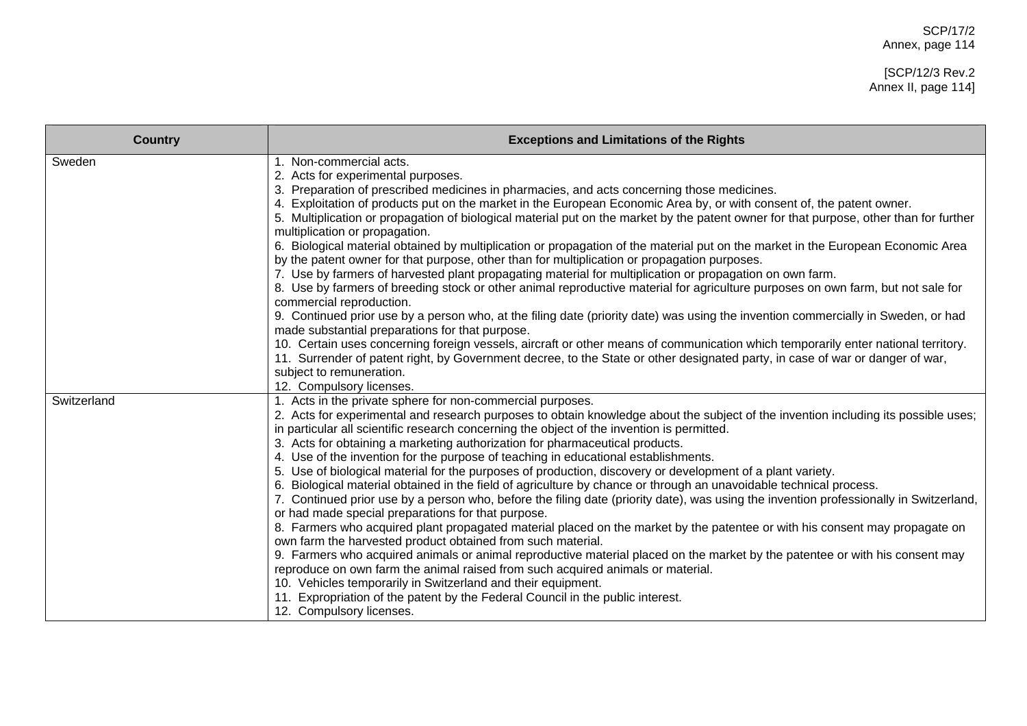| <b>Country</b> | <b>Exceptions and Limitations of the Rights</b>                                                                                                                                                                                                                                                                                                                                                                                                                                                                                                                                                                                                                                                                                                                                                                                                                                                                                                                                                                                                                                                                                                                                                                                                                                                                                                                                                                                                                                                         |
|----------------|---------------------------------------------------------------------------------------------------------------------------------------------------------------------------------------------------------------------------------------------------------------------------------------------------------------------------------------------------------------------------------------------------------------------------------------------------------------------------------------------------------------------------------------------------------------------------------------------------------------------------------------------------------------------------------------------------------------------------------------------------------------------------------------------------------------------------------------------------------------------------------------------------------------------------------------------------------------------------------------------------------------------------------------------------------------------------------------------------------------------------------------------------------------------------------------------------------------------------------------------------------------------------------------------------------------------------------------------------------------------------------------------------------------------------------------------------------------------------------------------------------|
| Sweden         | 1. Non-commercial acts.<br>2. Acts for experimental purposes.<br>3. Preparation of prescribed medicines in pharmacies, and acts concerning those medicines.<br>4. Exploitation of products put on the market in the European Economic Area by, or with consent of, the patent owner.<br>5. Multiplication or propagation of biological material put on the market by the patent owner for that purpose, other than for further<br>multiplication or propagation.<br>6. Biological material obtained by multiplication or propagation of the material put on the market in the European Economic Area<br>by the patent owner for that purpose, other than for multiplication or propagation purposes.<br>7. Use by farmers of harvested plant propagating material for multiplication or propagation on own farm.<br>8. Use by farmers of breeding stock or other animal reproductive material for agriculture purposes on own farm, but not sale for<br>commercial reproduction.<br>9. Continued prior use by a person who, at the filing date (priority date) was using the invention commercially in Sweden, or had<br>made substantial preparations for that purpose.<br>10. Certain uses concerning foreign vessels, aircraft or other means of communication which temporarily enter national territory.<br>11. Surrender of patent right, by Government decree, to the State or other designated party, in case of war or danger of war,<br>subject to remuneration.<br>12. Compulsory licenses.  |
| Switzerland    | 1. Acts in the private sphere for non-commercial purposes.<br>2. Acts for experimental and research purposes to obtain knowledge about the subject of the invention including its possible uses;<br>in particular all scientific research concerning the object of the invention is permitted.<br>3. Acts for obtaining a marketing authorization for pharmaceutical products.<br>4. Use of the invention for the purpose of teaching in educational establishments.<br>5. Use of biological material for the purposes of production, discovery or development of a plant variety.<br>6. Biological material obtained in the field of agriculture by chance or through an unavoidable technical process.<br>7. Continued prior use by a person who, before the filing date (priority date), was using the invention professionally in Switzerland,<br>or had made special preparations for that purpose.<br>8. Farmers who acquired plant propagated material placed on the market by the patentee or with his consent may propagate on<br>own farm the harvested product obtained from such material.<br>9. Farmers who acquired animals or animal reproductive material placed on the market by the patentee or with his consent may<br>reproduce on own farm the animal raised from such acquired animals or material.<br>10. Vehicles temporarily in Switzerland and their equipment.<br>11. Expropriation of the patent by the Federal Council in the public interest.<br>12. Compulsory licenses. |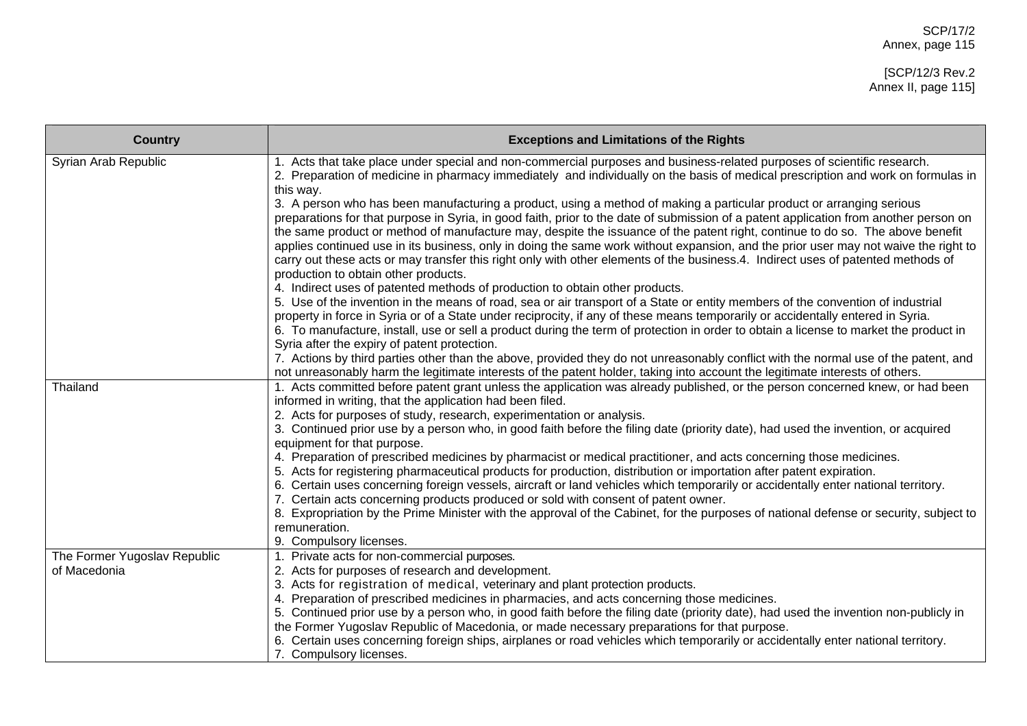| <b>Country</b>                               | <b>Exceptions and Limitations of the Rights</b>                                                                                                                                                                                                                                                                                                                                                                                                                                                                                                                                                                                                                                                                                                                                                                                                                                                                                                                                                                                                                                                                                                                                                                                                                                                                                                                                                                                                                                                                                                                                                                                                                                     |
|----------------------------------------------|-------------------------------------------------------------------------------------------------------------------------------------------------------------------------------------------------------------------------------------------------------------------------------------------------------------------------------------------------------------------------------------------------------------------------------------------------------------------------------------------------------------------------------------------------------------------------------------------------------------------------------------------------------------------------------------------------------------------------------------------------------------------------------------------------------------------------------------------------------------------------------------------------------------------------------------------------------------------------------------------------------------------------------------------------------------------------------------------------------------------------------------------------------------------------------------------------------------------------------------------------------------------------------------------------------------------------------------------------------------------------------------------------------------------------------------------------------------------------------------------------------------------------------------------------------------------------------------------------------------------------------------------------------------------------------------|
| Syrian Arab Republic                         | 1. Acts that take place under special and non-commercial purposes and business-related purposes of scientific research.<br>2. Preparation of medicine in pharmacy immediately and individually on the basis of medical prescription and work on formulas in<br>this way.<br>3. A person who has been manufacturing a product, using a method of making a particular product or arranging serious<br>preparations for that purpose in Syria, in good faith, prior to the date of submission of a patent application from another person on<br>the same product or method of manufacture may, despite the issuance of the patent right, continue to do so. The above benefit<br>applies continued use in its business, only in doing the same work without expansion, and the prior user may not waive the right to<br>carry out these acts or may transfer this right only with other elements of the business.4. Indirect uses of patented methods of<br>production to obtain other products.<br>4. Indirect uses of patented methods of production to obtain other products.<br>5. Use of the invention in the means of road, sea or air transport of a State or entity members of the convention of industrial<br>property in force in Syria or of a State under reciprocity, if any of these means temporarily or accidentally entered in Syria.<br>6. To manufacture, install, use or sell a product during the term of protection in order to obtain a license to market the product in<br>Syria after the expiry of patent protection.<br>7. Actions by third parties other than the above, provided they do not unreasonably conflict with the normal use of the patent, and |
|                                              | not unreasonably harm the legitimate interests of the patent holder, taking into account the legitimate interests of others.                                                                                                                                                                                                                                                                                                                                                                                                                                                                                                                                                                                                                                                                                                                                                                                                                                                                                                                                                                                                                                                                                                                                                                                                                                                                                                                                                                                                                                                                                                                                                        |
| Thailand                                     | 1. Acts committed before patent grant unless the application was already published, or the person concerned knew, or had been<br>informed in writing, that the application had been filed.<br>2. Acts for purposes of study, research, experimentation or analysis.<br>3. Continued prior use by a person who, in good faith before the filing date (priority date), had used the invention, or acquired<br>equipment for that purpose.<br>4. Preparation of prescribed medicines by pharmacist or medical practitioner, and acts concerning those medicines.<br>5. Acts for registering pharmaceutical products for production, distribution or importation after patent expiration.<br>6. Certain uses concerning foreign vessels, aircraft or land vehicles which temporarily or accidentally enter national territory.<br>7. Certain acts concerning products produced or sold with consent of patent owner.<br>8. Expropriation by the Prime Minister with the approval of the Cabinet, for the purposes of national defense or security, subject to<br>remuneration.<br>9. Compulsory licenses.                                                                                                                                                                                                                                                                                                                                                                                                                                                                                                                                                                               |
| The Former Yugoslav Republic<br>of Macedonia | 1. Private acts for non-commercial purposes.<br>2. Acts for purposes of research and development.<br>3. Acts for registration of medical, veterinary and plant protection products.<br>4. Preparation of prescribed medicines in pharmacies, and acts concerning those medicines.<br>5. Continued prior use by a person who, in good faith before the filing date (priority date), had used the invention non-publicly in<br>the Former Yugoslav Republic of Macedonia, or made necessary preparations for that purpose.<br>6. Certain uses concerning foreign ships, airplanes or road vehicles which temporarily or accidentally enter national territory.<br>7. Compulsory licenses.                                                                                                                                                                                                                                                                                                                                                                                                                                                                                                                                                                                                                                                                                                                                                                                                                                                                                                                                                                                             |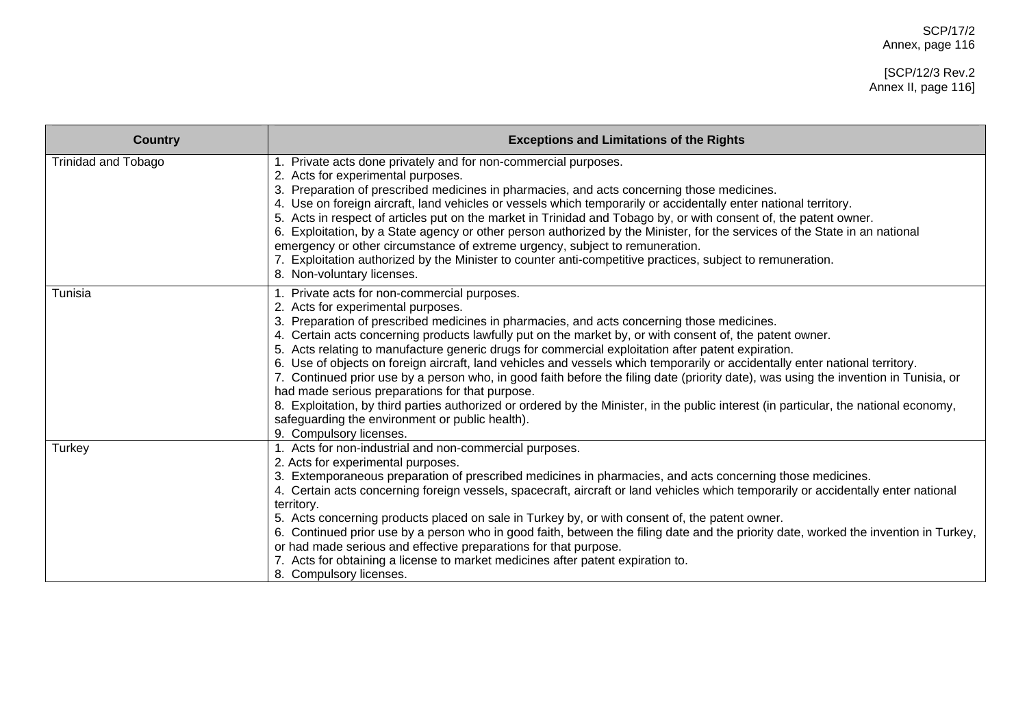| <b>Country</b>             | <b>Exceptions and Limitations of the Rights</b>                                                                                                                                                                                                                                                                                                                                                                                                                                                                                                                                                                                                                                                                                                                                                                                                                                                                                                   |
|----------------------------|---------------------------------------------------------------------------------------------------------------------------------------------------------------------------------------------------------------------------------------------------------------------------------------------------------------------------------------------------------------------------------------------------------------------------------------------------------------------------------------------------------------------------------------------------------------------------------------------------------------------------------------------------------------------------------------------------------------------------------------------------------------------------------------------------------------------------------------------------------------------------------------------------------------------------------------------------|
| <b>Trinidad and Tobago</b> | 1. Private acts done privately and for non-commercial purposes.<br>2. Acts for experimental purposes.<br>3. Preparation of prescribed medicines in pharmacies, and acts concerning those medicines.<br>4. Use on foreign aircraft, land vehicles or vessels which temporarily or accidentally enter national territory.<br>5. Acts in respect of articles put on the market in Trinidad and Tobago by, or with consent of, the patent owner.<br>6. Exploitation, by a State agency or other person authorized by the Minister, for the services of the State in an national<br>emergency or other circumstance of extreme urgency, subject to remuneration.<br>7. Exploitation authorized by the Minister to counter anti-competitive practices, subject to remuneration.<br>8. Non-voluntary licenses.                                                                                                                                           |
| Tunisia                    | 1. Private acts for non-commercial purposes.<br>2. Acts for experimental purposes.<br>Preparation of prescribed medicines in pharmacies, and acts concerning those medicines.<br>4. Certain acts concerning products lawfully put on the market by, or with consent of, the patent owner.<br>5. Acts relating to manufacture generic drugs for commercial exploitation after patent expiration.<br>6. Use of objects on foreign aircraft, land vehicles and vessels which temporarily or accidentally enter national territory.<br>7. Continued prior use by a person who, in good faith before the filing date (priority date), was using the invention in Tunisia, or<br>had made serious preparations for that purpose.<br>8. Exploitation, by third parties authorized or ordered by the Minister, in the public interest (in particular, the national economy,<br>safeguarding the environment or public health).<br>9. Compulsory licenses. |
| Turkey                     | 1. Acts for non-industrial and non-commercial purposes.<br>2. Acts for experimental purposes.<br>3. Extemporaneous preparation of prescribed medicines in pharmacies, and acts concerning those medicines.<br>4. Certain acts concerning foreign vessels, spacecraft, aircraft or land vehicles which temporarily or accidentally enter national<br>territory.<br>5. Acts concerning products placed on sale in Turkey by, or with consent of, the patent owner.<br>6. Continued prior use by a person who in good faith, between the filing date and the priority date, worked the invention in Turkey,<br>or had made serious and effective preparations for that purpose.<br>7. Acts for obtaining a license to market medicines after patent expiration to.<br>8. Compulsory licenses.                                                                                                                                                        |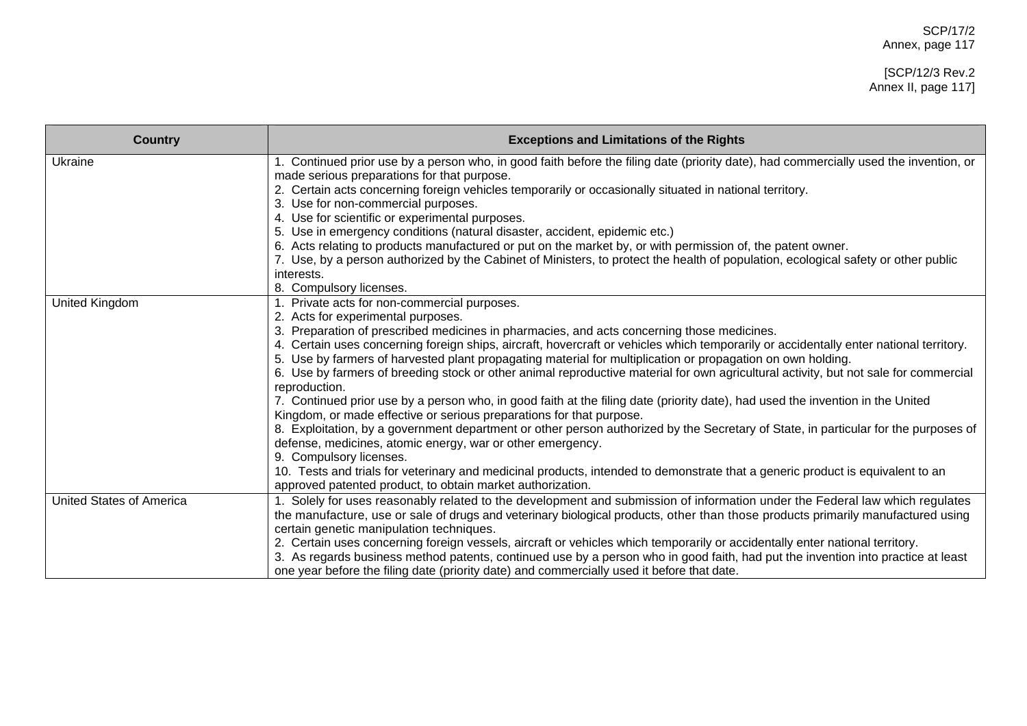## [SCP/12/3 Rev.2 Annex II, page 117]

| <b>Country</b>                  | <b>Exceptions and Limitations of the Rights</b>                                                                                                       |
|---------------------------------|-------------------------------------------------------------------------------------------------------------------------------------------------------|
| Ukraine                         | 1. Continued prior use by a person who, in good faith before the filing date (priority date), had commercially used the invention, or                 |
|                                 | made serious preparations for that purpose.                                                                                                           |
|                                 | 2. Certain acts concerning foreign vehicles temporarily or occasionally situated in national territory.                                               |
|                                 | 3. Use for non-commercial purposes.                                                                                                                   |
|                                 | 4. Use for scientific or experimental purposes.                                                                                                       |
|                                 | 5. Use in emergency conditions (natural disaster, accident, epidemic etc.)                                                                            |
|                                 | 6. Acts relating to products manufactured or put on the market by, or with permission of, the patent owner.                                           |
|                                 | 7. Use, by a person authorized by the Cabinet of Ministers, to protect the health of population, ecological safety or other public                    |
|                                 | interests.                                                                                                                                            |
|                                 | 8. Compulsory licenses.                                                                                                                               |
| United Kingdom                  | Private acts for non-commercial purposes.                                                                                                             |
|                                 | 2. Acts for experimental purposes.                                                                                                                    |
|                                 | 3. Preparation of prescribed medicines in pharmacies, and acts concerning those medicines.                                                            |
|                                 | 4. Certain uses concerning foreign ships, aircraft, hovercraft or vehicles which temporarily or accidentally enter national territory.                |
|                                 | 5. Use by farmers of harvested plant propagating material for multiplication or propagation on own holding.                                           |
|                                 | 6. Use by farmers of breeding stock or other animal reproductive material for own agricultural activity, but not sale for commercial<br>reproduction. |
|                                 | 7. Continued prior use by a person who, in good faith at the filing date (priority date), had used the invention in the United                        |
|                                 | Kingdom, or made effective or serious preparations for that purpose.                                                                                  |
|                                 | 8. Exploitation, by a government department or other person authorized by the Secretary of State, in particular for the purposes of                   |
|                                 | defense, medicines, atomic energy, war or other emergency.                                                                                            |
|                                 | 9. Compulsory licenses.                                                                                                                               |
|                                 | 10. Tests and trials for veterinary and medicinal products, intended to demonstrate that a generic product is equivalent to an                        |
|                                 | approved patented product, to obtain market authorization.                                                                                            |
| <b>United States of America</b> | Solely for uses reasonably related to the development and submission of information under the Federal law which regulates                             |
|                                 | the manufacture, use or sale of drugs and veterinary biological products, other than those products primarily manufactured using                      |
|                                 | certain genetic manipulation techniques.                                                                                                              |
|                                 | 2. Certain uses concerning foreign vessels, aircraft or vehicles which temporarily or accidentally enter national territory.                          |
|                                 | 3. As regards business method patents, continued use by a person who in good faith, had put the invention into practice at least                      |
|                                 | one year before the filing date (priority date) and commercially used it before that date.                                                            |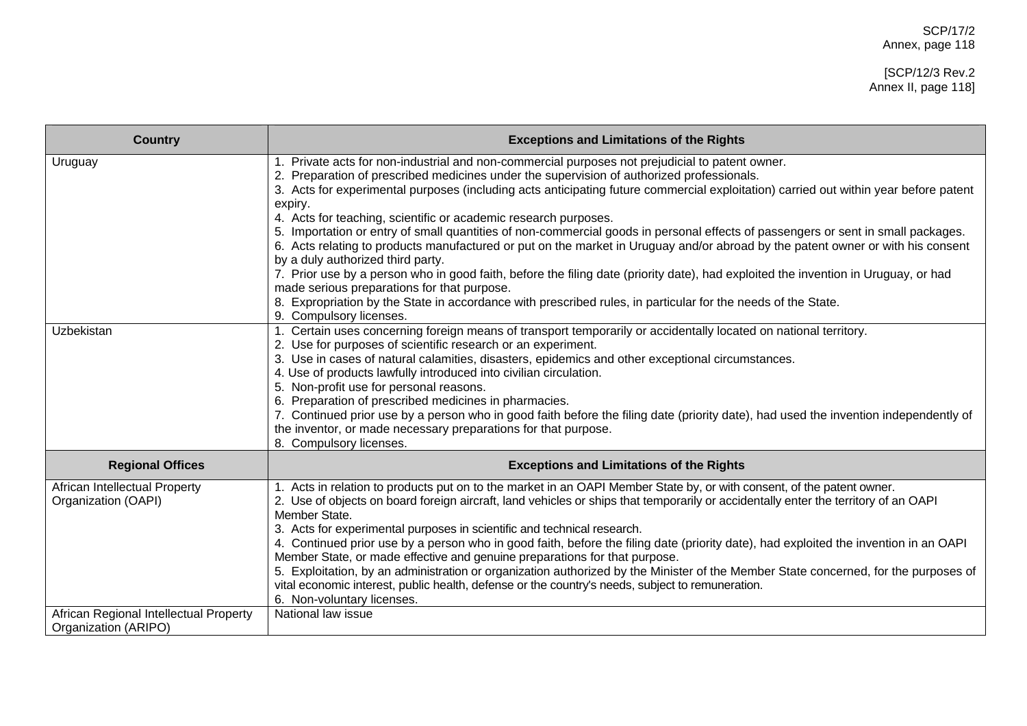## [SCP/12/3 Rev.2 Annex II, page 118]

| <b>Country</b>                                                 | <b>Exceptions and Limitations of the Rights</b>                                                                                                                                                                                                                                                                                                                                                                                                                                                                                                                                                                                                                                                                                                                                                                                                                                                                                                                                                                                                                |
|----------------------------------------------------------------|----------------------------------------------------------------------------------------------------------------------------------------------------------------------------------------------------------------------------------------------------------------------------------------------------------------------------------------------------------------------------------------------------------------------------------------------------------------------------------------------------------------------------------------------------------------------------------------------------------------------------------------------------------------------------------------------------------------------------------------------------------------------------------------------------------------------------------------------------------------------------------------------------------------------------------------------------------------------------------------------------------------------------------------------------------------|
| Uruguay                                                        | 1. Private acts for non-industrial and non-commercial purposes not prejudicial to patent owner.<br>2. Preparation of prescribed medicines under the supervision of authorized professionals.<br>3. Acts for experimental purposes (including acts anticipating future commercial exploitation) carried out within year before patent<br>expiry.<br>4. Acts for teaching, scientific or academic research purposes.<br>5. Importation or entry of small quantities of non-commercial goods in personal effects of passengers or sent in small packages.<br>6. Acts relating to products manufactured or put on the market in Uruguay and/or abroad by the patent owner or with his consent<br>by a duly authorized third party.<br>7. Prior use by a person who in good faith, before the filing date (priority date), had exploited the invention in Uruguay, or had<br>made serious preparations for that purpose.<br>8. Expropriation by the State in accordance with prescribed rules, in particular for the needs of the State.<br>9. Compulsory licenses. |
| Uzbekistan                                                     | 1. Certain uses concerning foreign means of transport temporarily or accidentally located on national territory.<br>2. Use for purposes of scientific research or an experiment.<br>3. Use in cases of natural calamities, disasters, epidemics and other exceptional circumstances.<br>4. Use of products lawfully introduced into civilian circulation.<br>5. Non-profit use for personal reasons.<br>6. Preparation of prescribed medicines in pharmacies.<br>7. Continued prior use by a person who in good faith before the filing date (priority date), had used the invention independently of<br>the inventor, or made necessary preparations for that purpose.<br>8. Compulsory licenses.                                                                                                                                                                                                                                                                                                                                                             |
| <b>Regional Offices</b>                                        | <b>Exceptions and Limitations of the Rights</b>                                                                                                                                                                                                                                                                                                                                                                                                                                                                                                                                                                                                                                                                                                                                                                                                                                                                                                                                                                                                                |
| African Intellectual Property<br>Organization (OAPI)           | 1. Acts in relation to products put on to the market in an OAPI Member State by, or with consent, of the patent owner.<br>2. Use of objects on board foreign aircraft, land vehicles or ships that temporarily or accidentally enter the territory of an OAPI<br>Member State.<br>3. Acts for experimental purposes in scientific and technical research.<br>4. Continued prior use by a person who in good faith, before the filing date (priority date), had exploited the invention in an OAPI<br>Member State, or made effective and genuine preparations for that purpose.<br>5. Exploitation, by an administration or organization authorized by the Minister of the Member State concerned, for the purposes of<br>vital economic interest, public health, defense or the country's needs, subject to remuneration.<br>6. Non-voluntary licenses.                                                                                                                                                                                                       |
| African Regional Intellectual Property<br>Organization (ARIPO) | National law issue                                                                                                                                                                                                                                                                                                                                                                                                                                                                                                                                                                                                                                                                                                                                                                                                                                                                                                                                                                                                                                             |